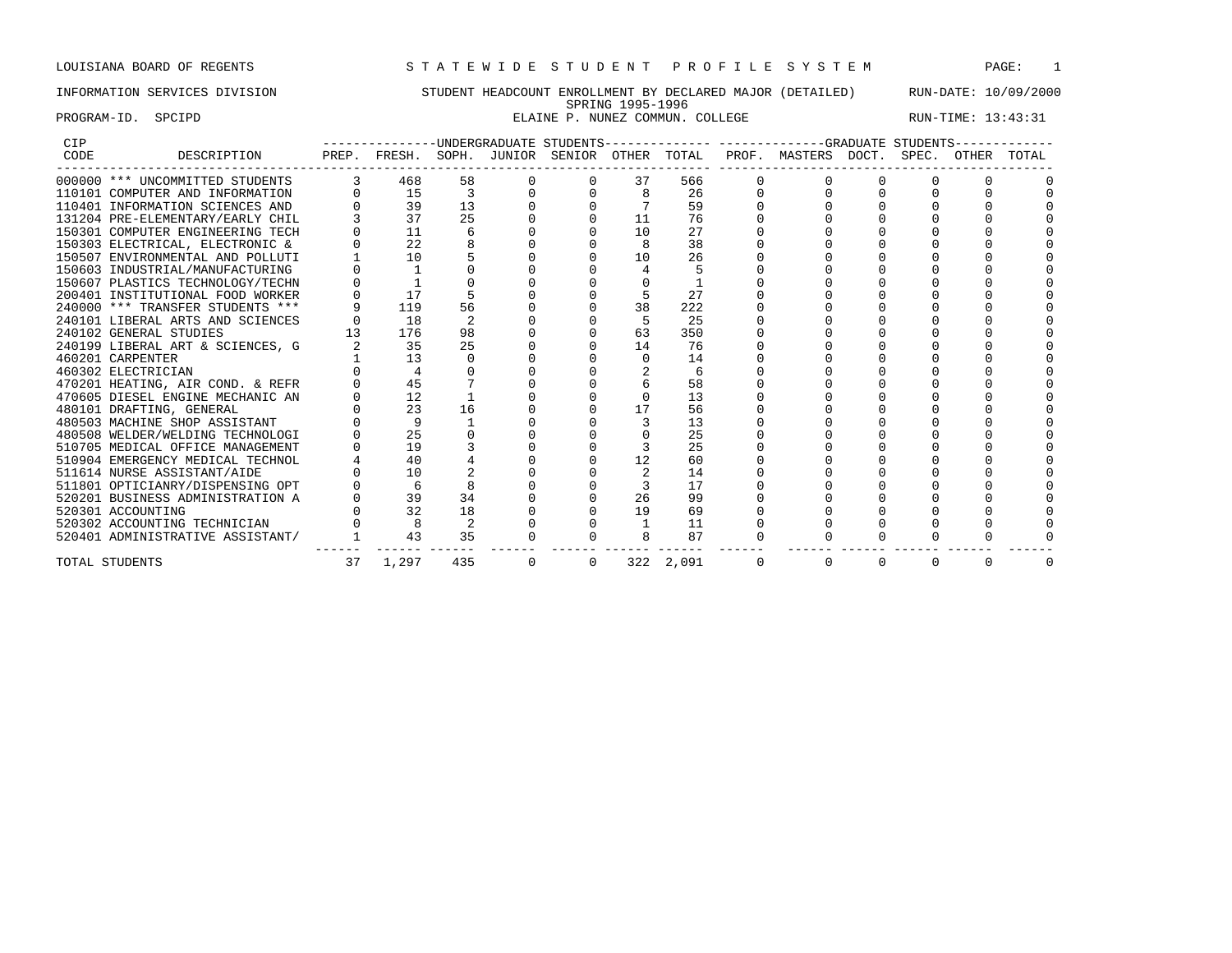# INFORMATION SERVICES DIVISION STUDENT HEADCOUNT ENROLLMENT BY DECLARED MAJOR (DETAILED) RUN-DATE: 10/09/2000 SPRING 1995-1996 PROGRAM-ID. SPCIPD SOULD SELAINE P. NUNEZ COMMUN. COLLEGE RUN-TIME: 13:43:31

| <b>CIP</b> |                                  |    |              |     |          | -UNDERGRADUATE STUDENTS- |    |           |                                                                  | --GRADUATE STUDENTS |             |       |
|------------|----------------------------------|----|--------------|-----|----------|--------------------------|----|-----------|------------------------------------------------------------------|---------------------|-------------|-------|
| CODE       | DESCRIPTION                      |    |              |     |          |                          |    |           | PREP. FRESH. SOPH. JUNIOR SENIOR OTHER TOTAL PROF. MASTERS DOCT. |                     | SPEC. OTHER | TOTAL |
|            | 000000 *** UNCOMMITTED STUDENTS  |    | 468          | 58  |          |                          | 37 | 566       |                                                                  |                     |             |       |
|            | 110101 COMPUTER AND INFORMATION  |    | 15           |     |          |                          |    | 26        |                                                                  |                     |             |       |
|            | 110401 INFORMATION SCIENCES AND  |    | 39           | 13  |          |                          |    | 59        |                                                                  |                     |             |       |
|            | 131204 PRE-ELEMENTARY/EARLY CHIL |    | 37           | 25  |          |                          | 11 | 76        |                                                                  |                     |             |       |
|            | 150301 COMPUTER ENGINEERING TECH |    | 11           |     |          |                          | 10 | 27        |                                                                  |                     |             |       |
|            | 150303 ELECTRICAL, ELECTRONIC &  |    | 22           |     |          |                          |    | 38        |                                                                  |                     |             |       |
|            | 150507 ENVIRONMENTAL AND POLLUTI |    | 10           |     |          |                          | 10 | 26        |                                                                  |                     |             |       |
|            | 150603 INDUSTRIAL/MANUFACTURING  |    |              |     |          |                          |    |           |                                                                  |                     |             |       |
|            | 150607 PLASTICS TECHNOLOGY/TECHN |    |              |     |          |                          |    |           |                                                                  |                     |             |       |
|            | 200401 INSTITUTIONAL FOOD WORKER |    | 17           |     |          |                          |    | 27        |                                                                  |                     |             |       |
|            | 240000 *** TRANSFER STUDENTS *** |    | 119          | 56  |          |                          | 38 | 222       |                                                                  |                     |             |       |
|            | 240101 LIBERAL ARTS AND SCIENCES |    | 18           |     |          |                          |    | 25        |                                                                  |                     |             |       |
|            | 240102 GENERAL STUDIES           |    | 176          | 98  |          |                          | 63 | 350       |                                                                  |                     |             |       |
|            | 240199 LIBERAL ART & SCIENCES, G |    | 35           | 2.5 |          |                          | 14 | 76        |                                                                  |                     |             |       |
|            | 460201 CARPENTER                 |    | 13           |     |          |                          |    | 14        |                                                                  |                     |             |       |
|            | 460302 ELECTRICIAN               |    |              |     |          |                          |    |           |                                                                  |                     |             |       |
|            | 470201 HEATING, AIR COND. & REFR |    | 45           |     |          |                          |    | 58        |                                                                  |                     |             |       |
|            | 470605 DIESEL ENGINE MECHANIC AN |    | 12           |     |          |                          |    | 13        |                                                                  |                     |             |       |
|            | 480101 DRAFTING, GENERAL         |    | 23           | 16  |          |                          | 17 | 56        |                                                                  |                     |             |       |
|            | 480503 MACHINE SHOP ASSISTANT    |    | $\mathsf{Q}$ |     |          |                          |    | 13        |                                                                  |                     |             |       |
|            | 480508 WELDER/WELDING TECHNOLOGI |    | 25           |     |          |                          |    | 25        |                                                                  |                     |             |       |
|            | 510705 MEDICAL OFFICE MANAGEMENT |    | 19           |     |          |                          |    | 25        |                                                                  |                     |             |       |
|            | 510904 EMERGENCY MEDICAL TECHNOL |    | 40           |     |          |                          | 12 | 60        |                                                                  |                     |             |       |
|            | 511614 NURSE ASSISTANT/AIDE      |    | 10           |     |          |                          |    | 14        |                                                                  |                     |             |       |
|            | 511801 OPTICIANRY/DISPENSING OPT |    |              |     |          |                          |    | 17        |                                                                  |                     |             |       |
|            | 520201 BUSINESS ADMINISTRATION A |    | 39           | 34  |          |                          | 26 | 99        |                                                                  |                     |             |       |
|            | 520301 ACCOUNTING                |    | 32           | 18  |          |                          | 19 | 69        |                                                                  |                     |             |       |
|            | 520302 ACCOUNTING TECHNICIAN     |    |              |     |          |                          |    | 11        |                                                                  |                     |             |       |
|            | 520401 ADMINISTRATIVE ASSISTANT/ |    | 43           | 35  |          |                          |    | 87        |                                                                  |                     |             |       |
|            | TOTAL STUDENTS                   | 37 | 1,297        | 435 | $\Omega$ | $\Omega$                 |    | 322 2,091 |                                                                  |                     |             |       |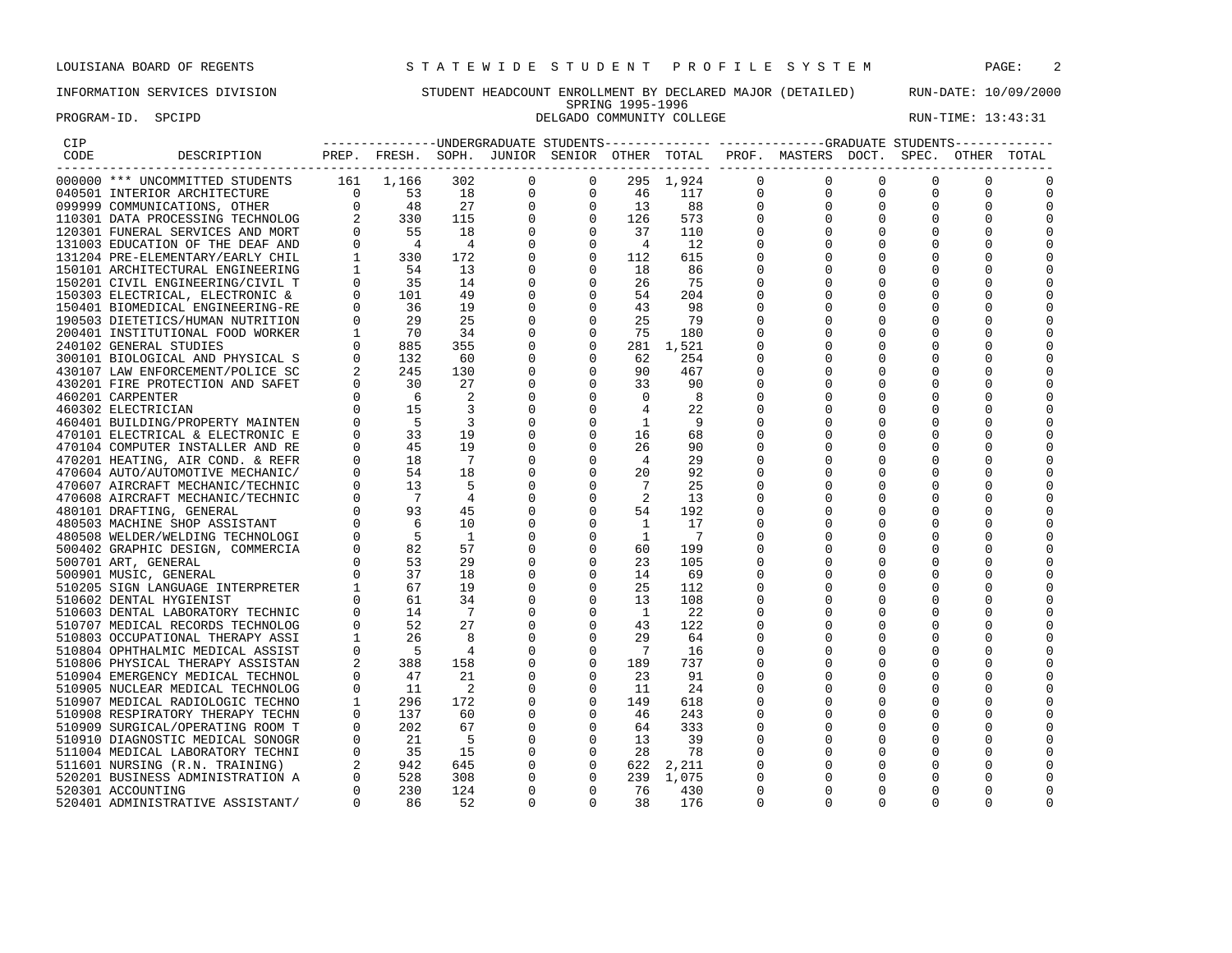# INFORMATION SERVICES DIVISION STUDENT HEADCOUNT ENROLLMENT BY DECLARED MAJOR (DETAILED) RUN-DATE: 10/09/2000 SPRING 1995-1996<br>DELGADO COMMUNITY COLLEGE PROGRAM-ID. SPCIPD **DELGADO COMMUNITY COLLEGE** RUN-TIME: 13:43:31

| ---------------UNDERGRADUATE STUDENTS------------- ------------GRADUATE STUDENTS------------<br>PREP. FRESH. SOPH. JUNIOR SENIOR OTHER TOTAL PROF. MASTERS DOCT.<br>DESCRIPTION<br>CODE<br>SPEC.<br>OTHER TOTAL<br>000000 *** UNCOMMITTED STUDENTS<br>161<br>1,166<br>302<br>$\circ$<br>$\Omega$<br>$\mathbf 0$<br>295 1,924<br>$\mathbf{0}$<br>$\Omega$<br>$\Omega$<br>117<br>$\mathbf{0}$<br>$\mathbf 0$<br>$\Omega$<br>46<br>$\mathbf{0}$<br>$\Omega$<br>040501 INTERIOR ARCHITECTURE<br>0<br>13<br>88<br>$\mathbf{0}$<br>$\mathbf{0}$<br>$\Omega$<br>0<br>$\Omega$<br>126<br>573<br>$\mathbf 0$<br>37<br>110<br>$\Omega$<br>$\Omega$<br>$\overline{4}$<br>12<br>112<br>615<br>18<br>86<br>$\Omega$<br><sup>0</sup><br>$\mathbf 0$<br>$\overline{0}$<br>26<br>75<br>$\mathbf 0$<br>54<br>0<br>204<br>$\Omega$<br>$\Omega$<br>$\overline{0}$<br>43<br>$\mathbf{0}$<br>98<br>$\Omega$<br><sup>0</sup><br>29<br>25<br>$\overline{0}$<br>25<br>79<br>190503 DIETETICS/HUMAN NUTRITION<br>0<br>$\Omega$<br>$\begin{array}{ccc} 1 & \quad & 70 \\ 0 & \quad & 885 \end{array}$<br>$\mathbf 0$<br>75<br>200401 INSTITUTIONAL FOOD WORKER<br>34<br>$\begin{matrix}0\\0\\0\end{matrix}$<br>180<br>$\Omega$<br>$\Omega$<br>$\Omega$<br>355<br>0<br>281 1,521<br>240102 GENERAL STUDIES<br>$0$ 132<br>300101 BIOLOGICAL AND PHYSICAL S<br>60<br>0<br>62<br>254<br>$\mathbf 0$<br>0<br>245<br>$\mathbf 0$<br>$\mathbf 0$<br>90<br>467<br>$\Omega$<br>430107 LAW ENFORCEMENT/POLICE SC<br>130<br>$\Omega$<br>$\Omega$<br>33<br>430201 FIRE PROTECTION AND SAFET<br>30<br>27<br>90<br>$\Omega$<br>460201 CARPENTER<br>6<br>2<br>0<br>$\mathbf 0$<br>$\overline{0}$<br>$\mathbf 0$<br>- 8<br>0<br>$\begin{array}{c} 15 \\ 15 \\ 5 \\ 33 \end{array}$<br>$\mathbf 0$<br>$\overline{4}$<br>22<br>$\Omega$<br>460302 ELECTRICIAN<br>3<br>3<br>$\Omega$<br>$\overline{1}$<br>- 9<br>$\Omega$<br>460401 BUILDING/PROPERTY MAINTEN<br>$\Omega$<br>470101 ELECTRICAL & ELECTRONIC E<br>19<br>0<br>$\overline{0}$<br>16<br>68<br>$\Omega$<br>$\Omega$<br>470104 COMPUTER INSTALLER AND RE<br>45<br>19<br>$\mathbf 0$<br>26<br>90<br>$\Omega$<br>$\Omega$<br>$\Omega$<br>18<br>$\mathbf 0$<br>$\overline{7}$<br>0<br>$\overline{4}$<br>29<br>$\Omega$<br>470201 HEATING, AIR COND. & REFR<br>$\Omega$<br>54<br>$\overline{0}$<br>18<br>20<br>92<br>470604 AUTO/AUTOMOTIVE MECHANIC/<br>$\overline{7}$<br>25<br>5<br>$\mathbf 0$<br>$\Omega$<br>470607 AIRCRAFT MECHANIC/TECHNIC<br>$\Omega$<br>-2<br>$\Omega$<br>13<br>$\Omega$<br>470608 AIRCRAFT MECHANIC/TECHNIC<br>4<br>$\Omega$<br>$\mathbf 0$<br>54<br>192<br>480101 DRAFTING, GENERAL<br>45<br>$\Omega$<br>10<br>$\mathbf 0$<br>$\overline{1}$<br>17<br>480503 MACHINE SHOP ASSISTANT<br>0<br>$\Omega$<br>$\Omega$<br>$\overline{0}$<br>$\overline{1}$<br>$\overline{7}$<br><sup>1</sup><br>480508 WELDER/WELDING TECHNOLOGI<br>$\mathbf 0$<br>60<br>500402 GRAPHIC DESIGN, COMMERCIA<br>57<br>0<br>199<br>$\Omega$<br>$\Omega$<br>29<br>$\overline{0}$<br>23<br>$\Omega$<br>500701 ART, GENERAL<br>$\Omega$<br>105<br>$\Omega$<br>$\Omega$<br>14<br>500901 MUSIC, GENERAL<br>18<br>69<br>$\Omega$<br>19<br>$\mathbf 0$<br>$\overline{0}$<br>25<br>510205 SIGN LANGUAGE INTERPRETER<br>112<br>$\Omega$<br>$\Omega$<br>61<br>$\overline{0}$<br>13<br>34<br>0<br>108<br>$\Omega$<br>510602 DENTAL HYGIENIST<br>O<br>14<br>$\overline{1}$<br>22<br>7<br>0<br>0<br>510603 DENTAL LABORATORY TECHNIC<br>0<br>52<br>$\Omega$<br>27<br>$\overline{0}$<br>43<br>122<br>510707 MEDICAL RECORDS TECHNOLOG<br>0<br>$\Omega$<br>$\Omega$<br>26<br>8<br>$\Omega$<br>510803 OCCUPATIONAL THERAPY ASSI<br>1<br>29<br>64<br>$\Omega$<br>$\mathbf{0}$<br>$5 - 5$<br>$\mathbf 0$<br>$\overline{7}$<br>510804 OPHTHALMIC MEDICAL ASSIST<br>4<br>0<br>16<br>$\Omega$<br>$\Omega$<br>158<br>$\mathbf 0$<br>$\overline{0}$<br>189<br>737<br>388<br>510806 PHYSICAL THERAPY ASSISTAN<br>23<br>510904 EMERGENCY MEDICAL TECHNOL<br>47<br>21<br>0<br>$\Omega$<br>91<br>$\Omega$<br>0<br>$\overline{\phantom{0}}^2$<br>510905 NUCLEAR MEDICAL TECHNOLOG<br>11<br>0<br>$\overline{0}$<br>11<br>24<br>$\Omega$<br>0<br>$\mathbf 0$<br>296<br>172<br>149<br>618<br>510907 MEDICAL RADIOLOGIC TECHNO<br>$\Omega$<br>$0 \qquad \qquad$<br>$\overline{0}$<br>137<br>60<br>$\mathbf{0}$<br>46<br>243<br>510908 RESPIRATORY THERAPY TECHN<br>$\Omega$<br>$\Omega$<br>$\Omega$<br>$\overline{0}$<br>$\begin{array}{ccc} 0 & 202 \\ 0 & 21 \\ 0 & 35 \\ 2 & 942 \\ 0 & 528 \\ 0 & 230 \end{array}$<br>67<br>0<br>64<br>333<br>510909 SURGICAL/OPERATING ROOM T<br>- 5<br>0<br>$\overline{0}$<br>13<br>39<br>$\Omega$<br>510910 DIAGNOSTIC MEDICAL SONOGR<br>511004 MEDICAL LABORATORY TECHNI<br>0<br>$\begin{matrix} 0 \\ 0 \\ 0 \end{matrix}$<br>28<br>78<br>$\Omega$<br>15<br>0<br><sup>0</sup><br>$\mathbf 0$<br>645<br>622 2,211<br>$\Omega$<br>511601 NURSING (R.N. TRAINING)<br>308<br>$\mathbf 0$<br>239 1,075<br>520201 BUSINESS ADMINISTRATION A<br>0<br>$\Omega$<br>$\Omega$<br>$\Omega$<br>230<br>$\Omega$<br>$\overline{0}$<br>76<br>124<br>$\Omega$<br>520301 ACCOUNTING<br>430<br>$\Omega$<br>86<br>$\Omega$<br>$\Omega$<br>38<br>$\Omega$<br>520401 ADMINISTRATIVE ASSISTANT/<br>52<br>176<br>$\Omega$<br>$\Omega$<br>$\Omega$<br>$\Omega$ | CIP |  |  |  |  |  |  |  |
|---------------------------------------------------------------------------------------------------------------------------------------------------------------------------------------------------------------------------------------------------------------------------------------------------------------------------------------------------------------------------------------------------------------------------------------------------------------------------------------------------------------------------------------------------------------------------------------------------------------------------------------------------------------------------------------------------------------------------------------------------------------------------------------------------------------------------------------------------------------------------------------------------------------------------------------------------------------------------------------------------------------------------------------------------------------------------------------------------------------------------------------------------------------------------------------------------------------------------------------------------------------------------------------------------------------------------------------------------------------------------------------------------------------------------------------------------------------------------------------------------------------------------------------------------------------------------------------------------------------------------------------------------------------------------------------------------------------------------------------------------------------------------------------------------------------------------------------------------------------------------------------------------------------------------------------------------------------------------------------------------------------------------------------------------------------------------------------------------------------------------------------------------------------------------------------------------------------------------------------------------------------------------------------------------------------------------------------------------------------------------------------------------------------------------------------------------------------------------------------------------------------------------------------------------------------------------------------------------------------------------------------------------------------------------------------------------------------------------------------------------------------------------------------------------------------------------------------------------------------------------------------------------------------------------------------------------------------------------------------------------------------------------------------------------------------------------------------------------------------------------------------------------------------------------------------------------------------------------------------------------------------------------------------------------------------------------------------------------------------------------------------------------------------------------------------------------------------------------------------------------------------------------------------------------------------------------------------------------------------------------------------------------------------------------------------------------------------------------------------------------------------------------------------------------------------------------------------------------------------------------------------------------------------------------------------------------------------------------------------------------------------------------------------------------------------------------------------------------------------------------------------------------------------------------------------------------------------------------------------------------------------------------------------------------------------------------------------------------------------------------------------------------------------------------------------------------------------------------------------------------------------------------------------------------------------------------------------------------------------------------------------------------------------------------------------------------------------------------------------------------------------------------------------------------------------------------------------------------------------------------------------------------------------------------------------------------------------------------------------------------------------------------------------------------------------------------------------------------------------------------------------------------------------------------------------------------------------------------------------------------------|-----|--|--|--|--|--|--|--|
|                                                                                                                                                                                                                                                                                                                                                                                                                                                                                                                                                                                                                                                                                                                                                                                                                                                                                                                                                                                                                                                                                                                                                                                                                                                                                                                                                                                                                                                                                                                                                                                                                                                                                                                                                                                                                                                                                                                                                                                                                                                                                                                                                                                                                                                                                                                                                                                                                                                                                                                                                                                                                                                                                                                                                                                                                                                                                                                                                                                                                                                                                                                                                                                                                                                                                                                                                                                                                                                                                                                                                                                                                                                                                                                                                                                                                                                                                                                                                                                                                                                                                                                                                                                                                                                                                                                                                                                                                                                                                                                                                                                                                                                                                                                                                                                                                                                                                                                                                                                                                                                                                                                                                                                                                                                         |     |  |  |  |  |  |  |  |
|                                                                                                                                                                                                                                                                                                                                                                                                                                                                                                                                                                                                                                                                                                                                                                                                                                                                                                                                                                                                                                                                                                                                                                                                                                                                                                                                                                                                                                                                                                                                                                                                                                                                                                                                                                                                                                                                                                                                                                                                                                                                                                                                                                                                                                                                                                                                                                                                                                                                                                                                                                                                                                                                                                                                                                                                                                                                                                                                                                                                                                                                                                                                                                                                                                                                                                                                                                                                                                                                                                                                                                                                                                                                                                                                                                                                                                                                                                                                                                                                                                                                                                                                                                                                                                                                                                                                                                                                                                                                                                                                                                                                                                                                                                                                                                                                                                                                                                                                                                                                                                                                                                                                                                                                                                                         |     |  |  |  |  |  |  |  |
|                                                                                                                                                                                                                                                                                                                                                                                                                                                                                                                                                                                                                                                                                                                                                                                                                                                                                                                                                                                                                                                                                                                                                                                                                                                                                                                                                                                                                                                                                                                                                                                                                                                                                                                                                                                                                                                                                                                                                                                                                                                                                                                                                                                                                                                                                                                                                                                                                                                                                                                                                                                                                                                                                                                                                                                                                                                                                                                                                                                                                                                                                                                                                                                                                                                                                                                                                                                                                                                                                                                                                                                                                                                                                                                                                                                                                                                                                                                                                                                                                                                                                                                                                                                                                                                                                                                                                                                                                                                                                                                                                                                                                                                                                                                                                                                                                                                                                                                                                                                                                                                                                                                                                                                                                                                         |     |  |  |  |  |  |  |  |
|                                                                                                                                                                                                                                                                                                                                                                                                                                                                                                                                                                                                                                                                                                                                                                                                                                                                                                                                                                                                                                                                                                                                                                                                                                                                                                                                                                                                                                                                                                                                                                                                                                                                                                                                                                                                                                                                                                                                                                                                                                                                                                                                                                                                                                                                                                                                                                                                                                                                                                                                                                                                                                                                                                                                                                                                                                                                                                                                                                                                                                                                                                                                                                                                                                                                                                                                                                                                                                                                                                                                                                                                                                                                                                                                                                                                                                                                                                                                                                                                                                                                                                                                                                                                                                                                                                                                                                                                                                                                                                                                                                                                                                                                                                                                                                                                                                                                                                                                                                                                                                                                                                                                                                                                                                                         |     |  |  |  |  |  |  |  |
|                                                                                                                                                                                                                                                                                                                                                                                                                                                                                                                                                                                                                                                                                                                                                                                                                                                                                                                                                                                                                                                                                                                                                                                                                                                                                                                                                                                                                                                                                                                                                                                                                                                                                                                                                                                                                                                                                                                                                                                                                                                                                                                                                                                                                                                                                                                                                                                                                                                                                                                                                                                                                                                                                                                                                                                                                                                                                                                                                                                                                                                                                                                                                                                                                                                                                                                                                                                                                                                                                                                                                                                                                                                                                                                                                                                                                                                                                                                                                                                                                                                                                                                                                                                                                                                                                                                                                                                                                                                                                                                                                                                                                                                                                                                                                                                                                                                                                                                                                                                                                                                                                                                                                                                                                                                         |     |  |  |  |  |  |  |  |
|                                                                                                                                                                                                                                                                                                                                                                                                                                                                                                                                                                                                                                                                                                                                                                                                                                                                                                                                                                                                                                                                                                                                                                                                                                                                                                                                                                                                                                                                                                                                                                                                                                                                                                                                                                                                                                                                                                                                                                                                                                                                                                                                                                                                                                                                                                                                                                                                                                                                                                                                                                                                                                                                                                                                                                                                                                                                                                                                                                                                                                                                                                                                                                                                                                                                                                                                                                                                                                                                                                                                                                                                                                                                                                                                                                                                                                                                                                                                                                                                                                                                                                                                                                                                                                                                                                                                                                                                                                                                                                                                                                                                                                                                                                                                                                                                                                                                                                                                                                                                                                                                                                                                                                                                                                                         |     |  |  |  |  |  |  |  |
|                                                                                                                                                                                                                                                                                                                                                                                                                                                                                                                                                                                                                                                                                                                                                                                                                                                                                                                                                                                                                                                                                                                                                                                                                                                                                                                                                                                                                                                                                                                                                                                                                                                                                                                                                                                                                                                                                                                                                                                                                                                                                                                                                                                                                                                                                                                                                                                                                                                                                                                                                                                                                                                                                                                                                                                                                                                                                                                                                                                                                                                                                                                                                                                                                                                                                                                                                                                                                                                                                                                                                                                                                                                                                                                                                                                                                                                                                                                                                                                                                                                                                                                                                                                                                                                                                                                                                                                                                                                                                                                                                                                                                                                                                                                                                                                                                                                                                                                                                                                                                                                                                                                                                                                                                                                         |     |  |  |  |  |  |  |  |
|                                                                                                                                                                                                                                                                                                                                                                                                                                                                                                                                                                                                                                                                                                                                                                                                                                                                                                                                                                                                                                                                                                                                                                                                                                                                                                                                                                                                                                                                                                                                                                                                                                                                                                                                                                                                                                                                                                                                                                                                                                                                                                                                                                                                                                                                                                                                                                                                                                                                                                                                                                                                                                                                                                                                                                                                                                                                                                                                                                                                                                                                                                                                                                                                                                                                                                                                                                                                                                                                                                                                                                                                                                                                                                                                                                                                                                                                                                                                                                                                                                                                                                                                                                                                                                                                                                                                                                                                                                                                                                                                                                                                                                                                                                                                                                                                                                                                                                                                                                                                                                                                                                                                                                                                                                                         |     |  |  |  |  |  |  |  |
|                                                                                                                                                                                                                                                                                                                                                                                                                                                                                                                                                                                                                                                                                                                                                                                                                                                                                                                                                                                                                                                                                                                                                                                                                                                                                                                                                                                                                                                                                                                                                                                                                                                                                                                                                                                                                                                                                                                                                                                                                                                                                                                                                                                                                                                                                                                                                                                                                                                                                                                                                                                                                                                                                                                                                                                                                                                                                                                                                                                                                                                                                                                                                                                                                                                                                                                                                                                                                                                                                                                                                                                                                                                                                                                                                                                                                                                                                                                                                                                                                                                                                                                                                                                                                                                                                                                                                                                                                                                                                                                                                                                                                                                                                                                                                                                                                                                                                                                                                                                                                                                                                                                                                                                                                                                         |     |  |  |  |  |  |  |  |
|                                                                                                                                                                                                                                                                                                                                                                                                                                                                                                                                                                                                                                                                                                                                                                                                                                                                                                                                                                                                                                                                                                                                                                                                                                                                                                                                                                                                                                                                                                                                                                                                                                                                                                                                                                                                                                                                                                                                                                                                                                                                                                                                                                                                                                                                                                                                                                                                                                                                                                                                                                                                                                                                                                                                                                                                                                                                                                                                                                                                                                                                                                                                                                                                                                                                                                                                                                                                                                                                                                                                                                                                                                                                                                                                                                                                                                                                                                                                                                                                                                                                                                                                                                                                                                                                                                                                                                                                                                                                                                                                                                                                                                                                                                                                                                                                                                                                                                                                                                                                                                                                                                                                                                                                                                                         |     |  |  |  |  |  |  |  |
|                                                                                                                                                                                                                                                                                                                                                                                                                                                                                                                                                                                                                                                                                                                                                                                                                                                                                                                                                                                                                                                                                                                                                                                                                                                                                                                                                                                                                                                                                                                                                                                                                                                                                                                                                                                                                                                                                                                                                                                                                                                                                                                                                                                                                                                                                                                                                                                                                                                                                                                                                                                                                                                                                                                                                                                                                                                                                                                                                                                                                                                                                                                                                                                                                                                                                                                                                                                                                                                                                                                                                                                                                                                                                                                                                                                                                                                                                                                                                                                                                                                                                                                                                                                                                                                                                                                                                                                                                                                                                                                                                                                                                                                                                                                                                                                                                                                                                                                                                                                                                                                                                                                                                                                                                                                         |     |  |  |  |  |  |  |  |
|                                                                                                                                                                                                                                                                                                                                                                                                                                                                                                                                                                                                                                                                                                                                                                                                                                                                                                                                                                                                                                                                                                                                                                                                                                                                                                                                                                                                                                                                                                                                                                                                                                                                                                                                                                                                                                                                                                                                                                                                                                                                                                                                                                                                                                                                                                                                                                                                                                                                                                                                                                                                                                                                                                                                                                                                                                                                                                                                                                                                                                                                                                                                                                                                                                                                                                                                                                                                                                                                                                                                                                                                                                                                                                                                                                                                                                                                                                                                                                                                                                                                                                                                                                                                                                                                                                                                                                                                                                                                                                                                                                                                                                                                                                                                                                                                                                                                                                                                                                                                                                                                                                                                                                                                                                                         |     |  |  |  |  |  |  |  |
|                                                                                                                                                                                                                                                                                                                                                                                                                                                                                                                                                                                                                                                                                                                                                                                                                                                                                                                                                                                                                                                                                                                                                                                                                                                                                                                                                                                                                                                                                                                                                                                                                                                                                                                                                                                                                                                                                                                                                                                                                                                                                                                                                                                                                                                                                                                                                                                                                                                                                                                                                                                                                                                                                                                                                                                                                                                                                                                                                                                                                                                                                                                                                                                                                                                                                                                                                                                                                                                                                                                                                                                                                                                                                                                                                                                                                                                                                                                                                                                                                                                                                                                                                                                                                                                                                                                                                                                                                                                                                                                                                                                                                                                                                                                                                                                                                                                                                                                                                                                                                                                                                                                                                                                                                                                         |     |  |  |  |  |  |  |  |
|                                                                                                                                                                                                                                                                                                                                                                                                                                                                                                                                                                                                                                                                                                                                                                                                                                                                                                                                                                                                                                                                                                                                                                                                                                                                                                                                                                                                                                                                                                                                                                                                                                                                                                                                                                                                                                                                                                                                                                                                                                                                                                                                                                                                                                                                                                                                                                                                                                                                                                                                                                                                                                                                                                                                                                                                                                                                                                                                                                                                                                                                                                                                                                                                                                                                                                                                                                                                                                                                                                                                                                                                                                                                                                                                                                                                                                                                                                                                                                                                                                                                                                                                                                                                                                                                                                                                                                                                                                                                                                                                                                                                                                                                                                                                                                                                                                                                                                                                                                                                                                                                                                                                                                                                                                                         |     |  |  |  |  |  |  |  |
|                                                                                                                                                                                                                                                                                                                                                                                                                                                                                                                                                                                                                                                                                                                                                                                                                                                                                                                                                                                                                                                                                                                                                                                                                                                                                                                                                                                                                                                                                                                                                                                                                                                                                                                                                                                                                                                                                                                                                                                                                                                                                                                                                                                                                                                                                                                                                                                                                                                                                                                                                                                                                                                                                                                                                                                                                                                                                                                                                                                                                                                                                                                                                                                                                                                                                                                                                                                                                                                                                                                                                                                                                                                                                                                                                                                                                                                                                                                                                                                                                                                                                                                                                                                                                                                                                                                                                                                                                                                                                                                                                                                                                                                                                                                                                                                                                                                                                                                                                                                                                                                                                                                                                                                                                                                         |     |  |  |  |  |  |  |  |
|                                                                                                                                                                                                                                                                                                                                                                                                                                                                                                                                                                                                                                                                                                                                                                                                                                                                                                                                                                                                                                                                                                                                                                                                                                                                                                                                                                                                                                                                                                                                                                                                                                                                                                                                                                                                                                                                                                                                                                                                                                                                                                                                                                                                                                                                                                                                                                                                                                                                                                                                                                                                                                                                                                                                                                                                                                                                                                                                                                                                                                                                                                                                                                                                                                                                                                                                                                                                                                                                                                                                                                                                                                                                                                                                                                                                                                                                                                                                                                                                                                                                                                                                                                                                                                                                                                                                                                                                                                                                                                                                                                                                                                                                                                                                                                                                                                                                                                                                                                                                                                                                                                                                                                                                                                                         |     |  |  |  |  |  |  |  |
|                                                                                                                                                                                                                                                                                                                                                                                                                                                                                                                                                                                                                                                                                                                                                                                                                                                                                                                                                                                                                                                                                                                                                                                                                                                                                                                                                                                                                                                                                                                                                                                                                                                                                                                                                                                                                                                                                                                                                                                                                                                                                                                                                                                                                                                                                                                                                                                                                                                                                                                                                                                                                                                                                                                                                                                                                                                                                                                                                                                                                                                                                                                                                                                                                                                                                                                                                                                                                                                                                                                                                                                                                                                                                                                                                                                                                                                                                                                                                                                                                                                                                                                                                                                                                                                                                                                                                                                                                                                                                                                                                                                                                                                                                                                                                                                                                                                                                                                                                                                                                                                                                                                                                                                                                                                         |     |  |  |  |  |  |  |  |
|                                                                                                                                                                                                                                                                                                                                                                                                                                                                                                                                                                                                                                                                                                                                                                                                                                                                                                                                                                                                                                                                                                                                                                                                                                                                                                                                                                                                                                                                                                                                                                                                                                                                                                                                                                                                                                                                                                                                                                                                                                                                                                                                                                                                                                                                                                                                                                                                                                                                                                                                                                                                                                                                                                                                                                                                                                                                                                                                                                                                                                                                                                                                                                                                                                                                                                                                                                                                                                                                                                                                                                                                                                                                                                                                                                                                                                                                                                                                                                                                                                                                                                                                                                                                                                                                                                                                                                                                                                                                                                                                                                                                                                                                                                                                                                                                                                                                                                                                                                                                                                                                                                                                                                                                                                                         |     |  |  |  |  |  |  |  |
|                                                                                                                                                                                                                                                                                                                                                                                                                                                                                                                                                                                                                                                                                                                                                                                                                                                                                                                                                                                                                                                                                                                                                                                                                                                                                                                                                                                                                                                                                                                                                                                                                                                                                                                                                                                                                                                                                                                                                                                                                                                                                                                                                                                                                                                                                                                                                                                                                                                                                                                                                                                                                                                                                                                                                                                                                                                                                                                                                                                                                                                                                                                                                                                                                                                                                                                                                                                                                                                                                                                                                                                                                                                                                                                                                                                                                                                                                                                                                                                                                                                                                                                                                                                                                                                                                                                                                                                                                                                                                                                                                                                                                                                                                                                                                                                                                                                                                                                                                                                                                                                                                                                                                                                                                                                         |     |  |  |  |  |  |  |  |
|                                                                                                                                                                                                                                                                                                                                                                                                                                                                                                                                                                                                                                                                                                                                                                                                                                                                                                                                                                                                                                                                                                                                                                                                                                                                                                                                                                                                                                                                                                                                                                                                                                                                                                                                                                                                                                                                                                                                                                                                                                                                                                                                                                                                                                                                                                                                                                                                                                                                                                                                                                                                                                                                                                                                                                                                                                                                                                                                                                                                                                                                                                                                                                                                                                                                                                                                                                                                                                                                                                                                                                                                                                                                                                                                                                                                                                                                                                                                                                                                                                                                                                                                                                                                                                                                                                                                                                                                                                                                                                                                                                                                                                                                                                                                                                                                                                                                                                                                                                                                                                                                                                                                                                                                                                                         |     |  |  |  |  |  |  |  |
|                                                                                                                                                                                                                                                                                                                                                                                                                                                                                                                                                                                                                                                                                                                                                                                                                                                                                                                                                                                                                                                                                                                                                                                                                                                                                                                                                                                                                                                                                                                                                                                                                                                                                                                                                                                                                                                                                                                                                                                                                                                                                                                                                                                                                                                                                                                                                                                                                                                                                                                                                                                                                                                                                                                                                                                                                                                                                                                                                                                                                                                                                                                                                                                                                                                                                                                                                                                                                                                                                                                                                                                                                                                                                                                                                                                                                                                                                                                                                                                                                                                                                                                                                                                                                                                                                                                                                                                                                                                                                                                                                                                                                                                                                                                                                                                                                                                                                                                                                                                                                                                                                                                                                                                                                                                         |     |  |  |  |  |  |  |  |
|                                                                                                                                                                                                                                                                                                                                                                                                                                                                                                                                                                                                                                                                                                                                                                                                                                                                                                                                                                                                                                                                                                                                                                                                                                                                                                                                                                                                                                                                                                                                                                                                                                                                                                                                                                                                                                                                                                                                                                                                                                                                                                                                                                                                                                                                                                                                                                                                                                                                                                                                                                                                                                                                                                                                                                                                                                                                                                                                                                                                                                                                                                                                                                                                                                                                                                                                                                                                                                                                                                                                                                                                                                                                                                                                                                                                                                                                                                                                                                                                                                                                                                                                                                                                                                                                                                                                                                                                                                                                                                                                                                                                                                                                                                                                                                                                                                                                                                                                                                                                                                                                                                                                                                                                                                                         |     |  |  |  |  |  |  |  |
|                                                                                                                                                                                                                                                                                                                                                                                                                                                                                                                                                                                                                                                                                                                                                                                                                                                                                                                                                                                                                                                                                                                                                                                                                                                                                                                                                                                                                                                                                                                                                                                                                                                                                                                                                                                                                                                                                                                                                                                                                                                                                                                                                                                                                                                                                                                                                                                                                                                                                                                                                                                                                                                                                                                                                                                                                                                                                                                                                                                                                                                                                                                                                                                                                                                                                                                                                                                                                                                                                                                                                                                                                                                                                                                                                                                                                                                                                                                                                                                                                                                                                                                                                                                                                                                                                                                                                                                                                                                                                                                                                                                                                                                                                                                                                                                                                                                                                                                                                                                                                                                                                                                                                                                                                                                         |     |  |  |  |  |  |  |  |
|                                                                                                                                                                                                                                                                                                                                                                                                                                                                                                                                                                                                                                                                                                                                                                                                                                                                                                                                                                                                                                                                                                                                                                                                                                                                                                                                                                                                                                                                                                                                                                                                                                                                                                                                                                                                                                                                                                                                                                                                                                                                                                                                                                                                                                                                                                                                                                                                                                                                                                                                                                                                                                                                                                                                                                                                                                                                                                                                                                                                                                                                                                                                                                                                                                                                                                                                                                                                                                                                                                                                                                                                                                                                                                                                                                                                                                                                                                                                                                                                                                                                                                                                                                                                                                                                                                                                                                                                                                                                                                                                                                                                                                                                                                                                                                                                                                                                                                                                                                                                                                                                                                                                                                                                                                                         |     |  |  |  |  |  |  |  |
|                                                                                                                                                                                                                                                                                                                                                                                                                                                                                                                                                                                                                                                                                                                                                                                                                                                                                                                                                                                                                                                                                                                                                                                                                                                                                                                                                                                                                                                                                                                                                                                                                                                                                                                                                                                                                                                                                                                                                                                                                                                                                                                                                                                                                                                                                                                                                                                                                                                                                                                                                                                                                                                                                                                                                                                                                                                                                                                                                                                                                                                                                                                                                                                                                                                                                                                                                                                                                                                                                                                                                                                                                                                                                                                                                                                                                                                                                                                                                                                                                                                                                                                                                                                                                                                                                                                                                                                                                                                                                                                                                                                                                                                                                                                                                                                                                                                                                                                                                                                                                                                                                                                                                                                                                                                         |     |  |  |  |  |  |  |  |
|                                                                                                                                                                                                                                                                                                                                                                                                                                                                                                                                                                                                                                                                                                                                                                                                                                                                                                                                                                                                                                                                                                                                                                                                                                                                                                                                                                                                                                                                                                                                                                                                                                                                                                                                                                                                                                                                                                                                                                                                                                                                                                                                                                                                                                                                                                                                                                                                                                                                                                                                                                                                                                                                                                                                                                                                                                                                                                                                                                                                                                                                                                                                                                                                                                                                                                                                                                                                                                                                                                                                                                                                                                                                                                                                                                                                                                                                                                                                                                                                                                                                                                                                                                                                                                                                                                                                                                                                                                                                                                                                                                                                                                                                                                                                                                                                                                                                                                                                                                                                                                                                                                                                                                                                                                                         |     |  |  |  |  |  |  |  |
|                                                                                                                                                                                                                                                                                                                                                                                                                                                                                                                                                                                                                                                                                                                                                                                                                                                                                                                                                                                                                                                                                                                                                                                                                                                                                                                                                                                                                                                                                                                                                                                                                                                                                                                                                                                                                                                                                                                                                                                                                                                                                                                                                                                                                                                                                                                                                                                                                                                                                                                                                                                                                                                                                                                                                                                                                                                                                                                                                                                                                                                                                                                                                                                                                                                                                                                                                                                                                                                                                                                                                                                                                                                                                                                                                                                                                                                                                                                                                                                                                                                                                                                                                                                                                                                                                                                                                                                                                                                                                                                                                                                                                                                                                                                                                                                                                                                                                                                                                                                                                                                                                                                                                                                                                                                         |     |  |  |  |  |  |  |  |
|                                                                                                                                                                                                                                                                                                                                                                                                                                                                                                                                                                                                                                                                                                                                                                                                                                                                                                                                                                                                                                                                                                                                                                                                                                                                                                                                                                                                                                                                                                                                                                                                                                                                                                                                                                                                                                                                                                                                                                                                                                                                                                                                                                                                                                                                                                                                                                                                                                                                                                                                                                                                                                                                                                                                                                                                                                                                                                                                                                                                                                                                                                                                                                                                                                                                                                                                                                                                                                                                                                                                                                                                                                                                                                                                                                                                                                                                                                                                                                                                                                                                                                                                                                                                                                                                                                                                                                                                                                                                                                                                                                                                                                                                                                                                                                                                                                                                                                                                                                                                                                                                                                                                                                                                                                                         |     |  |  |  |  |  |  |  |
|                                                                                                                                                                                                                                                                                                                                                                                                                                                                                                                                                                                                                                                                                                                                                                                                                                                                                                                                                                                                                                                                                                                                                                                                                                                                                                                                                                                                                                                                                                                                                                                                                                                                                                                                                                                                                                                                                                                                                                                                                                                                                                                                                                                                                                                                                                                                                                                                                                                                                                                                                                                                                                                                                                                                                                                                                                                                                                                                                                                                                                                                                                                                                                                                                                                                                                                                                                                                                                                                                                                                                                                                                                                                                                                                                                                                                                                                                                                                                                                                                                                                                                                                                                                                                                                                                                                                                                                                                                                                                                                                                                                                                                                                                                                                                                                                                                                                                                                                                                                                                                                                                                                                                                                                                                                         |     |  |  |  |  |  |  |  |
|                                                                                                                                                                                                                                                                                                                                                                                                                                                                                                                                                                                                                                                                                                                                                                                                                                                                                                                                                                                                                                                                                                                                                                                                                                                                                                                                                                                                                                                                                                                                                                                                                                                                                                                                                                                                                                                                                                                                                                                                                                                                                                                                                                                                                                                                                                                                                                                                                                                                                                                                                                                                                                                                                                                                                                                                                                                                                                                                                                                                                                                                                                                                                                                                                                                                                                                                                                                                                                                                                                                                                                                                                                                                                                                                                                                                                                                                                                                                                                                                                                                                                                                                                                                                                                                                                                                                                                                                                                                                                                                                                                                                                                                                                                                                                                                                                                                                                                                                                                                                                                                                                                                                                                                                                                                         |     |  |  |  |  |  |  |  |
|                                                                                                                                                                                                                                                                                                                                                                                                                                                                                                                                                                                                                                                                                                                                                                                                                                                                                                                                                                                                                                                                                                                                                                                                                                                                                                                                                                                                                                                                                                                                                                                                                                                                                                                                                                                                                                                                                                                                                                                                                                                                                                                                                                                                                                                                                                                                                                                                                                                                                                                                                                                                                                                                                                                                                                                                                                                                                                                                                                                                                                                                                                                                                                                                                                                                                                                                                                                                                                                                                                                                                                                                                                                                                                                                                                                                                                                                                                                                                                                                                                                                                                                                                                                                                                                                                                                                                                                                                                                                                                                                                                                                                                                                                                                                                                                                                                                                                                                                                                                                                                                                                                                                                                                                                                                         |     |  |  |  |  |  |  |  |
|                                                                                                                                                                                                                                                                                                                                                                                                                                                                                                                                                                                                                                                                                                                                                                                                                                                                                                                                                                                                                                                                                                                                                                                                                                                                                                                                                                                                                                                                                                                                                                                                                                                                                                                                                                                                                                                                                                                                                                                                                                                                                                                                                                                                                                                                                                                                                                                                                                                                                                                                                                                                                                                                                                                                                                                                                                                                                                                                                                                                                                                                                                                                                                                                                                                                                                                                                                                                                                                                                                                                                                                                                                                                                                                                                                                                                                                                                                                                                                                                                                                                                                                                                                                                                                                                                                                                                                                                                                                                                                                                                                                                                                                                                                                                                                                                                                                                                                                                                                                                                                                                                                                                                                                                                                                         |     |  |  |  |  |  |  |  |
|                                                                                                                                                                                                                                                                                                                                                                                                                                                                                                                                                                                                                                                                                                                                                                                                                                                                                                                                                                                                                                                                                                                                                                                                                                                                                                                                                                                                                                                                                                                                                                                                                                                                                                                                                                                                                                                                                                                                                                                                                                                                                                                                                                                                                                                                                                                                                                                                                                                                                                                                                                                                                                                                                                                                                                                                                                                                                                                                                                                                                                                                                                                                                                                                                                                                                                                                                                                                                                                                                                                                                                                                                                                                                                                                                                                                                                                                                                                                                                                                                                                                                                                                                                                                                                                                                                                                                                                                                                                                                                                                                                                                                                                                                                                                                                                                                                                                                                                                                                                                                                                                                                                                                                                                                                                         |     |  |  |  |  |  |  |  |
|                                                                                                                                                                                                                                                                                                                                                                                                                                                                                                                                                                                                                                                                                                                                                                                                                                                                                                                                                                                                                                                                                                                                                                                                                                                                                                                                                                                                                                                                                                                                                                                                                                                                                                                                                                                                                                                                                                                                                                                                                                                                                                                                                                                                                                                                                                                                                                                                                                                                                                                                                                                                                                                                                                                                                                                                                                                                                                                                                                                                                                                                                                                                                                                                                                                                                                                                                                                                                                                                                                                                                                                                                                                                                                                                                                                                                                                                                                                                                                                                                                                                                                                                                                                                                                                                                                                                                                                                                                                                                                                                                                                                                                                                                                                                                                                                                                                                                                                                                                                                                                                                                                                                                                                                                                                         |     |  |  |  |  |  |  |  |
|                                                                                                                                                                                                                                                                                                                                                                                                                                                                                                                                                                                                                                                                                                                                                                                                                                                                                                                                                                                                                                                                                                                                                                                                                                                                                                                                                                                                                                                                                                                                                                                                                                                                                                                                                                                                                                                                                                                                                                                                                                                                                                                                                                                                                                                                                                                                                                                                                                                                                                                                                                                                                                                                                                                                                                                                                                                                                                                                                                                                                                                                                                                                                                                                                                                                                                                                                                                                                                                                                                                                                                                                                                                                                                                                                                                                                                                                                                                                                                                                                                                                                                                                                                                                                                                                                                                                                                                                                                                                                                                                                                                                                                                                                                                                                                                                                                                                                                                                                                                                                                                                                                                                                                                                                                                         |     |  |  |  |  |  |  |  |
|                                                                                                                                                                                                                                                                                                                                                                                                                                                                                                                                                                                                                                                                                                                                                                                                                                                                                                                                                                                                                                                                                                                                                                                                                                                                                                                                                                                                                                                                                                                                                                                                                                                                                                                                                                                                                                                                                                                                                                                                                                                                                                                                                                                                                                                                                                                                                                                                                                                                                                                                                                                                                                                                                                                                                                                                                                                                                                                                                                                                                                                                                                                                                                                                                                                                                                                                                                                                                                                                                                                                                                                                                                                                                                                                                                                                                                                                                                                                                                                                                                                                                                                                                                                                                                                                                                                                                                                                                                                                                                                                                                                                                                                                                                                                                                                                                                                                                                                                                                                                                                                                                                                                                                                                                                                         |     |  |  |  |  |  |  |  |
|                                                                                                                                                                                                                                                                                                                                                                                                                                                                                                                                                                                                                                                                                                                                                                                                                                                                                                                                                                                                                                                                                                                                                                                                                                                                                                                                                                                                                                                                                                                                                                                                                                                                                                                                                                                                                                                                                                                                                                                                                                                                                                                                                                                                                                                                                                                                                                                                                                                                                                                                                                                                                                                                                                                                                                                                                                                                                                                                                                                                                                                                                                                                                                                                                                                                                                                                                                                                                                                                                                                                                                                                                                                                                                                                                                                                                                                                                                                                                                                                                                                                                                                                                                                                                                                                                                                                                                                                                                                                                                                                                                                                                                                                                                                                                                                                                                                                                                                                                                                                                                                                                                                                                                                                                                                         |     |  |  |  |  |  |  |  |
|                                                                                                                                                                                                                                                                                                                                                                                                                                                                                                                                                                                                                                                                                                                                                                                                                                                                                                                                                                                                                                                                                                                                                                                                                                                                                                                                                                                                                                                                                                                                                                                                                                                                                                                                                                                                                                                                                                                                                                                                                                                                                                                                                                                                                                                                                                                                                                                                                                                                                                                                                                                                                                                                                                                                                                                                                                                                                                                                                                                                                                                                                                                                                                                                                                                                                                                                                                                                                                                                                                                                                                                                                                                                                                                                                                                                                                                                                                                                                                                                                                                                                                                                                                                                                                                                                                                                                                                                                                                                                                                                                                                                                                                                                                                                                                                                                                                                                                                                                                                                                                                                                                                                                                                                                                                         |     |  |  |  |  |  |  |  |
|                                                                                                                                                                                                                                                                                                                                                                                                                                                                                                                                                                                                                                                                                                                                                                                                                                                                                                                                                                                                                                                                                                                                                                                                                                                                                                                                                                                                                                                                                                                                                                                                                                                                                                                                                                                                                                                                                                                                                                                                                                                                                                                                                                                                                                                                                                                                                                                                                                                                                                                                                                                                                                                                                                                                                                                                                                                                                                                                                                                                                                                                                                                                                                                                                                                                                                                                                                                                                                                                                                                                                                                                                                                                                                                                                                                                                                                                                                                                                                                                                                                                                                                                                                                                                                                                                                                                                                                                                                                                                                                                                                                                                                                                                                                                                                                                                                                                                                                                                                                                                                                                                                                                                                                                                                                         |     |  |  |  |  |  |  |  |
|                                                                                                                                                                                                                                                                                                                                                                                                                                                                                                                                                                                                                                                                                                                                                                                                                                                                                                                                                                                                                                                                                                                                                                                                                                                                                                                                                                                                                                                                                                                                                                                                                                                                                                                                                                                                                                                                                                                                                                                                                                                                                                                                                                                                                                                                                                                                                                                                                                                                                                                                                                                                                                                                                                                                                                                                                                                                                                                                                                                                                                                                                                                                                                                                                                                                                                                                                                                                                                                                                                                                                                                                                                                                                                                                                                                                                                                                                                                                                                                                                                                                                                                                                                                                                                                                                                                                                                                                                                                                                                                                                                                                                                                                                                                                                                                                                                                                                                                                                                                                                                                                                                                                                                                                                                                         |     |  |  |  |  |  |  |  |
|                                                                                                                                                                                                                                                                                                                                                                                                                                                                                                                                                                                                                                                                                                                                                                                                                                                                                                                                                                                                                                                                                                                                                                                                                                                                                                                                                                                                                                                                                                                                                                                                                                                                                                                                                                                                                                                                                                                                                                                                                                                                                                                                                                                                                                                                                                                                                                                                                                                                                                                                                                                                                                                                                                                                                                                                                                                                                                                                                                                                                                                                                                                                                                                                                                                                                                                                                                                                                                                                                                                                                                                                                                                                                                                                                                                                                                                                                                                                                                                                                                                                                                                                                                                                                                                                                                                                                                                                                                                                                                                                                                                                                                                                                                                                                                                                                                                                                                                                                                                                                                                                                                                                                                                                                                                         |     |  |  |  |  |  |  |  |
|                                                                                                                                                                                                                                                                                                                                                                                                                                                                                                                                                                                                                                                                                                                                                                                                                                                                                                                                                                                                                                                                                                                                                                                                                                                                                                                                                                                                                                                                                                                                                                                                                                                                                                                                                                                                                                                                                                                                                                                                                                                                                                                                                                                                                                                                                                                                                                                                                                                                                                                                                                                                                                                                                                                                                                                                                                                                                                                                                                                                                                                                                                                                                                                                                                                                                                                                                                                                                                                                                                                                                                                                                                                                                                                                                                                                                                                                                                                                                                                                                                                                                                                                                                                                                                                                                                                                                                                                                                                                                                                                                                                                                                                                                                                                                                                                                                                                                                                                                                                                                                                                                                                                                                                                                                                         |     |  |  |  |  |  |  |  |
|                                                                                                                                                                                                                                                                                                                                                                                                                                                                                                                                                                                                                                                                                                                                                                                                                                                                                                                                                                                                                                                                                                                                                                                                                                                                                                                                                                                                                                                                                                                                                                                                                                                                                                                                                                                                                                                                                                                                                                                                                                                                                                                                                                                                                                                                                                                                                                                                                                                                                                                                                                                                                                                                                                                                                                                                                                                                                                                                                                                                                                                                                                                                                                                                                                                                                                                                                                                                                                                                                                                                                                                                                                                                                                                                                                                                                                                                                                                                                                                                                                                                                                                                                                                                                                                                                                                                                                                                                                                                                                                                                                                                                                                                                                                                                                                                                                                                                                                                                                                                                                                                                                                                                                                                                                                         |     |  |  |  |  |  |  |  |
|                                                                                                                                                                                                                                                                                                                                                                                                                                                                                                                                                                                                                                                                                                                                                                                                                                                                                                                                                                                                                                                                                                                                                                                                                                                                                                                                                                                                                                                                                                                                                                                                                                                                                                                                                                                                                                                                                                                                                                                                                                                                                                                                                                                                                                                                                                                                                                                                                                                                                                                                                                                                                                                                                                                                                                                                                                                                                                                                                                                                                                                                                                                                                                                                                                                                                                                                                                                                                                                                                                                                                                                                                                                                                                                                                                                                                                                                                                                                                                                                                                                                                                                                                                                                                                                                                                                                                                                                                                                                                                                                                                                                                                                                                                                                                                                                                                                                                                                                                                                                                                                                                                                                                                                                                                                         |     |  |  |  |  |  |  |  |
|                                                                                                                                                                                                                                                                                                                                                                                                                                                                                                                                                                                                                                                                                                                                                                                                                                                                                                                                                                                                                                                                                                                                                                                                                                                                                                                                                                                                                                                                                                                                                                                                                                                                                                                                                                                                                                                                                                                                                                                                                                                                                                                                                                                                                                                                                                                                                                                                                                                                                                                                                                                                                                                                                                                                                                                                                                                                                                                                                                                                                                                                                                                                                                                                                                                                                                                                                                                                                                                                                                                                                                                                                                                                                                                                                                                                                                                                                                                                                                                                                                                                                                                                                                                                                                                                                                                                                                                                                                                                                                                                                                                                                                                                                                                                                                                                                                                                                                                                                                                                                                                                                                                                                                                                                                                         |     |  |  |  |  |  |  |  |
|                                                                                                                                                                                                                                                                                                                                                                                                                                                                                                                                                                                                                                                                                                                                                                                                                                                                                                                                                                                                                                                                                                                                                                                                                                                                                                                                                                                                                                                                                                                                                                                                                                                                                                                                                                                                                                                                                                                                                                                                                                                                                                                                                                                                                                                                                                                                                                                                                                                                                                                                                                                                                                                                                                                                                                                                                                                                                                                                                                                                                                                                                                                                                                                                                                                                                                                                                                                                                                                                                                                                                                                                                                                                                                                                                                                                                                                                                                                                                                                                                                                                                                                                                                                                                                                                                                                                                                                                                                                                                                                                                                                                                                                                                                                                                                                                                                                                                                                                                                                                                                                                                                                                                                                                                                                         |     |  |  |  |  |  |  |  |
|                                                                                                                                                                                                                                                                                                                                                                                                                                                                                                                                                                                                                                                                                                                                                                                                                                                                                                                                                                                                                                                                                                                                                                                                                                                                                                                                                                                                                                                                                                                                                                                                                                                                                                                                                                                                                                                                                                                                                                                                                                                                                                                                                                                                                                                                                                                                                                                                                                                                                                                                                                                                                                                                                                                                                                                                                                                                                                                                                                                                                                                                                                                                                                                                                                                                                                                                                                                                                                                                                                                                                                                                                                                                                                                                                                                                                                                                                                                                                                                                                                                                                                                                                                                                                                                                                                                                                                                                                                                                                                                                                                                                                                                                                                                                                                                                                                                                                                                                                                                                                                                                                                                                                                                                                                                         |     |  |  |  |  |  |  |  |
|                                                                                                                                                                                                                                                                                                                                                                                                                                                                                                                                                                                                                                                                                                                                                                                                                                                                                                                                                                                                                                                                                                                                                                                                                                                                                                                                                                                                                                                                                                                                                                                                                                                                                                                                                                                                                                                                                                                                                                                                                                                                                                                                                                                                                                                                                                                                                                                                                                                                                                                                                                                                                                                                                                                                                                                                                                                                                                                                                                                                                                                                                                                                                                                                                                                                                                                                                                                                                                                                                                                                                                                                                                                                                                                                                                                                                                                                                                                                                                                                                                                                                                                                                                                                                                                                                                                                                                                                                                                                                                                                                                                                                                                                                                                                                                                                                                                                                                                                                                                                                                                                                                                                                                                                                                                         |     |  |  |  |  |  |  |  |
|                                                                                                                                                                                                                                                                                                                                                                                                                                                                                                                                                                                                                                                                                                                                                                                                                                                                                                                                                                                                                                                                                                                                                                                                                                                                                                                                                                                                                                                                                                                                                                                                                                                                                                                                                                                                                                                                                                                                                                                                                                                                                                                                                                                                                                                                                                                                                                                                                                                                                                                                                                                                                                                                                                                                                                                                                                                                                                                                                                                                                                                                                                                                                                                                                                                                                                                                                                                                                                                                                                                                                                                                                                                                                                                                                                                                                                                                                                                                                                                                                                                                                                                                                                                                                                                                                                                                                                                                                                                                                                                                                                                                                                                                                                                                                                                                                                                                                                                                                                                                                                                                                                                                                                                                                                                         |     |  |  |  |  |  |  |  |
|                                                                                                                                                                                                                                                                                                                                                                                                                                                                                                                                                                                                                                                                                                                                                                                                                                                                                                                                                                                                                                                                                                                                                                                                                                                                                                                                                                                                                                                                                                                                                                                                                                                                                                                                                                                                                                                                                                                                                                                                                                                                                                                                                                                                                                                                                                                                                                                                                                                                                                                                                                                                                                                                                                                                                                                                                                                                                                                                                                                                                                                                                                                                                                                                                                                                                                                                                                                                                                                                                                                                                                                                                                                                                                                                                                                                                                                                                                                                                                                                                                                                                                                                                                                                                                                                                                                                                                                                                                                                                                                                                                                                                                                                                                                                                                                                                                                                                                                                                                                                                                                                                                                                                                                                                                                         |     |  |  |  |  |  |  |  |
|                                                                                                                                                                                                                                                                                                                                                                                                                                                                                                                                                                                                                                                                                                                                                                                                                                                                                                                                                                                                                                                                                                                                                                                                                                                                                                                                                                                                                                                                                                                                                                                                                                                                                                                                                                                                                                                                                                                                                                                                                                                                                                                                                                                                                                                                                                                                                                                                                                                                                                                                                                                                                                                                                                                                                                                                                                                                                                                                                                                                                                                                                                                                                                                                                                                                                                                                                                                                                                                                                                                                                                                                                                                                                                                                                                                                                                                                                                                                                                                                                                                                                                                                                                                                                                                                                                                                                                                                                                                                                                                                                                                                                                                                                                                                                                                                                                                                                                                                                                                                                                                                                                                                                                                                                                                         |     |  |  |  |  |  |  |  |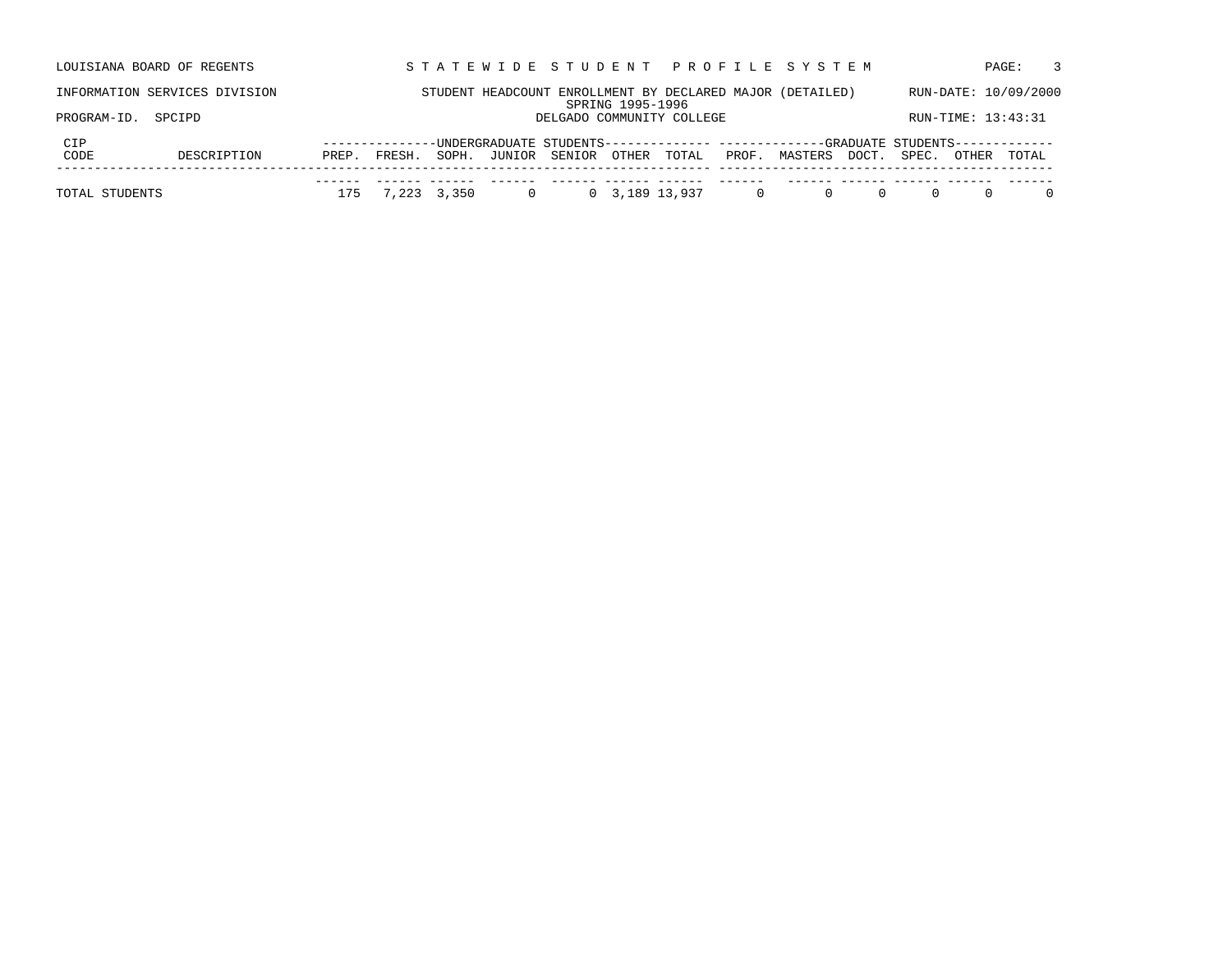|             | LOUISIANA BOARD OF REGENTS    |       |               |       |                           |                  |                           |       | STATEWIDE STUDENT PROFILE SYSTEM                                                |       |       |                    | $\mathcal{R}$<br>PAGE: |
|-------------|-------------------------------|-------|---------------|-------|---------------------------|------------------|---------------------------|-------|---------------------------------------------------------------------------------|-------|-------|--------------------|------------------------|
|             | INFORMATION SERVICES DIVISION |       |               |       |                           | SPRING 1995-1996 |                           |       | STUDENT HEADCOUNT ENROLLMENT BY DECLARED MAJOR (DETAILED)                       |       |       |                    | RUN-DATE: 10/09/2000   |
| PROGRAM-ID. | SPCIPD                        |       |               |       |                           |                  | DELGADO COMMUNITY COLLEGE |       |                                                                                 |       |       | RUN-TIME: 13:43:31 |                        |
| CIP         |                               |       | ------------- |       |                           |                  |                           |       | -UNDERGRADUATE STUDENTS------------- ------------GRADUATE STUDENTS------------- |       |       |                    |                        |
|             |                               |       |               |       |                           |                  |                           |       |                                                                                 |       |       |                    |                        |
| CODE        | DESCRIPTION                   | PREP. | FRESH.        | SOPH. | JUNIOR SENIOR OTHER TOTAL |                  |                           | PROF. | MASTERS                                                                         | DOCT. | SPEC. | OTHER              | TOTAL                  |
|             |                               |       |               |       |                           |                  |                           |       |                                                                                 |       |       |                    |                        |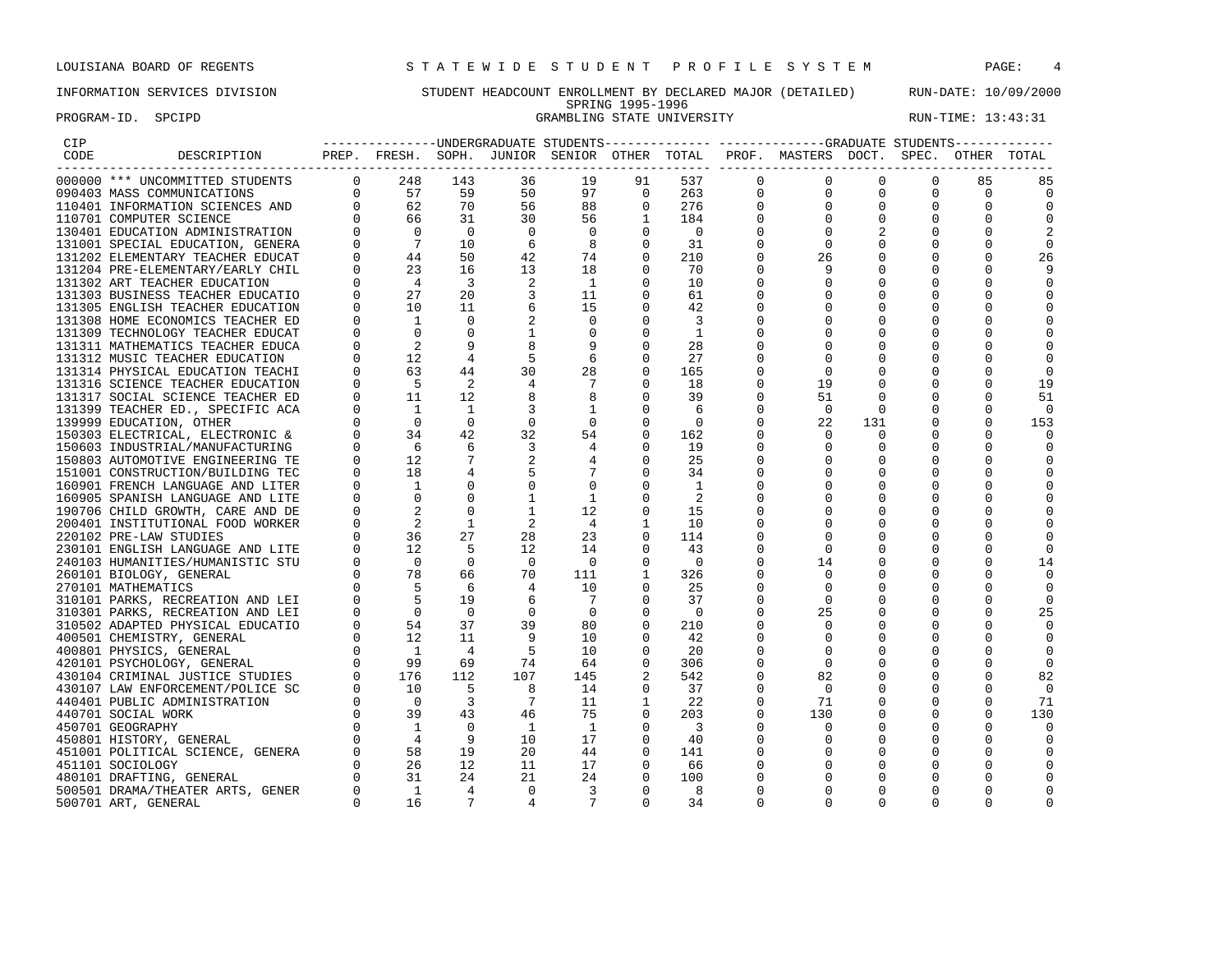PROGRAM-ID. SPCIPD GRAMBLING STATE UNIVERSITY RUN-TIME: 13:43:31

# INFORMATION SERVICES DIVISION STUDENT HEADCOUNT ENROLLMENT BY DECLARED MAJOR (DETAILED) RUN-DATE: 10/09/2000 SPRING 1995-1996

| CIP  |                                  |             |                                        |                |              |                |              |     |          | ---------------UNDERGRADUATE STUDENTS------------- ------------GRADUATE STUDENTS------------ |             |          |          |          |
|------|----------------------------------|-------------|----------------------------------------|----------------|--------------|----------------|--------------|-----|----------|----------------------------------------------------------------------------------------------|-------------|----------|----------|----------|
| CODE | DESCRIPTION                      |             |                                        |                |              |                |              |     |          | PREP. FRESH. SOPH. JUNIOR SENIOR OTHER TOTAL PROF. MASTERS DOCT. SPEC. OTHER                 |             |          |          | TOTAL    |
|      | 000000 *** UNCOMMITTED STUDENTS  | $\mathbf 0$ | 248                                    | 143            | 36           | 19             | 91           | 537 | $\Omega$ | 0                                                                                            | 0           | $\Omega$ | 85       | 85       |
|      | 090403 MASS COMMUNICATIONS       | $\Omega$    | 57                                     | 59             | 50           | 97             | $\Omega$     | 263 | 0        | 0                                                                                            | $\mathbf 0$ | $\Omega$ | $\Omega$ | $\Omega$ |
|      | 110401 INFORMATION SCIENCES AND  | $\Omega$    | 62                                     | 70             | 56           | 88             | $\Omega$     | 276 |          | $\Omega$                                                                                     | $\Omega$    | $\Omega$ |          |          |
|      | 110701 COMPUTER SCIENCE          | $\Omega$    | 66                                     | 31             | 30           | 56             | $\mathbf{1}$ | 184 |          | 0                                                                                            | 0           | 0        |          | $\Omega$ |
|      | 130401 EDUCATION ADMINISTRATION  |             | - 0                                    | $\Omega$       | $\Omega$     | $\Omega$       |              | - 0 |          |                                                                                              | 2           |          |          |          |
|      | 131001 SPECIAL EDUCATION, GENERA |             | $7^{\circ}$                            | 10             | 6            | 8              | 0            | 31  |          | 0                                                                                            | 0           | 0        |          | 0        |
|      | 131202 ELEMENTARY TEACHER EDUCAT | $\Omega$    | 44                                     | 50             | 42           | 74             | 0            | 210 |          | 26                                                                                           |             |          |          | 26       |
|      | 131204 PRE-ELEMENTARY/EARLY CHIL | $\Omega$    |                                        | 16             | 13           | 18             | $\Omega$     | 70  |          | 9                                                                                            | 0           |          |          |          |
|      | 131302 ART TEACHER EDUCATION     |             |                                        | $\overline{3}$ | 2            | $\overline{1}$ | 0            | 10  |          | 0                                                                                            | 0           | 0        |          | 0        |
|      | 131303 BUSINESS TEACHER EDUCATIO |             |                                        | 20             | 3            | 11             | 0            | 61  |          |                                                                                              | 0           |          |          |          |
|      | 131305 ENGLISH TEACHER EDUCATION |             | $\frac{1}{23}$<br>$\frac{4}{27}$<br>10 | 11             |              | 15             | $\Omega$     | 42  |          |                                                                                              | O           | 0        |          | 0        |
|      | 131308 HOME ECONOMICS TEACHER ED |             | 1                                      | $\Omega$       |              | $\Omega$       | 0            | 3   |          |                                                                                              |             |          | $\Omega$ |          |
|      | 131309 TECHNOLOGY TEACHER EDUCAT |             | $\Omega$                               |                |              | $\Omega$       | $\Omega$     | 1   |          |                                                                                              | $\Omega$    |          |          |          |
|      | 131311 MATHEMATICS TEACHER EDUCA |             |                                        |                |              | 9              | 0            | 28  |          | 0                                                                                            | 0           |          |          |          |
|      | 131312 MUSIC TEACHER EDUCATION   |             | 12                                     |                | 5            | 6              | 0            | 27  |          | 0                                                                                            | 0           | 0        |          |          |
|      | 131314 PHYSICAL EDUCATION TEACHI |             | 63                                     | 44             | 30           | 28             | 0            | 165 |          | $\Omega$                                                                                     | O           | 0        |          | O        |
|      | 131316 SCIENCE TEACHER EDUCATION |             | 5                                      | 2              |              |                | 0            | 18  |          | 19                                                                                           | 0           | 0        |          | 19       |
|      | 131317 SOCIAL SCIENCE TEACHER ED |             | 11                                     | 12             |              | 8              | 0            | 39  |          | 51                                                                                           | $\Omega$    | 0        |          | 51       |
|      | 131399 TEACHER ED., SPECIFIC ACA |             | 1                                      | 1              |              | 1              | 0            | 6   |          | 0                                                                                            | 0           | 0        | $\Omega$ | 0        |
|      | 139999 EDUCATION, OTHER          |             | $\Omega$                               | $\Omega$       |              | 0              | 0            | 0   |          | 22                                                                                           | 131         | 0        |          | 153      |
|      | 150303 ELECTRICAL, ELECTRONIC &  |             | 34                                     | 42             | 32           | 54             | 0            | 162 |          | $\Omega$                                                                                     | 0           | O        |          | 0        |
|      | 150603 INDUSTRIAL/MANUFACTURING  |             | -6                                     | 6              | 3            | 4              | $\Omega$     | 19  |          | $\Omega$                                                                                     | 0           |          |          | $\Omega$ |
|      | 150803 AUTOMOTIVE ENGINEERING TE | $\Omega$    | 12                                     |                |              | 4              | 0            | 25  |          |                                                                                              | 0           |          |          |          |
|      | 151001 CONSTRUCTION/BUILDING TEC |             | 18                                     |                |              |                | 0            | 34  |          | O                                                                                            | 0           |          |          | 0        |
|      | 160901 FRENCH LANGUAGE AND LITER |             | 1                                      |                |              | $\mathbf 0$    |              | -1  |          |                                                                                              | 0           |          | 0        |          |
|      | 160905 SPANISH LANGUAGE AND LITE |             | $\Omega$                               | $\Omega$       |              | 1              | 0            | 2   |          |                                                                                              | 0           | O        |          | U        |
|      | 190706 CHILD GROWTH, CARE AND DE |             |                                        | $\Omega$       |              | 12             | 0            | 15  |          |                                                                                              |             |          |          |          |
|      | 200401 INSTITUTIONAL FOOD WORKER |             | 2                                      | 1              |              | $\overline{4}$ | 1            | 10  |          |                                                                                              | 0           |          |          |          |
|      | 220102 PRE-LAW STUDIES           |             | 36                                     | 27             | 28           | 23             | 0            | 114 |          | 0                                                                                            | 0           | 0        |          | $\Omega$ |
|      | 230101 ENGLISH LANGUAGE AND LITE |             | 12.                                    | .5             | 12.          | 14             |              | 43  |          | $\Omega$                                                                                     | 0           |          |          |          |
|      | 240103 HUMANITIES/HUMANISTIC STU |             | $\Omega$                               | $\mathbf 0$    | $\mathbf 0$  | $\Omega$       | $\Omega$     | - 0 |          | 14                                                                                           | 0           | 0        |          | 14       |
|      | 260101 BIOLOGY, GENERAL          |             | 78                                     | 66             | 70           | 111            | 1            | 326 |          | $\Omega$                                                                                     |             |          |          | $\Omega$ |
|      | 270101 MATHEMATICS               | $\Omega$    | .5                                     | -6             | 4            | 10             | $\Omega$     | 25  |          | $\Omega$                                                                                     | 0           |          |          | $\Omega$ |
|      | 310101 PARKS, RECREATION AND LEI |             | 5                                      | 19             | 6            | 7              | 0            | 37  |          | 0                                                                                            | 0           | 0        |          | $\Omega$ |
|      | 310301 PARKS, RECREATION AND LEI |             | $\Omega$                               | $\Omega$       | 0            | - 0            |              | - 0 |          | 25                                                                                           | 0           |          |          | 25       |
|      | 310502 ADAPTED PHYSICAL EDUCATIO | $\Omega$    | 54                                     | 37             | 39           | 80             | 0            | 210 |          | 0                                                                                            | 0           | O        |          | 0        |
|      | 400501 CHEMISTRY, GENERAL        | $\Omega$    | 12                                     | 11             | 9            | 10             | $\Omega$     | 42  |          | O                                                                                            |             |          |          | $\Omega$ |
|      | 400801 PHYSICS, GENERAL          | $\Omega$    | $\overline{1}$                         | 4              | .5           | 10             |              | 20  |          | 0                                                                                            | 0           |          |          |          |
|      | 420101 PSYCHOLOGY, GENERAL       |             | 99                                     | 69             | 74           | 64             | 0            | 306 |          | 0                                                                                            | 0           |          |          | 0        |
|      | 430104 CRIMINAL JUSTICE STUDIES  |             | 176                                    | 112            | 107          | 145            |              | 542 |          | 82                                                                                           | 0           | 0        |          | 82       |
|      | 430107 LAW ENFORCEMENT/POLICE SC |             | 10                                     | .5             | 8            | 14             | $\Omega$     | 37  |          | $\Omega$                                                                                     | O           | 0        |          | $\Omega$ |
|      | 440401 PUBLIC ADMINISTRATION     |             | $\overline{0}$                         | 3              | 7            | 11             |              | 22  |          | 71                                                                                           | 0           | $\Omega$ | ∩        | 71       |
|      | 440701 SOCIAL WORK               |             | 39                                     | 43             | 46           | 75             | 0            | 203 |          | 130                                                                                          | 0           | 0        | $\Omega$ | 130      |
|      | 450701 GEOGRAPHY                 |             | $\overline{1}$                         | $\Omega$       | <sup>1</sup> | $\mathbf{1}$   | $\Omega$     | 3   |          | 0                                                                                            | 0           | 0        |          | $\Omega$ |
|      | 450801 HISTORY, GENERAL          |             | $\overline{4}$                         | 9              | 10           | 17             | 0            | 40  |          | 0                                                                                            | 0           |          | 0        | 0        |
|      | 451001 POLITICAL SCIENCE, GENERA |             | 58                                     | 19             | 20           | 44             | $\Omega$     | 141 |          | O                                                                                            | 0           | 0        | $\Omega$ | $\Omega$ |
|      | 451101 SOCIOLOGY                 |             | 26                                     | 12             | 11           | 17             | 0            | 66  |          | 0                                                                                            | 0           |          |          | $\Omega$ |
|      | 480101 DRAFTING, GENERAL         |             | 31                                     | 24             | 21           | 24             | 0            | 100 |          |                                                                                              | 0           |          |          |          |
|      | 500501 DRAMA/THEATER ARTS, GENER | $\Omega$    | <sup>1</sup>                           | 4              | $\Omega$     | 3              | $\Omega$     | 8   |          | O                                                                                            | O           | O        |          |          |
|      | 500701 ART, GENERAL              | $\Omega$    | 16                                     |                |              | 7              |              | 34  |          | U                                                                                            | O           | O        |          |          |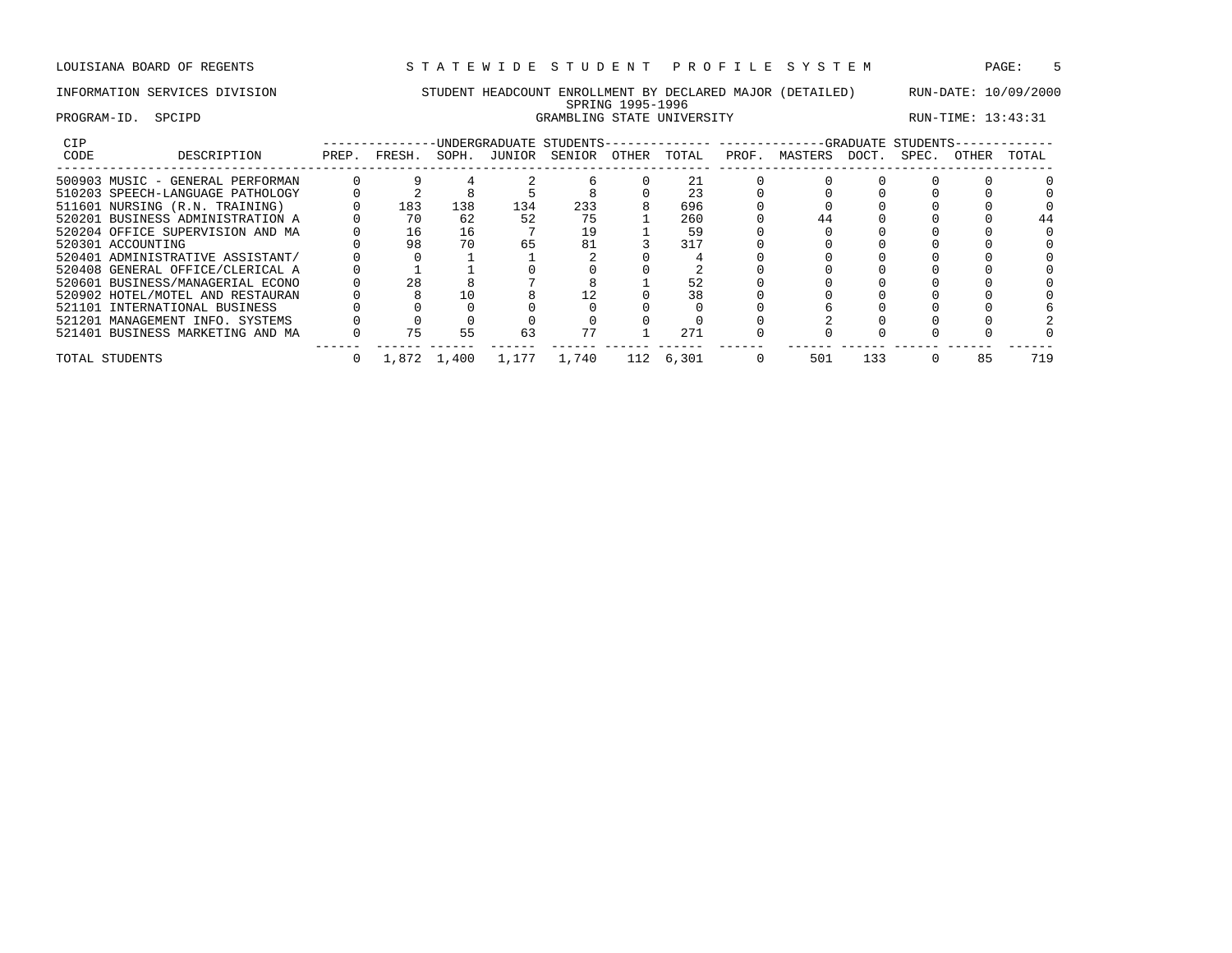# INFORMATION SERVICES DIVISION STUDENT HEADCOUNT ENROLLMENT BY DECLARED MAJOR (DETAILED) RUN-DATE: 10/09/2000 SPRING 1995-1996 PROGRAM-ID. SPCIPD GRAMBLING STATE UNIVERSITY RUN-TIME: 13:43:31

| CIP  |                                  |       |        |             | INDERGRADUATE STUDENTS- |        |       |           |       |         |       | --GRADUATE STUDENTS- |       |       |
|------|----------------------------------|-------|--------|-------------|-------------------------|--------|-------|-----------|-------|---------|-------|----------------------|-------|-------|
| CODE | DESCRIPTION                      | PREP. | FRESH. | SOPH.       | JUNIOR                  | SENIOR | OTHER | TOTAL     | PROF. | MASTERS | DOCT. | SPEC.                | OTHER | TOTAL |
|      | 500903 MUSIC - GENERAL PERFORMAN |       |        |             |                         |        |       |           |       |         |       |                      |       |       |
|      | 510203 SPEECH-LANGUAGE PATHOLOGY |       |        |             |                         |        |       | 23        |       |         |       |                      |       |       |
|      | 511601 NURSING (R.N. TRAINING)   |       | 183    | 138         | 134                     | 233    |       | 696       |       |         |       |                      |       |       |
|      | 520201 BUSINESS ADMINISTRATION A |       | 70     | 62          | 52                      | 75     |       | 260       |       |         |       |                      |       |       |
|      | 520204 OFFICE SUPERVISION AND MA |       | 16     | 16          |                         | 19     |       | 59        |       |         |       |                      |       |       |
|      | 520301 ACCOUNTING                |       | 98     | 70          | 65                      | 81     |       | 317       |       |         |       |                      |       |       |
|      | 520401 ADMINISTRATIVE ASSISTANT/ |       |        |             |                         |        |       |           |       |         |       |                      |       |       |
|      | 520408 GENERAL OFFICE/CLERICAL A |       |        |             |                         |        |       |           |       |         |       |                      |       |       |
|      | 520601 BUSINESS/MANAGERIAL ECONO |       | 28     |             |                         |        |       |           |       |         |       |                      |       |       |
|      | 520902 HOTEL/MOTEL AND RESTAURAN |       |        | 10          |                         |        |       | 38        |       |         |       |                      |       |       |
|      | 521101 INTERNATIONAL BUSINESS    |       |        |             |                         |        |       |           |       |         |       |                      |       |       |
|      | 521201 MANAGEMENT INFO. SYSTEMS  |       |        |             |                         |        |       |           |       |         |       |                      |       |       |
|      | 521401 BUSINESS MARKETING AND MA |       | 75     | 55          | 63                      |        |       | 271       |       |         |       |                      |       |       |
|      | TOTAL STUDENTS                   |       |        | 1,872 1,400 | 1,177                   | 1,740  |       | 112 6,301 |       | 501     | 133   |                      | 85    | 719   |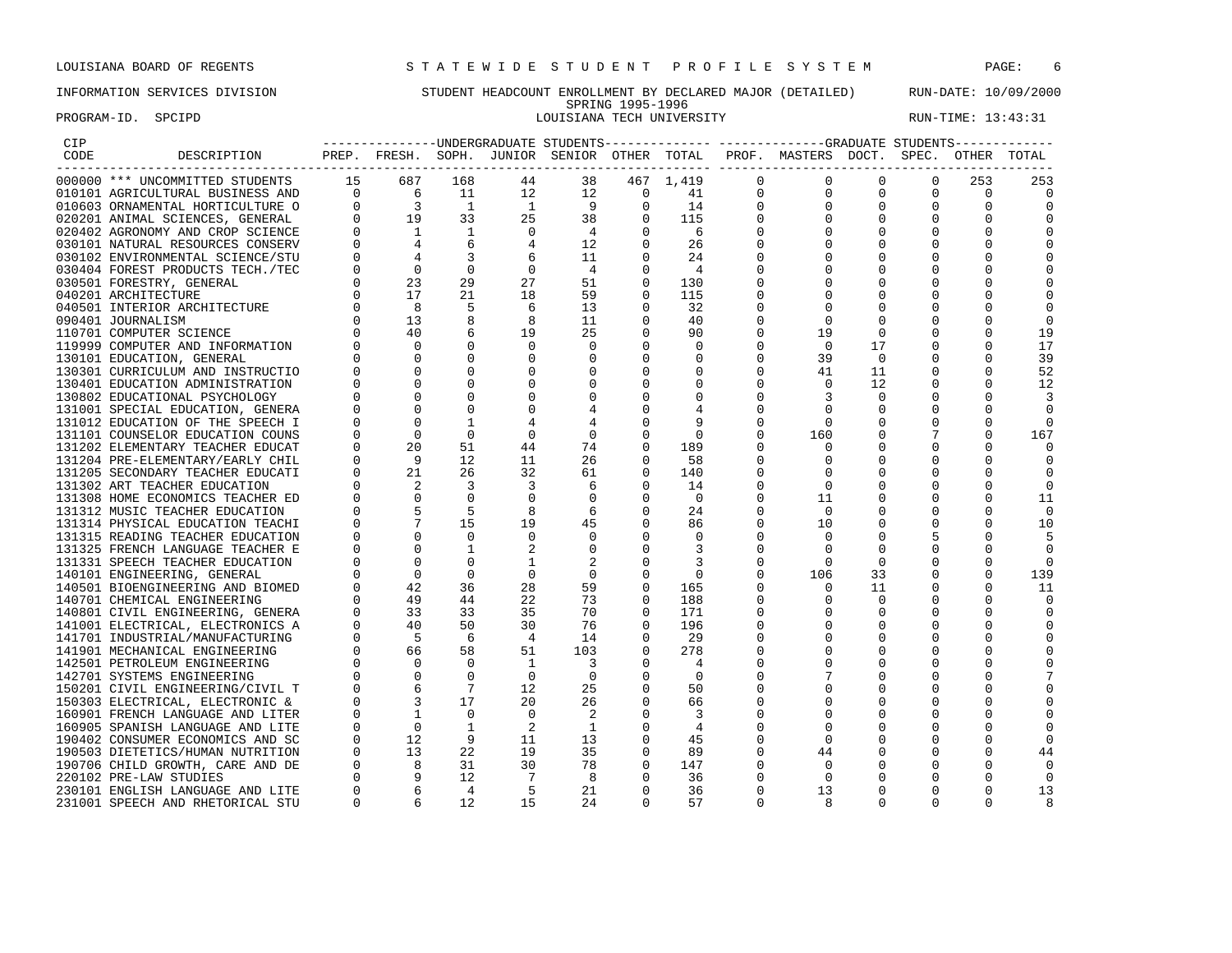PROGRAM-ID. SPCIPD **EXAM-ID.** SPCIPD **RUN-TIME:** 13:43:31

# INFORMATION SERVICES DIVISION STUDENT HEADCOUNT ENROLLMENT BY DECLARED MAJOR (DETAILED) RUN-DATE: 10/09/2000 SPRING 1995-1996<br>LOUISIANA TECH UNIVERSITY

| CIP  |                                  |          |                                                                                              |                |                |                |                |           |             | -----------------WIDERGRADUATE STUDENTS-------------- ------------GRADUATE STUDENTS------------- |             |             |             |             |
|------|----------------------------------|----------|----------------------------------------------------------------------------------------------|----------------|----------------|----------------|----------------|-----------|-------------|--------------------------------------------------------------------------------------------------|-------------|-------------|-------------|-------------|
| CODE | DESCRIPTION                      |          |                                                                                              |                |                |                |                |           |             | PREP. FRESH. SOPH. JUNIOR SENIOR OTHER TOTAL PROF. MASTERS DOCT. SPEC. OTHER                     |             |             |             | TOTAL       |
|      | 000000 *** UNCOMMITTED STUDENTS  | 15       | 687                                                                                          | 168            | 44             | 38             |                | 467 1,419 | $\Omega$    | 0                                                                                                | 0           | 0           | 253         | 253         |
|      | 010101 AGRICULTURAL BUSINESS AND |          | $0\qquad 6$                                                                                  | 11             | 12             | 12             | $\overline{0}$ | 41        | $\mathbf 0$ | $\mathbf 0$                                                                                      | $\mathbf 0$ | $\mathbf 0$ | $\mathbf 0$ | $\mathbf 0$ |
|      | 010603 ORNAMENTAL HORTICULTURE O | $\Omega$ | $\overline{\phantom{a}}$                                                                     | $\mathbf{1}$   | $\overline{1}$ | 9              | $\mathbf{0}$   | 14        |             |                                                                                                  | $\mathbf 0$ | 0           |             | $\Omega$    |
|      | 020201 ANIMAL SCIENCES, GENERAL  |          | 19                                                                                           | 33             | 25             | 38             | $\Omega$       | 115       |             | $\Omega$                                                                                         | $\Omega$    | $\Omega$    |             |             |
|      | 020402 AGRONOMY AND CROP SCIENCE |          | 1                                                                                            | 1              | $\Omega$       | $\overline{4}$ | $\Omega$       | - 6       |             |                                                                                                  |             |             |             |             |
|      | 030101 NATURAL RESOURCES CONSERV |          |                                                                                              | 6              |                | 12             | 0              | 26        |             | O                                                                                                | $\Omega$    |             |             |             |
|      | 030102 ENVIRONMENTAL SCIENCE/STU |          |                                                                                              |                |                | 11             |                | 24        |             |                                                                                                  |             |             |             |             |
|      | 030404 FOREST PRODUCTS TECH./TEC |          | $\Omega$                                                                                     | $\Omega$       | $\Omega$       | $\overline{4}$ |                | 4         |             |                                                                                                  |             |             |             |             |
|      | 030501 FORESTRY, GENERAL         |          | 23                                                                                           | 29             | 27             | 51             |                | 130       |             | O                                                                                                | O           | O           |             |             |
|      | 040201 ARCHITECTURE              | $\Omega$ | 17                                                                                           | 21             | 18             | 59             |                | 115       |             |                                                                                                  |             |             |             |             |
|      | 040501 INTERIOR ARCHITECTURE     |          | $\begin{bmatrix} 0 \\ 0 \\ 2 \\ 4 \end{bmatrix}$<br>- 8                                      |                | 6              | 13             |                | 32        |             |                                                                                                  |             |             |             |             |
|      | 090401 JOURNALISM                |          | 13                                                                                           |                | 8              | 11             | $\Omega$       | 40        |             | $\Omega$                                                                                         | 0           |             |             |             |
|      | 110701 COMPUTER SCIENCE          |          | 40                                                                                           |                | 19             | 25             |                | 90        |             | 19                                                                                               | 0           |             |             | 19          |
|      | 119999 COMPUTER AND INFORMATION  |          | $\Omega$                                                                                     |                | $\Omega$       | $\Omega$       | $\Omega$       | $\Omega$  |             | $\Omega$                                                                                         | 17          | $\Omega$    |             | 17          |
|      | 130101 EDUCATION, GENERAL        |          | $\Omega$                                                                                     |                |                |                | $\Omega$       | 0         |             | 39                                                                                               | $\Omega$    |             |             | 39          |
|      | 130301 CURRICULUM AND INSTRUCTIO |          |                                                                                              |                |                |                |                | 0         |             | 41                                                                                               | 11          |             |             | 52          |
|      | 130401 EDUCATION ADMINISTRATION  |          |                                                                                              |                |                |                | 0              | 0         |             | $\Omega$                                                                                         | 12          | O           |             | 12          |
|      | 130802 EDUCATIONAL PSYCHOLOGY    |          |                                                                                              |                |                |                |                |           |             | 3                                                                                                | $\Omega$    |             |             | 3           |
|      | 131001 SPECIAL EDUCATION, GENERA |          | $\Omega$                                                                                     |                |                |                | $\Omega$       |           |             | U                                                                                                | $\Omega$    |             |             | 0           |
|      | 131012 EDUCATION OF THE SPEECH I |          | $\Omega$                                                                                     |                |                |                |                |           |             | 0                                                                                                |             |             |             |             |
|      | 131101 COUNSELOR EDUCATION COUNS |          | $\Omega$                                                                                     | $\Omega$       | $\Omega$       | $\Omega$       |                | $\Omega$  |             | 160                                                                                              | $\Omega$    |             |             | 167         |
|      | 131202 ELEMENTARY TEACHER EDUCAT |          | 20                                                                                           | 51             | 44             | 74             | 0              | 189       |             | $\Omega$                                                                                         |             |             |             |             |
|      |                                  |          | - 9                                                                                          | 12             | 11             | 26             | $\Omega$       |           |             |                                                                                                  |             |             |             |             |
|      | 131204 PRE-ELEMENTARY/EARLY CHIL |          | 21                                                                                           | 26             | 32             |                | 0              | 58        |             | 0                                                                                                |             | 0           |             |             |
|      | 131205 SECONDARY TEACHER EDUCATI |          |                                                                                              |                |                | 61             |                | 140       |             |                                                                                                  |             |             |             |             |
|      | 131302 ART TEACHER EDUCATION     |          | $\Omega$                                                                                     | $\Omega$       | 3              | 6<br>$\Omega$  | 0              | 14        |             | 0<br>11                                                                                          |             |             |             | $\Omega$    |
|      | 131308 HOME ECONOMICS TEACHER ED |          |                                                                                              |                |                |                | $\Omega$       | - 0       |             | $\Omega$                                                                                         |             |             |             | 11          |
|      | 131312 MUSIC TEACHER EDUCATION   |          |                                                                                              |                |                | 6              |                | 24        |             |                                                                                                  |             |             |             | $\Omega$    |
|      | 131314 PHYSICAL EDUCATION TEACHI |          |                                                                                              | 15             | 19             | 45             |                | 86        |             | 10                                                                                               | 0           | 0           |             | 10          |
|      | 131315 READING TEACHER EDUCATION |          |                                                                                              | $\Omega$       | $\Omega$       |                |                | $\Omega$  |             | $\Omega$                                                                                         |             |             |             | 5           |
|      | 131325 FRENCH LANGUAGE TEACHER E |          | $\Omega$                                                                                     | 1              |                |                |                |           |             | $\Omega$                                                                                         |             |             |             | $\Omega$    |
|      | 131331 SPEECH TEACHER EDUCATION  |          | $\Omega$                                                                                     | $\Omega$       |                | 2              |                | 3         |             | $\Omega$                                                                                         | $\Omega$    |             |             | $\Omega$    |
|      | 140101 ENGINEERING, GENERAL      |          | $\Omega$                                                                                     | $\Omega$       |                | 0              |                | 0         |             | 106                                                                                              | 33          |             |             | 139         |
|      | 140501 BIOENGINEERING AND BIOMED | $\Omega$ | 42                                                                                           | 36             | 28             | 59             |                | 165       |             | 0                                                                                                | 11          | 0           |             | 11          |
|      | 140701 CHEMICAL ENGINEERING      |          | 49                                                                                           | 44             | 22             | 73             |                | 188       |             | $\Omega$                                                                                         | $\Omega$    |             |             | $\Omega$    |
|      | 140801 CIVIL ENGINEERING, GENERA |          | 33                                                                                           | 33             | 35             | 70             |                | 171       |             |                                                                                                  | 0           |             |             | $\Omega$    |
|      | 141001 ELECTRICAL, ELECTRONICS A |          | 40                                                                                           | 50             | 30             | 76             |                | 196       |             | O                                                                                                | $\Omega$    |             |             |             |
|      | 141701 INDUSTRIAL/MANUFACTURING  |          | - 5<br>$\begin{array}{c} 5 \\ 66 \\ 0 \end{array}$                                           | - 6            | $\overline{4}$ | 14             | $\Omega$       | 29        |             |                                                                                                  |             |             |             |             |
|      | 141901 MECHANICAL ENGINEERING    |          |                                                                                              | 58             | 51             | 103            | $\Omega$       | 278       |             |                                                                                                  | 0           |             |             |             |
|      | 142501 PETROLEUM ENGINEERING     |          |                                                                                              | $\Omega$       | <sup>1</sup>   | -3             | 0              | 4         |             |                                                                                                  |             |             |             |             |
|      | 142701 SYSTEMS ENGINEERING       |          | $\Omega$                                                                                     |                | $\mathbf 0$    | $\Omega$       | 0              | 0         |             |                                                                                                  |             |             |             |             |
|      | 150201 CIVIL ENGINEERING/CIVIL T |          | -6                                                                                           | 7              | 12             | 25             | $\Omega$       | 50        |             |                                                                                                  | $\Omega$    | U           |             |             |
|      | 150303 ELECTRICAL, ELECTRONIC &  |          |                                                                                              | 17             | 20             | 26             | 0              | 66        |             |                                                                                                  |             |             |             |             |
|      | 160901 FRENCH LANGUAGE AND LITER | $\Omega$ | 1                                                                                            | $\mathbf 0$    | $\Omega$       |                |                | 3         |             |                                                                                                  | $\Omega$    |             |             |             |
|      | 160905 SPANISH LANGUAGE AND LITE |          | $\Omega$                                                                                     | 1              | 2              | -1             |                | 4         |             | O                                                                                                |             |             |             | 0           |
|      | 190402 CONSUMER ECONOMICS AND SC |          | $\begin{matrix} 0 & & & \\ 0 & & & \\ & \ddots & & \\ & & & 1 \\ & & & & \end{matrix}$<br>12 | 9              | 11             | 13             |                | 45        |             |                                                                                                  |             |             |             |             |
|      | 190503 DIETETICS/HUMAN NUTRITION |          | 13                                                                                           | 22             | 19             | 35             | 0              | 89        |             | 44                                                                                               | 0           | 0           |             | 44          |
|      | 190706 CHILD GROWTH, CARE AND DE |          | 8                                                                                            | 31             | 30             | 78             | 0              | 147       |             | $\Omega$                                                                                         |             |             |             | $\Omega$    |
|      | 220102 PRE-LAW STUDIES           |          | 9                                                                                            | 12             |                | - 8            | $\Omega$       | 36        |             | $\Omega$                                                                                         |             |             |             | $\Omega$    |
|      | 230101 ENGLISH LANGUAGE AND LITE |          | 6                                                                                            | $\overline{4}$ | 5              | 21             | $\Omega$       | 36        |             | 13                                                                                               | O           | U           |             | 13          |
|      | 231001 SPEECH AND RHETORICAL STU | $\Omega$ | 6                                                                                            | 12             | 15             | 24             |                | 57        |             |                                                                                                  | O           |             |             |             |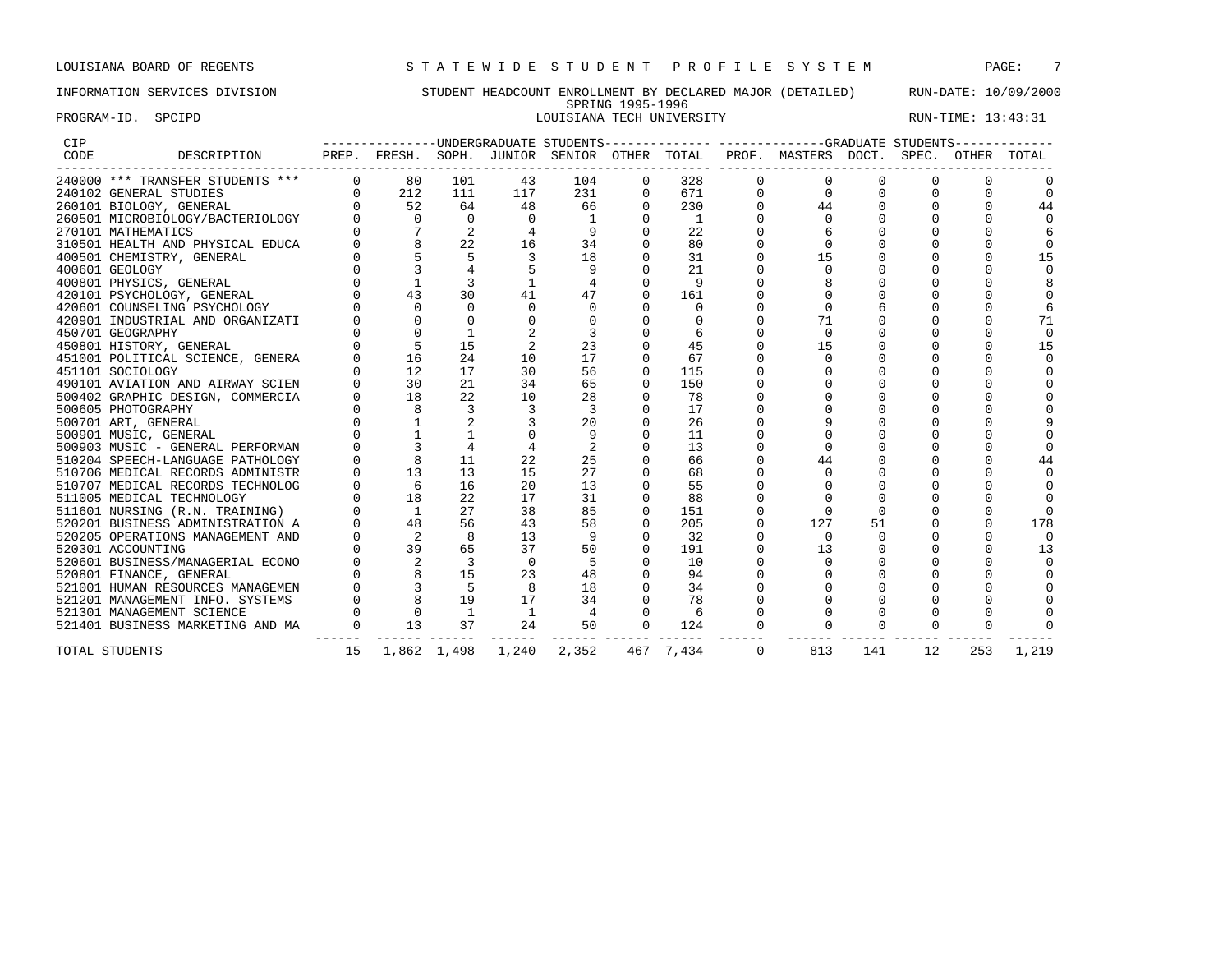# INFORMATION SERVICES DIVISION STUDENT HEADCOUNT ENROLLMENT BY DECLARED MAJOR (DETAILED) RUN-DATE: 10/09/2000 SPRING 1995-1996 PROGRAM-ID. SPCIPD SECTRO SOLUSIANA TECH UNIVERSITY RUN-TIME: 13:43:31

| CIP  |                                  |          |                          |                |          |          |          |                |          | -------------UNDERGRADUATE STUDENTS-------------- ------------GRADUATE STUDENTS------------ |          |          |          |          |
|------|----------------------------------|----------|--------------------------|----------------|----------|----------|----------|----------------|----------|---------------------------------------------------------------------------------------------|----------|----------|----------|----------|
| CODE | DESCRIPTION                      |          |                          |                |          |          |          |                |          | PREP. FRESH. SOPH. JUNIOR SENIOR OTHER TOTAL PROF. MASTERS DOCT. SPEC. OTHER TOTAL          |          |          |          |          |
|      | 240000 *** TRANSFER STUDENTS *** |          | $0$ 80                   | 101            | 43       | 104      | $\Omega$ | 328            | $\Omega$ |                                                                                             |          |          |          |          |
|      | 240102 GENERAL STUDIES           |          | $0 \qquad \qquad$<br>212 | 111            | 117      | 231      | $\Omega$ | 671            | $\Omega$ |                                                                                             |          |          |          | $\Omega$ |
|      | 260101 BIOLOGY, GENERAL          |          | 52                       | 64             | 48       | 66       | $\Omega$ | 230            |          | 44                                                                                          |          |          |          | 44       |
|      | 260501 MICROBIOLOGY/BACTERIOLOGY |          | $\Omega$                 | $\Omega$       | $\Omega$ | -1       | $\Omega$ | $\overline{1}$ |          | $\Omega$                                                                                    |          |          |          |          |
|      | 270101 MATHEMATICS               |          |                          | 2              |          |          |          | 22             |          |                                                                                             |          |          |          |          |
|      | 310501 HEALTH AND PHYSICAL EDUCA |          |                          | 22             | 16       | 34       |          | 80             |          |                                                                                             |          |          |          |          |
|      | 400501 CHEMISTRY, GENERAL        |          |                          |                |          | 18       |          | 31             |          | 15                                                                                          |          |          |          | 15       |
|      | 400601 GEOLOGY                   |          |                          |                |          |          |          | 21             |          |                                                                                             |          |          |          |          |
|      | 400801 PHYSICS, GENERAL          |          |                          |                |          | 4        |          | 9              |          |                                                                                             |          |          |          |          |
|      | 420101 PSYCHOLOGY, GENERAL       |          | 43                       | 30             | 41       | 47       | $\Omega$ | 161            |          |                                                                                             |          |          |          |          |
|      | 420601 COUNSELING PSYCHOLOGY     |          | $\cap$                   | $\cap$         | $\Omega$ | $\Omega$ |          | $\Omega$       |          |                                                                                             |          |          |          |          |
|      | 420901 INDUSTRIAL AND ORGANIZATI |          |                          |                |          |          |          |                |          | 71                                                                                          |          |          |          | 71       |
|      | 450701 GEOGRAPHY                 |          |                          |                |          |          |          |                |          | $\Omega$                                                                                    |          |          |          | $\Omega$ |
|      | 450801 HISTORY, GENERAL          |          | 5                        | 15             |          | 23       |          | 45             |          | 15                                                                                          |          |          |          | 15       |
|      | 451001 POLITICAL SCIENCE, GENERA |          | 16                       | 24             | 10       | 17       |          | 67             |          | $\Omega$                                                                                    |          |          |          |          |
|      | 451101 SOCIOLOGY                 |          | 12                       | 17             | 30       | 56       | $\Omega$ | 115            |          |                                                                                             |          |          |          |          |
|      | 490101 AVIATION AND AIRWAY SCIEN |          | 30                       | 21             | 34       | 65       | $\Omega$ | 150            |          |                                                                                             |          |          |          |          |
|      | 500402 GRAPHIC DESIGN, COMMERCIA |          | 18                       | 2.2            | 10       | 28       |          | 78             |          |                                                                                             |          |          |          |          |
|      | 500605 PHOTOGRAPHY               |          |                          | 3              |          | २        |          | 17             |          |                                                                                             |          |          |          |          |
|      | 500701 ART, GENERAL              |          |                          |                |          | 20       |          | 26             |          |                                                                                             |          |          |          |          |
|      | 500901 MUSIC, GENERAL            |          |                          |                |          | 9        |          | 11             |          |                                                                                             |          |          |          |          |
|      | 500903 MUSIC - GENERAL PERFORMAN |          |                          |                |          | 2        |          | 13             |          |                                                                                             |          |          |          |          |
|      | 510204 SPEECH-LANGUAGE PATHOLOGY |          |                          | 11             | 22       | 25       |          | 66             |          | 44                                                                                          |          |          |          | 44       |
|      | 510706 MEDICAL RECORDS ADMINISTR |          | 13                       | 13             | 15       | 27       |          | 68             |          |                                                                                             |          |          |          |          |
|      | 510707 MEDICAL RECORDS TECHNOLOG |          | 6                        | 16             | 20       | 13       |          | 55             |          |                                                                                             |          |          |          |          |
|      | 511005 MEDICAL TECHNOLOGY        |          | 18                       | 22             | 17       | 31       |          | 88             |          |                                                                                             |          |          |          |          |
|      | 511601 NURSING (R.N. TRAINING)   |          | $\overline{1}$           | 27             | 38       | 85       | $\Omega$ | 151            |          |                                                                                             |          |          |          |          |
|      | 520201 BUSINESS ADMINISTRATION A |          | 48                       | 56             | 43       | 58       | $\Omega$ | 205            | $\Omega$ | 127                                                                                         | 51       |          |          | 178      |
|      | 520205 OPERATIONS MANAGEMENT AND |          |                          | 8              | 13       | 9        |          | 32             |          | $\Omega$                                                                                    |          |          |          |          |
|      | 520301 ACCOUNTING                |          | 39                       | 65             | 37       | 50       | $\Omega$ | 191            |          | 13                                                                                          |          |          |          | 13       |
|      | 520601 BUSINESS/MANAGERIAL ECONO |          |                          | 3              | $\Omega$ | .5       |          | 10             |          |                                                                                             |          |          |          |          |
|      | 520801 FINANCE, GENERAL          |          |                          | 15             | 23       | 48       |          | 94             |          |                                                                                             |          |          |          |          |
|      | 521001 HUMAN RESOURCES MANAGEMEN |          | 3                        | .5             | 8        | 18       |          | 34             |          |                                                                                             |          |          |          |          |
|      | 521201 MANAGEMENT INFO. SYSTEMS  |          |                          | 19             | 17       | 34       | $\Omega$ | 78             |          |                                                                                             |          |          |          |          |
|      | 521301 MANAGEMENT SCIENCE        |          | $\Omega$                 | $\overline{1}$ |          | 4        | 0        | 6              |          |                                                                                             |          |          |          |          |
|      | 521401 BUSINESS MARKETING AND MA | $\sim$ 0 | 13                       | 37             | 24       | 50       | $\Omega$ | 124            | $\Omega$ |                                                                                             | $\Omega$ | $\Omega$ | $\Omega$ |          |
|      | TOTAL STUDENTS                   | 15       |                          | 1,862 1,498    | 1,240    | 2,352    |          | 467 7.434      | $\Omega$ | 813                                                                                         | 141      | 12       | 253      | 1,219    |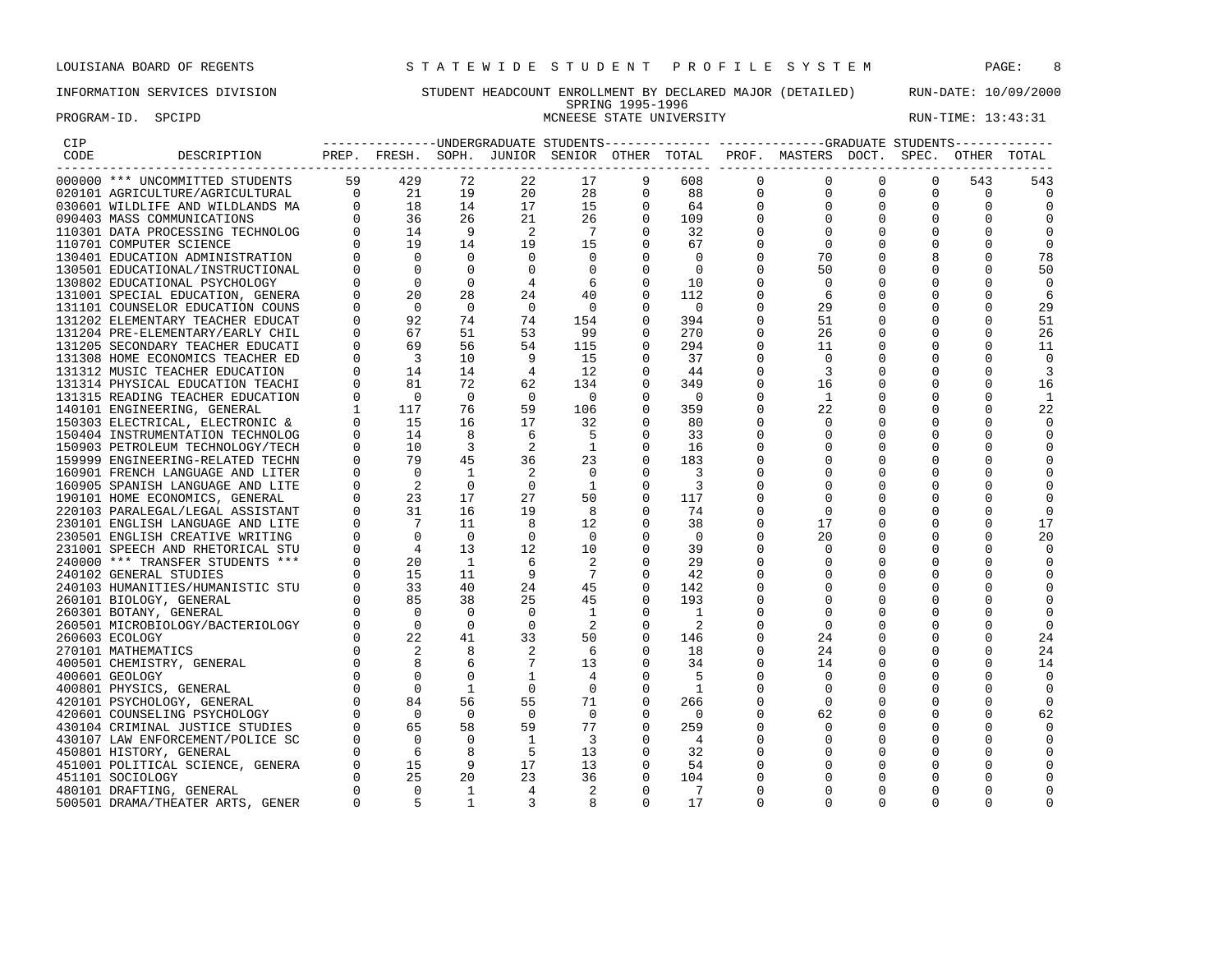PROGRAM-ID. SPCIPD SECTATION SECTATION CONSIDER STATE UNIVERSITY STATE UNIVERSITY RUN-TIME: 13:43:31

# INFORMATION SERVICES DIVISION STUDENT HEADCOUNT ENROLLMENT BY DECLARED MAJOR (DETAILED) RUN-DATE: 10/09/2000 SPRING 1995-1996

| CIP  |                                  |          |                                                                            |                |                |                                        |             |                          |             | ---------------UNDERGRADUATE STUDENTS-------------- ------------GRADUATE STUDENTS------------ |             |             |             |                |
|------|----------------------------------|----------|----------------------------------------------------------------------------|----------------|----------------|----------------------------------------|-------------|--------------------------|-------------|-----------------------------------------------------------------------------------------------|-------------|-------------|-------------|----------------|
| CODE | DESCRIPTION                      | PREP.    |                                                                            |                |                | FRESH. SOPH. JUNIOR SENIOR OTHER TOTAL |             |                          |             | PROF. MASTERS DOCT. SPEC. OTHER                                                               |             |             |             | TOTAL          |
|      | 000000 *** UNCOMMITTED STUDENTS  | 59       | 429                                                                        | 72             | 22             | 17                                     |             | 608                      | 0           | 0                                                                                             | 0           | 0           | 543         | 543            |
|      | 020101 AGRICULTURE/AGRICULTURAL  |          |                                                                            | 19             | 20             | 28                                     | 0           | 88                       | $\mathbf 0$ | $\mathbf 0$                                                                                   | $\mathbf 0$ | $\mathbf 0$ | $\mathbf 0$ | $\overline{0}$ |
|      | 030601 WILDLIFE AND WILDLANDS MA |          |                                                                            | 14             | 17             | 15                                     |             | 64                       |             |                                                                                               | 0           | 0           | 0           | $\Omega$       |
|      | 090403 MASS COMMUNICATIONS       |          | $\begin{bmatrix} 0 & 21 \ 0 & 18 \ 0 & 36 \ 0 & 14 \ 0 & 19 \end{bmatrix}$ | 26             | 21             | 26                                     | $\Omega$    | 109                      |             | $\Omega$                                                                                      | $\Omega$    | $\Omega$    | $\Omega$    | $\Omega$       |
|      | 110301 DATA PROCESSING TECHNOLOG |          |                                                                            | - 9            | 2              | 7                                      |             | 32                       |             | 0                                                                                             |             |             |             | 0              |
|      | 110701 COMPUTER SCIENCE          |          |                                                                            | 14             | 19             | 15                                     | 0           | 67                       |             | 0                                                                                             | 0           | 0           |             | 0              |
|      | 130401 EDUCATION ADMINISTRATION  |          | $\overline{0}$                                                             | $\Omega$       | $\Omega$       | $\Omega$                               |             | 0                        |             | 70                                                                                            |             |             |             | 78             |
|      | 130501 EDUCATIONAL/INSTRUCTIONAL |          | $\Omega$                                                                   | $\Omega$       |                | $\Omega$                               |             | $\Omega$                 |             | 50                                                                                            |             |             |             | 50             |
|      | 130802 EDUCATIONAL PSYCHOLOGY    |          | $\overline{0}$                                                             | 0              |                | 6                                      |             | 10                       |             | 0                                                                                             |             | $\Omega$    |             | 0              |
|      | 131001 SPECIAL EDUCATION, GENERA |          | 20                                                                         | 28             | 24             | 40                                     |             | 112                      |             | 6                                                                                             |             |             |             | 6              |
|      | 131101 COUNSELOR EDUCATION COUNS |          | $\Omega$                                                                   | $\Omega$       | $\Omega$       | $\bigcirc$                             |             | - 0                      |             | 29                                                                                            |             | 0           |             | 29             |
|      | 131202 ELEMENTARY TEACHER EDUCAT |          | 92                                                                         | 74             | 74             | 154                                    | $\Omega$    | 394                      |             | 51                                                                                            | O           | 0           |             | 51             |
|      | 131204 PRE-ELEMENTARY/EARLY CHIL |          | 67                                                                         | 51             | 53             | 99                                     |             | 270                      |             | 26                                                                                            | 0           |             |             | 26             |
|      | 131205 SECONDARY TEACHER EDUCATI |          | 69                                                                         | 56             | 54             | 115                                    |             | 294                      |             | 11                                                                                            | $\Omega$    | $\Omega$    |             | 11             |
|      | 131308 HOME ECONOMICS TEACHER ED |          | $\overline{3}$                                                             | 10             | 9              | 15                                     |             | 37                       |             | $\Omega$                                                                                      |             |             |             | $\Omega$       |
|      | 131312 MUSIC TEACHER EDUCATION   |          | 14                                                                         | 14             | $\overline{4}$ | 12                                     |             | 44                       |             | 3                                                                                             |             |             |             | 3              |
|      | 131314 PHYSICAL EDUCATION TEACHI |          | 81                                                                         | 72             | 62             | 134                                    | $\Omega$    | 349                      |             | 16                                                                                            | 0           | 0           |             | 16             |
|      | 131315 READING TEACHER EDUCATION |          | $\overline{0}$                                                             | $\Omega$       | $\Omega$       | $\overline{0}$                         |             | - 0                      |             | - 1                                                                                           |             |             |             | -1             |
|      | 140101 ENGINEERING, GENERAL      |          | 117                                                                        | 76             | 59             | 106                                    |             | 359                      |             | 22                                                                                            | O           | 0           |             | 22             |
|      | 150303 ELECTRICAL, ELECTRONIC &  |          | 15                                                                         | 16             | 17             | 32                                     |             | 80                       |             |                                                                                               |             |             |             | $\Omega$       |
|      | 150404 INSTRUMENTATION TECHNOLOG |          | 14                                                                         | 8              | 6              | -5                                     |             | 33                       |             | $\Omega$                                                                                      |             |             |             | $\Omega$       |
|      | 150903 PETROLEUM TECHNOLOGY/TECH |          | 10                                                                         | 3              | 2              | <sup>1</sup>                           | $\Omega$    | 16                       |             | O                                                                                             |             | O           |             | 0              |
|      |                                  |          | 79                                                                         | 45             | 36             |                                        |             | 183                      |             |                                                                                               |             |             |             |                |
|      | 159999 ENGINEERING-RELATED TECHN |          | $\overline{0}$                                                             |                |                | 23                                     |             |                          |             |                                                                                               |             | O           |             |                |
|      | 160901 FRENCH LANGUAGE AND LITER |          |                                                                            | <sup>1</sup>   | 2              | $\mathbf 0$                            |             | 3                        |             |                                                                                               |             |             |             | 0              |
|      | 160905 SPANISH LANGUAGE AND LITE |          | $\overline{2}$<br>23                                                       | 0<br>17        | $\circ$<br>27  | <sup>1</sup>                           | $\Omega$    | 3                        |             | O                                                                                             |             | 0           |             | $\Omega$       |
|      | 190101 HOME ECONOMICS, GENERAL   |          | 31                                                                         | 16             | 19             | 50                                     | $\Omega$    | 117                      |             |                                                                                               |             |             |             |                |
|      | 220103 PARALEGAL/LEGAL ASSISTANT |          |                                                                            |                |                | 8                                      |             | 74                       |             | $\Omega$                                                                                      |             |             |             | $\Omega$       |
|      | 230101 ENGLISH LANGUAGE AND LITE |          | $\overline{7}$                                                             | 11             | 8              | 12                                     | 0           | 38                       |             | 17                                                                                            | 0           | 0           | 0           | 17             |
|      | 230501 ENGLISH CREATIVE WRITING  |          | $\Omega$                                                                   | $\overline{0}$ | $\Omega$       | $\bigcirc$                             |             | $\Omega$                 |             | 20                                                                                            |             |             |             | 20             |
|      | 231001 SPEECH AND RHETORICAL STU |          | $\overline{4}$                                                             | 13             | 12             | 10                                     |             | 39                       |             |                                                                                               |             |             |             | $\Omega$       |
|      | 240000 *** TRANSFER STUDENTS *** |          | 20                                                                         | <sup>1</sup>   | 6              | 2                                      |             | 29                       |             | 0                                                                                             |             |             |             | 0              |
|      | 240102 GENERAL STUDIES           |          | 15                                                                         | 11             | 9              | $7\phantom{.0}$                        |             | 42                       |             |                                                                                               |             |             |             | $\Omega$       |
|      | 240103 HUMANITIES/HUMANISTIC STU |          | 33                                                                         | 40             | 24             | 45                                     |             | 142                      |             | O                                                                                             |             | 0           |             |                |
|      | 260101 BIOLOGY, GENERAL          |          | 85                                                                         | 38             | 25             | 45                                     | ∩           | 193                      |             |                                                                                               |             |             |             | $\Omega$       |
|      | 260301 BOTANY, GENERAL           |          | $\Omega$                                                                   | $\Omega$       | 0              | 1                                      |             | -1                       |             |                                                                                               |             |             |             | 0              |
|      | 260501 MICROBIOLOGY/BACTERIOLOGY |          | $\Omega$                                                                   | $\Omega$       | $\Omega$       | 2                                      |             | 2                        |             | $\Omega$                                                                                      |             |             |             | $\Omega$       |
|      | 260603 ECOLOGY                   |          | 22                                                                         | 41             | 33             | 50                                     |             | 146                      |             | 24                                                                                            |             |             |             | 24             |
|      | 270101 MATHEMATICS               |          | 2                                                                          | 8              | 2              | - 6                                    |             | 18                       |             | 24                                                                                            |             | 0           |             | 24             |
|      | 400501 CHEMISTRY, GENERAL        |          | $_{\rm 8}$                                                                 | 6              |                | 13                                     | $\Omega$    | 34                       |             | 14                                                                                            |             |             |             | 14             |
|      | 400601 GEOLOGY                   |          | $\Omega$                                                                   |                |                |                                        |             |                          |             | $\Omega$                                                                                      |             |             |             | $\Omega$       |
|      | 400801 PHYSICS, GENERAL          |          | $\overline{0}$                                                             |                | $\Omega$       | 0                                      |             | - 1                      |             | $\Omega$                                                                                      | O           | 0           |             | 0              |
|      | 420101 PSYCHOLOGY, GENERAL       |          | 84                                                                         | 56             | 55             | 71                                     | $\Omega$    | 266                      |             | $\Omega$                                                                                      |             |             |             | $\overline{0}$ |
|      | 420601 COUNSELING PSYCHOLOGY     |          | $\overline{0}$                                                             | $\overline{0}$ | $\overline{0}$ | $\overline{0}$                         | $\Omega$    | $\overline{\phantom{0}}$ |             | 62                                                                                            | 0           | 0           | $\Omega$    | 62             |
|      | 430104 CRIMINAL JUSTICE STUDIES  |          | 65                                                                         | 58             | 59             | 77                                     | 0           | 259                      |             | 0                                                                                             | 0           |             |             | $\Omega$       |
|      | 430107 LAW ENFORCEMENT/POLICE SC |          | $\overline{0}$                                                             | $\Omega$       | <sup>1</sup>   | $\overline{\mathbf{3}}$                |             | $\overline{4}$           |             | $\Omega$                                                                                      |             |             |             |                |
|      | 450801 HISTORY, GENERAL          |          | 6                                                                          | 8              | 5              | 13                                     | $\mathbf 0$ | 32                       |             | 0                                                                                             | 0           | 0           | O           | 0              |
|      | 451001 POLITICAL SCIENCE, GENERA |          | 15                                                                         | 9              | 17             | 13                                     |             | 54                       |             |                                                                                               |             |             |             |                |
|      | 451101 SOCIOLOGY                 |          | 25                                                                         | 20             | 23             | 36                                     | $\Omega$    | 104                      |             | O                                                                                             |             | 0           |             |                |
|      | 480101 DRAFTING, GENERAL         |          | $\Omega$                                                                   | <sup>1</sup>   | 4              | 2                                      | $\Omega$    | 7                        |             | O                                                                                             | O           | O           | U           |                |
|      | 500501 DRAMA/THEATER ARTS, GENER | $\Omega$ |                                                                            |                | 3              |                                        |             | 17                       | $\cap$      | $\cap$                                                                                        | O           | O           |             |                |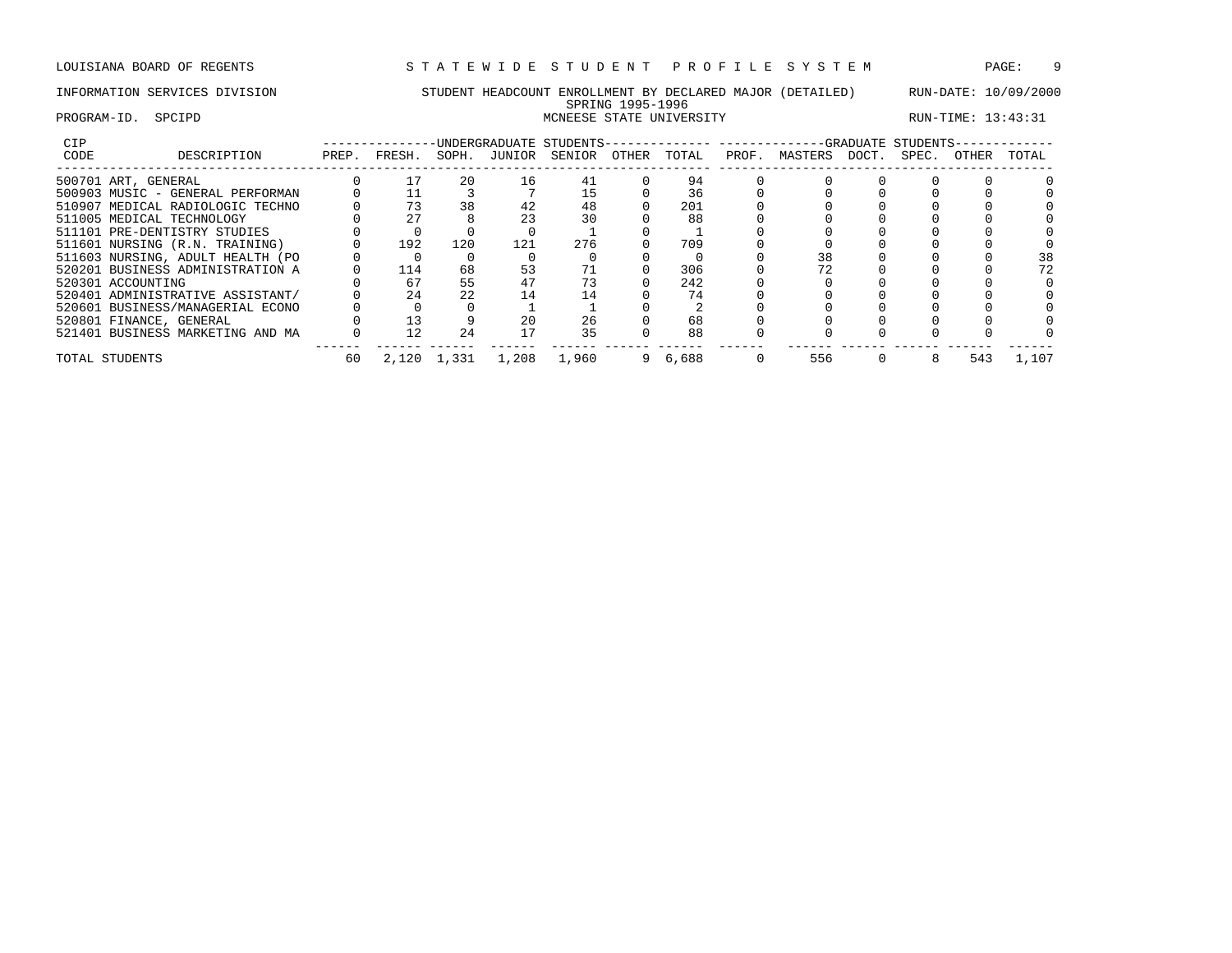# PROGRAM-ID. SPCIPD SECTATION SECTATION CONSIDER STATE UNIVERSITY STATE UNIVERSITY RUN-TIME: 13:43:31

# INFORMATION SERVICES DIVISION STUDENT HEADCOUNT ENROLLMENT BY DECLARED MAJOR (DETAILED) RUN-DATE: 10/09/2000 SPRING 1995-1996

| <b>CIP</b> |                                  |       |        |             |              | -UNDERGRADUATE STUDENTS-------------- |       |       |       | -------------GRADUATE STUDENTS- |       |       |              |       |
|------------|----------------------------------|-------|--------|-------------|--------------|---------------------------------------|-------|-------|-------|---------------------------------|-------|-------|--------------|-------|
| CODE       | DESCRIPTION                      | PREP. | FRESH. |             | SOPH. JUNIOR | SENIOR                                | OTHER | TOTAL | PROF. | MASTERS                         | DOCT. | SPEC. | <b>OTHER</b> | TOTAL |
|            | 500701 ART, GENERAL              |       |        | 20          | 16           | 41                                    |       | 94    |       |                                 |       |       |              |       |
|            | 500903 MUSIC - GENERAL PERFORMAN |       |        |             |              |                                       |       | 36    |       |                                 |       |       |              |       |
|            | 510907 MEDICAL RADIOLOGIC TECHNO |       | 73     | 38          | 42           | 48                                    |       | 201   |       |                                 |       |       |              |       |
|            | 511005 MEDICAL TECHNOLOGY        |       | 27     |             | 23           | 30                                    |       | 88    |       |                                 |       |       |              |       |
|            | 511101 PRE-DENTISTRY STUDIES     |       |        |             |              |                                       |       |       |       |                                 |       |       |              |       |
|            | 511601 NURSING (R.N. TRAINING)   |       | 192    | 120         | 121          | 276                                   |       | 709   |       |                                 |       |       |              |       |
|            | 511603 NURSING, ADULT HEALTH (PO |       |        |             |              |                                       |       |       |       | 38                              |       |       |              | 38    |
|            | 520201 BUSINESS ADMINISTRATION A |       | 114    | 68          | 53           |                                       |       | 306   |       |                                 |       |       |              | 72    |
|            | 520301 ACCOUNTING                |       | 67     | 55          | 47           |                                       |       | 242   |       |                                 |       |       |              |       |
|            | 520401 ADMINISTRATIVE ASSISTANT/ |       | 24     | 2.2         | 14           |                                       |       | 74    |       |                                 |       |       |              |       |
|            | 520601 BUSINESS/MANAGERIAL ECONO |       |        |             |              |                                       |       |       |       |                                 |       |       |              |       |
|            | 520801 FINANCE, GENERAL          |       | 13     |             | 20           | 26                                    |       | 68    |       |                                 |       |       |              |       |
|            | 521401 BUSINESS MARKETING AND MA |       | 12     | 24          |              | 35                                    |       | 88    |       |                                 |       |       |              |       |
|            | TOTAL STUDENTS                   | 60    |        | 2,120 1,331 | 1,208        | 1,960                                 |       | 6,688 |       | 556                             |       |       | 543          | 1,107 |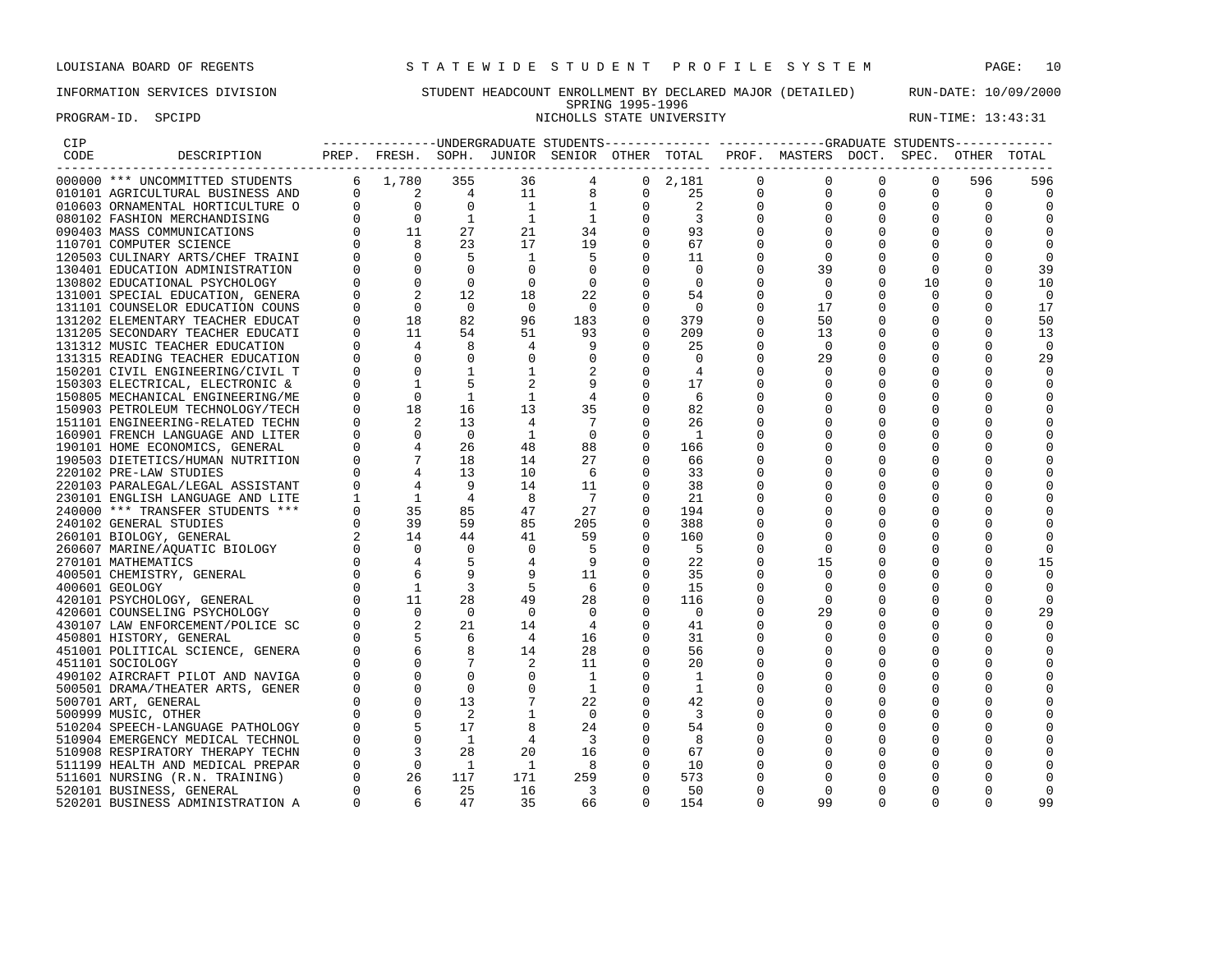# INFORMATION SERVICES DIVISION STUDENT HEADCOUNT ENROLLMENT BY DECLARED MAJOR (DETAILED) RUN-DATE: 10/09/2000 SPRING 1995-1996 PROGRAM-ID. SPCIPD SECTED SECTED SERVICE STATE UNIVERSITY STATE UNIVERSITY RUN-TIME: 13:43:31

| CIP  |                                  |             |                                                                                                                                                     |                |                |                         |                |                |          | --------------DIMDERGRADUATE STUDENTS-------------- ------------GRADUATE STUDENTS------------ |              |          |             |                |
|------|----------------------------------|-------------|-----------------------------------------------------------------------------------------------------------------------------------------------------|----------------|----------------|-------------------------|----------------|----------------|----------|-----------------------------------------------------------------------------------------------|--------------|----------|-------------|----------------|
| CODE | DESCRIPTION                      |             |                                                                                                                                                     |                |                |                         |                |                |          | PREP. FRESH. SOPH. JUNIOR SENIOR OTHER TOTAL PROF. MASTERS DOCT. SPEC. OTHER TOTAL            |              |          |             |                |
|      | 000000 *** UNCOMMITTED STUDENTS  |             | 6 1,780                                                                                                                                             | 355            | 36             | 4                       | $\overline{0}$ | 2,181          | 0        | 0                                                                                             | $\mathbf{0}$ | 0        | 596         | 596            |
|      | 010101 AGRICULTURAL BUSINESS AND |             | $0 \qquad \qquad 2$                                                                                                                                 | 4              | 11             | 8                       | 0              | 25             | 0        | $\Omega$                                                                                      | 0            | 0        | $\circ$     | 0              |
|      | 010603 ORNAMENTAL HORTICULTURE O |             | $\begin{matrix} 0 & \hspace{1.5cm} & 0 \end{matrix}$                                                                                                | $\overline{0}$ | $\mathbf{1}$   | 1                       | 0              | $\overline{c}$ | $\Omega$ |                                                                                               | 0            |          | $\mathbf 0$ | 0              |
|      | 080102 FASHION MERCHANDISING     |             |                                                                                                                                                     | 1              | <sup>1</sup>   | <sup>1</sup>            | 0              | $\overline{3}$ |          |                                                                                               |              |          | $\Omega$    |                |
|      | 090403 MASS COMMUNICATIONS       |             |                                                                                                                                                     | 27             | 21             | 34                      |                | 93             |          |                                                                                               |              |          |             | $\Omega$       |
|      | 110701 COMPUTER SCIENCE          |             | $\begin{bmatrix} 0 & 0 \ 0 & 11 \ 0 & 8 \ 0 & 0 \end{bmatrix}$                                                                                      | 23             | 17             | 19                      | $\mathbf 0$    | 67             |          |                                                                                               |              |          |             |                |
|      | 120503 CULINARY ARTS/CHEF TRAINI |             |                                                                                                                                                     | -5             | 1              | 5                       | 0              | 11             |          | $\mathbf 0$                                                                                   |              |          | $\Omega$    | 0              |
|      | 130401 EDUCATION ADMINISTRATION  |             | $\overline{0}$                                                                                                                                      | $\Omega$       | $\Omega$       | $\Omega$                | $\Omega$       | $\Omega$       |          | 39                                                                                            | 0            | $\Omega$ | $\Omega$    | 39             |
|      | 130802 EDUCATIONAL PSYCHOLOGY    |             | $\mathbf 0$                                                                                                                                         | $\mathbf 0$    | $\mathbf 0$    | $\overline{0}$          | $\mathbf 0$    | 0              |          | $\mathbf 0$                                                                                   | 0            | 10       | ∩           | 10             |
|      | 131001 SPECIAL EDUCATION, GENERA |             |                                                                                                                                                     | 12             | 18             | 22                      | 0              | 54             |          | $\Omega$                                                                                      |              | 0        | n           | 0              |
|      | 131101 COUNSELOR EDUCATION COUNS |             | $\Omega$                                                                                                                                            | $\overline{0}$ | $\Omega$       | $\overline{0}$          | $\mathbf 0$    | $\overline{0}$ |          | 17                                                                                            |              | 0        | $\Omega$    | 17             |
|      | 131202 ELEMENTARY TEACHER EDUCAT |             | 18                                                                                                                                                  | 82             | 96             | 183                     | 0              | 379            |          | 50                                                                                            |              | $\Omega$ | $\Omega$    | 50             |
|      | 131205 SECONDARY TEACHER EDUCATI | $\Omega$    | 11                                                                                                                                                  | 54             | 51             | 93                      | $\Omega$       | 209            |          | 13                                                                                            |              |          | $\Omega$    | 13             |
|      | 131312 MUSIC TEACHER EDUCATION   |             | 4                                                                                                                                                   | 8              | 4              | 9                       | 0              | 25             | O        | $\mathbf 0$                                                                                   |              |          | 0           | $\overline{0}$ |
|      | 131315 READING TEACHER EDUCATION |             |                                                                                                                                                     |                | 0              | 0                       | 0              | 0              |          | 29                                                                                            |              |          | $\Omega$    | 29             |
|      | 150201 CIVIL ENGINEERING/CIVIL T |             | 0                                                                                                                                                   |                |                |                         | 0              | $\overline{4}$ |          | 0                                                                                             |              |          | 0           | 0              |
|      | 150303 ELECTRICAL, ELECTRONIC &  |             | $\mathbf{1}$                                                                                                                                        |                |                | 9                       | $\mathbf 0$    | 17             |          |                                                                                               |              |          | $\Omega$    | 0              |
|      | 150805 MECHANICAL ENGINEERING/ME |             | $\Omega$                                                                                                                                            | 1              | 1              | -4                      | 0              | -6             |          |                                                                                               |              |          | $\Omega$    | $\Omega$       |
|      | 150903 PETROLEUM TECHNOLOGY/TECH |             | 18                                                                                                                                                  | 16             | 13             | 35                      | 0              | 82             |          |                                                                                               |              |          | $\Omega$    | 0              |
|      | 151101 ENGINEERING-RELATED TECHN |             |                                                                                                                                                     | 13             | 4              | -7                      | 0              | 26             |          |                                                                                               |              |          | $\Omega$    | $\Omega$       |
|      | 160901 FRENCH LANGUAGE AND LITER |             |                                                                                                                                                     | $\overline{0}$ | -1             | $\Omega$                | $\Omega$       | $\overline{1}$ |          |                                                                                               |              |          | $\Omega$    |                |
|      | 190101 HOME ECONOMICS, GENERAL   |             |                                                                                                                                                     | 26             | 48             | 88                      | 0              | 166            |          |                                                                                               |              |          | $\Omega$    | 0              |
|      | 190503 DIETETICS/HUMAN NUTRITION |             |                                                                                                                                                     | 18             | 14             | 27                      | $\Omega$       | 66             |          |                                                                                               |              |          | $\Omega$    |                |
|      | 220102 PRE-LAW STUDIES           |             | $\begin{bmatrix} 0 && 1 & 0 \ 0 && 2 & 0 \ 0 && 4 & 7 \ 0 && 4 & 1 \ 0 && 3 & 1 \ 1 && 1 & 1 \ 0 && 3 & 3 \ 0 && 2 & 14 \ 0 && 0 & 0 \end{bmatrix}$ | 13             | 10             | 6                       | 0              | 33             |          |                                                                                               |              |          | $\Omega$    |                |
|      | 220103 PARALEGAL/LEGAL ASSISTANT |             |                                                                                                                                                     | 9              | 14             | 11                      | 0              | 38             |          |                                                                                               |              |          | $\Omega$    | 0              |
|      | 230101 ENGLISH LANGUAGE AND LITE |             |                                                                                                                                                     | 4              | 8              | -7                      | $\Omega$       | 21             |          |                                                                                               |              |          | n           | O              |
|      | 240000 *** TRANSFER STUDENTS *** |             |                                                                                                                                                     | 85             | 47             | 27                      |                | 194            |          |                                                                                               |              |          | $\Omega$    | 0              |
|      | 240102 GENERAL STUDIES           |             |                                                                                                                                                     | 59             | 85             | 205                     | $\Omega$       | 388            |          |                                                                                               |              |          | $\Omega$    |                |
|      | 260101 BIOLOGY, GENERAL          |             |                                                                                                                                                     | 44             | 41             | 59                      | 0              | 160            |          | 0                                                                                             |              |          | $\Omega$    | 0              |
|      | 260607 MARINE/AQUATIC BIOLOGY    |             |                                                                                                                                                     |                | $\overline{0}$ |                         | $\Omega$       | -5             |          | $\Omega$                                                                                      |              |          |             | $\Omega$       |
|      | 270101 MATHEMATICS               |             |                                                                                                                                                     |                |                | 9                       | $\Omega$       | 22             |          | 15                                                                                            |              |          | $\Omega$    | 15             |
|      | 400501 CHEMISTRY, GENERAL        |             |                                                                                                                                                     |                |                | 11                      | 0              | 35             |          | $\Omega$                                                                                      |              |          | ∩           | 0              |
|      | 400601 GEOLOGY                   |             |                                                                                                                                                     | 3              | .5             | - 6                     | $\Omega$       | 15             |          | $\Omega$                                                                                      |              |          | $\Omega$    | $\Omega$       |
|      | 420101 PSYCHOLOGY, GENERAL       |             |                                                                                                                                                     | 28             | 49             | 28                      | 0              | 116            |          | $\Omega$                                                                                      |              |          | $\Omega$    | $\Omega$       |
|      | 420601 COUNSELING PSYCHOLOGY     |             |                                                                                                                                                     | $\overline{0}$ | $\Omega$       | 0                       | 0              | $\overline{0}$ |          | 29                                                                                            |              |          | $\Omega$    | 29             |
|      | 430107 LAW ENFORCEMENT/POLICE SC |             |                                                                                                                                                     | 21             | 14             | $\overline{4}$          | $\Omega$       | 41             |          | 0                                                                                             |              |          |             | $\Omega$       |
|      | 450801 HISTORY, GENERAL          |             |                                                                                                                                                     | 6              | 4              | 16                      | 0              | 31             |          |                                                                                               |              |          | $\Omega$    | 0              |
|      | 451001 POLITICAL SCIENCE, GENERA |             |                                                                                                                                                     | 8              | 14             | 28                      | $\Omega$       | 56             |          |                                                                                               |              |          | $\Omega$    | $\Omega$       |
|      | 451101 SOCIOLOGY                 |             |                                                                                                                                                     |                |                | 11                      | 0              | 20             |          |                                                                                               |              |          | ∩           | O              |
|      | 490102 AIRCRAFT PILOT AND NAVIGA |             |                                                                                                                                                     |                | $\mathbf 0$    | 1                       | 0              | -1             |          |                                                                                               |              |          |             |                |
|      | 500501 DRAMA/THEATER ARTS, GENER |             |                                                                                                                                                     | $\Omega$       | $\Omega$       | 1                       | 0              | -1             |          |                                                                                               |              |          | $\Omega$    |                |
|      | 500701 ART, GENERAL              |             | $\mathbf 0$                                                                                                                                         | 13             |                | 22                      | 0              | 42             |          |                                                                                               |              |          | 0           | 0              |
|      | 500999 MUSIC, OTHER              |             | $\Omega$                                                                                                                                            | 2              |                | $\overline{0}$          | 0              | -3             |          |                                                                                               |              |          | $\Omega$    |                |
|      | 510204 SPEECH-LANGUAGE PATHOLOGY |             |                                                                                                                                                     | 17             |                | 24                      | 0              | 54             |          |                                                                                               |              |          | $\Omega$    | O              |
|      | 510904 EMERGENCY MEDICAL TECHNOL | $\Omega$    | $\mathbf 0$                                                                                                                                         | <sup>1</sup>   | 4              | $\overline{\mathbf{3}}$ | 0              | -8             |          |                                                                                               |              |          | 0           |                |
|      | 510908 RESPIRATORY THERAPY TECHN |             |                                                                                                                                                     | 28             | 20             | 16                      | $\mathbf 0$    | 67             |          |                                                                                               |              |          | $\Omega$    |                |
|      | 511199 HEALTH AND MEDICAL PREPAR |             | $\overline{0}$                                                                                                                                      | 1              | 1              | - 8                     | 0              | 10             |          |                                                                                               |              |          | $\Omega$    |                |
|      | 511601 NURSING (R.N. TRAINING)   | $\mathbf 0$ | 26                                                                                                                                                  | 117            | 171            | 259                     | 0              | 573            |          |                                                                                               |              |          | ∩           | $\Omega$       |
|      | 520101 BUSINESS, GENERAL         |             | 6                                                                                                                                                   | 25             | 16             | 3                       | $\Omega$       | 50             |          | $\Omega$                                                                                      | O            | O        | ∩           | $\Omega$       |
|      | 520201 BUSINESS ADMINISTRATION A | $\Omega$    | -6                                                                                                                                                  | 47             | 35             | 66                      | $\cap$         | 154            | U        | 99                                                                                            | $\Omega$     | 0        | $\Omega$    | 99             |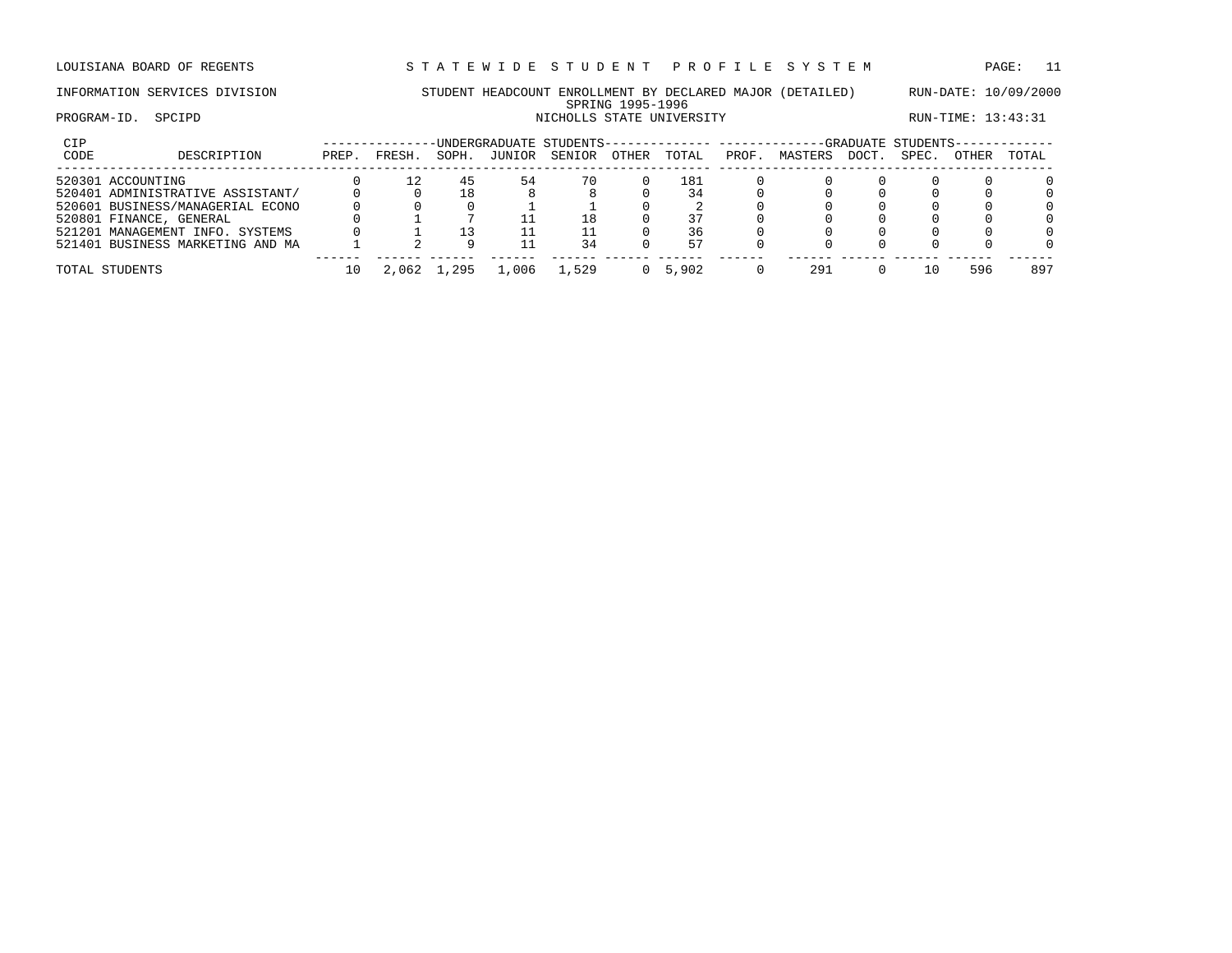# INFORMATION SERVICES DIVISION STUDENT HEADCOUNT ENROLLMENT BY DECLARED MAJOR (DETAILED) RUN-DATE: 10/09/2000 SPRING 1995-1996 PROGRAM-ID. SPCIPD SECTED SERVICE STATE UNIVERSITY STATE UNIVERSITY RUN-TIME: 13:43:31

| CIP<br>CODE | DESCRIPTION                      | PREP. | FRESH. | SOPH. | JUNIOR | -UNDERGRADUATE STUDENTS--<br>SENIOR | OTHER | TOTAL | ------------- ------------<br>PROF. | MASTERS | <b>DOCT</b> | -GRADUATE STUDENTS-<br>SPEC. | OTHER | TOTAL    |
|-------------|----------------------------------|-------|--------|-------|--------|-------------------------------------|-------|-------|-------------------------------------|---------|-------------|------------------------------|-------|----------|
|             | 520301 ACCOUNTING                |       |        | 45    | 54     | 70                                  |       | 181   |                                     |         |             |                              |       | $\Omega$ |
|             | 520401 ADMINISTRATIVE ASSISTANT/ |       |        | ⊥8    |        |                                     |       | 34    |                                     |         |             |                              |       | $\Omega$ |
|             | 520601 BUSINESS/MANAGERIAL ECONO |       |        |       |        |                                     |       |       |                                     |         |             |                              |       | $\Omega$ |
|             | 520801 FINANCE, GENERAL          |       |        |       |        | L8                                  |       |       |                                     |         |             |                              |       | $\Omega$ |
|             | 521201 MANAGEMENT INFO. SYSTEMS  |       |        |       |        |                                     |       | 36    |                                     |         |             |                              |       | $\Omega$ |
|             | 521401 BUSINESS MARKETING AND MA |       |        |       |        | 34                                  |       | 57    |                                     |         |             |                              |       | $\Omega$ |
|             | TOTAL STUDENTS                   |       | 2,062  | .295  | ,006   | $\perp$ , 529                       |       | 5,902 |                                     | 291     |             |                              | 596   | 897      |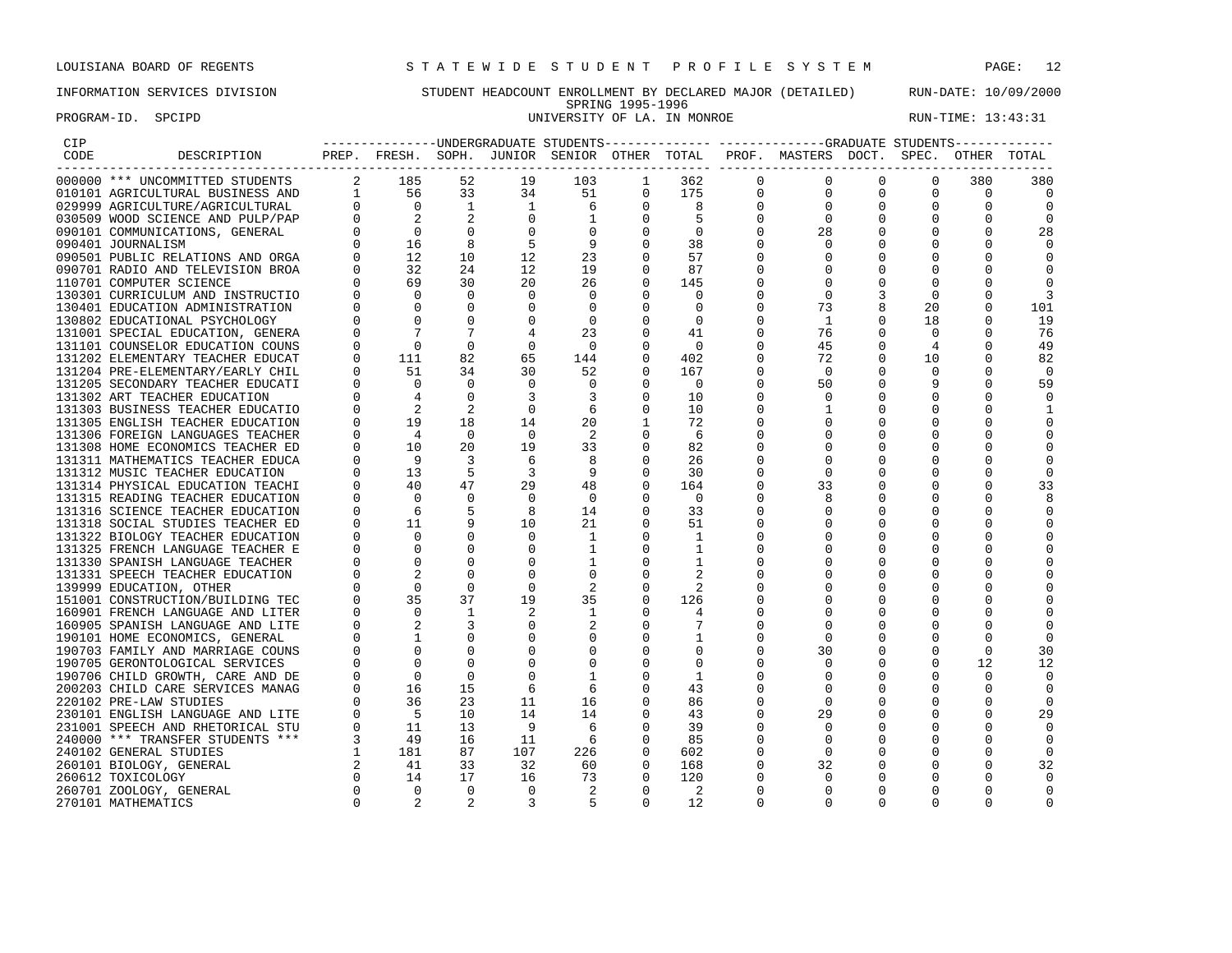PROGRAM-ID. SPCIPD SECTED SECTED SERVICES IN THE SERVICE OF LA. IN MONROE RUN-TIME: 13:43:31

# INFORMATION SERVICES DIVISION STUDENT HEADCOUNT ENROLLMENT BY DECLARED MAJOR (DETAILED) RUN-DATE: 10/09/2000 SPRING 1995-1996<br>UNIVERSITY OF LA. IN MONROE

| CIP  |                                  |                |                                                 |                |                |                                              |             |                |             | ---------------UNDERGRADUATE STUDENTS-------------- ------------GRADUATE STUDENTS------------ |          |          |          |          |
|------|----------------------------------|----------------|-------------------------------------------------|----------------|----------------|----------------------------------------------|-------------|----------------|-------------|-----------------------------------------------------------------------------------------------|----------|----------|----------|----------|
| CODE | DESCRIPTION                      |                |                                                 |                |                | PREP. FRESH. SOPH. JUNIOR SENIOR OTHER TOTAL |             |                |             | PROF. MASTERS DOCT. SPEC.                                                                     |          |          | OTHER    |          |
|      | 000000 *** UNCOMMITTED STUDENTS  | $\overline{a}$ | 185                                             | 52             | 19             | 103                                          |             | 362            | $\mathbf 0$ | $\Omega$                                                                                      | $\Omega$ | $\Omega$ | 380      | 380      |
|      | 010101 AGRICULTURAL BUSINESS AND |                | 1 56                                            | 33             | 34             | 51                                           | $\Omega$    | 175            | $\mathbf 0$ | $\Omega$                                                                                      |          | $\Omega$ | $\Omega$ | $\Omega$ |
|      | 029999 AGRICULTURE/AGRICULTURAL  |                | $\bigcirc$                                      | $\overline{1}$ | $\overline{1}$ | 6                                            | $\Omega$    | 8              | $\Omega$    |                                                                                               |          |          | 0        |          |
|      | 030509 WOOD SCIENCE AND PULP/PAP |                | $\overline{2}$                                  |                | $\Omega$       | $\mathbf{1}$                                 | $\Omega$    | 5              | $\Omega$    | $\Omega$                                                                                      |          | $\Omega$ | O        |          |
|      | 090101 COMMUNICATIONS, GENERAL   |                | $\mathbf 0$                                     |                |                | $\Omega$                                     | $\Omega$    | 0              |             | 28                                                                                            |          |          |          | 28       |
|      | 090401 JOURNALISM                |                | 16                                              |                | 5              | 9                                            | $\Omega$    | 38             |             |                                                                                               |          |          |          |          |
|      | 090501 PUBLIC RELATIONS AND ORGA |                | 12.                                             | 10             | 12             | 23                                           | $\Omega$    | 57             |             |                                                                                               |          |          |          |          |
|      | 090701 RADIO AND TELEVISION BROA |                | 32                                              | 24             | 12             | 19                                           | $\Omega$    | 87             |             |                                                                                               |          |          |          |          |
|      | 110701 COMPUTER SCIENCE          |                | 69                                              | 30             | 20             | 26                                           | $\mathbf 0$ | 145            |             | ∩                                                                                             |          | n        |          |          |
|      | 130301 CURRICULUM AND INSTRUCTIO |                | $\Omega$                                        | $\Omega$       | $\Omega$       | $\mathbf 0$                                  | $\Omega$    | $\Omega$       |             |                                                                                               |          |          |          |          |
|      | 130401 EDUCATION ADMINISTRATION  |                | $\mathbf 0$                                     | $\Omega$       | $\Omega$       | $\mathbf 0$                                  | $\mathbf 0$ | 0              |             | 73                                                                                            |          | 20       |          | 101      |
|      | 130802 EDUCATIONAL PSYCHOLOGY    |                | $\Omega$                                        |                | $\Omega$       | $\Omega$                                     | $\Omega$    | $\Omega$       |             | -1                                                                                            |          | 18       |          | 19       |
|      | 131001 SPECIAL EDUCATION, GENERA |                |                                                 |                |                | 23                                           | $\Omega$    | 41             |             | 76                                                                                            |          | $\Omega$ | n        | 76       |
|      | 131101 COUNSELOR EDUCATION COUNS |                | $\cap$                                          | $\Omega$       |                | $\overline{0}$                               | $\Omega$    | $\Omega$       |             | 45                                                                                            |          |          |          | 49       |
|      | 131202 ELEMENTARY TEACHER EDUCAT |                | 111                                             | 82             | 65             | 144                                          | 0           | 402            | U           | 72                                                                                            |          | 10       |          | 82       |
|      | 131204 PRE-ELEMENTARY/EARLY CHIL |                | 51                                              | 34             | 30             | 52                                           | $\mathbf 0$ | 167            |             | $\Omega$                                                                                      |          | $\Omega$ | O        | $\cap$   |
|      | 131205 SECONDARY TEACHER EDUCATI |                | $\Omega$                                        | $\Omega$       | $\Omega$       | $\Omega$                                     | $\Omega$    | $\bigcirc$     | U           | 50                                                                                            |          |          |          | 59       |
|      | 131302 ART TEACHER EDUCATION     |                |                                                 | $\Omega$       | 3              | 3                                            | $\Omega$    | 10             |             |                                                                                               |          |          |          |          |
|      | 131303 BUSINESS TEACHER EDUCATIO |                |                                                 | 2              | $\Omega$       | 6                                            | $\Omega$    | 10             |             |                                                                                               |          |          |          |          |
|      | 131305 ENGLISH TEACHER EDUCATION |                | $\begin{bmatrix} 0 & 2 \\ 0 & 19 \end{bmatrix}$ | 18             | 14             | 20                                           | 1           | 72             |             |                                                                                               |          |          |          |          |
|      | 131306 FOREIGN LANGUAGES TEACHER |                | $\overline{4}$                                  | $\Omega$       | $\Omega$       | -2                                           | $\Omega$    | -6             |             |                                                                                               |          |          |          |          |
|      | 131308 HOME ECONOMICS TEACHER ED |                | 10                                              | 20             | 19             | 33                                           | $\Omega$    | 82             |             |                                                                                               |          |          |          |          |
|      | 131311 MATHEMATICS TEACHER EDUCA |                | - 9                                             | 3              | 6              | 8                                            | $\Omega$    | 26             |             |                                                                                               |          |          |          |          |
|      | 131312 MUSIC TEACHER EDUCATION   |                | 13                                              | 5              | 3              | - 9                                          | $\Omega$    | 30             |             | <sup>0</sup>                                                                                  |          |          |          |          |
|      | 131314 PHYSICAL EDUCATION TEACHI |                | 40                                              | 47             | 29             | 48                                           | $\mathbf 0$ | 164            |             | 33                                                                                            |          |          |          | 33       |
|      | 131315 READING TEACHER EDUCATION |                | $\Omega$                                        | $\Omega$       | $\Omega$       | $\mathbf 0$                                  | 0           | 0              |             |                                                                                               |          |          |          |          |
|      | 131316 SCIENCE TEACHER EDUCATION |                | 6                                               |                | 8              | 14                                           | $\Omega$    | 33             |             |                                                                                               |          |          |          |          |
|      | 131318 SOCIAL STUDIES TEACHER ED |                | 11                                              |                | 10             | 21                                           | $\Omega$    | 51             |             |                                                                                               |          |          |          |          |
|      | 131322 BIOLOGY TEACHER EDUCATION |                | $\Omega$                                        |                | $\Omega$       | 1                                            | $\Omega$    | 1              |             |                                                                                               |          |          |          |          |
|      | 131325 FRENCH LANGUAGE TEACHER E |                | $\Omega$                                        |                |                |                                              | $\Omega$    |                |             |                                                                                               |          |          |          |          |
|      | 131330 SPANISH LANGUAGE TEACHER  |                |                                                 |                |                |                                              | $\Omega$    |                |             |                                                                                               |          |          |          |          |
|      | 131331 SPEECH TEACHER EDUCATION  |                |                                                 |                |                | $\Omega$                                     | $\Omega$    |                |             |                                                                                               |          |          |          |          |
|      | 139999 EDUCATION, OTHER          |                | $\Omega$                                        |                |                | 2                                            | $\Omega$    | 2              |             |                                                                                               |          |          |          |          |
|      | 151001 CONSTRUCTION/BUILDING TEC |                | 35                                              | 37             | 19             | 35                                           | $\Omega$    | 126            |             |                                                                                               |          |          |          |          |
|      | 160901 FRENCH LANGUAGE AND LITER |                |                                                 |                |                |                                              | $\Omega$    |                |             |                                                                                               |          |          |          |          |
|      | 160905 SPANISH LANGUAGE AND LITE |                |                                                 |                |                |                                              | $\Omega$    |                |             |                                                                                               |          |          |          |          |
|      | 190101 HOME ECONOMICS, GENERAL   |                |                                                 |                |                |                                              | $\Omega$    |                |             |                                                                                               |          |          |          |          |
|      | 190703 FAMILY AND MARRIAGE COUNS |                |                                                 |                |                |                                              |             | $\Omega$       |             | 30                                                                                            |          |          | $\Omega$ | 30       |
|      | 190705 GERONTOLOGICAL SERVICES   |                |                                                 |                |                | 0                                            | $\Omega$    | 0              |             |                                                                                               |          |          | 12       | 12       |
|      | 190706 CHILD GROWTH, CARE AND DE |                | $\mathbf 0$                                     | $\Omega$       |                |                                              | 0           | 1              |             |                                                                                               |          |          |          |          |
|      | 200203 CHILD CARE SERVICES MANAG |                | 16                                              | 15             | 6              | 6                                            | $\Omega$    | 43             |             |                                                                                               |          |          |          |          |
|      | 220102 PRE-LAW STUDIES           |                | 36                                              | 23             | 11             | 16                                           | $\Omega$    | 86             |             |                                                                                               |          |          |          |          |
|      | 230101 ENGLISH LANGUAGE AND LITE |                | $-5$                                            | 10             | 14             | 14                                           | $\Omega$    | 43             |             | 29                                                                                            |          |          |          | 29       |
|      | 231001 SPEECH AND RHETORICAL STU |                | 11                                              | 13             | 9              | -6                                           | $\Omega$    | 39             |             |                                                                                               |          |          |          |          |
|      | 240000 *** TRANSFER STUDENTS *** |                | 49                                              | 16             | 11             | - 6                                          | $\Omega$    | 85             |             |                                                                                               |          |          |          |          |
|      | 240102 GENERAL STUDIES           |                | 181                                             | 87             | 107            | 226                                          | $\Omega$    | 602            |             | $\Omega$                                                                                      |          |          |          |          |
|      | 260101 BIOLOGY, GENERAL          |                | 41                                              | 33             | 32             | 60                                           | 0           | 168            |             | 32                                                                                            |          |          | O        | 32       |
|      | 260612 TOXICOLOGY                |                | 14                                              | 17             | 16             | 73                                           | $\Omega$    | 120            | U           |                                                                                               |          | n        |          |          |
|      | 260701 ZOOLOGY, GENERAL          |                | $\Omega$                                        | $\Omega$       | $\Omega$       | $\mathfrak{D}$                               | $\Omega$    | $\mathfrak{D}$ | $\Omega$    |                                                                                               |          |          |          |          |

270101 MATHEMATICS 0 2 2 3 5 0 12 0 0 0 0 0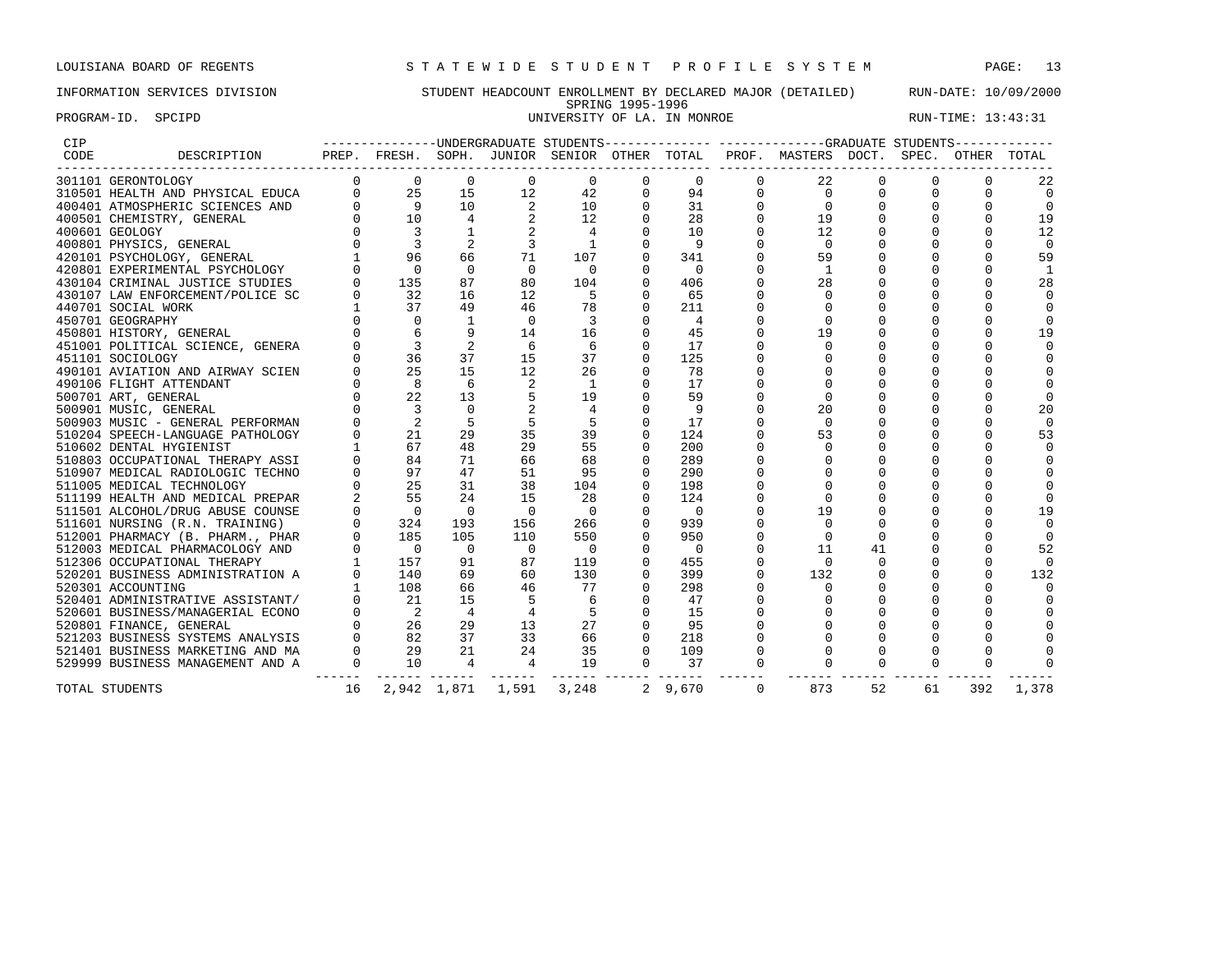# INFORMATION SERVICES DIVISION STUDENT HEADCOUNT ENROLLMENT BY DECLARED MAJOR (DETAILED) RUN-DATE: 10/09/2000 SPRING 1995-1996<br>UNIVERSITY OF LA. IN MONROE PROGRAM-ID. SPCIPD **EXAM-ID.** SPCIPD **EXAM-ID.** SPCIPD **UNIVERSITY OF LA.** IN MONROE **RUN-TIME:** 13:43:31

| <b>CIP</b> |                                                                                                                                                                                                                                               |                |                                        |                          |                   |                          |                |                |             | ---------------UNDERGRADUATE STUDENTS------------- ------------GRADUATE STUDENTS------------ |             |             |             |                |
|------------|-----------------------------------------------------------------------------------------------------------------------------------------------------------------------------------------------------------------------------------------------|----------------|----------------------------------------|--------------------------|-------------------|--------------------------|----------------|----------------|-------------|----------------------------------------------------------------------------------------------|-------------|-------------|-------------|----------------|
| CODE       | DESCRIPTION                                                                                                                                                                                                                                   |                |                                        |                          |                   |                          |                |                |             | PREP. FRESH. SOPH. JUNIOR SENIOR OTHER TOTAL PROF. MASTERS DOCT. SPEC. OTHER                 |             |             |             | TOTAL          |
|            | 301101 GERONTOLOGY                                                                                                                                                                                                                            | $\Omega$       | $\overline{0}$                         | $\overline{0}$           | $\circ$           | 0                        | 0              | 0              | $\Omega$    | 22                                                                                           | $\Omega$    | $\Omega$    | $\Omega$    | 22             |
|            |                                                                                                                                                                                                                                               | $\Omega$       | 25<br>$\begin{matrix}0\\0\end{matrix}$ | 15                       | 12                | 42                       | $\Omega$       | 94             | $\mathbf 0$ | $\Omega$                                                                                     |             | $\Omega$    | 0           | $\Omega$       |
|            |                                                                                                                                                                                                                                               |                | $\overline{9}$                         | 10                       | 2                 | 10                       |                | 31             | $\Omega$    | $\Omega$                                                                                     |             | $\Omega$    | $\Omega$    | $\Omega$       |
|            |                                                                                                                                                                                                                                               |                | 10                                     | $\overline{4}$           |                   | 12                       |                | 28             | $\Omega$    | 19                                                                                           |             |             |             | 19             |
|            |                                                                                                                                                                                                                                               | $\Omega$       | $\overline{\mathbf{3}}$                | $\mathbf{1}$             |                   | $\overline{4}$           | $\Omega$       | 10             | $\mathbf 0$ | 12                                                                                           |             | $\Omega$    | $\Omega$    | 12             |
|            |                                                                                                                                                                                                                                               |                |                                        |                          | 3                 | $\overline{1}$           | $\Omega$       | 9              |             | $\Omega$                                                                                     |             | $\cap$      |             | $\overline{0}$ |
|            | 301101 GERONTOLOGY<br>310501 HEALTH AND PHYSICAL EDUCA<br>400401 ATMOSPHERIC SCIENCES AND<br>400501 CHEMISTRY, GENERAL<br>400601 GEOLOGY<br>400801 PHYSICS, GENERAL<br>420101 PSYCHOLOGY, GENERAL<br>420801 EXPERIMENTAL PSYCHOLOGY<br>430104 |                | 96                                     | 66                       | 71                | 107                      | $\Omega$       | 341            |             | 59                                                                                           |             | $\cap$      |             | 59             |
|            |                                                                                                                                                                                                                                               |                | $\Omega$                               | $\Omega$                 | $\overline{0}$    | $\bigcirc$               | $\Omega$       | $\Omega$       |             | -1                                                                                           | 0           | $\Omega$    | $\mathbf 0$ |                |
|            |                                                                                                                                                                                                                                               |                | 135                                    | 87                       | 80                | 104                      | $\Omega$       | 406            |             | 28                                                                                           |             | $\Omega$    | $\Omega$    | 28             |
|            |                                                                                                                                                                                                                                               |                | 32                                     | 16                       | 12                | -5                       | $\Omega$       | 65             |             |                                                                                              |             |             |             |                |
|            | 440701 SOCIAL WORK                                                                                                                                                                                                                            |                | 37                                     | 49                       | 46                | 78                       | $\Omega$       | 211            |             |                                                                                              | $\Omega$    | $\cap$      |             | $\Omega$       |
|            | 450701 GEOGRAPHY                                                                                                                                                                                                                              |                | $\Omega$                               | 1                        | $\Omega$          | 3                        | $\Omega$       | 4              |             | $\Omega$                                                                                     | $\Omega$    | $\Omega$    |             | $\Omega$       |
|            | 450801 HISTORY, GENERAL                                                                                                                                                                                                                       |                |                                        | 9                        | 14                | 16                       | $\Omega$       | 45             |             | 19                                                                                           |             |             |             | 19             |
|            | 451001 POLITICAL SCIENCE, GENERA                                                                                                                                                                                                              |                | $\overline{3}$                         | 2                        | 6                 | 6                        | $\Omega$       | 17             |             |                                                                                              |             |             |             |                |
|            | 451101 SOCIOLOGY                                                                                                                                                                                                                              |                | 36                                     | 37                       | 15                | 37                       | $\Omega$       | 125            |             |                                                                                              |             |             |             |                |
|            | 490101 AVIATION AND AIRWAY SCIEN                                                                                                                                                                                                              |                | 25                                     | 15                       | 12                | 26                       | $\Omega$       | 78             |             |                                                                                              |             |             |             |                |
|            | 490106 FLIGHT ATTENDANT                                                                                                                                                                                                                       |                | 8                                      | 6                        |                   | -1                       | $\Omega$       | 17             |             |                                                                                              |             |             |             |                |
|            | 500701 ART, GENERAL                                                                                                                                                                                                                           | $\Omega$       | 22                                     | 13                       |                   | 19                       | $\mathbf 0$    | 59             |             |                                                                                              | $\Omega$    |             |             | $\Omega$       |
|            | 500901 MUSIC, GENERAL                                                                                                                                                                                                                         |                | $\overline{3}$                         | $\Omega$                 |                   | 4                        | $\Omega$       | -9             |             | 20                                                                                           |             | $\cap$      | $\Omega$    | 20             |
|            | 500903 MUSIC - GENERAL PERFORMAN                                                                                                                                                                                                              |                | 2                                      |                          | 5                 | - 5                      | $\Omega$       | 17             |             | $\Omega$                                                                                     | $\Omega$    | $\Omega$    | $\cap$      | $\Omega$       |
|            | 510204 SPEECH-LANGUAGE PATHOLOGY                                                                                                                                                                                                              |                | 21                                     | 29                       | 35                | 39                       | $\Omega$       | 124            |             | 53                                                                                           | $\Omega$    | $\Omega$    | $\Omega$    | 53             |
|            | 510602 DENTAL HYGIENIST                                                                                                                                                                                                                       |                | 67                                     | 48                       | 29                | 55                       | $\Omega$       | 200            |             | $\Omega$                                                                                     |             | $\cap$      |             | $\Omega$       |
|            | 510803 OCCUPATIONAL THERAPY ASSI                                                                                                                                                                                                              |                | 84                                     | 71                       | 66                | 68                       | $\Omega$       | 289            |             |                                                                                              |             |             |             |                |
|            | 510907 MEDICAL RADIOLOGIC TECHNO                                                                                                                                                                                                              |                | 97                                     | 47                       | 51                | 95                       | $\Omega$       | 290            |             |                                                                                              |             |             |             |                |
|            | 511005 MEDICAL TECHNOLOGY                                                                                                                                                                                                                     |                | 25                                     | 31                       | 38                | 104                      | $\Omega$       | 198            |             |                                                                                              | $\Omega$    | $\Omega$    |             | $\Omega$       |
|            | 511199 HEALTH AND MEDICAL PREPAR                                                                                                                                                                                                              |                | 55                                     | 24                       | 15                | 28                       | $\Omega$       | 124            |             |                                                                                              |             | $\Omega$    | $\Omega$    | $\Omega$       |
|            | 511501 ALCOHOL/DRUG ABUSE COUNSE                                                                                                                                                                                                              |                | $\overline{0}$                         | $\overline{\phantom{0}}$ | $\overline{0}$    | $\Omega$                 | $\Omega$       | $\overline{0}$ |             | 19                                                                                           | $\Omega$    | $\cap$      |             | 19             |
|            | 511601 NURSING (R.N. TRAINING)                                                                                                                                                                                                                |                | 324                                    | 193                      | 156               | 266                      | $\Omega$       | 939            |             | $\Omega$                                                                                     |             | $\Omega$    |             | $\Omega$       |
|            | 512001 PHARMACY (B. PHARM., PHAR                                                                                                                                                                                                              |                | 185                                    | 105                      | 110               | 550                      | $\Omega$       | 950            |             | $\Omega$                                                                                     | $\Omega$    | $\cap$      |             | $\Omega$       |
|            | 512003 MEDICAL PHARMACOLOGY AND                                                                                                                                                                                                               |                | $\overline{0}$                         | $\overline{0}$           | $\overline{0}$    | $\overline{\phantom{0}}$ | $\Omega$       | $\Omega$       |             | 11                                                                                           | 41          |             |             | 52             |
|            | 512306 OCCUPATIONAL THERAPY                                                                                                                                                                                                                   |                | 157                                    | 91                       | 87                | 119                      | $\Omega$       | 455            |             | $\Omega$                                                                                     | $\Omega$    | $\Omega$    | $\Omega$    | $\Omega$       |
|            | 520201 BUSINESS ADMINISTRATION A                                                                                                                                                                                                              | $\Omega$       | 140                                    | 69                       | 60                | 130                      | $\Omega$       | 399            | $\Omega$    | 132                                                                                          | $\Omega$    | $\Omega$    | $\Omega$    | 132            |
|            | 520301 ACCOUNTING                                                                                                                                                                                                                             |                | 108                                    | 66                       | 46                | 77                       | $\Omega$       | 298            |             |                                                                                              |             |             |             |                |
|            | 520401 ADMINISTRATIVE ASSISTANT/                                                                                                                                                                                                              |                | 21                                     | 15                       | 5                 | 6                        | $\Omega$       | 47             |             |                                                                                              |             |             | $\Omega$    |                |
|            | 520601 BUSINESS/MANAGERIAL ECONO                                                                                                                                                                                                              | $\Omega$       | $\overline{\phantom{0}}^2$             | $\overline{4}$           | $\overline{4}$    | 5                        | $\Omega$       | 15             |             |                                                                                              |             | $\Omega$    | $\Omega$    |                |
|            | 520801 FINANCE, GENERAL                                                                                                                                                                                                                       |                | 26                                     | 29                       | 13                | 27                       | $\Omega$       | 95             |             |                                                                                              |             |             |             |                |
|            | 521203 BUSINESS SYSTEMS ANALYSIS                                                                                                                                                                                                              |                | 82                                     | 37                       | 33                | 66                       | $\Omega$       | 218            |             |                                                                                              | $\Omega$    | $\Omega$    |             |                |
|            | 521401 BUSINESS MARKETING AND MA                                                                                                                                                                                                              | $\mathbf 0$    | 29                                     | 21                       | 24                | 35                       | $\Omega$       | 109            | $\mathbf 0$ | $\Omega$                                                                                     | $\Omega$    | $\Omega$    | $\Omega$    |                |
|            | 529999 BUSINESS MANAGEMENT AND A                                                                                                                                                                                                              | $\overline{0}$ | 10                                     | $\overline{4}$           | $\overline{4}$    | 19                       | $\overline{0}$ | 37             | $\mathbf 0$ |                                                                                              | $\mathbf 0$ | $\mathbf 0$ | $\mathbf 0$ |                |
|            | TOTAL STUDENTS                                                                                                                                                                                                                                | 16             |                                        |                          | 2,942 1,871 1,591 | 3,248                    |                | 2 9,670        | $\Omega$    | 873                                                                                          | 52          | 61          | 392         | 1,378          |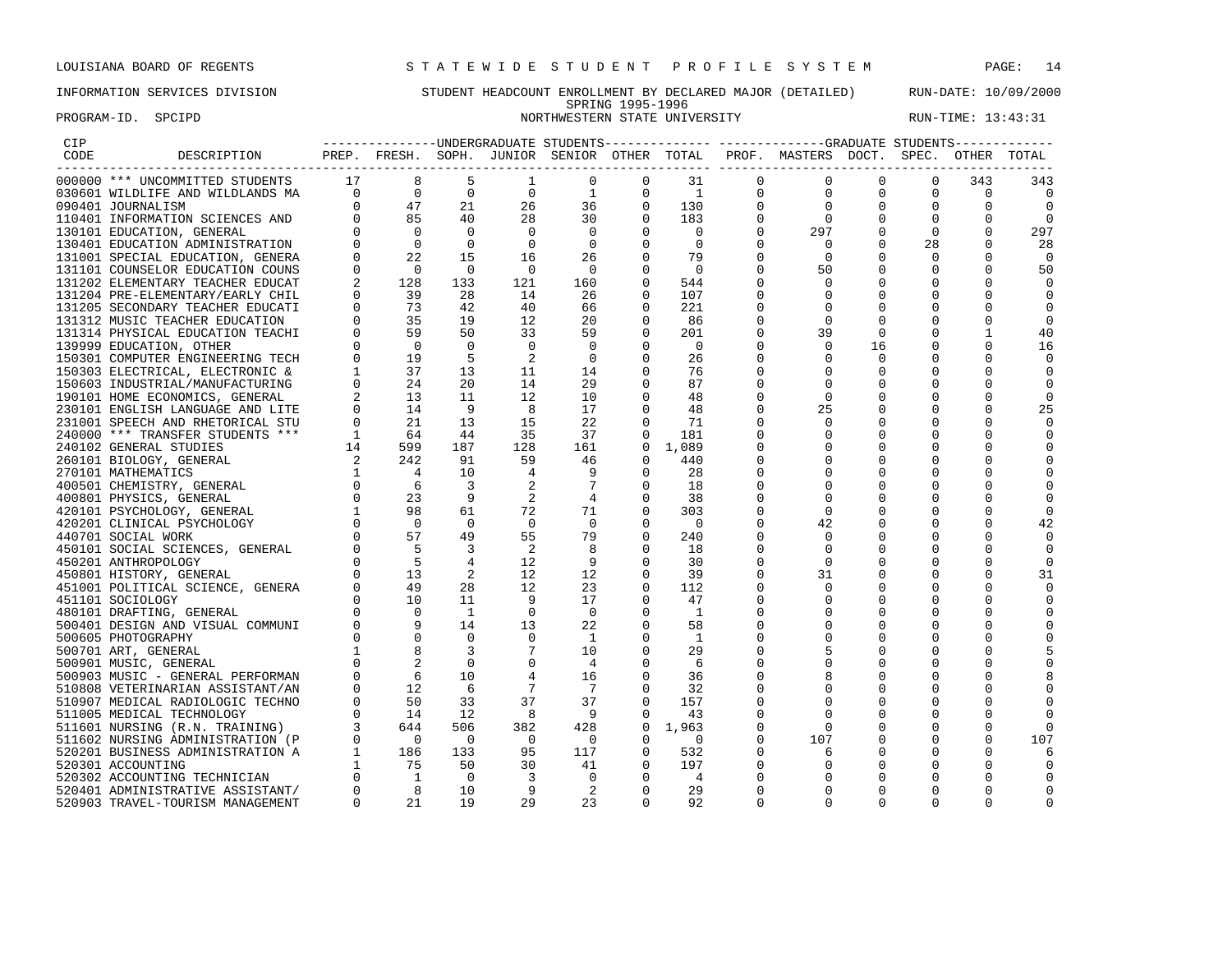# INFORMATION SERVICES DIVISION STUDENT HEADCOUNT ENROLLMENT BY DECLARED MAJOR (DETAILED) RUN-DATE: 10/09/2000 SPRING 1995-1996 PROGRAM-ID. SPCIPD NORTHWESTERN STATE UNIVERSITY NORTHWESTERN STATE ON RUN-TIME: 13:43:31

| CIP  |                                                                                                |          |                                                                                                                                                                                                                                                                                                                                                                                                                          |                |                |                         |                      |                |   | ---------------UNDERGRADUATE STUDENTS-------------- ------------GRADUATE STUDENTS------------ |             |              |             |                      |
|------|------------------------------------------------------------------------------------------------|----------|--------------------------------------------------------------------------------------------------------------------------------------------------------------------------------------------------------------------------------------------------------------------------------------------------------------------------------------------------------------------------------------------------------------------------|----------------|----------------|-------------------------|----------------------|----------------|---|-----------------------------------------------------------------------------------------------|-------------|--------------|-------------|----------------------|
| CODE | DESCRIPTION PREP. FRESH. SOPH. JUNIOR SENIOR OTHER TOTAL PROF. MASTERS DOCT. SPEC. OTHER TOTAL |          |                                                                                                                                                                                                                                                                                                                                                                                                                          |                |                |                         |                      |                |   |                                                                                               |             |              |             |                      |
|      | 000000 *** UNCOMMITTED STUDENTS                                                                | 17       | $\begin{array}{ccccc} 17 & & 8 \\ 0 & & 0 \\ 0 & & 47 \\ 0 & & 85 \\ 0 & & 0 \\ 0 & & 0 \\ 0 & & 22 \\ 0 & & & 0 \\ 0 & & & 0 \\ 0 & & & & 0 \\ 0 & & & & 0 \\ 0 & & & & & 0 \\ 0 & & & & & 0 \\ 0 & & & & & & 0 \\ 0 & & & & & & 0 \\ 0 & & & & & & 0 \\ 0 & & & & & & & 0 \\ 0 & & & & & & & 0 \\ 0 & & & & & & & 0 \\ 0 & & & & & & & 0 \\ 0 & & & & & & & 0 \\ 0 & & & & & & & 0 \\$                                 |                |                | 0                       | $\Omega$             | 31             | 0 | 0                                                                                             | $\Omega$    | $\Omega$     | 343         | 343                  |
|      | 030601 WILDLIFE AND WILDLANDS MA                                                               |          |                                                                                                                                                                                                                                                                                                                                                                                                                          | $\overline{0}$ | $\mathbf 0$    | 1                       | $\mathbf 0$          | $\overline{1}$ | 0 | 0                                                                                             | 0           | $\mathbf 0$  | $\mathbf 0$ | $\mathbf 0$          |
|      | 090401 JOURNALISM                                                                              |          |                                                                                                                                                                                                                                                                                                                                                                                                                          | 21             | 26             | 36                      | $\mathbf 0$          | 130            |   | $\mathbf 0$                                                                                   | $\mathbf 0$ | 0            |             | 0                    |
|      | 110401 INFORMATION SCIENCES AND                                                                |          |                                                                                                                                                                                                                                                                                                                                                                                                                          | 40             | 28             | 30                      | $\Omega$             | 183            |   | $\mathbf 0$                                                                                   |             |              |             | $\Omega$             |
|      | 130101 EDUCATION, GENERAL                                                                      |          |                                                                                                                                                                                                                                                                                                                                                                                                                          | $\mathbf 0$    | $\mathbf 0$    | $\overline{0}$          |                      | $\overline{0}$ |   | 297                                                                                           | 0           | $\mathbf{0}$ |             | 297                  |
|      | 130401 EDUCATION ADMINISTRATION                                                                |          |                                                                                                                                                                                                                                                                                                                                                                                                                          | $\overline{0}$ | $\Omega$       | $\mathbf 0$             | 0                    | $\Omega$       |   | $\Omega$                                                                                      | 0           | 28           |             | 28                   |
|      | 131001 SPECIAL EDUCATION, GENERA                                                               |          |                                                                                                                                                                                                                                                                                                                                                                                                                          | 15             | 16             | 26                      |                      | 79             |   | $\Omega$                                                                                      |             | $\Omega$     |             | $\Omega$             |
|      | 131101 COUNSELOR EDUCATION COUNS                                                               |          |                                                                                                                                                                                                                                                                                                                                                                                                                          | $\overline{0}$ | $\bigcirc$     | $\bigcirc$              | $\Omega$             | $\bigcirc$     |   | 50                                                                                            |             |              |             | 50                   |
|      | 131202 ELEMENTARY TEACHER EDUCAT                                                               |          | 128                                                                                                                                                                                                                                                                                                                                                                                                                      | 133            | 121            | 160                     |                      | 544            |   | $\Omega$                                                                                      |             |              |             | ∩                    |
|      | 131204 PRE-ELEMENTARY/EARLY CHIL                                                               |          | 39                                                                                                                                                                                                                                                                                                                                                                                                                       | 28             | 14             | 26                      | $\Omega$             | 107            |   | $\Omega$                                                                                      |             |              |             |                      |
|      | 131205 SECONDARY TEACHER EDUCATI                                                               |          | 73<br>$\begin{matrix} 0 \\ 0 \end{matrix}$                                                                                                                                                                                                                                                                                                                                                                               | 42             | 40             | 66                      | $\Omega$             | 221            |   |                                                                                               |             |              |             |                      |
|      | 131312 MUSIC TEACHER EDUCATION                                                                 |          | 35                                                                                                                                                                                                                                                                                                                                                                                                                       | 19             | 12             | 20                      | 0                    | 86             |   | $\Omega$                                                                                      |             |              |             |                      |
|      | 131314 PHYSICAL EDUCATION TEACHI                                                               |          | 59                                                                                                                                                                                                                                                                                                                                                                                                                       | 50             | 33             | 59                      | $\mathbf 0$          | 201            |   | 39                                                                                            | $\mathbf 0$ |              |             | 40                   |
|      | 139999 EDUCATION, OTHER                                                                        |          | $\overline{0}$                                                                                                                                                                                                                                                                                                                                                                                                           | $\Omega$       | $\Omega$       | $\mathbf 0$             |                      | - 0            |   | $\Omega$                                                                                      | 16          |              |             | 16                   |
|      | 150301 COMPUTER ENGINEERING TECH                                                               | $\Omega$ | 19                                                                                                                                                                                                                                                                                                                                                                                                                       | 5              | 2              | $\mathbf 0$             | 0                    | 26             |   | 0                                                                                             | 0           |              |             |                      |
|      | 150303 ELECTRICAL, ELECTRONIC &                                                                |          | 37<br>$\begin{matrix} 1 \\ 0 \end{matrix}$                                                                                                                                                                                                                                                                                                                                                                               | 13             | 11             | 14                      |                      | 76             |   | 0                                                                                             |             |              |             | $\Omega$             |
|      | 150603 INDUSTRIAL/MANUFACTURING                                                                |          | 24                                                                                                                                                                                                                                                                                                                                                                                                                       | 20             | 14             | 29                      | $\Omega$             | 87             |   | O                                                                                             |             |              |             | $\Omega$             |
|      | 190101 HOME ECONOMICS, GENERAL                                                                 |          | 13                                                                                                                                                                                                                                                                                                                                                                                                                       | 11             | 12             | 10                      | $\Omega$             | 48             |   | $\Omega$                                                                                      |             |              |             |                      |
|      | 230101 ENGLISH LANGUAGE AND LITE                                                               |          | 14                                                                                                                                                                                                                                                                                                                                                                                                                       | - 9            | 8              | 17                      | $\Omega$             | 48             |   | 25                                                                                            |             |              |             | 25                   |
|      | 231001 SPEECH AND RHETORICAL STU                                                               |          | 21                                                                                                                                                                                                                                                                                                                                                                                                                       | 13             | 15             | 22                      | $\Omega$             | 71             |   | $\Omega$                                                                                      |             |              |             | $\Omega$             |
|      | 240000 *** TRANSFER STUDENTS ***                                                               |          | 64                                                                                                                                                                                                                                                                                                                                                                                                                       | 44             | 35             | 37                      | $\Omega$             | 181            |   | 0                                                                                             |             |              |             | $\Omega$             |
|      | 240102 GENERAL STUDIES                                                                         |          | 599                                                                                                                                                                                                                                                                                                                                                                                                                      | 187            | 128            | 161                     | $\Omega$             | 1,089          |   | 0                                                                                             |             |              |             |                      |
|      | 260101 BIOLOGY, GENERAL                                                                        |          | 242                                                                                                                                                                                                                                                                                                                                                                                                                      | 91             | 59             | 46                      | 0                    | 440            |   |                                                                                               |             |              |             |                      |
|      | 270101 MATHEMATICS                                                                             |          | $\overline{4}$                                                                                                                                                                                                                                                                                                                                                                                                           | 10             | 4              | 9                       | $\Omega$             | 28             |   |                                                                                               |             |              |             |                      |
|      | 400501 CHEMISTRY, GENERAL                                                                      |          | - 6<br>$\begin{matrix} 0 \\ 0 \end{matrix}$                                                                                                                                                                                                                                                                                                                                                                              | 3              | 2              | 7                       | 0                    | 18             |   |                                                                                               |             |              |             |                      |
|      | 400801 PHYSICS, GENERAL                                                                        |          | 23                                                                                                                                                                                                                                                                                                                                                                                                                       | 9              |                | $\overline{4}$          | 0                    | 38             |   | 0                                                                                             |             |              |             |                      |
|      | 420101 PSYCHOLOGY, GENERAL                                                                     |          |                                                                                                                                                                                                                                                                                                                                                                                                                          | 61             | 72             | 71                      | 0                    | 303            |   | 0                                                                                             |             |              |             | $\Omega$             |
|      | 420201 CLINICAL PSYCHOLOGY                                                                     |          |                                                                                                                                                                                                                                                                                                                                                                                                                          | $\overline{0}$ | $\overline{0}$ | $\overline{0}$          |                      | - 0            |   | 42                                                                                            |             |              |             | 42                   |
|      | 440701 SOCIAL WORK                                                                             |          |                                                                                                                                                                                                                                                                                                                                                                                                                          | 49<br>3        | 55<br>2        | 79<br>8                 | $\Omega$<br>$\Omega$ | 240            |   | $\Omega$<br>0                                                                                 |             |              |             | $\Omega$<br>$\Omega$ |
|      | 450101 SOCIAL SCIENCES, GENERAL                                                                |          |                                                                                                                                                                                                                                                                                                                                                                                                                          |                | 12             | 9                       | $\Omega$             | 18             |   | $\Omega$                                                                                      |             |              |             |                      |
|      | 450201 ANTHROPOLOGY                                                                            |          |                                                                                                                                                                                                                                                                                                                                                                                                                          | 4<br>2         | 12.            | 12                      | $\Omega$             | 30<br>39       |   | 31                                                                                            |             |              |             | 31                   |
|      | 450801 HISTORY, GENERAL<br>451001 POLITICAL SCIENCE, GENERA                                    |          |                                                                                                                                                                                                                                                                                                                                                                                                                          | 28             | 12             | 23                      | $\Omega$             | 112            |   | $\Omega$                                                                                      |             |              |             |                      |
|      | 451101 SOCIOLOGY                                                                               |          |                                                                                                                                                                                                                                                                                                                                                                                                                          | 11             | - 9            | 17                      | $\Omega$             | 47             |   | 0                                                                                             |             |              |             | 0                    |
|      | 480101 DRAFTING, GENERAL                                                                       |          |                                                                                                                                                                                                                                                                                                                                                                                                                          | 1              | $\circ$        | $\overline{\mathbf{0}}$ |                      | -1             |   |                                                                                               |             |              |             |                      |
|      | 500401 DESIGN AND VISUAL COMMUNI                                                               |          | $\begin{array}{ccccccc} & & & \text{\bf 1} & & & \text{\bf 9} & & & \ & 0 & & & \text{\bf 0} & & \text{\bf 5}7 & & \ & 0 & & \text{\bf 5}7 & & \ & 0 & & \text{\bf 5} & & \ & 0 & & \text{\bf 1} & & \ & 0 & & \text{\bf 1} & & \ & 0 & & \text{\bf 1} & & \ & 0 & & \text{\bf 0} & & \ & 0 & & \text{\bf 0} & & \ & 0 & & \text{\bf 0} & & \ & 0 & & \text{\bf 0} & & \ & 0 & & \text{\bf 0} & & \ & 0 & & \text{\bf 0$ | 14             | 13             | 22                      | 0                    | 58             |   | O                                                                                             |             |              |             |                      |
|      | 500605 PHOTOGRAPHY                                                                             |          |                                                                                                                                                                                                                                                                                                                                                                                                                          | 0              | $\Omega$       | <sup>1</sup>            |                      | <sup>1</sup>   |   |                                                                                               |             |              |             |                      |
|      | 500701 ART, GENERAL                                                                            |          |                                                                                                                                                                                                                                                                                                                                                                                                                          |                | 7              | 10                      | $\Omega$             | 29             |   |                                                                                               |             |              |             |                      |
|      | 500901 MUSIC, GENERAL                                                                          |          |                                                                                                                                                                                                                                                                                                                                                                                                                          | 0              | $\mathbf 0$    | $\overline{4}$          | 0                    | -6             |   |                                                                                               |             |              |             |                      |
|      | 500903 MUSIC - GENERAL PERFORMAN                                                               |          |                                                                                                                                                                                                                                                                                                                                                                                                                          | 10             |                | 16                      | 0                    | 36             |   |                                                                                               |             |              |             |                      |
|      | 510808 VETERINARIAN ASSISTANT/AN                                                               |          |                                                                                                                                                                                                                                                                                                                                                                                                                          | 6              |                | 7                       | $\Omega$             | 32             |   | 0                                                                                             |             |              |             |                      |
|      | 510907 MEDICAL RADIOLOGIC TECHNO                                                               |          |                                                                                                                                                                                                                                                                                                                                                                                                                          | 33             | 37             | 37                      | $\Omega$             | 157            |   | 0                                                                                             |             |              |             |                      |
|      | 511005 MEDICAL TECHNOLOGY                                                                      |          | $\begin{bmatrix} 0 & 50 \\ 0 & 14 \end{bmatrix}$                                                                                                                                                                                                                                                                                                                                                                         | 12             | - 8            | - 9                     | $\Omega$             | 43             |   | 0                                                                                             |             |              |             |                      |
|      | 511601 NURSING (R.N. TRAINING)                                                                 |          | 644                                                                                                                                                                                                                                                                                                                                                                                                                      | 506            | 382            | 428                     | 0                    | 1,963          |   | $\Omega$                                                                                      |             |              |             |                      |
|      | 511602 NURSING ADMINISTRATION (P                                                               |          | $\overline{0}$                                                                                                                                                                                                                                                                                                                                                                                                           | $\Omega$       | $\Omega$       | $\overline{0}$          | $\Omega$             | $\Omega$       |   | 107                                                                                           | 0           |              |             | 107                  |
|      | 520201 BUSINESS ADMINISTRATION A                                                               | 1        | 186                                                                                                                                                                                                                                                                                                                                                                                                                      | 133            | 95             | 117                     | $\Omega$             | 532            |   | 6                                                                                             |             |              |             | 6                    |
|      | 520301 ACCOUNTING                                                                              |          | 75                                                                                                                                                                                                                                                                                                                                                                                                                       | 50             | 30             | 41                      | 0                    | 197            |   | 0                                                                                             | 0           |              |             |                      |
|      | 520302 ACCOUNTING TECHNICIAN                                                                   |          | $\overline{\phantom{0}}$                                                                                                                                                                                                                                                                                                                                                                                                 | $\mathbf 0$    | 3              | $\mathbf 0$             | $\Omega$             | $\overline{4}$ |   | U                                                                                             |             |              |             |                      |
|      | 520401 ADMINISTRATIVE ASSISTANT/                                                               | $\Omega$ |                                                                                                                                                                                                                                                                                                                                                                                                                          | 10             | 9              | $\overline{a}$          | $\cap$               | 29             |   | $\Omega$                                                                                      |             |              |             |                      |

520903 TRAVEL-TOURISM MANAGEMENT 0 21 19 29 23 0 92 0 0 0 0 0 0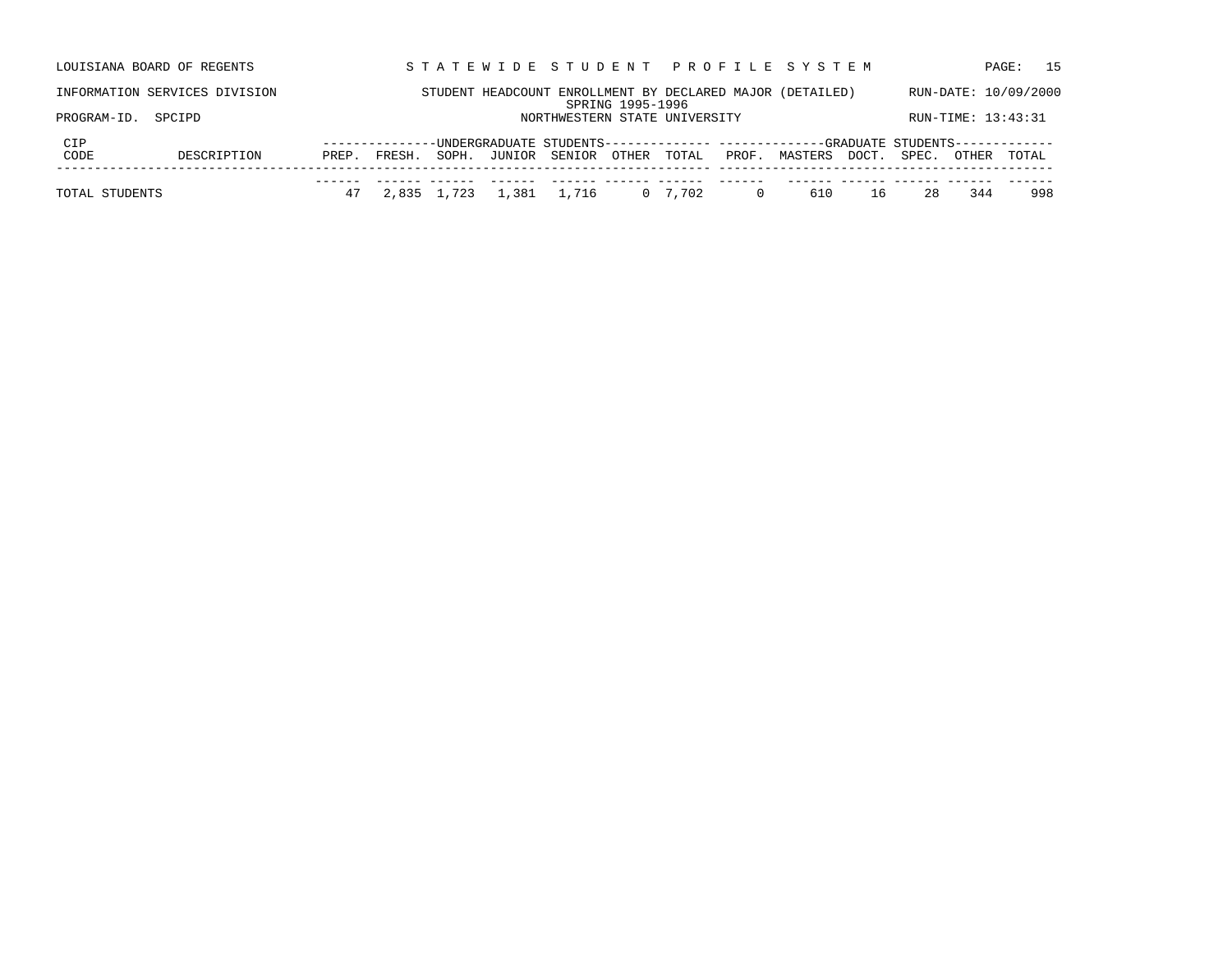| LOUISIANA BOARD OF REGENTS |                               |               |       |       |        |                               |                  |       |       | STATEWIDE STUDENT PROFILE SYSTEM                                                |       |       |                    | 15<br>PAGE:          |
|----------------------------|-------------------------------|---------------|-------|-------|--------|-------------------------------|------------------|-------|-------|---------------------------------------------------------------------------------|-------|-------|--------------------|----------------------|
|                            | INFORMATION SERVICES DIVISION |               |       |       |        |                               |                  |       |       | STUDENT HEADCOUNT ENROLLMENT BY DECLARED MAJOR (DETAILED)                       |       |       |                    | RUN-DATE: 10/09/2000 |
| PROGRAM-ID.                | SPCIPD                        |               |       |       |        | NORTHWESTERN STATE UNIVERSITY | SPRING 1995-1996 |       |       |                                                                                 |       |       | RUN-TIME: 13:43:31 |                      |
|                            |                               |               |       |       |        |                               |                  |       |       |                                                                                 |       |       |                    |                      |
| CIP                        |                               | ------------- |       |       |        |                               |                  |       |       | -UNDERGRADUATE STUDENTS------------- ------------GRADUATE STUDENTS------------- |       |       |                    |                      |
| CODE                       | DESCRIPTION                   | PREP.         | FRESH | SOPH. | JUNIOR | SENIOR                        | OTHER            | TOTAL | PROF. | MASTERS                                                                         | DOCT. | SPEC. | OTHER              | TOTAL                |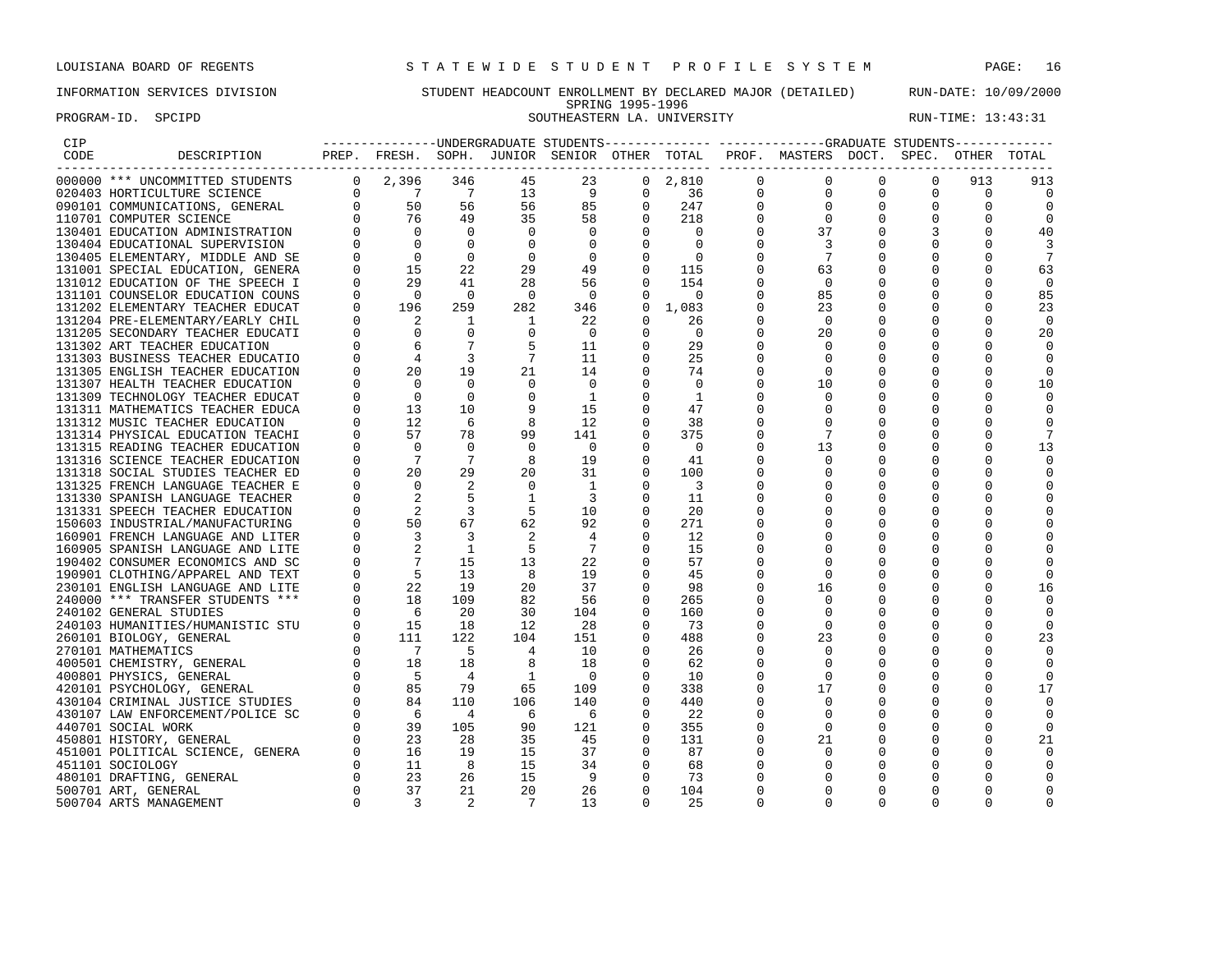PROGRAM-ID. SPCIPD SOUTHEASTERN LA. UNIVERSITY RUN-TIME: 13:43:31

# INFORMATION SERVICES DIVISION STUDENT HEADCOUNT ENROLLMENT BY DECLARED MAJOR (DETAILED) RUN-DATE: 10/09/2000 SPRING 1995-1996

| CIP  |                                  |                                                                                                                                                                                                                                                                         |                                                 |                |                |                |                |          |             | --------------UNDERGRADUATE STUDENTS-------------- ------------GRADUATE STUDENTS------------ |          |          |             |                |
|------|----------------------------------|-------------------------------------------------------------------------------------------------------------------------------------------------------------------------------------------------------------------------------------------------------------------------|-------------------------------------------------|----------------|----------------|----------------|----------------|----------|-------------|----------------------------------------------------------------------------------------------|----------|----------|-------------|----------------|
| CODE | DESCRIPTION                      |                                                                                                                                                                                                                                                                         |                                                 |                |                |                |                |          |             | PREP. FRESH. SOPH. JUNIOR SENIOR OTHER TOTAL PROF. MASTERS DOCT. SPEC.                       |          |          | OTHER       | TOTAL          |
|      | 000000 *** UNCOMMITTED STUDENTS  | $\mathbf{0}$                                                                                                                                                                                                                                                            | 2,396                                           | 346            | 45             | 23             | $\mathbf{0}$   | 2,810    | $\Omega$    | 0                                                                                            |          |          | 913         | 913            |
|      | 020403 HORTICULTURE SCIENCE      | $\Omega$                                                                                                                                                                                                                                                                | $\overline{7}$                                  | $\overline{7}$ | 13             | 9              | $\mathbf 0$    | 36       | $\mathbf 0$ | $\Omega$                                                                                     | $\Omega$ | $\Omega$ | $\mathbf 0$ | $\overline{0}$ |
|      | 090101 COMMUNICATIONS, GENERAL   |                                                                                                                                                                                                                                                                         |                                                 | 56             | 56             | 85             | $\mathbf{0}$   | 247      |             | $\Omega$                                                                                     |          |          | $\Omega$    |                |
|      | 110701 COMPUTER SCIENCE          |                                                                                                                                                                                                                                                                         |                                                 | 49             | 35             | 58             | $\overline{0}$ | 218      |             | 0                                                                                            |          |          |             |                |
|      | 130401 EDUCATION ADMINISTRATION  |                                                                                                                                                                                                                                                                         |                                                 | $\mathbf 0$    | $\Omega$       | $\Omega$       |                | $\Omega$ |             | 37                                                                                           |          |          |             | 40             |
|      | 130404 EDUCATIONAL SUPERVISION   |                                                                                                                                                                                                                                                                         |                                                 | $\Omega$       | $\Omega$       | $\Omega$       | $\Omega$       | - 0      |             | 3                                                                                            |          |          |             |                |
|      | 130405 ELEMENTARY, MIDDLE AND SE |                                                                                                                                                                                                                                                                         |                                                 | $\mathbf 0$    | $\circ$        | 0              | 0              | 0        |             |                                                                                              |          |          |             |                |
|      | 131001 SPECIAL EDUCATION, GENERA |                                                                                                                                                                                                                                                                         |                                                 | 22             | 29             | 49             | 0              | 115      |             | 63                                                                                           |          |          | $\Omega$    | 63             |
|      | 131012 EDUCATION OF THE SPEECH I |                                                                                                                                                                                                                                                                         | 29                                              | 41             | 28             | 56             | $\Omega$       | 154      |             | $\Omega$                                                                                     |          |          |             | 0              |
|      | 131101 COUNSELOR EDUCATION COUNS |                                                                                                                                                                                                                                                                         | $\overline{0}$                                  | $\mathbf 0$    | $\overline{0}$ | $\overline{0}$ | 0              | $\Omega$ |             | 85                                                                                           |          |          |             | 85             |
|      | 131202 ELEMENTARY TEACHER EDUCAT |                                                                                                                                                                                                                                                                         | 196                                             | 259            | 282            | 346            | 0              | 1,083    |             | 23                                                                                           |          |          | $\Omega$    | 23             |
|      | 131204 PRE-ELEMENTARY/EARLY CHIL |                                                                                                                                                                                                                                                                         | 2                                               | 1              | 1              | 22             | $\Omega$       | 26       |             | $\Omega$                                                                                     |          |          |             | $\Omega$       |
|      | 131205 SECONDARY TEACHER EDUCATI |                                                                                                                                                                                                                                                                         | $\Omega$                                        | $\mathbf 0$    | $\Omega$       | $\Omega$       | 0              | 0        |             | 20                                                                                           |          |          | $\Omega$    | 20             |
|      | 131302 ART TEACHER EDUCATION     |                                                                                                                                                                                                                                                                         | 6                                               |                | 5              | 11             | 0              | 29       |             |                                                                                              |          |          |             | <sup>0</sup>   |
|      | 131303 BUSINESS TEACHER EDUCATIO |                                                                                                                                                                                                                                                                         | $\begin{array}{c} 6 \\ 4 \\ 20 \end{array}$     | 3              | 7              | 11             | 0              | 25       |             |                                                                                              |          |          |             |                |
|      | 131305 ENGLISH TEACHER EDUCATION |                                                                                                                                                                                                                                                                         | 20                                              | 19             | 21             | 14             | $\overline{0}$ | 74       |             | $\Omega$                                                                                     |          |          | $\Omega$    | $\Omega$       |
|      | 131307 HEALTH TEACHER EDUCATION  |                                                                                                                                                                                                                                                                         | $\Omega$                                        | $\Omega$       |                | $\Omega$       | 0              | 0        |             | 10                                                                                           |          |          |             | 10             |
|      | 131309 TECHNOLOGY TEACHER EDUCAT |                                                                                                                                                                                                                                                                         | $\overline{\phantom{0}}$                        | 0              | 0              | 1              | 0              | 1        |             | 0                                                                                            |          |          |             |                |
|      | 131311 MATHEMATICS TEACHER EDUCA |                                                                                                                                                                                                                                                                         | 13                                              | 10             |                | 15             | 0              | 47       |             |                                                                                              |          |          |             |                |
|      | 131312 MUSIC TEACHER EDUCATION   |                                                                                                                                                                                                                                                                         | 12                                              | 6              | 8              | 12             |                | 38       |             |                                                                                              |          |          |             |                |
|      | 131314 PHYSICAL EDUCATION TEACHI |                                                                                                                                                                                                                                                                         | 57                                              | 78             | 99             | 141            | 0              | 375      |             |                                                                                              |          |          | ∩           |                |
|      | 131315 READING TEACHER EDUCATION |                                                                                                                                                                                                                                                                         | $\Omega$                                        | $\Omega$       | $\Omega$       | 0              |                | 0        |             | 13                                                                                           |          |          |             | 13             |
|      | 131316 SCIENCE TEACHER EDUCATION |                                                                                                                                                                                                                                                                         | $\overline{7}$                                  | 7              | 8              | 19             | $\Omega$       | 41       |             |                                                                                              |          |          |             |                |
|      | 131318 SOCIAL STUDIES TEACHER ED |                                                                                                                                                                                                                                                                         | 20                                              | 29             | 20             | 31             | 0              | 100      |             |                                                                                              |          |          |             |                |
|      | 131325 FRENCH LANGUAGE TEACHER E |                                                                                                                                                                                                                                                                         | $\Omega$                                        |                | $\Omega$       | 1              |                | 3        |             |                                                                                              |          |          |             |                |
|      | 131330 SPANISH LANGUAGE TEACHER  |                                                                                                                                                                                                                                                                         |                                                 | 5              |                | 3              | 0              | 11       |             |                                                                                              |          |          |             |                |
|      | 131331 SPEECH TEACHER EDUCATION  |                                                                                                                                                                                                                                                                         | 2                                               | 3              | -5             | 10             | 0              | 20       |             |                                                                                              |          |          |             |                |
|      | 150603 INDUSTRIAL/MANUFACTURING  |                                                                                                                                                                                                                                                                         | 50                                              | 67             | 62             | 92             | 0              | 271      |             |                                                                                              |          |          |             |                |
|      | 160901 FRENCH LANGUAGE AND LITER |                                                                                                                                                                                                                                                                         |                                                 | 3              |                | 4              | 0              | 12       |             |                                                                                              |          |          |             |                |
|      | 160905 SPANISH LANGUAGE AND LITE |                                                                                                                                                                                                                                                                         |                                                 | 1              | -5             | -7             |                | 15       |             |                                                                                              |          |          |             |                |
|      | 190402 CONSUMER ECONOMICS AND SC |                                                                                                                                                                                                                                                                         |                                                 | 15             | 13             | 22             | 0              | 57       |             |                                                                                              |          |          | $\Omega$    |                |
|      | 190901 CLOTHING/APPAREL AND TEXT |                                                                                                                                                                                                                                                                         | - 5                                             | 13             | 8              | 19             | $\Omega$       | 45       |             | $\Omega$                                                                                     |          |          |             | <sup>0</sup>   |
|      | 230101 ENGLISH LANGUAGE AND LITE |                                                                                                                                                                                                                                                                         | 22                                              | 19             | 20             | 37             |                | 98       |             | 16                                                                                           |          |          | $\Omega$    | 16             |
|      | 240000 *** TRANSFER STUDENTS *** |                                                                                                                                                                                                                                                                         | 18                                              | 109            | 82             | 56             | 0              | 265      |             | $\mathbf 0$                                                                                  |          |          | $\Omega$    | 0              |
|      | 240102 GENERAL STUDIES           |                                                                                                                                                                                                                                                                         | - 6                                             | 20             | 30             | 104            | 0              | 160      |             |                                                                                              |          |          |             |                |
|      | 240103 HUMANITIES/HUMANISTIC STU |                                                                                                                                                                                                                                                                         | 15                                              | 18             | 12             | 28             | 0              | 73       |             | $\Omega$                                                                                     |          |          | $\Omega$    | 0              |
|      | 260101 BIOLOGY, GENERAL          | $\begin{array}{ccccc} \texttt{1} & \texttt{ER} & & & & \\ \texttt{LITE} & & & 0 & & \\ \texttt{SC} & & & 0 & & \\ \texttt{YRT} & & 0 & & \\ \texttt{YE} & & & 0 & & \\ \texttt{V} & & & 0 & & \\ & & 0 & & 0 & & \\ & & 0 & & 0 & & \\ & & & 0 & & 1. & \\ \end{array}$ | 111                                             | 122            | 104            | 151            | $\Omega$       | 488      |             | 23                                                                                           |          |          |             | 23             |
|      | 270101 MATHEMATICS               |                                                                                                                                                                                                                                                                         | $\overline{7}$                                  | -5             | 4              | 10             | $\Omega$       | 26       |             |                                                                                              |          |          |             |                |
|      | 400501 CHEMISTRY, GENERAL        | $\mathbf 0$                                                                                                                                                                                                                                                             | 18                                              | 18             | 8              | 18             | 0              | 62       |             |                                                                                              |          |          |             |                |
|      | 400801 PHYSICS, GENERAL          |                                                                                                                                                                                                                                                                         | $-5$                                            | 4              | -1             | - 0            | 0              | 10       |             |                                                                                              |          |          |             |                |
|      | 420101 PSYCHOLOGY, GENERAL       |                                                                                                                                                                                                                                                                         | $\begin{matrix} 0 \\ 0 \\ 0 \end{matrix}$<br>85 | 79             | 65             | 109            | 0              | 338      |             | 17                                                                                           |          |          | $\Omega$    | 17             |
|      | 430104 CRIMINAL JUSTICE STUDIES  |                                                                                                                                                                                                                                                                         | 84                                              | 110            | 106            | 140            | 0              | 440      |             |                                                                                              |          |          |             | $\Omega$       |
|      | 430107 LAW ENFORCEMENT/POLICE SC |                                                                                                                                                                                                                                                                         | - 6                                             | 4              | -6             | - 6            |                | 22       |             |                                                                                              |          |          |             |                |
|      | 440701 SOCIAL WORK               |                                                                                                                                                                                                                                                                         | 39                                              | 105            | 90             | 121            | 0              | 355      |             | 0                                                                                            |          |          | $\Omega$    | 0              |
|      | 450801 HISTORY, GENERAL          |                                                                                                                                                                                                                                                                         | 23                                              | 28             | 35             | 45             | 0              | 131      |             | 21                                                                                           |          |          |             | 21             |
|      | 451001 POLITICAL SCIENCE, GENERA |                                                                                                                                                                                                                                                                         | 16                                              | 19             | 15             | 37             | 0              | 87       |             | 0                                                                                            |          |          |             |                |
|      | 451101 SOCIOLOGY                 |                                                                                                                                                                                                                                                                         | 11                                              | 8              | 15             | 34             | 0              | 68       |             |                                                                                              |          |          |             |                |
|      | 480101 DRAFTING, GENERAL         |                                                                                                                                                                                                                                                                         | 23                                              | 26             | 15             | - 9            | $\Omega$       | 73       |             |                                                                                              |          |          |             |                |
|      | 500701 ART, GENERAL              |                                                                                                                                                                                                                                                                         | 37                                              | 21             | 20             | 26             | $\Omega$       | 104      |             |                                                                                              |          |          | n           |                |
|      | 500704 ARTS MANAGEMENT           | $\Omega$                                                                                                                                                                                                                                                                | 3                                               | 2              | 7              | 13             |                | 25       |             |                                                                                              |          |          | $\Omega$    |                |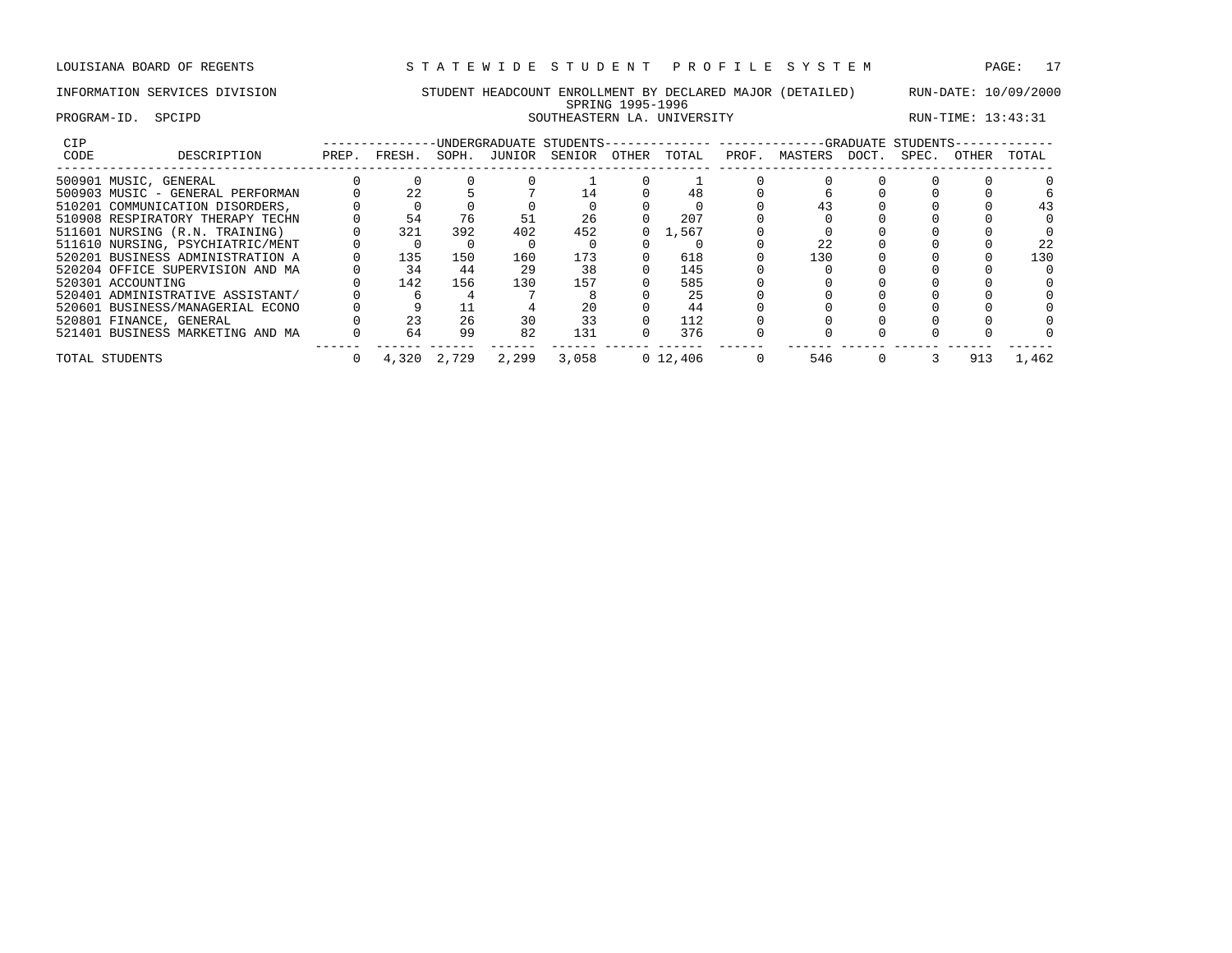# INFORMATION SERVICES DIVISION STUDENT HEADCOUNT ENROLLMENT BY DECLARED MAJOR (DETAILED) RUN-DATE: 10/09/2000 SPRING 1995-1996 PROGRAM-ID. SPCIPD SOUTHEASTERN LA. UNIVERSITY RUN-TIME: 13:43:31

| CIP  |                                  |       |        |             |              | -UNDERGRADUATE STUDENTS-------------- |       |            |       | -------------GRADUATE STUDENTS- |       |       |              |       |
|------|----------------------------------|-------|--------|-------------|--------------|---------------------------------------|-------|------------|-------|---------------------------------|-------|-------|--------------|-------|
| CODE | DESCRIPTION                      | PREP. | FRESH. |             | SOPH. JUNIOR | SENIOR                                | OTHER | TOTAL      | PROF. | MASTERS                         | DOCT. | SPEC. | <b>OTHER</b> | TOTAL |
|      | 500901 MUSIC, GENERAL            |       |        |             |              |                                       |       |            |       |                                 |       |       |              |       |
|      | 500903 MUSIC - GENERAL PERFORMAN |       | 22     |             |              |                                       |       |            |       |                                 |       |       |              |       |
|      | 510201 COMMUNICATION DISORDERS.  |       |        |             |              |                                       |       |            |       |                                 |       |       |              |       |
|      | 510908 RESPIRATORY THERAPY TECHN |       | 54     | 76          | 51           | 26                                    |       | 207        |       |                                 |       |       |              |       |
|      | 511601 NURSING (R.N. TRAINING)   |       | 321    | 392         | 402          | 452                                   |       | 1,567      |       |                                 |       |       |              |       |
|      | 511610 NURSING, PSYCHIATRIC/MENT |       |        |             |              |                                       |       |            |       |                                 |       |       |              | 22    |
|      | 520201 BUSINESS ADMINISTRATION A |       | 135    | 150         | 160          | 173                                   |       | 618        |       | 130                             |       |       |              | 130   |
|      | 520204 OFFICE SUPERVISION AND MA |       | 34     | 44          | 29           | 38                                    |       | 145        |       |                                 |       |       |              |       |
|      | 520301 ACCOUNTING                |       | 142    | 156         | 130          | 157                                   |       | 585        |       |                                 |       |       |              |       |
|      | 520401 ADMINISTRATIVE ASSISTANT/ |       |        |             |              |                                       |       | 25         |       |                                 |       |       |              |       |
|      | 520601 BUSINESS/MANAGERIAL ECONO |       |        |             |              |                                       |       | 44         |       |                                 |       |       |              |       |
|      | 520801 FINANCE, GENERAL          |       | 23     | 26          | 30           | 33                                    |       | 112        |       |                                 |       |       |              |       |
|      | 521401 BUSINESS MARKETING AND MA |       | 64     | 99          | 82           | 131                                   |       | 376        |       |                                 |       |       |              |       |
|      | TOTAL STUDENTS                   |       |        | 4,320 2,729 | 2,299        | 3,058                                 |       | 0, 12, 406 |       | 546                             |       |       | 913          | 1,462 |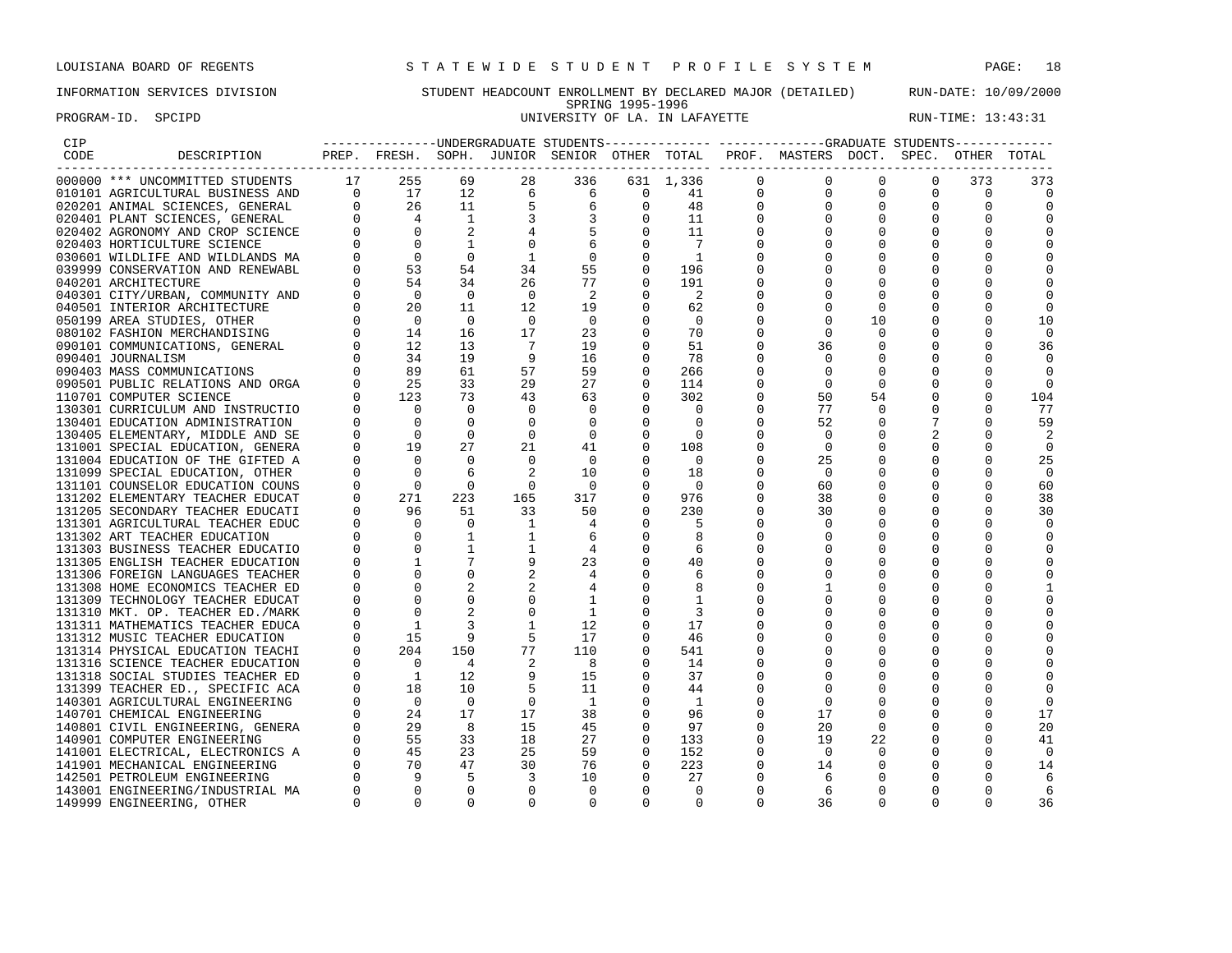# INFORMATION SERVICES DIVISION STUDENT HEADCOUNT ENROLLMENT BY DECLARED MAJOR (DETAILED) RUN-DATE: 10/09/2000 SPRING 1995-1996<br>UNIVERSITY OF LA. IN LAFAYETTE PROGRAM-ID. SPCIPD **EXAM-ID.** SPCIPD **EXAM-ID.** SPCIPD **UNIVERSITY OF LA. IN LAFAYETTE** RUN-TIME: 13:43:31

| CIP  |                                    |              |                                                 |                |                                                                     |                                            |                |                                  |                | ---------------UNDERGRADUATE STUDENTS------------- -----------GRADUATE STUDENTS------------ |             |              |              |                |
|------|------------------------------------|--------------|-------------------------------------------------|----------------|---------------------------------------------------------------------|--------------------------------------------|----------------|----------------------------------|----------------|---------------------------------------------------------------------------------------------|-------------|--------------|--------------|----------------|
| CODE | DESCRIPTION                        |              |                                                 |                |                                                                     |                                            |                |                                  |                | PREP. FRESH. SOPH. JUNIOR SENIOR OTHER TOTAL PROF. MASTERS DOCT. SPEC. OTHER                |             |              |              | TOTAL          |
|      | 000000 *** UNCOMMITTED STUDENTS    | 17           | 255                                             | 69             | 28                                                                  | 336                                        |                | 631 1,336<br>$1,336$<br>41<br>48 | 0              | $\mathbf 0$                                                                                 | $\mathbf 0$ | 0            | 373          | 373            |
|      | 010101 AGRICULTURAL BUSINESS AND   |              | $0$ 17                                          |                |                                                                     | $6\overline{6}$                            | $\overline{0}$ |                                  | $\overline{0}$ | $\mathbf 0$                                                                                 | $\mathbf 0$ | $\mathbf{0}$ | $\mathbf 0$  | $\overline{0}$ |
|      | 020201 ANIMAL SCIENCES, GENERAL    | $\Omega$     |                                                 |                | $\begin{array}{ccc} 12 & \qquad & 6 \\ 11 & \qquad & 5 \end{array}$ |                                            | $\mathbf{0}$   |                                  | 0              | 0                                                                                           | 0           | 0            | $\mathbf 0$  | $\mathbf 0$    |
|      | 020401 PLANT SCIENCES, GENERAL     | $\Omega$     | $\begin{array}{c} 26 \\ 4 \end{array}$          | $\overline{1}$ | 3                                                                   | $\begin{array}{c} 6 \\ 3 \\ 5 \end{array}$ | $\Omega$       | 11                               | $\Omega$       | $\Omega$                                                                                    | $\Omega$    | $\Omega$     | $\Omega$     | $\Omega$       |
|      | 020402 AGRONOMY AND CROP SCIENCE   |              | $\overline{0}$                                  | 2              | 4                                                                   |                                            | $\mathbf 0$    | 11                               | 0              | $\mathbf 0$                                                                                 | $\Omega$    | $\Omega$     | $\Omega$     | $\Omega$       |
|      | 020403 HORTICULTURE SCIENCE        |              | $\mathbf 0$                                     |                | $\mathbf 0$                                                         | $6\overline{6}$                            | $\mathbf 0$    | $\overline{7}$                   | 0              | $\Omega$                                                                                    | 0           | $\Omega$     | $\Omega$     | $\Omega$       |
|      | 030601 WILDLIFE AND WILDLANDS MA   |              | $\overline{0}$                                  | $\Omega$       | 1                                                                   | $\overline{0}$                             | $\mathbf 0$    | $\overline{1}$                   | U              | $\Omega$                                                                                    | $\Omega$    |              | <sup>0</sup> | $\Omega$       |
|      | 039999 CONSERVATION AND RENEWABL   |              | 53                                              | 54             | 34                                                                  | 55                                         | $\mathbf 0$    | 196                              | 0              | $\mathbf 0$                                                                                 | 0           |              | 0            | 0              |
|      | 040201 ARCHITECTURE                |              | 54                                              | 34             | 26                                                                  | 77                                         | $\overline{0}$ | 191                              | O              | $\Omega$                                                                                    | $\Omega$    | $\Omega$     | $\Omega$     | $\Omega$       |
|      | 040301 CITY/URBAN, COMMUNITY AND   |              | $\bigcirc$                                      | $\Omega$       | $\Omega$                                                            | -2                                         | $\Omega$       | 2                                | U              | $\Omega$                                                                                    | $\Omega$    |              |              | $\Omega$       |
|      | 040501 INTERIOR ARCHITECTURE       |              | $\begin{matrix} 0 \\ 0 \end{matrix}$<br>20      | 11             | 12                                                                  | 19                                         | $\Omega$       | 62                               | U              | $\Omega$                                                                                    | $\Omega$    | $\Omega$     | $\Omega$     | $\Omega$       |
|      | 050199 AREA STUDIES, OTHER         |              | $\overline{0}$                                  | $\overline{0}$ | $\overline{0}$                                                      | $\overline{\phantom{0}}$                   | $\mathbf 0$    | 0                                | 0              | $\mathbf 0$                                                                                 | 10          | 0            | $\Omega$     | 10             |
|      | 080102 FASHION MERCHANDISING       |              | $\begin{matrix} 0 \\ 0 \\ 0 \end{matrix}$<br>14 | 16             | 17                                                                  | 23                                         | $\Omega$       | 70                               | 0              | $\Omega$                                                                                    | $\Omega$    | 0            |              | $\Omega$       |
|      | 090101 COMMUNICATIONS, GENERAL     |              | 12                                              | 13             | 7                                                                   | 19                                         | $\Omega$       | 51                               | U              | 36                                                                                          | $\Omega$    | 0            | ∩            | 36             |
|      | 090401 JOURNALISM                  |              | 34                                              | 19             | 9                                                                   | 16                                         | $\Omega$       | 78                               | 0              | $\Omega$                                                                                    |             | 0            |              | $\Omega$       |
|      | 090403 MASS COMMUNICATIONS         | $\Omega$     | 89                                              | 61             | 57                                                                  | 59                                         | $\Omega$       | 266                              | $\Omega$       | $\overline{0}$                                                                              | $\Omega$    | $\mathbf 0$  | <sup>0</sup> | $\Omega$       |
|      |                                    | $\Omega$     | 25                                              | 33             | 29                                                                  | 27                                         | $\Omega$       | 114                              | U              | $\mathbf 0$                                                                                 | $\Omega$    | 0            | $\Omega$     |                |
|      | 090501 PUBLIC RELATIONS AND ORGA   |              | 123                                             | 73             | 43                                                                  | 63                                         | $\Omega$       | 302                              | $\Omega$       | 50                                                                                          | 54          | 0            | $\Omega$     | 0<br>104       |
|      | 110701 COMPUTER SCIENCE            | $\Omega$     | $\overline{0}$                                  | $\Omega$       | $\mathbf 0$                                                         | $\mathbf 0$                                | $\mathbf 0$    | $\mathbf 0$                      | 0              | 77                                                                                          | 0           | 0            | $\Omega$     | 77             |
|      | 130301 CURRICULUM AND INSTRUCTIO   | $\Omega$     |                                                 |                |                                                                     |                                            |                |                                  |                |                                                                                             |             |              |              |                |
|      | 130401 EDUCATION ADMINISTRATION    |              | $\overline{0}$                                  | $\Omega$       | $\overline{0}$                                                      | $\overline{0}$                             | $\Omega$       | $\Omega$                         | $\Omega$       | 52                                                                                          | $\Omega$    |              |              | 59             |
|      | 130405 ELEMENTARY, MIDDLE AND SE   | $\Omega$     | $\overline{0}$                                  | $\Omega$       | $\Omega$                                                            | $\bigcirc$                                 | $\Omega$       | $\Omega$                         | $\Omega$       | $\Omega$                                                                                    | $\Omega$    | 2            | ∩            | 2              |
|      | 131001 SPECIAL EDUCATION, GENERA   | $\mathbf 0$  | 19                                              | 27             | 21                                                                  | 41                                         | 0              | 108                              | 0              | $\mathbf 0$                                                                                 | 0           | 0            | 0            | 0              |
|      | 131004 EDUCATION OF THE GIFTED A   | $\Omega$     | $\overline{0}$                                  | $\Omega$       | $\mathbf 0$                                                         | $\overline{0}$                             | $\Omega$       | $\overline{\phantom{0}}$         | 0              | 25                                                                                          |             | $\mathbf 0$  | $\Omega$     | 25             |
|      | 131099 SPECIAL EDUCATION, OTHER    | $\Omega$     | $\overline{0}$                                  | 6              | 2                                                                   | 10                                         | $\Omega$       | 18                               | $\Omega$       | $\Omega$                                                                                    | $\Omega$    | 0            | $\Omega$     | $\circ$        |
|      | 131101 COUNSELOR EDUCATION COUNS   | $\Omega$     | $\overline{0}$                                  | $\Omega$       | $\Omega$                                                            | $\Omega$                                   | $\Omega$       | $\Omega$                         | $\Omega$       | 60                                                                                          | 0           | 0            | <sup>0</sup> | 60             |
|      | 131202 ELEMENTARY TEACHER EDUCAT   | $\Omega$     | 271                                             | 223            | 165                                                                 | 317                                        | $\mathbf 0$    | 976                              | 0              | 38                                                                                          | 0           | $\mathbf 0$  | $\Omega$     | 38             |
|      | 131205 SECONDARY TEACHER EDUCATI   | $\Omega$     | 96                                              | 51             | 33                                                                  | 50                                         | $\Omega$       | 230                              | 0              | 30                                                                                          | $\Omega$    | $\Omega$     | <sup>0</sup> | 30             |
|      | 131301 AGRICULTURAL TEACHER EDUC   | $\Omega$     | $\Omega$                                        | $\Omega$       | <sup>1</sup>                                                        | 4                                          | $\Omega$       | 5                                | $\Omega$       | $\Omega$                                                                                    | $\Omega$    | 0            | $\Omega$     | $\Omega$       |
|      | 131302 ART TEACHER EDUCATION       | $\Omega$     | $\mathbf 0$                                     | 1              | 1                                                                   | 6                                          | $\mathbf 0$    | 8                                | 0              | 0                                                                                           | $\Omega$    | O            | $\Omega$     | 0              |
|      | 131303 BUSINESS TEACHER EDUCATIO   | $\Omega$     | $\Omega$                                        |                | 1                                                                   | $\overline{4}$                             | $\Omega$       | -6                               | 0              | $\Omega$                                                                                    |             |              | <sup>0</sup> | $\Omega$       |
|      | 131305 ENGLISH TEACHER EDUCATION   | $\Omega$     |                                                 |                | 9                                                                   | 23                                         | $\Omega$       | 40                               | $\Omega$       | $\Omega$                                                                                    | $\Omega$    | O            | <sup>0</sup> | $\Omega$       |
|      | 131306 FOREIGN LANGUAGES TEACHER   | $\Omega$     | $\mathbf 0$                                     | $\mathbf 0$    |                                                                     | $\overline{4}$                             | $\mathbf 0$    | -6                               | 0              | $\mathbf 0$                                                                                 | 0           | O            | $\Omega$     | 0              |
|      | 131308 HOME ECONOMICS TEACHER ED   |              | $\mathbf 0$                                     |                | 2                                                                   | $\overline{4}$                             | $\mathbf 0$    | 8                                | 0              | 1                                                                                           | 0           | 0            | $\Omega$     |                |
|      | 131309 TECHNOLOGY TEACHER EDUCAT   |              | $\Omega$                                        | $\Omega$       | 0                                                                   | 1                                          | $\Omega$       | 1                                |                | $\Omega$                                                                                    | $\Omega$    |              |              | $\Omega$       |
|      | 131310 MKT. OP. TEACHER ED. / MARK | $\Omega$     | $\Omega$                                        | 2              | 0                                                                   | 1                                          | $\Omega$       | 3                                | O              |                                                                                             |             | O            | <sup>0</sup> | $\Omega$       |
|      | 131311 MATHEMATICS TEACHER EDUCA   | $\Omega$     | 1                                               | 3              | 1                                                                   | 12                                         | $\Omega$       | 17                               | U              |                                                                                             |             |              | <sup>0</sup> | $\Omega$       |
|      | 131312 MUSIC TEACHER EDUCATION     | $\Omega$     | 15                                              | 9              | 5                                                                   | 17                                         | $\mathbf 0$    | 46                               |                | $\Omega$                                                                                    | $\Omega$    |              | <sup>0</sup> | O              |
|      | 131314 PHYSICAL EDUCATION TEACHI   | $\Omega$     | 204                                             | 150            | 77                                                                  | 110                                        | 0              | 541                              | O              | 0                                                                                           | 0           | O            | $\Omega$     | 0              |
|      | 131316 SCIENCE TEACHER EDUCATION   | $\Omega$     | $\overline{0}$                                  | $\overline{4}$ |                                                                     | - 8                                        | $\mathbf 0$    | 14                               | U              | $\mathbf 0$                                                                                 | 0           |              | <sup>0</sup> | 0              |
|      | 131318 SOCIAL STUDIES TEACHER ED   | $\mathbf{0}$ | $\overline{1}$                                  | 12             | 9                                                                   | 15                                         | $\mathbf 0$    | 37                               | 0              | $\mathbf 0$                                                                                 |             |              |              | $\Omega$       |
|      | 131399 TEACHER ED., SPECIFIC ACA   | $\Omega$     | 18                                              | 10             | 5                                                                   | 11                                         | $\Omega$       | 44                               | U              | $\Omega$                                                                                    | $\Omega$    | O            | n            | $\Omega$       |
|      | 140301 AGRICULTURAL ENGINEERING    | $\Omega$     | $\Omega$                                        | $\Omega$       | $\Omega$                                                            | $\overline{1}$                             | $\Omega$       | 1                                | U              | $\Omega$                                                                                    | $\Omega$    |              |              | $\Omega$       |
|      | 140701 CHEMICAL ENGINEERING        | $\mathbf{0}$ | 24                                              | 17             | 17                                                                  | 38                                         | $\mathbf 0$    | 96                               | 0              | 17                                                                                          | 0           | 0            | 0            | 17             |
|      | 140801 CIVIL ENGINEERING, GENERA   |              | 29                                              | 8              | 15                                                                  | 45                                         | $\Omega$       | 97                               | $\Omega$       | 20                                                                                          | $\Omega$    | 0            | $\Omega$     | 20             |
|      | 140901 COMPUTER ENGINEERING        | $\Omega$     | 55                                              | 33             | 18                                                                  | 27                                         | $\mathbf 0$    | 133                              | 0              | 19                                                                                          | 22          | 0            | $\Omega$     | 41             |
|      | 141001 ELECTRICAL, ELECTRONICS A   | $\Omega$     | 45                                              | 23             | 25                                                                  | 59                                         | $\mathbf 0$    | 152                              | 0              | $\overline{0}$                                                                              | 0           | 0            | $\Omega$     | $\overline{0}$ |
|      | 141901 MECHANICAL ENGINEERING      | $\Omega$     | 70                                              | 47             | 30                                                                  | 76                                         | $\mathbf 0$    | 223                              | 0              | 14                                                                                          | 0           |              | $\Omega$     | 14             |
|      | 142501 PETROLEUM ENGINEERING       | $\Omega$     | 9                                               | 5              | 3                                                                   | 10                                         | $\mathbf 0$    | 27                               | 0              | 6                                                                                           | 0           | 0            | 0            | 6              |
|      | 143001 ENGINEERING/INDUSTRIAL MA   |              | $\Omega$                                        | $\Omega$       | $\Omega$                                                            | $\Omega$                                   | $\Omega$       | $\Omega$                         | O              | 6                                                                                           | $\Omega$    | $\Omega$     | <sup>0</sup> | 6              |
|      | 149999 ENGINEERING, OTHER          | $\Omega$     | $\Omega$                                        | $\Omega$       | $\mathbf 0$                                                         | $\Omega$                                   | $\Omega$       | $\Omega$                         | $\Omega$       | 36                                                                                          | $\Omega$    | $\Omega$     | $\Omega$     | 36             |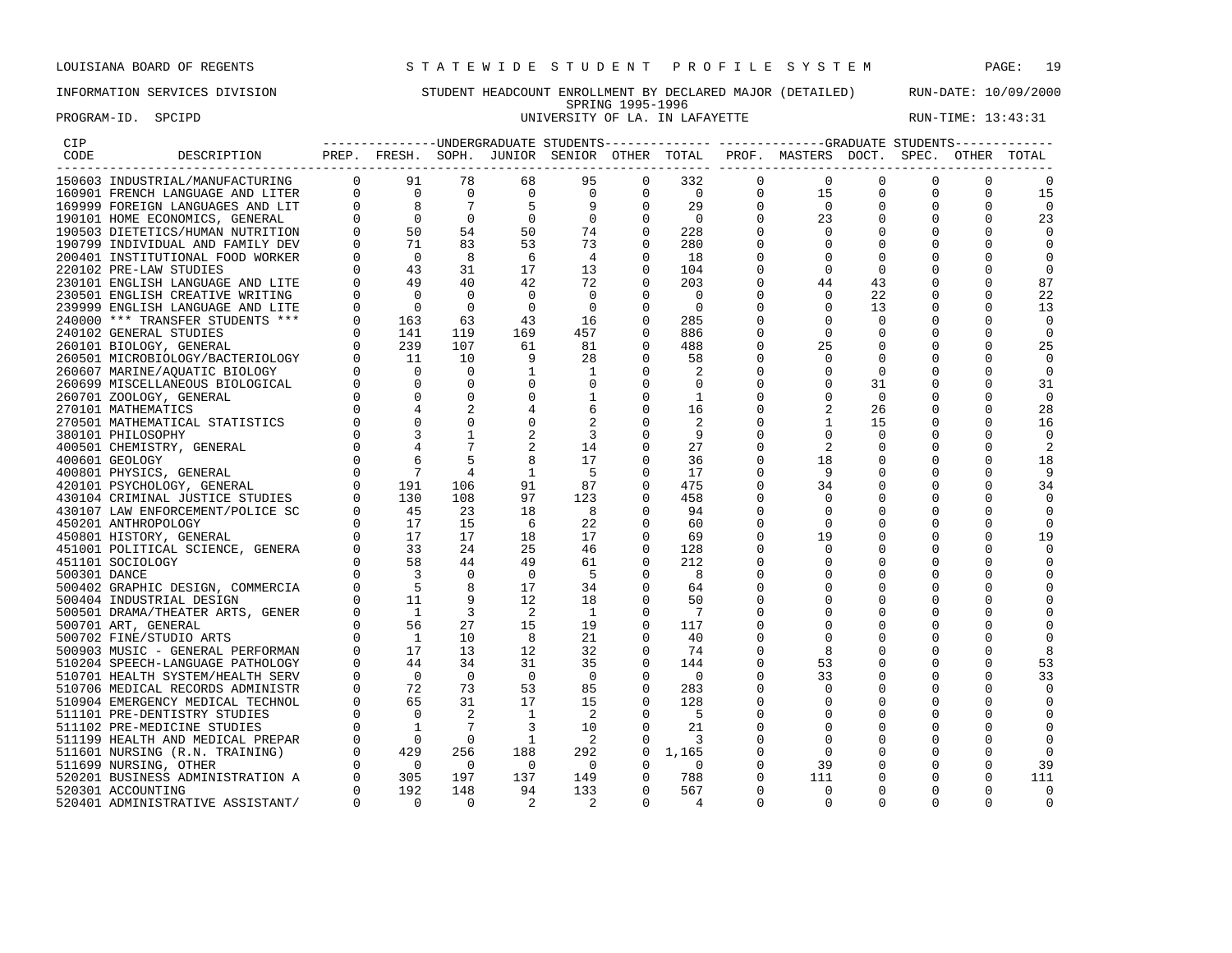### INFORMATION SERVICES DIVISION STUDENT HEADCOUNT ENROLLMENT BY DECLARED MAJOR (DETAILED) RUN-DATE: 10/09/2000 SPRING 1995-1996 PROGRAM-ID. SPCIPD **EXAM-ID.** SPCIPD **EXAM-ID.** SPCIPD **UNIVERSITY OF LA. IN LAFAYETTE** RUN-TIME: 13:43:31

| CIP          |                                                               |                                                                                                                                                                                                                                                                                                                                         |                                                                                                                                                                                           |                            |                            |                                                                                                        |                      |                          |                | ---------------UNDERGRADUATE STUDENTS-------------- ------------GRADUATE STUDENTS------------ |                |             |              |                |
|--------------|---------------------------------------------------------------|-----------------------------------------------------------------------------------------------------------------------------------------------------------------------------------------------------------------------------------------------------------------------------------------------------------------------------------------|-------------------------------------------------------------------------------------------------------------------------------------------------------------------------------------------|----------------------------|----------------------------|--------------------------------------------------------------------------------------------------------|----------------------|--------------------------|----------------|-----------------------------------------------------------------------------------------------|----------------|-------------|--------------|----------------|
| CODE         | DESCRIPTION                                                   |                                                                                                                                                                                                                                                                                                                                         |                                                                                                                                                                                           |                            |                            |                                                                                                        |                      |                          |                | PREP. FRESH. SOPH. JUNIOR SENIOR OTHER TOTAL PROF. MASTERS DOCT. SPEC. OTHER TOTAL            |                |             |              |                |
|              |                                                               |                                                                                                                                                                                                                                                                                                                                         |                                                                                                                                                                                           |                            |                            | 95                                                                                                     | 0                    | $332$<br>0<br>29         | $\mathbf{0}$   | $\overline{0}$                                                                                | 0              | $\mathbf 0$ | 0            |                |
|              |                                                               |                                                                                                                                                                                                                                                                                                                                         |                                                                                                                                                                                           |                            |                            | $\overline{0}$<br>$\begin{bmatrix} 0 & 0 \\ 9 & 0 \\ 9 & 0 \\ 0 & 0 \\ 74 & 0 \\ 73 & 0 \end{bmatrix}$ |                      |                          | $\overline{0}$ | 15                                                                                            | $\mathbf 0$    | $\mathbf 0$ |              | 15             |
|              |                                                               |                                                                                                                                                                                                                                                                                                                                         |                                                                                                                                                                                           |                            |                            |                                                                                                        |                      |                          | $\mathbf{0}$   | $\overline{0}$                                                                                | 0              | $\mathbf 0$ |              | $\Omega$       |
|              |                                                               |                                                                                                                                                                                                                                                                                                                                         |                                                                                                                                                                                           |                            |                            |                                                                                                        |                      | $\overline{0}$           | $\Omega$       | 23                                                                                            | $\Omega$       | $\Omega$    | $\Omega$     | 23             |
|              |                                                               |                                                                                                                                                                                                                                                                                                                                         |                                                                                                                                                                                           |                            |                            |                                                                                                        |                      | 228                      | $\Omega$       | $\Omega$                                                                                      |                | $\Omega$    |              | $\Omega$       |
|              |                                                               |                                                                                                                                                                                                                                                                                                                                         |                                                                                                                                                                                           |                            |                            |                                                                                                        |                      | 280                      | 0              | $\mathbf 0$                                                                                   | $\Omega$       | $\Omega$    |              | $\Omega$       |
|              |                                                               |                                                                                                                                                                                                                                                                                                                                         |                                                                                                                                                                                           |                            |                            | $\overline{4}$                                                                                         | $\Omega$             | 18                       |                | $\Omega$                                                                                      | $\Omega$       |             |              | $\Omega$       |
|              | 220102 PRE-LAW STUDIES                                        |                                                                                                                                                                                                                                                                                                                                         | 43                                                                                                                                                                                        | 31                         | 17                         | 13                                                                                                     | $\overline{0}$       | 104                      |                | $\mathbf 0$                                                                                   | $\mathbf 0$    |             |              | $\Omega$       |
|              | 230101 ENGLISH LANGUAGE AND LITE                              |                                                                                                                                                                                                                                                                                                                                         | 49                                                                                                                                                                                        | 40                         | 42                         | 72                                                                                                     | $\overline{0}$       | 203                      | O              | 44                                                                                            | 43             | $\Omega$    |              | 87             |
|              | 230501 ENGLISH CREATIVE WRITING                               | $\Omega$                                                                                                                                                                                                                                                                                                                                | $\bigcap$                                                                                                                                                                                 | $\bigcirc$                 | $\Omega$                   | $\Omega$                                                                                               | $\Omega$             | $\Omega$                 |                | $\Omega$                                                                                      | 22             |             |              | 22             |
|              | 239999 ENGLISH LANGUAGE AND LITE                              | $\Omega$                                                                                                                                                                                                                                                                                                                                | $\overline{0}$                                                                                                                                                                            | $\bigcirc$                 | $\Omega$                   | $\bigcirc$                                                                                             | $\Omega$             | $\Omega$                 | U              | $\Omega$                                                                                      | 13             | $\Omega$    |              | 13             |
|              |                                                               | $\mathbf 0$                                                                                                                                                                                                                                                                                                                             | 163                                                                                                                                                                                       |                            |                            | 16                                                                                                     | $\mathbf 0$          |                          |                | $\mathbf 0$                                                                                   | $\mathbf 0$    | $\mathbf 0$ |              | $\mathbf 0$    |
|              | 240000 *** TRANSFER STUDENTS ***                              | $\Omega$                                                                                                                                                                                                                                                                                                                                | 141                                                                                                                                                                                       | 63<br>119                  | 43<br>169                  | 457                                                                                                    | $\Omega$             | 285<br>886               |                | $\mathbf 0$                                                                                   | $\mathbf 0$    |             |              | $\Omega$       |
|              | 240102 GENERAL STUDIES                                        | $\Omega$                                                                                                                                                                                                                                                                                                                                | 239                                                                                                                                                                                       | 107                        | 61                         | 81                                                                                                     | $\Omega$             | 488                      | U              | 25                                                                                            | $\Omega$       |             |              | 25             |
|              | 260101 BIOLOGY, GENERAL                                       | $\Omega$                                                                                                                                                                                                                                                                                                                                |                                                                                                                                                                                           | 10                         |                            |                                                                                                        | $\Omega$             |                          |                | $\Omega$                                                                                      |                |             |              | $\Omega$       |
|              | 260501 MICROBIOLOGY/BACTERIOLOGY                              |                                                                                                                                                                                                                                                                                                                                         | - 11<br>$\bigcirc$                                                                                                                                                                        | $\Omega$                   | 9<br>$\mathbf{1}$          | 28                                                                                                     |                      | 58                       | O              | $\Omega$                                                                                      | $\Omega$       |             |              |                |
|              | 260607 MARINE/AOUATIC BIOLOGY                                 |                                                                                                                                                                                                                                                                                                                                         | $\overline{0}$                                                                                                                                                                            |                            |                            | 1                                                                                                      | $\Omega$             | 2                        |                |                                                                                               | $\overline{0}$ | $\Omega$    |              | $\mathbf 0$    |
|              | 260699 MISCELLANEOUS BIOLOGICAL                               |                                                                                                                                                                                                                                                                                                                                         | $\bigcirc$                                                                                                                                                                                | $\overline{0}$<br>$\Omega$ | $\mathbf 0$<br>$\mathbf 0$ | $\mathbf 0$                                                                                            | $\Omega$             | 0                        | U              | $\Omega$<br>$\Omega$                                                                          | 31             | $\Omega$    |              | 31<br>$\Omega$ |
|              | 260701 ZOOLOGY, GENERAL                                       |                                                                                                                                                                                                                                                                                                                                         |                                                                                                                                                                                           |                            |                            | 1                                                                                                      | $\mathbf 0$          | $\overline{1}$           | 0<br>O         |                                                                                               | $\Omega$       |             |              |                |
|              | 270101 MATHEMATICS                                            |                                                                                                                                                                                                                                                                                                                                         | $\Omega$                                                                                                                                                                                  |                            |                            | 6                                                                                                      | $\Omega$             | 16                       |                | 1                                                                                             | 26<br>15       | 0           |              | 28<br>16       |
|              | 270501 MATHEMATICAL STATISTICS                                |                                                                                                                                                                                                                                                                                                                                         |                                                                                                                                                                                           |                            |                            | $\overline{\mathbf{3}}$                                                                                | $\Omega$             | -9                       |                | $\Omega$                                                                                      | $\Omega$       |             |              | $\Omega$       |
|              | 380101 PHILOSOPHY                                             |                                                                                                                                                                                                                                                                                                                                         |                                                                                                                                                                                           | $7\phantom{.0}$            |                            | 14                                                                                                     | $\mathbf 0$          |                          | 0              | 2                                                                                             |                | 0           |              |                |
|              | 400501 CHEMISTRY, GENERAL                                     |                                                                                                                                                                                                                                                                                                                                         |                                                                                                                                                                                           | 5                          |                            | 17                                                                                                     | $\Omega$             | 27<br>36                 |                | 18                                                                                            | 0              |             |              | 2              |
|              | 400601 GEOLOGY                                                |                                                                                                                                                                                                                                                                                                                                         |                                                                                                                                                                                           |                            | 8                          |                                                                                                        |                      |                          | 0              | 9                                                                                             | 0              |             |              | 18             |
|              | 400801 PHYSICS, GENERAL                                       |                                                                                                                                                                                                                                                                                                                                         |                                                                                                                                                                                           | 4                          | <sup>1</sup>               | - 5                                                                                                    | $\Omega$             | 17                       | 0              |                                                                                               | O              |             |              | 9              |
|              | 420101 PSYCHOLOGY, GENERAL<br>430104 CRIMINAL JUSTICE STUDIES |                                                                                                                                                                                                                                                                                                                                         |                                                                                                                                                                                           | 106<br>108                 | 91<br>97                   | 87<br>123                                                                                              | $\Omega$<br>$\Omega$ | 475<br>458               | U<br>$\Omega$  | 34<br>$\mathbf 0$                                                                             | 0              |             |              | 34<br>$\Omega$ |
|              |                                                               |                                                                                                                                                                                                                                                                                                                                         |                                                                                                                                                                                           | 23                         | 18                         | 8                                                                                                      | $\Omega$             | 94                       | U              | 0                                                                                             | O              |             |              | $\Omega$       |
|              | 430107 LAW ENFORCEMENT/POLICE SC                              |                                                                                                                                                                                                                                                                                                                                         | $\begin{array}{cccc} 0 & & 3 \\ 0 & & 4 \\ 0 & & 6 \\ 0 & & 7 \\ 0 & & 191 \\ 0 & & 130 \\ 0 & & 45 \\ 0 & & 17 \\ 0 & & 33 \\ 0 & & 58 \\ 0 & & 3 \\ 0 & & 5 \\ 0 & & 11 \\ \end{array}$ | 15                         | - 6                        | 22                                                                                                     | $\Omega$             | 60                       | U              | $\Omega$                                                                                      | 0              |             |              | $\Omega$       |
|              | 450201 ANTHROPOLOGY                                           |                                                                                                                                                                                                                                                                                                                                         |                                                                                                                                                                                           | 17                         | 18                         | 17                                                                                                     | $\overline{0}$       | 69                       | O              | 19                                                                                            | $\Omega$       |             |              | 19             |
|              | 450801 HISTORY, GENERAL<br>451001 POLITICAL SCIENCE, GENERA   |                                                                                                                                                                                                                                                                                                                                         |                                                                                                                                                                                           | 24                         | 25                         | 46                                                                                                     | $\Omega$             | 128                      |                |                                                                                               |                |             |              | $\Omega$       |
|              |                                                               |                                                                                                                                                                                                                                                                                                                                         |                                                                                                                                                                                           | 44                         | 49                         | 61                                                                                                     | $\Omega$             | 212                      |                | $\Omega$                                                                                      | $\Omega$       |             |              |                |
| 500301 DANCE | 451101 SOCIOLOGY                                              |                                                                                                                                                                                                                                                                                                                                         |                                                                                                                                                                                           | $\overline{0}$             | $\overline{0}$             | - 5                                                                                                    | $\mathbf 0$          | - 8                      |                | 0                                                                                             | $\Omega$       |             |              |                |
|              |                                                               |                                                                                                                                                                                                                                                                                                                                         |                                                                                                                                                                                           | 8                          | 17                         | 34                                                                                                     | $\mathbf 0$          | 64                       | 0              | 0                                                                                             | 0              |             | <sup>0</sup> |                |
|              | 500402 GRAPHIC DESIGN, COMMERCIA                              | $\Omega$                                                                                                                                                                                                                                                                                                                                | 11                                                                                                                                                                                        | - 9                        | 12                         | 18                                                                                                     | $\Omega$             | 50                       |                | $\Omega$                                                                                      | $\Omega$       |             |              |                |
|              | 500404 INDUSTRIAL DESIGN<br>500501 DRAMA/THEATER ARTS, GENER  | $\Omega$                                                                                                                                                                                                                                                                                                                                | $\overline{1}$                                                                                                                                                                            | $\overline{3}$             | - 2                        | $\overline{1}$                                                                                         | $\Omega$             | - 7                      |                |                                                                                               |                |             |              |                |
|              | 500701 ART, GENERAL                                           | $\Omega$                                                                                                                                                                                                                                                                                                                                | 56                                                                                                                                                                                        | 27                         | 15                         | 19                                                                                                     | $\mathbf 0$          | 117                      |                | $\Omega$                                                                                      | $\Omega$       |             |              |                |
|              | 500702 FINE/STUDIO ARTS                                       | $\Omega$                                                                                                                                                                                                                                                                                                                                | $\overline{1}$                                                                                                                                                                            | 10                         | 8 <sup>8</sup>             | 21                                                                                                     | $\Omega$             | 40                       |                | $\Omega$                                                                                      |                |             |              |                |
|              | 500903 MUSIC - GENERAL PERFORMAN                              | $\Omega$                                                                                                                                                                                                                                                                                                                                | 17                                                                                                                                                                                        | 13 <sup>°</sup>            | 12                         | 32                                                                                                     | 0                    | 74                       | U              | 8                                                                                             | 0              | $\Omega$    |              | 8              |
|              | 510204 SPEECH-LANGUAGE PATHOLOGY                              | $\Omega$                                                                                                                                                                                                                                                                                                                                | 44                                                                                                                                                                                        | 34                         | 31                         | 35                                                                                                     | $\mathbf 0$          | 144                      | O              | 53                                                                                            | $\Omega$       |             |              | 53             |
|              | 510701 HEALTH SYSTEM/HEALTH SERV                              | $\mathbf 0$                                                                                                                                                                                                                                                                                                                             | $\overline{0}$                                                                                                                                                                            | $\overline{0}$             | $\overline{0}$             | $\overline{0}$                                                                                         | $\mathbf 0$          | $\overline{\phantom{0}}$ | 0              | 33                                                                                            | 0              |             |              | 33             |
|              | 510706 MEDICAL RECORDS ADMINISTR                              | $\Omega$                                                                                                                                                                                                                                                                                                                                | 72                                                                                                                                                                                        | 73                         | 53                         | 85                                                                                                     | $\Omega$             | 283                      | U              | $\Omega$                                                                                      | 0              | $\Omega$    |              |                |
|              | 510904 EMERGENCY MEDICAL TECHNOL                              | $\Omega$                                                                                                                                                                                                                                                                                                                                | 65                                                                                                                                                                                        | 31                         | 17                         | 15                                                                                                     | $\Omega$             | 128                      |                | $\Omega$                                                                                      |                |             |              |                |
|              | 511101 PRE-DENTISTRY STUDIES                                  |                                                                                                                                                                                                                                                                                                                                         | $\overline{0}$                                                                                                                                                                            | 2                          | <sup>1</sup>               | $\overline{\phantom{0}}^2$                                                                             | $\mathbf 0$          | - 5                      | 0              | 0                                                                                             | 0              | 0           |              | $\Omega$       |
|              | 511102 PRE-MEDICINE STUDIES                                   |                                                                                                                                                                                                                                                                                                                                         | $\overline{1}$                                                                                                                                                                            | $\overline{7}$             | $\overline{3}$             | 10                                                                                                     | $\Omega$             | 21                       |                | $\Omega$                                                                                      | $\Omega$       |             |              |                |
|              | 511199 HEALTH AND MEDICAL PREPAR                              |                                                                                                                                                                                                                                                                                                                                         | $\bigcirc$                                                                                                                                                                                | $\overline{0}$             | $\overline{1}$             | $\overline{\phantom{0}}^2$                                                                             | $\mathbf 0$          | 3                        |                | $\Omega$                                                                                      | 0              |             |              |                |
|              | 511601 NURSING (R.N. TRAINING)                                |                                                                                                                                                                                                                                                                                                                                         | 429                                                                                                                                                                                       | 256                        | 188                        | 292                                                                                                    | $\mathbf 0$          | 1,165                    | 0              | $\mathbf 0$                                                                                   | 0              | $\mathbf 0$ |              |                |
|              | 511699 NURSING, OTHER                                         |                                                                                                                                                                                                                                                                                                                                         | $\overline{0}$                                                                                                                                                                            | $\overline{0}$             | $\overline{0}$             | $\overline{0}$                                                                                         | $\mathbf 0$          | $\overline{\phantom{0}}$ | $\Omega$       | 39                                                                                            | 0              | $\Omega$    |              | 39             |
|              | 520201 BUSINESS ADMINISTRATION A                              |                                                                                                                                                                                                                                                                                                                                         | 305                                                                                                                                                                                       | 197                        | 137                        | 149                                                                                                    | $\mathbf{0}$         | 788                      | 0              | 111                                                                                           | 0              | 0           | $\Omega$     | 111            |
|              | 520301 ACCOUNTING                                             |                                                                                                                                                                                                                                                                                                                                         | 192                                                                                                                                                                                       | 148                        | 94                         | 133                                                                                                    | $\Omega$             | 567                      | $\Omega$       | $\Omega$                                                                                      | $\Omega$       | $\Omega$    |              | $\Omega$       |
|              | 520401 ADMINISTRATIVE ASSISTANT/                              | $\begin{array}{ccc} 0 & 0 & 0 \\ 0 & 0 & 0 \\ 0 & 0 & 0 \\ 0 & 0 & 0 \\ 0 & 0 & 0 \\ 0 & 0 & 0 \\ 0 & 0 & 0 \\ 0 & 0 & 0 \\ 0 & 0 & 0 \\ 0 & 0 & 0 \\ 0 & 0 & 0 \\ 0 & 0 & 0 \\ 0 & 0 & 0 \\ 0 & 0 & 0 \\ 0 & 0 & 0 \\ 0 & 0 & 0 \\ 0 & 0 & 0 \\ 0 & 0 & 0 \\ 0 & 0 & 0 \\ 0 & 0 & 0 \\ 0 & 0 & 0 \\ 0 & 0 & 0 \\ 0 & 0 & 0 \\ 0 & 0 &$ | $\overline{0}$                                                                                                                                                                            | $\Omega$                   |                            |                                                                                                        | $\Omega$             |                          | $\Omega$       | $\Omega$                                                                                      | $\Omega$       | $\Omega$    | $\Omega$     |                |
|              |                                                               |                                                                                                                                                                                                                                                                                                                                         |                                                                                                                                                                                           |                            |                            |                                                                                                        |                      |                          |                |                                                                                               |                |             |              |                |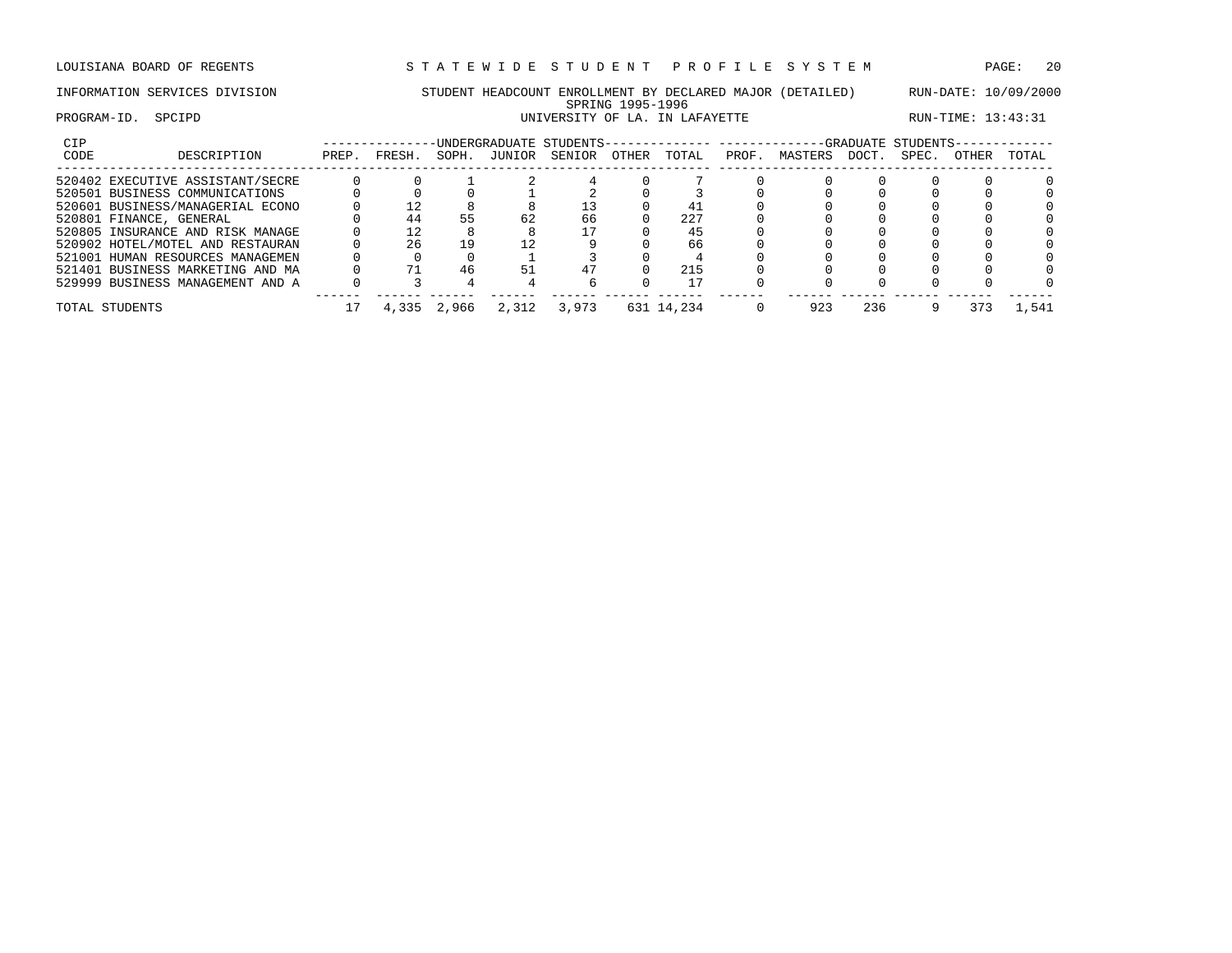LOUISIANA BOARD OF REGENTS STA TEWIDE STUDENT PROFILE SYSTEM PAGE: 20

# INFORMATION SERVICES DIVISION STUDENT HEADCOUNT ENROLLMENT BY DECLARED MAJOR (DETAILED) RUN-DATE: 10/09/2000 SPRING 1995-1996 PROGRAM-ID. SPCIPD **EXAM-ID.** SPCIPD **EXAM-ID.** SPCIPD **UNIVERSITY OF LA. IN LAFAYETTE** RUN-TIME: 13:43:31

| <b>CIP</b> |                                  |       |                |       |        | UNDERGRADUATE STUDENTS- |              |            | ----------- |         |       | -GRADUATE STUDENTS- |       |         |
|------------|----------------------------------|-------|----------------|-------|--------|-------------------------|--------------|------------|-------------|---------|-------|---------------------|-------|---------|
| CODE       | DESCRIPTION                      | PREP. | FRESH.         | SOPH. | JUNIOR | SENIOR                  | <b>OTHER</b> | TOTAL      | PROF.       | MASTERS | DOCT. | SPEC.               | OTHER | TOTAL   |
|            | 520402 EXECUTIVE ASSISTANT/SECRE |       |                |       |        |                         |              |            |             |         |       |                     |       |         |
|            | 520501 BUSINESS COMMUNICATIONS   |       |                |       |        |                         |              |            |             |         |       |                     |       |         |
|            | 520601 BUSINESS/MANAGERIAL ECONO |       | $^{\prime}$ 2. |       |        |                         |              |            |             |         |       |                     |       |         |
|            | 520801 FINANCE, GENERAL          |       | 44             |       | 62     | 66                      |              | 227        |             |         |       |                     |       |         |
|            | 520805 INSURANCE AND RISK MANAGE |       | 12             |       |        |                         |              | 45         |             |         |       |                     |       |         |
|            | 520902 HOTEL/MOTEL AND RESTAURAN |       | 26             | 19    |        |                         |              | 66         |             |         |       |                     |       |         |
|            | 521001 HUMAN RESOURCES MANAGEMEN |       |                |       |        |                         |              |            |             |         |       |                     |       |         |
|            | 521401 BUSINESS MARKETING AND MA |       |                | 46    | 51     |                         |              | 215        |             |         |       |                     |       |         |
|            | 529999 BUSINESS MANAGEMENT AND A |       |                |       |        |                         |              |            |             |         |       |                     |       |         |
|            | TOTAL STUDENTS                   |       | 4,335          | 2,966 | 2,312  | 3,973                   |              | 631 14,234 |             | 923     | 236   |                     |       | . . 541 |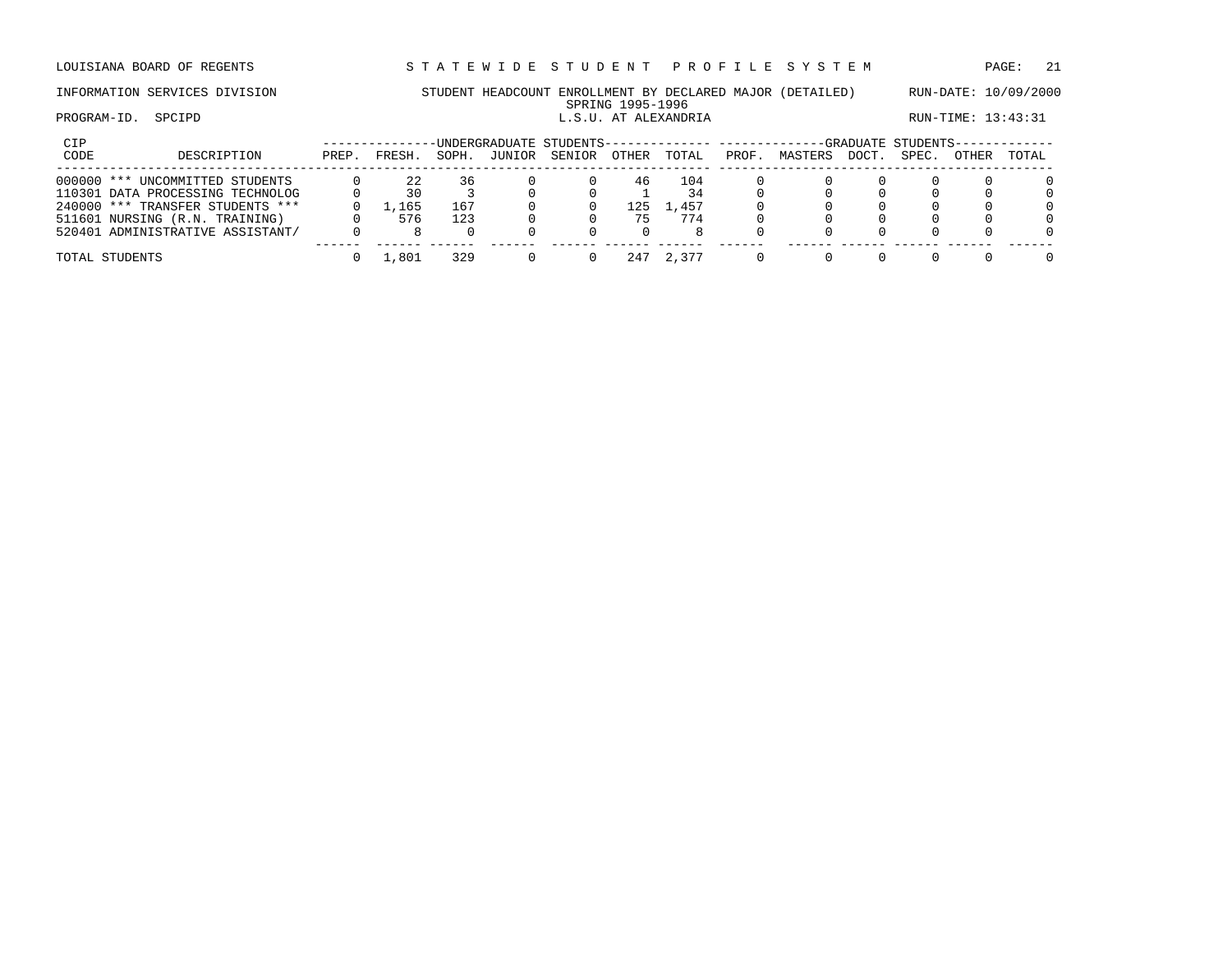# INFORMATION SERVICES DIVISION STUDENT HEADCOUNT ENROLLMENT BY DECLARED MAJOR (DETAILED) RUN-DATE: 10/09/2000

# SPRING 1995-1996<br>L.S.U. AT ALEXANDRIA PROGRAM-ID. SPCIPD **EXAMICLE SPEIPD L.S.U. AT ALEXANDRIA** RUN-TIME: 13:43:31

| CIP  |                                  |       |         |       |        | UNDERGRADUATE STUDENTS-------------- --------- |       |       |       |         |       | -GRADUATE STUDENTS- |              |          |
|------|----------------------------------|-------|---------|-------|--------|------------------------------------------------|-------|-------|-------|---------|-------|---------------------|--------------|----------|
| CODE | DESCRIPTION                      | PREP. | FRESH.  | SOPH. | JUNIOR | SENIOR                                         | OTHER | TOTAL | PROF. | MASTERS | DOCT. | SPEC.               | <b>OTHER</b> | TOTAL    |
|      | 000000 *** UNCOMMITTED STUDENTS  |       |         | 36    |        |                                                | 46    | 104   |       |         |       |                     |              | $\Omega$ |
|      | 110301 DATA PROCESSING TECHNOLOG |       | 30      |       |        |                                                |       | 34    |       |         |       |                     |              | $\Omega$ |
|      | 240000 *** TRANSFER STUDENTS *** |       | . . 165 | 167   |        |                                                | -25   | .,457 |       |         |       |                     |              | $\Omega$ |
|      | 511601 NURSING (R.N. TRAINING)   |       | 576     | 123   |        |                                                |       | 774   |       |         |       |                     |              | $\Omega$ |
|      | 520401 ADMINISTRATIVE ASSISTANT/ |       |         |       |        |                                                |       |       |       |         |       |                     |              | 0        |
|      | TOTAL STUDENTS                   |       | .,801   | 329   |        |                                                | 241   | 2.377 |       |         |       |                     |              | $\Omega$ |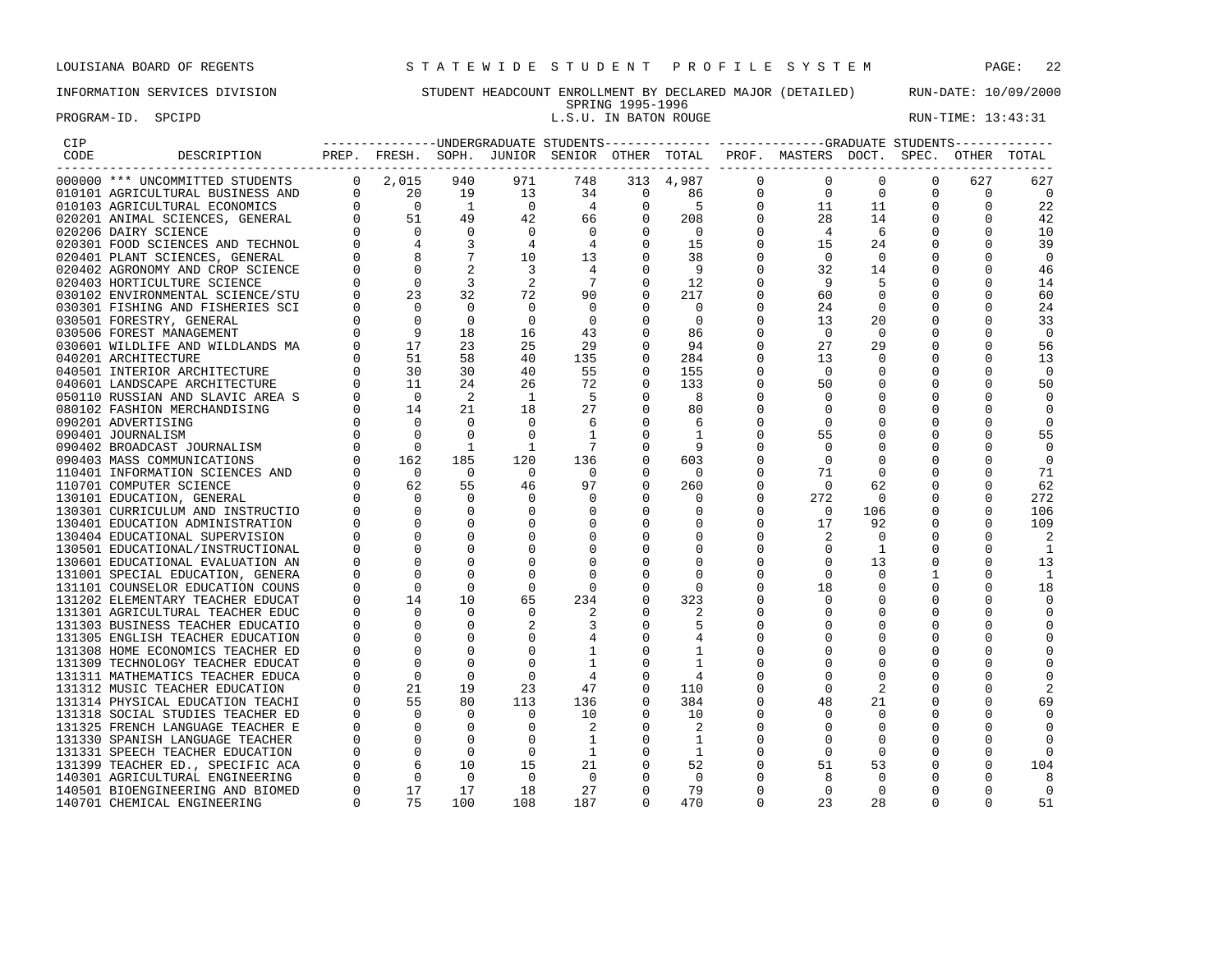# PROGRAM-ID. SPCIPD **EXECUTE:** 13:43:31

# INFORMATION SERVICES DIVISION STUDENT HEADCOUNT ENROLLMENT BY DECLARED MAJOR (DETAILED) RUN-DATE: 10/09/2000 SPRING 1995-1996<br>L.S.U. IN BATON ROUGE

| CIP  |                                  |          |                                                              |                |                          |                |              |                |              | ---------------UNDERGRADUATE STUDENTS-------------- ------------GRADUATE STUDENTS------------ |                |          |              |          |
|------|----------------------------------|----------|--------------------------------------------------------------|----------------|--------------------------|----------------|--------------|----------------|--------------|-----------------------------------------------------------------------------------------------|----------------|----------|--------------|----------|
| CODE | DESCRIPTION                      |          |                                                              |                |                          |                |              |                |              | PREP. FRESH. SOPH. JUNIOR SENIOR OTHER TOTAL PROF. MASTERS DOCT. SPEC. OTHER TOTAL            |                |          |              |          |
|      | 000000 *** UNCOMMITTED STUDENTS  |          | $0 \quad 2,015 \quad 940$                                    |                | 971                      | 748            |              | 313 4,987      | $\Omega$     | $\Omega$                                                                                      | $\Omega$       | $\Omega$ | 627          | 627      |
|      | 010101 AGRICULTURAL BUSINESS AND |          |                                                              | 19             | 13                       | 34             | $\mathbf{0}$ | 86             | $\mathbf{0}$ | $\overline{0}$                                                                                | $\mathbf 0$    | 0        | 0            | 0        |
|      | 010103 AGRICULTURAL ECONOMICS    |          | $\begin{matrix}0&1\0&0\0&0\0&51\0&0\end{matrix}$             | $\overline{1}$ | $\overline{0}$           | $\overline{4}$ | $\Omega$     | -5             | $\mathbf{0}$ | 11                                                                                            | 11             | $\Omega$ | $\Omega$     | 22       |
|      | 020201 ANIMAL SCIENCES, GENERAL  |          |                                                              | 49             | 42                       | 66             | 0            | 208            | $\mathbf{0}$ | 28                                                                                            | 14             | 0        |              | 42       |
|      | 020206 DAIRY SCIENCE             |          |                                                              | $\Omega$       | $\Omega$                 | $\Omega$       |              | $\bigcirc$     | $\Omega$     | $\overline{4}$                                                                                | - 6            |          |              | 10       |
|      | 020301 FOOD SCIENCES AND TECHNOL |          | $\overline{4}$                                               | 3              | 4                        | $\overline{4}$ |              | 15             |              | 15                                                                                            | 24             |          |              | 39       |
|      | 020401 PLANT SCIENCES, GENERAL   |          |                                                              |                | 10                       | 13             | $\Omega$     | 38             | 0            | $\overline{0}$                                                                                | $\Omega$       |          |              | $\Omega$ |
|      | 020402 AGRONOMY AND CROP SCIENCE |          | $\overline{0}$                                               |                | $\overline{\phantom{a}}$ | $\overline{4}$ | $\Omega$     | - 9            | 0            | 32                                                                                            | 14             | 0        |              | 46       |
|      | 020403 HORTICULTURE SCIENCE      |          | $\Omega$                                                     | $\overline{3}$ | 2                        | $\overline{7}$ | $\Omega$     | 12             |              | 9                                                                                             |                | 0        |              | 14       |
|      | 030102 ENVIRONMENTAL SCIENCE/STU |          | 23                                                           | 32             | 72                       | 90             | $\Omega$     | 217            | $\Omega$     | 60                                                                                            | $\Omega$       | $\Omega$ |              | 60       |
|      | 030301 FISHING AND FISHERIES SCI |          | $\Omega$                                                     | $\Omega$       |                          | $\overline{0}$ | $\Omega$     | $\Omega$       |              | 24                                                                                            | $\mathbf 0$    | 0        |              | 24       |
|      | 030501 FORESTRY, GENERAL         |          | $\overline{0}$                                               | $\Omega$       | $\Omega$                 | $\overline{0}$ |              | $\Omega$       | $\Omega$     | 13                                                                                            | 20             | $\Omega$ |              | 33       |
|      | 030506 FOREST MANAGEMENT         |          | $\overline{9}$                                               | 18             | 16                       | 43             | $\Omega$     | 86             |              | $\Omega$                                                                                      | $\Omega$       | $\Omega$ |              | $\Omega$ |
|      | 030601 WILDLIFE AND WILDLANDS MA |          | 17                                                           | 23             | 25                       | 29             |              | 94             |              | 27                                                                                            | 29             | 0        | $\Omega$     | 56       |
|      | 040201 ARCHITECTURE              |          | $\begin{array}{c} 0 \\ 0 \\ 0 \end{array}$<br>51             | 58             | 40                       | 135            |              | 284            |              | 13                                                                                            | $\Omega$       | 0        |              | 13       |
|      | 040501 INTERIOR ARCHITECTURE     |          | 30                                                           | 30             | 40                       | 55             | $\Omega$     | 155            | 0            | $\Omega$                                                                                      | $\Omega$       |          |              | $\Omega$ |
|      | 040601 LANDSCAPE ARCHITECTURE    |          | $\begin{matrix} 0 \\ 0 \end{matrix}$<br>11                   | 24             | 26                       | 72             | $\Omega$     | 133            | $\Omega$     | 50                                                                                            | $\Omega$       | $\Omega$ |              | 50       |
|      | 050110 RUSSIAN AND SLAVIC AREA S |          | $\Omega$                                                     | 2              | <sup>1</sup>             | - 5            | $\Omega$     | -8             |              | $\Omega$                                                                                      |                | $\Omega$ |              |          |
|      | 080102 FASHION MERCHANDISING     |          | 14                                                           | 21             | 18                       | 27             | $\mathbf 0$  | 80             |              | 0                                                                                             |                | 0        |              |          |
|      | 090201 ADVERTISING               |          | $\overline{0}$                                               | $\Omega$       | $\Omega$                 | 6              | $\mathbf 0$  | 6              |              | 0                                                                                             |                | 0        |              |          |
|      | 090401 JOURNALISM                |          | $\Omega$                                                     | $\Omega$       | $\Omega$                 | 1              |              |                |              | 55                                                                                            |                |          |              | 55       |
|      | 090402 BROADCAST JOURNALISM      |          | $\bigcirc$                                                   | 1              | 1                        | - 7            |              |                |              | $\Omega$                                                                                      |                | 0        |              |          |
|      | 090403 MASS COMMUNICATIONS       |          | 162                                                          | 185            | 120                      | 136            |              | 603            |              | $\Omega$                                                                                      |                |          |              |          |
|      | 110401 INFORMATION SCIENCES AND  |          | $\bigcirc$                                                   | $\Omega$       | $\cap$                   | $\Omega$       |              | <u>___</u> ດ   |              | 71                                                                                            | $\Omega$       | $\Omega$ |              | 71       |
|      | 110701 COMPUTER SCIENCE          |          |                                                              | 55             | 46                       | 97             | $\Omega$     | 260            | $\Omega$     | $\Omega$                                                                                      | 62             | $\Omega$ |              | 62       |
|      | 130101 EDUCATION, GENERAL        |          |                                                              |                | $\mathbf{0}$             | $\Omega$       |              | - 0            | 0            | 272                                                                                           | 0              | 0        |              | 272      |
|      | 130301 CURRICULUM AND INSTRUCTIO |          | $\begin{array}{ccc} 0 && 62 \\ 0 && 0 \\ 0 && 0 \end{array}$ | $\Omega$       |                          | $\mathbf 0$    | $\mathbf 0$  | 0              | $\Omega$     | $\overline{0}$                                                                                | 106            | 0        | $\Omega$     | 106      |
|      | 130401 EDUCATION ADMINISTRATION  |          | $\Omega$                                                     |                |                          | $\Omega$       | $\mathbf 0$  | 0              | 0            | 17                                                                                            | 92             | 0        |              | 109      |
|      | 130404 EDUCATIONAL SUPERVISION   |          |                                                              |                |                          |                | $\mathbf 0$  | $\Omega$       | $\Omega$     | 2                                                                                             | $\Omega$       | $\Omega$ |              |          |
|      | 130501 EDUCATIONAL/INSTRUCTIONAL |          | $\Omega$                                                     |                |                          | $\Omega$       | $\Omega$     | $\Omega$       |              | 0                                                                                             | 1              | 0        |              | 1        |
|      | 130601 EDUCATIONAL EVALUATION AN |          |                                                              |                |                          | $\Omega$       | 0            | $\Omega$       |              | $\Omega$                                                                                      | 13             | 0        | <sup>0</sup> | 13       |
|      | 131001 SPECIAL EDUCATION, GENERA |          |                                                              |                |                          | $\Omega$       | $\Omega$     |                |              | $\Omega$                                                                                      | $\Omega$       | 1        |              | -1       |
|      | 131101 COUNSELOR EDUCATION COUNS |          | $\Omega$                                                     | $\Omega$       |                          | $\Omega$       |              | $\Omega$       |              | 18                                                                                            | 0              |          |              | 18       |
|      | 131202 ELEMENTARY TEACHER EDUCAT |          | 14                                                           | 10             | 65                       | 234            | 0            | 323            |              | $\mathbf 0$                                                                                   | 0              | 0        |              |          |
|      | 131301 AGRICULTURAL TEACHER EDUC |          | $\Omega$                                                     | $\Omega$       |                          |                |              |                |              |                                                                                               |                |          |              |          |
|      | 131303 BUSINESS TEACHER EDUCATIO |          |                                                              |                |                          |                | $\Omega$     | 5              |              | $\Omega$                                                                                      |                | $\Omega$ |              |          |
|      | 131305 ENGLISH TEACHER EDUCATION |          | $\Omega$                                                     | $\Omega$       |                          |                | 0            | 4              |              | $\Omega$                                                                                      |                | $\Omega$ |              |          |
|      | 131308 HOME ECONOMICS TEACHER ED |          |                                                              |                |                          |                |              | 1              |              |                                                                                               |                | 0        |              |          |
|      | 131309 TECHNOLOGY TEACHER EDUCAT |          | $\Omega$                                                     |                |                          | 1              | $\Omega$     |                |              |                                                                                               | $\Omega$       | $\Omega$ |              |          |
|      | 131311 MATHEMATICS TEACHER EDUCA |          | $\Omega$                                                     | $\Omega$       |                          | $\overline{4}$ |              | $\overline{4}$ |              |                                                                                               | $\Omega$       |          |              |          |
|      | 131312 MUSIC TEACHER EDUCATION   | $\Omega$ | 21                                                           | 19             | 23                       | 47             |              | 110            |              | $\Omega$                                                                                      | $\overline{2}$ | 0        |              |          |
|      | 131314 PHYSICAL EDUCATION TEACHI |          | 55                                                           | 80             | 113                      | 136            | $\Omega$     | 384            |              | 48                                                                                            | 21             | 0        |              | 69       |
|      | 131318 SOCIAL STUDIES TEACHER ED |          | $\Omega$                                                     | $\Omega$       | $\Omega$                 | 10             | $\Omega$     | 10             | 0            |                                                                                               | 0              | 0        |              |          |
|      | 131325 FRENCH LANGUAGE TEACHER E |          | $\overline{0}$                                               | $\Omega$       |                          | 2              | $\Omega$     | 2              |              | $\Omega$                                                                                      | $\mathbf 0$    | $\Omega$ |              |          |
|      | 131330 SPANISH LANGUAGE TEACHER  |          | $\Omega$                                                     | $\Omega$       | $\Omega$                 | -1             | $\Omega$     | -1             |              | $\Omega$                                                                                      | 0              | 0        |              |          |
|      | 131331 SPEECH TEACHER EDUCATION  |          |                                                              | $\Omega$       | $\Omega$                 | - 1            | $\Omega$     | -1             |              | $\Omega$                                                                                      | $\Omega$       | 0        |              |          |
|      | 131399 TEACHER ED., SPECIFIC ACA |          |                                                              | 10             | 15                       | 21             | $\Omega$     | 52             |              | 51                                                                                            | 53             | 0        |              | 104      |
|      | 140301 AGRICULTURAL ENGINEERING  |          |                                                              | $\Omega$       | $\Omega$                 | $\Omega$       |              | $\Omega$       |              | 8                                                                                             | $\Omega$       | $\Omega$ | <sup>0</sup> |          |
|      | 140501 BIOENGINEERING AND BIOMED | $\Omega$ | $\begin{array}{c}0\\6\\0\\17\end{array}$<br>17               | 17             | 18                       | 27             | $\Omega$     | 79             |              | $\mathbf 0$                                                                                   | $\mathbf 0$    | $\Omega$ | U            | 0        |
|      | 140701 CHEMICAL ENGINEERING      | $\cap$   | 75                                                           | 100            | 108                      | 187            |              | 470            | $\Omega$     | 23                                                                                            | 28             | $\Omega$ | $\Omega$     | 51       |
|      |                                  |          |                                                              |                |                          |                |              |                |              |                                                                                               |                |          |              |          |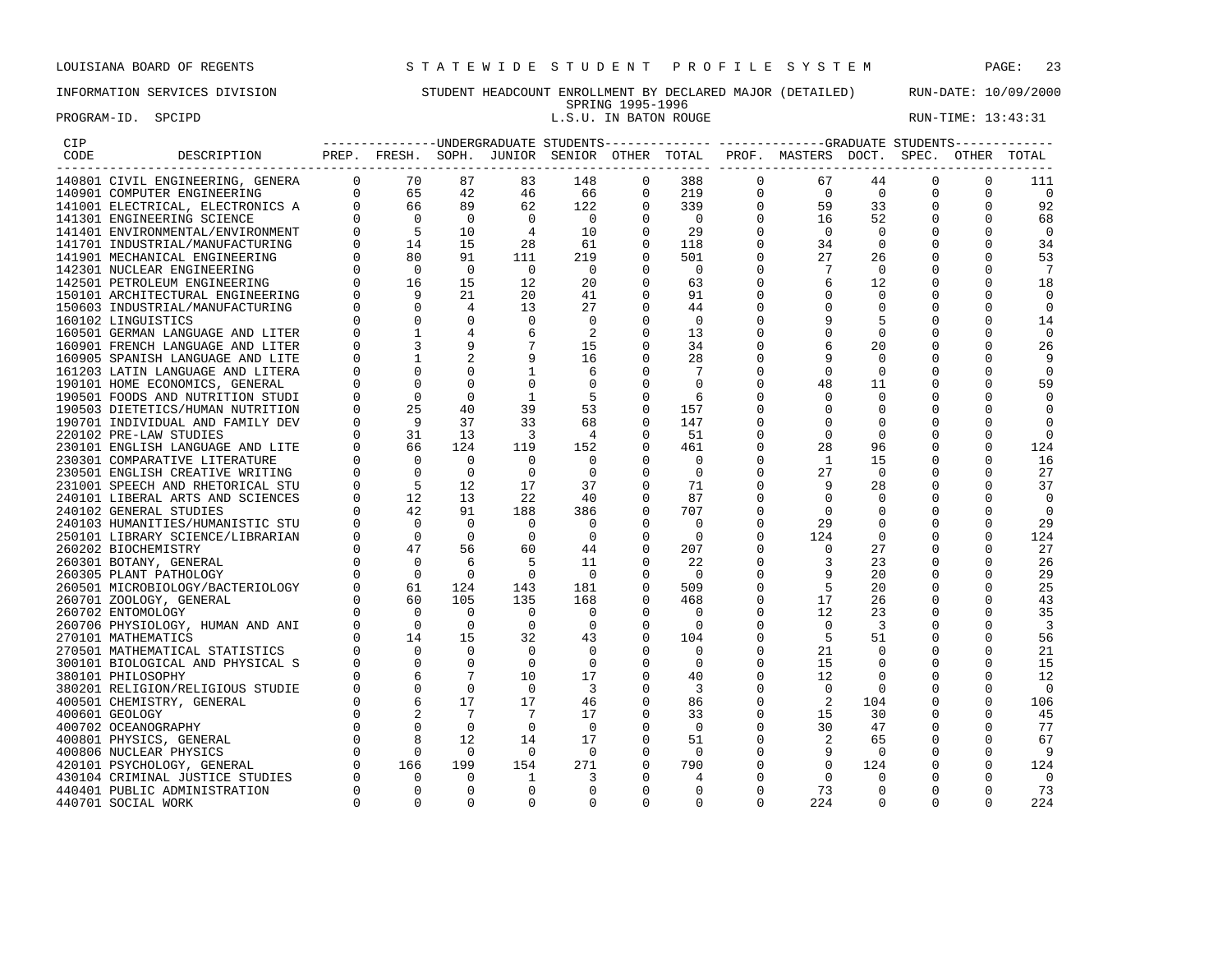# PROGRAM-ID. SPCIPD **EXECUTE:** 13:43:31

# INFORMATION SERVICES DIVISION STUDENT HEADCOUNT ENROLLMENT BY DECLARED MAJOR (DETAILED) RUN-DATE: 10/09/2000 SPRING 1995-1996<br>L.S.U. IN BATON ROUGE

|                                                                                                                                                                                                                                                |          |                                                                 |                 |                |                          |                |                          |              | ----------------UNDERGRADUATE STUDENTS-------------- -----------GRADUATE STUDENTS------------ |                          |          |             |                |
|------------------------------------------------------------------------------------------------------------------------------------------------------------------------------------------------------------------------------------------------|----------|-----------------------------------------------------------------|-----------------|----------------|--------------------------|----------------|--------------------------|--------------|-----------------------------------------------------------------------------------------------|--------------------------|----------|-------------|----------------|
| DESCRIPTION<br>UIVIL ENGINEERING, GENERA<br>JI COMPUTER ENGINEERING<br>1001 ELECTRICAL, ELECTRONICS A<br>141301 ENGINEERING SCIENCE<br>141301 ENGINEERING SCIENCE<br>141301 ENGINEERING CIENCE<br>141301 ENGINEERING CIENCE<br>141301 ENGINEER |          |                                                                 |                 |                |                          |                |                          |              | PREP. FRESH. SOPH. JUNIOR SENIOR OTHER TOTAL PROF. MASTERS DOCT. SPEC. OTHER TOTAL            |                          |          |             |                |
|                                                                                                                                                                                                                                                |          |                                                                 | 87              | 83             | 148                      | 0              | 388                      | $\mathbf{0}$ | 67                                                                                            | 44                       | 0        | 0           | 111            |
|                                                                                                                                                                                                                                                |          |                                                                 | 42              | 46             | 66                       | 0              | 219                      | 0            | $\overline{0}$                                                                                | $\overline{0}$           | 0        | 0           | $\overline{0}$ |
|                                                                                                                                                                                                                                                |          |                                                                 | 89              | 62             | 122                      | $\Omega$       | 339                      | $\Omega$     | 59                                                                                            | 33                       | $\Omega$ | $\Omega$    | 92             |
|                                                                                                                                                                                                                                                |          |                                                                 | $\overline{0}$  | $\overline{0}$ | $\overline{0}$           | 0              | $\overline{0}$           | $\mathbf 0$  | 16                                                                                            | 52                       | 0        | 0           | 68             |
|                                                                                                                                                                                                                                                |          |                                                                 | 10              | $\overline{4}$ | 10                       | $\overline{0}$ | 29                       | $\Omega$     | $\Omega$                                                                                      | $\Omega$                 | 0        |             | $\mathbf 0$    |
|                                                                                                                                                                                                                                                |          |                                                                 | 15              | 28             | 61                       | $\overline{0}$ | 118                      | $\Omega$     | 34                                                                                            | $\mathbf 0$              |          |             | 34             |
|                                                                                                                                                                                                                                                |          |                                                                 | 91              | 111            | 219                      |                | 501                      | 0            | 27                                                                                            | 26                       | 0        | $\Omega$    | 53             |
|                                                                                                                                                                                                                                                |          |                                                                 | $\overline{0}$  | $\overline{0}$ | $\overline{\phantom{0}}$ | 0              | $\overline{\phantom{0}}$ |              | 7                                                                                             | $\Omega$                 | 0        |             | 7              |
|                                                                                                                                                                                                                                                |          |                                                                 | 15              | 12             | 20                       |                | 63                       |              |                                                                                               | 12                       |          |             | 18             |
|                                                                                                                                                                                                                                                |          |                                                                 | 21              | 20             | 41                       | 0              | 91                       |              | 0                                                                                             | 0                        | 0        | U           | 0              |
|                                                                                                                                                                                                                                                |          |                                                                 | $\overline{4}$  | 13             | 27                       | $\Omega$       | 44                       |              | $\Omega$                                                                                      | $\Omega$                 | $\Omega$ | U           | $\mathbf 0$    |
|                                                                                                                                                                                                                                                |          |                                                                 | $\Omega$        | $\Omega$       | $\Omega$                 | $\Omega$       | $\Omega$                 |              | 9                                                                                             | 5                        | $\Omega$ | $\Omega$    | 14             |
|                                                                                                                                                                                                                                                |          |                                                                 |                 | 6              | 2                        | $\mathbf 0$    | 13                       |              | $\mathbf 0$                                                                                   | $\mathbf 0$              | 0        | $\Omega$    | $\mathbf 0$    |
| 160901 FRENCH LANGUAGE AND LITER                                                                                                                                                                                                               |          |                                                                 |                 |                | 15                       | 0              | 34                       |              | 6                                                                                             | 20                       | 0        |             | 26             |
| 160905 SPANISH LANGUAGE AND LITE                                                                                                                                                                                                               |          |                                                                 |                 |                | 16                       | 0              | 28                       |              |                                                                                               | 0                        | 0        | $\Omega$    | 9              |
| 161203 LATIN LANGUAGE AND LITERA                                                                                                                                                                                                               |          |                                                                 |                 |                | 6                        | 0              | 7                        | $\Omega$     | $\mathbf 0$                                                                                   | 0                        | 0        |             | $\mathbf 0$    |
| 190101 HOME ECONOMICS, GENERAL                                                                                                                                                                                                                 |          | $\Omega$                                                        | $\Omega$        |                | $\overline{0}$           | $\Omega$       | $\Omega$                 |              | 48                                                                                            | 11                       | 0        |             | 59             |
| 190501 FOODS AND NUTRITION STUDI                                                                                                                                                                                                               |          | $\Omega$                                                        | $\Omega$        | 1              | - 5                      | $\mathbf 0$    | -6                       |              | $\Omega$                                                                                      | $\Omega$                 | 0        |             | $\Omega$       |
| 190503 DIETETICS/HUMAN NUTRITION                                                                                                                                                                                                               |          | 25                                                              | 40              | 39             | 53                       | 0              | 157                      | $\Omega$     | $\Omega$                                                                                      | 0                        | 0        | O           | $\Omega$       |
| 190701 INDIVIDUAL AND FAMILY DEV                                                                                                                                                                                                               |          | $\overline{9}$                                                  | 37              | 33             | 68                       | $\Omega$       | 147                      |              | $\Omega$                                                                                      | $\Omega$                 | 0        |             | 0              |
| 220102 PRE-LAW STUDIES                                                                                                                                                                                                                         |          | 31                                                              | 13              | 3              | $\overline{4}$           |                | 51                       |              | $\Omega$                                                                                      | $\Omega$                 | 0        |             | $\Omega$       |
| 230101 ENGLISH LANGUAGE AND LITE                                                                                                                                                                                                               |          | 66                                                              | 124             | 119            | 152                      | 0              | 461                      | $\Omega$     | 28                                                                                            | 96                       | 0        | $\Omega$    | 124            |
| 230301 COMPARATIVE LITERATURE                                                                                                                                                                                                                  |          |                                                                 | $\Omega$        | $\Omega$       | $\Omega$                 | $\Omega$       | $\Omega$                 |              | $\mathbf{1}$                                                                                  | 15                       | 0        |             | 16             |
| 230501 ENGLISH CREATIVE WRITING                                                                                                                                                                                                                |          |                                                                 | $\Omega$        | $\mathbf 0$    | $\overline{0}$           | 0              | $\overline{0}$           |              | 27                                                                                            | $\overline{0}$           | 0        | $\Omega$    | 27             |
| 231001 SPEECH AND RHETORICAL STU                                                                                                                                                                                                               |          |                                                                 | 12              | 17             | 37                       | $\overline{0}$ | 71                       |              | 9                                                                                             | 28                       | 0        | $\Omega$    | 37             |
| 240101 LIBERAL ARTS AND SCIENCES                                                                                                                                                                                                               |          |                                                                 | 13              | 22             | 40                       |                | 87                       |              | $\mathbf 0$                                                                                   | $\Omega$                 | 0        |             | 0              |
| 240102 GENERAL STUDIES                                                                                                                                                                                                                         |          |                                                                 | 91              | 188            | 386                      | $\Omega$       | 707                      |              | $\Omega$                                                                                      | $\Omega$                 | 0        | U           | $\Omega$       |
| 240103 HUMANITIES/HUMANISTIC STU                                                                                                                                                                                                               |          |                                                                 | $\Omega$        | $\Omega$       | $\overline{0}$           | $\Omega$       | $\Omega$                 | 0            | 29                                                                                            | O                        | 0        |             | 29             |
| 250101 LIBRARY SCIENCE/LIBRARIAN                                                                                                                                                                                                               |          |                                                                 | $\bigcap$       | $\cap$         | $\overline{0}$           | $\Omega$       | $\cap$                   | $\Omega$     | 124                                                                                           | $\Omega$                 | $\Omega$ | $\Omega$    | 124            |
| 260202 BIOCHEMISTRY                                                                                                                                                                                                                            |          |                                                                 | 56              | 60             | 44                       | $\Omega$       | 207                      | $\Omega$     | $\Omega$                                                                                      | 27                       | $\Omega$ |             | 27             |
| 260301 BOTANY, GENERAL                                                                                                                                                                                                                         |          |                                                                 | 6               | 5              | 11                       | 0              | 22                       | 0            | 3                                                                                             | 23                       | 0        | $\mathbf 0$ | 26             |
| 260305 PLANT PATHOLOGY                                                                                                                                                                                                                         |          |                                                                 | $\Omega$        | $\mathbf 0$    | $\overline{0}$           |                | $\bigcirc$               |              | 9                                                                                             | 20                       | 0        | $\Omega$    | 29             |
| 260501 MICROBIOLOGY/BACTERIOLOGY                                                                                                                                                                                                               |          | 61                                                              | 124             | 143            | 181                      |                | 509                      |              | 5                                                                                             | 20                       |          | 0           | 25             |
| 260701 ZOOLOGY, GENERAL                                                                                                                                                                                                                        |          | 60                                                              | 105             | 135            | 168                      | $\Omega$       | 468                      | $\Omega$     | 17                                                                                            | 26                       | 0        | $\Omega$    | 43             |
| 260702 ENTOMOLOGY                                                                                                                                                                                                                              |          | $\Omega$                                                        | $\Omega$        | $\Omega$       | $\overline{0}$           | $\Omega$       | $\Omega$                 |              | 12                                                                                            | 23                       |          |             | 35             |
| 260706 PHYSIOLOGY, HUMAN AND ANI                                                                                                                                                                                                               |          | $\overline{0}$                                                  | $\Omega$        | $\mathbf 0$    | $\overline{0}$           | 0              | $\Omega$                 | $\Omega$     | $\mathbf 0$                                                                                   | -3                       | 0        | $\Omega$    | 3              |
| 270101 MATHEMATICS                                                                                                                                                                                                                             |          | 14                                                              | 15              | 32             | 43                       | 0              | 104                      |              | 5                                                                                             | 51                       | 0        | $\Omega$    | 56             |
| 270501 MATHEMATICAL STATISTICS                                                                                                                                                                                                                 |          | $\Omega$                                                        | $\Omega$        | $\Omega$       | $\Omega$                 | $\Omega$       | $\Omega$                 | $\Omega$     | 21                                                                                            | $\Omega$                 | 0        | $\Omega$    | 21             |
| 300101 BIOLOGICAL AND PHYSICAL S                                                                                                                                                                                                               |          | $\Omega$                                                        | $\Omega$        | $\Omega$       | $\Omega$                 | $\Omega$       | $\Omega$                 | $\Omega$     | 15                                                                                            | $\Omega$                 | 0        | $\Omega$    | 15             |
| 380101 PHILOSOPHY                                                                                                                                                                                                                              |          |                                                                 | $7\phantom{.0}$ | 10             | 17                       | $\mathbf 0$    | 40                       | 0            | 12                                                                                            | 0                        | 0        |             | 12             |
| 380201 RELIGION/RELIGIOUS STUDIE                                                                                                                                                                                                               |          |                                                                 | $\Omega$        | $\Omega$       | -3                       |                | 3                        | $\Omega$     | $\mathbf 0$                                                                                   | $\Omega$                 | 0        | $\Omega$    | $\overline{0}$ |
| 400501 CHEMISTRY, GENERAL                                                                                                                                                                                                                      |          |                                                                 | 17              | 17             | 46                       | $\mathbf 0$    | 86                       | $\Omega$     | 2                                                                                             | 104                      | 0        | $\Omega$    | 106            |
| 400601 GEOLOGY                                                                                                                                                                                                                                 |          |                                                                 | 7               | 7              | 17                       | 0              | 33                       | 0            | 15                                                                                            | 30                       | 0        | $\Omega$    | 45             |
| 400702 OCEANOGRAPHY                                                                                                                                                                                                                            |          |                                                                 | $\Omega$        | $\Omega$       | $\Omega$                 | $\Omega$       | - 0                      | $\Omega$     | 30                                                                                            | 47                       | 0        |             | 77             |
| 400801 PHYSICS, GENERAL                                                                                                                                                                                                                        |          | $\begin{array}{c} 0.68 \ 0.61 \ 0.81 \ 0.81 \ 0.61 \end{array}$ | 12              | 14             | 17                       | 0              | 51                       | 0            | 2                                                                                             | 65                       | 0        | $\Omega$    | 67             |
| 400806 NUCLEAR PHYSICS                                                                                                                                                                                                                         |          |                                                                 | $\overline{0}$  | $\Omega$       | $\Omega$                 | $\Omega$       | $\bigcirc$               | $\Omega$     | 9                                                                                             | $\overline{\phantom{0}}$ | 0        | $\Omega$    | -9             |
| 420101 PSYCHOLOGY, GENERAL                                                                                                                                                                                                                     |          |                                                                 | 199             | 154            | 271                      | $\Omega$       | 790                      |              | $\Omega$                                                                                      | 124                      | 0        |             | 124            |
| 430104 CRIMINAL JUSTICE STUDIES                                                                                                                                                                                                                |          | $\Omega$                                                        | $\Omega$        | 1              | 3                        | $\Omega$       | 4                        |              | $\Omega$                                                                                      | $\Omega$                 | $\Omega$ | $\Omega$    | $\bigcirc$     |
| 440401 PUBLIC ADMINISTRATION                                                                                                                                                                                                                   | $\Omega$ | $\mathbf 0$                                                     | 0               | $\mathbf{0}$   | $\mathbf 0$              | 0              | $\mathbf 0$              | 0            | 73                                                                                            | 0                        | 0        | $\Omega$    | 73             |
| 440701 SOCIAL WORK                                                                                                                                                                                                                             | $\Omega$ | $\Omega$                                                        | $\Omega$        | $\Omega$       | $\Omega$                 | $\Omega$       | $\Omega$                 | $\Omega$     | 224                                                                                           | $\Omega$                 | $\Omega$ | $\Omega$    | 224            |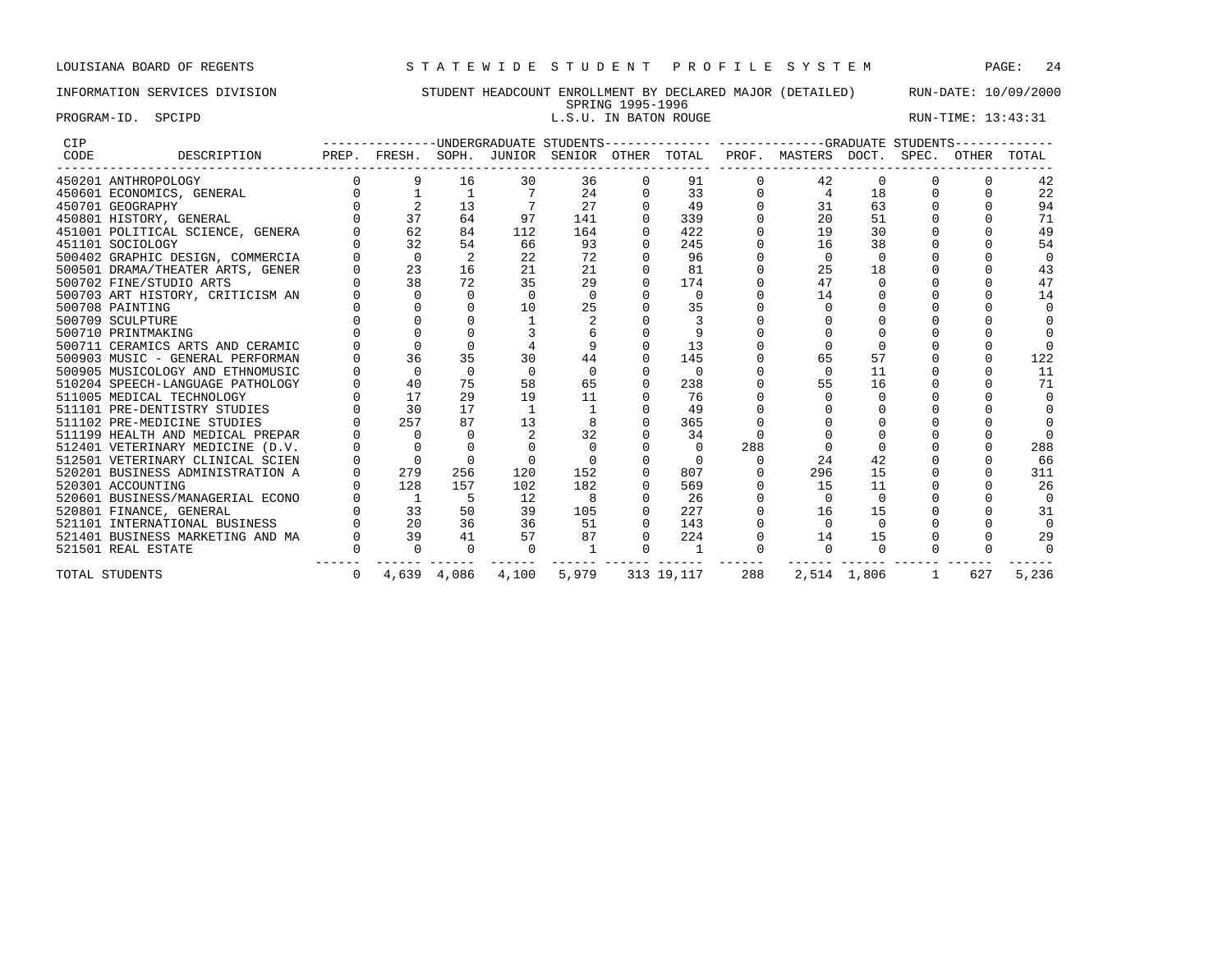PROGRAM-ID. SPCIPD **EXECUTE:** 13:43:31

# INFORMATION SERVICES DIVISION STUDENT HEADCOUNT ENROLLMENT BY DECLARED MAJOR (DETAILED) RUN-DATE: 10/09/2000 SPRING 1995-1996<br>L.S.U. IN BATON ROUGE

| CIP  |                                  |   |                |             |          |          |          |            |     | -------------UNDERGRADUATE STUDENTS-------------- ------------GRADUATE STUDENTS------ |             |   |     |          |
|------|----------------------------------|---|----------------|-------------|----------|----------|----------|------------|-----|---------------------------------------------------------------------------------------|-------------|---|-----|----------|
| CODE | DESCRIPTION                      |   |                |             |          |          |          |            |     | PREP. FRESH. SOPH. JUNIOR SENIOR OTHER TOTAL PROF. MASTERS DOCT. SPEC. OTHER          |             |   |     | TOTAL    |
|      | 450201 ANTHROPOLOGY              |   | 9              | 16          | 30       | 36       | 0        | 91         |     | 42                                                                                    | $\Omega$    |   |     | 42       |
|      | 450601 ECONOMICS, GENERAL        |   |                |             |          | 24       |          | 33         |     | $\overline{4}$                                                                        | 18          |   |     | 22       |
|      | 450701 GEOGRAPHY                 |   |                | 13          |          | 27       |          | 49         |     | 31                                                                                    | 63          |   |     | 94       |
|      | 450801 HISTORY, GENERAL          |   | 37             | 64          | 97       | 141      |          | 339        |     | 20                                                                                    | 51          |   |     | 71       |
|      | 451001 POLITICAL SCIENCE, GENERA |   | 62             | 84          | 112      | 164      |          | 422        |     | 19                                                                                    | 30          |   |     | 49       |
|      | 451101 SOCIOLOGY                 |   | 32             | 54          | 66       | 93       |          | 245        |     | 16                                                                                    | 38          |   |     | 54       |
|      | 500402 GRAPHIC DESIGN, COMMERCIA |   | $\Omega$       |             | 22       | 72       |          | 96         |     |                                                                                       |             |   |     |          |
|      | 500501 DRAMA/THEATER ARTS, GENER |   | 23             | 16          | 21       | 21       |          | 81         |     | 25                                                                                    | 18          |   |     | 43       |
|      | 500702 FINE/STUDIO ARTS          |   | 38             | 72          | 35       | 29       |          | 174        |     | 47                                                                                    |             |   |     | 47       |
|      | 500703 ART HISTORY, CRITICISM AN |   | $\Omega$       | $\Omega$    | $\Omega$ | $\Omega$ |          | $\Omega$   |     | 14                                                                                    |             |   |     | 14       |
|      | 500708 PAINTING                  |   |                |             | 10       | 25       |          | 35         |     |                                                                                       |             |   |     |          |
|      | 500709 SCULPTURE                 |   |                |             |          |          |          |            |     |                                                                                       |             |   |     |          |
|      | 500710 PRINTMAKING               |   |                |             |          |          |          | 9          |     |                                                                                       |             |   |     |          |
|      | 500711 CERAMICS ARTS AND CERAMIC |   |                |             |          |          |          | 13         |     |                                                                                       |             |   |     |          |
|      | 500903 MUSIC - GENERAL PERFORMAN |   | 36             | 35          | 30       | 44       |          | 145        |     |                                                                                       | 57          |   |     | 122      |
|      | 500905 MUSICOLOGY AND ETHNOMUSIC |   | $\Omega$       | $\Omega$    | $\Omega$ | $\Omega$ |          | $\Omega$   |     |                                                                                       | 11          |   |     | 11       |
|      | 510204 SPEECH-LANGUAGE PATHOLOGY |   | 40             | 75          | 58       | 65       | $\Omega$ | 238        |     | 55                                                                                    | 16          |   |     | 71       |
|      | 511005 MEDICAL TECHNOLOGY        |   | 17             | 29          | 19       | 11       |          | 76         |     |                                                                                       |             |   |     |          |
|      | 511101 PRE-DENTISTRY STUDIES     |   | 30             | 17          |          |          |          | 49         |     |                                                                                       |             |   |     |          |
|      | 511102 PRE-MEDICINE STUDIES      |   | 257            | 87          | 13       |          |          | 365        |     |                                                                                       |             |   |     |          |
|      | 511199 HEALTH AND MEDICAL PREPAR |   | $\cap$         | $\cap$      |          | 32       |          | 34         |     |                                                                                       |             |   |     |          |
|      | 512401 VETERINARY MEDICINE (D.V. |   |                |             |          |          |          | $\Omega$   | 288 |                                                                                       |             |   |     | 288      |
|      | 512501 VETERINARY CLINICAL SCIEN |   |                |             |          |          |          |            |     | 24                                                                                    | 42          |   |     | 66       |
|      | 520201 BUSINESS ADMINISTRATION A |   | 279            | 256         | 120      | 152      |          | 807        |     | 296                                                                                   | 15          |   |     | 311      |
|      | 520301 ACCOUNTING                |   | 128            | 157         | 102      | 182      |          | 569        |     | 15                                                                                    | 11          |   |     | 26       |
|      | 520601 BUSINESS/MANAGERIAL ECONO |   | $\overline{1}$ | 5           | 12       | 8        |          | 26         |     |                                                                                       | $\cap$      |   |     | $\Omega$ |
|      | 520801 FINANCE, GENERAL          |   | 33             | 50          | 39       | 105      |          | 227        |     | 16                                                                                    | 15          |   |     | 31       |
|      | 521101 INTERNATIONAL BUSINESS    |   | 20             | 36          | 36       | 51       |          | 143        |     |                                                                                       | $\Omega$    |   |     |          |
|      | 521401 BUSINESS MARKETING AND MA |   | 39             | 41          | 57       | 87       | $\Omega$ | 224        |     | 14                                                                                    | 15          |   |     | 29       |
|      | 521501 REAL ESTATE               |   | $\cap$         | $\Omega$    | $\Omega$ |          |          |            |     |                                                                                       | $\cap$      |   |     |          |
|      | TOTAL STUDENTS                   | 0 |                | 4,639 4,086 | 4,100    | 5,979    |          | 313 19,117 | 288 |                                                                                       | 2,514 1,806 | 1 | 627 | 5,236    |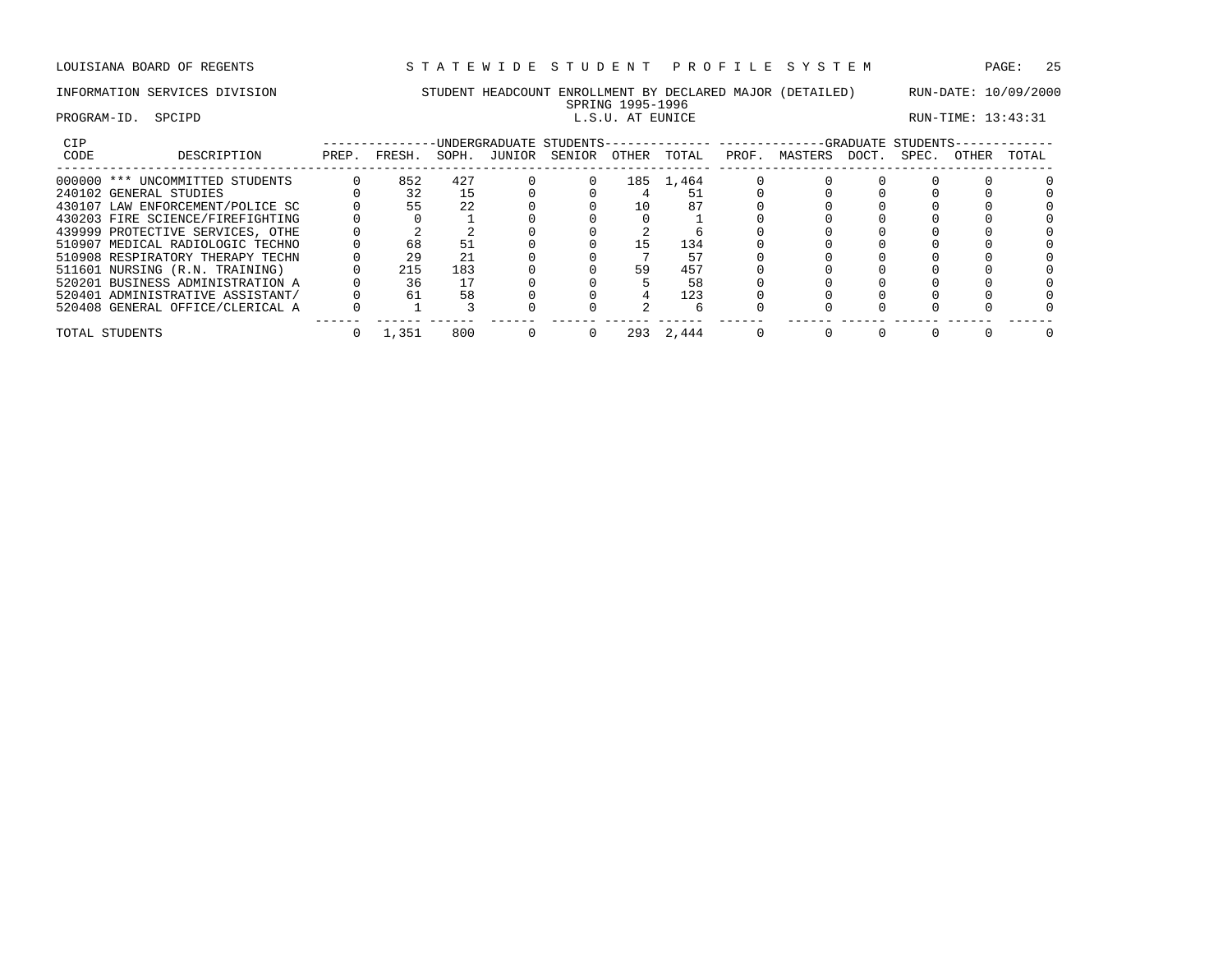# INFORMATION SERVICES DIVISION STUDENT HEADCOUNT ENROLLMENT BY DECLARED MAJOR (DETAILED) RUN-DATE: 10/09/2000 SPRING 1995-1996<br>L.S.U. AT EUNICE

### PROGRAM-ID. SPCIPD **EXAM-ID.** SPCIPD **EXAM-ID.** SPCIPD **EXAM-ID.** SPCIPD **EXAM-ID.** SPCIPD

| <b>CIP</b>                       |       |        |       |        | UNDERGRADUATE STUDENTS- |       |       |       |         |       | -GRADUATE STUDENTS- |       |       |
|----------------------------------|-------|--------|-------|--------|-------------------------|-------|-------|-------|---------|-------|---------------------|-------|-------|
| CODE<br>DESCRIPTION              | PREP. | FRESH. | SOPH. | JUNIOR | SENIOR                  | OTHER | TOTAL | PROF. | MASTERS | DOCT. | SPEC.               | OTHER | TOTAL |
| 000000 *** UNCOMMITTED STUDENTS  |       | 852    | 427   |        |                         | 185   | 1,464 |       |         |       |                     |       |       |
| 240102 GENERAL STUDIES           |       | 32     | 15    |        |                         |       |       |       |         |       |                     |       |       |
| 430107 LAW ENFORCEMENT/POLICE SC |       | 55     | 2.2   |        |                         | 10    |       |       |         |       |                     |       |       |
| 430203 FIRE SCIENCE/FIREFIGHTING |       |        |       |        |                         |       |       |       |         |       |                     |       |       |
| 439999 PROTECTIVE SERVICES, OTHE |       |        |       |        |                         |       |       |       |         |       |                     |       |       |
| 510907 MEDICAL RADIOLOGIC TECHNO |       | 68     |       |        |                         | , 5   | 134   |       |         |       |                     |       |       |
| 510908 RESPIRATORY THERAPY TECHN |       | 29     | 21    |        |                         |       |       |       |         |       |                     |       |       |
| 511601 NURSING (R.N. TRAINING)   |       | 215    | 183   |        |                         | 59    | 457   |       |         |       |                     |       |       |
| 520201 BUSINESS ADMINISTRATION A |       | 36     |       |        |                         |       | 58    |       |         |       |                     |       |       |
| 520401 ADMINISTRATIVE ASSISTANT/ |       | 61     | 58    |        |                         |       | 123   |       |         |       |                     |       |       |
| 520408 GENERAL OFFICE/CLERICAL A |       |        |       |        |                         |       |       |       |         |       |                     |       |       |
| TOTAL STUDENTS                   |       | 1,351  | 800   |        |                         | 293   | 2,444 |       |         |       |                     |       |       |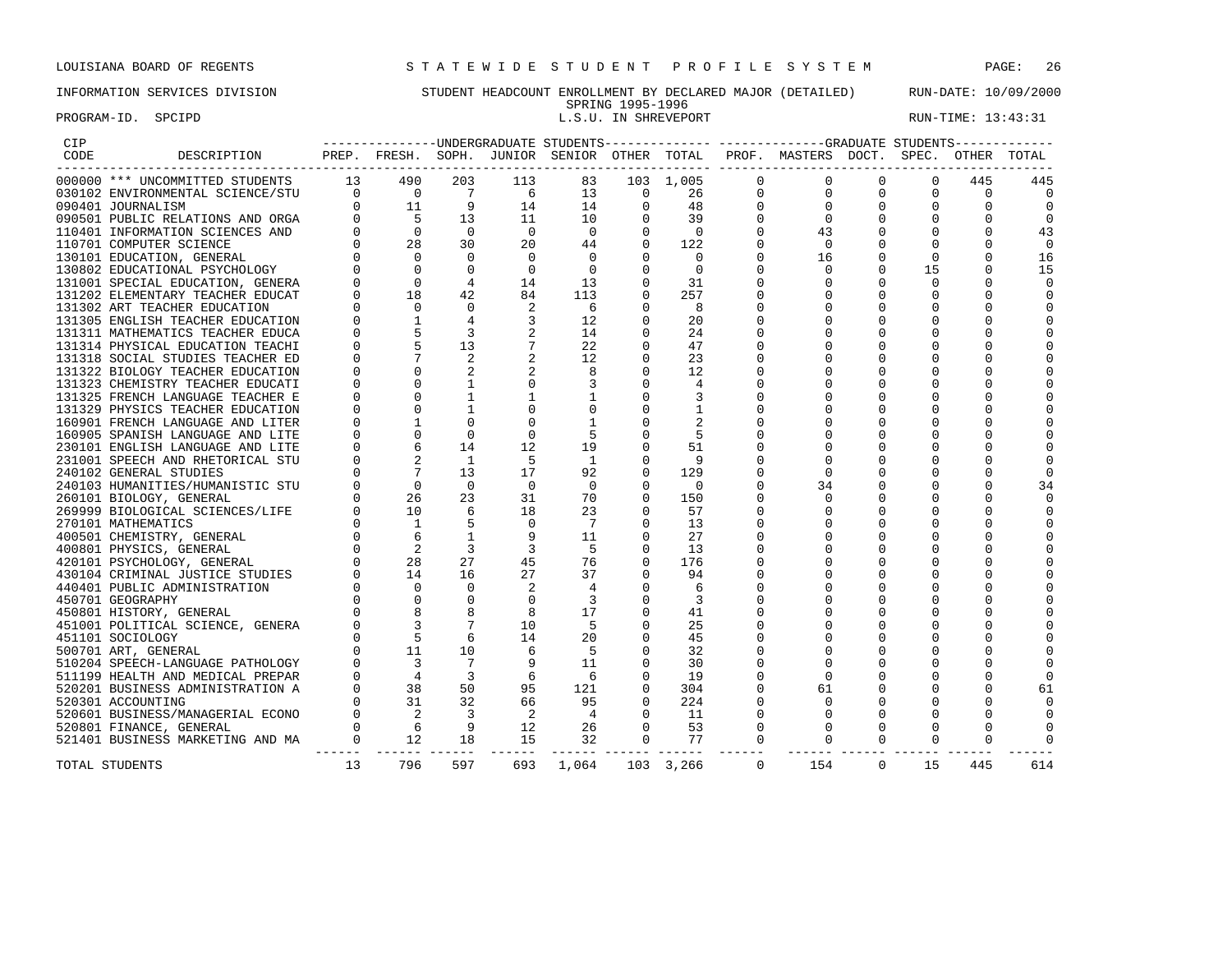# INFORMATION SERVICES DIVISION STUDENT HEADCOUNT ENROLLMENT BY DECLARED MAJOR (DETAILED) RUN-DATE: 10/09/2000

SPRING 1995-1996<br>L.S.U. IN SHREVEPORT

PROGRAM-ID. SPCIPD **EXAM-ID.** SPCIPD **EXAM-ID.** SPCIPD **EXAM-ID.** SPCIPD **EXAM-ID.** SPCIPD

| CIP  |                                                                                                                                                                                                                                                   |          |                                                                                                         |                          |                            |                |                          |              |             | ---------------UNDERGRADUATE STUDENTS-------------- ------------GRADUATE STUDENTS------------ |             |              |             |              |
|------|---------------------------------------------------------------------------------------------------------------------------------------------------------------------------------------------------------------------------------------------------|----------|---------------------------------------------------------------------------------------------------------|--------------------------|----------------------------|----------------|--------------------------|--------------|-------------|-----------------------------------------------------------------------------------------------|-------------|--------------|-------------|--------------|
| CODE | DESCRIPTION                                                                                                                                                                                                                                       |          |                                                                                                         |                          |                            |                |                          |              |             | PREP. FRESH. SOPH. JUNIOR SENIOR OTHER TOTAL PROF. MASTERS DOCT. SPEC.                        |             |              | OTHER TOTAL |              |
|      | 000000 *** UNCOMMITTED STUDENTS                                                                                                                                                                                                                   |          | $\begin{array}{cccc} & 13 & 490\ & 0 & 0\ & 0 & 11\ & 0 & 5\ & 0 & 0\ & 0 & 28 \end{array}$             | 203                      | 113                        | 83             |                          | 103 1,005    | $\Omega$    | $\mathbf{0}$                                                                                  | 0           | 0            | 445         | 445          |
|      | 030102 ENVIRONMENTAL SCIENCE/STU                                                                                                                                                                                                                  |          |                                                                                                         | $\overline{7}$           | $6^{\circ}$                | 13             | $\overline{\phantom{0}}$ | 26           | $\mathbf 0$ | $\mathbf 0$                                                                                   | $\mathbf 0$ | 0            | 0           | $\Omega$     |
|      |                                                                                                                                                                                                                                                   |          |                                                                                                         | 9                        | 14                         | 14             | $\mathbf 0$              | 48           | $\mathbf 0$ | $\mathbf 0$                                                                                   | 0           | 0            | 0           | $\Omega$     |
|      |                                                                                                                                                                                                                                                   |          |                                                                                                         | 13                       | 11                         | 10             | $\Omega$                 | 39           | $\Omega$    | $\overline{0}$                                                                                | 0           | 0            |             | $\Omega$     |
|      |                                                                                                                                                                                                                                                   |          |                                                                                                         | $\overline{0}$           | $\bigcirc$                 | $\overline{0}$ | $\Omega$                 | $\Omega$     | $\Omega$    | 43                                                                                            | 0           | $\mathbf 0$  | $\Omega$    | 43           |
|      |                                                                                                                                                                                                                                                   |          |                                                                                                         | 30                       | 20                         | 44             | $\overline{0}$           | 122          |             | $\overline{0}$                                                                                | $\Omega$    | $\mathbf{0}$ |             | $\mathbf 0$  |
|      | 990401 JOURNALISM<br>090401 JOURNALISM<br>090501 PUBLIC RELATIONS AND ORGA<br>110401 INFORMATION SCIENCES AND<br>130701 COMPUTER SCIENCE<br>130802 EDUCATIONAL PSYCHOLOGY<br>131001 SPECIAL EDUCATION, GENERA<br>131202 ELEMENTARY TEACHER EDUCAT | $\Omega$ | $\overline{0}$                                                                                          | $\Omega$                 | $\mathbf 0$                | $\overline{0}$ | $\mathbf 0$              | $\mathbf 0$  | 0           | 16                                                                                            | $\Omega$    | $\mathbf 0$  | $\Omega$    | 16           |
|      |                                                                                                                                                                                                                                                   |          | $\overline{0}$                                                                                          | $\Omega$                 | $\Omega$                   | $\overline{0}$ | $\Omega$                 | $\Omega$     |             | $\Omega$                                                                                      | $\Omega$    | 15           | $\Omega$    | 15           |
|      |                                                                                                                                                                                                                                                   |          | $\Omega$                                                                                                | $\overline{4}$           | 14                         | 13             | $\mathbf 0$              | 31           |             | 0                                                                                             | $\Omega$    | $\Omega$     | $\Omega$    | $\Omega$     |
|      |                                                                                                                                                                                                                                                   |          | 18                                                                                                      | 42                       | 84                         | 113            | $\overline{0}$           | 257          |             | $\mathbf 0$                                                                                   | $\mathbf 0$ | $\mathbf 0$  |             | $\Omega$     |
|      | 131302 ART TEACHER EDUCATION                                                                                                                                                                                                                      |          | $\Omega$                                                                                                | $\Omega$                 | 2                          | - 6            | $\mathbf 0$              | 8            |             | 0                                                                                             | 0           | $\mathbf 0$  | U           | $\Omega$     |
|      | 131305 ENGLISH TEACHER EDUCATION                                                                                                                                                                                                                  |          | $\overline{1}$                                                                                          | $\overline{4}$           | $\overline{3}$             | 12             | $\Omega$                 | 20           |             | $\Omega$                                                                                      | $\Omega$    | $\Omega$     |             | $\Omega$     |
|      | 131311 MATHEMATICS TEACHER EDUCA                                                                                                                                                                                                                  |          |                                                                                                         | 3                        |                            | 14             | $\mathbf 0$              | 24           |             | $\Omega$                                                                                      | 0           | $\mathbf 0$  | U           |              |
|      | 131314 PHYSICAL EDUCATION TEACHI                                                                                                                                                                                                                  |          |                                                                                                         | 13                       |                            | 22             | $\mathbf 0$              | 47           |             | 0                                                                                             | $\Omega$    | $\Omega$     |             |              |
|      | 131318 SOCIAL STUDIES TEACHER ED                                                                                                                                                                                                                  |          |                                                                                                         |                          |                            | 12             | $\mathbf 0$              | 23           |             | $\mathbf 0$                                                                                   | $\Omega$    | $\mathbf 0$  |             |              |
|      | 131322 BIOLOGY TEACHER EDUCATION                                                                                                                                                                                                                  |          | $\mathbf 0$                                                                                             |                          |                            | 8              | $\mathbf 0$              | 12           |             | 0                                                                                             | $\Omega$    | $\mathbf 0$  |             |              |
|      | 131323 CHEMISTRY TEACHER EDUCATI                                                                                                                                                                                                                  |          | $\Omega$                                                                                                | $\mathbf{1}$             | $\Omega$                   |                | $\Omega$                 | 4            |             | $\Omega$                                                                                      | 0           | $\mathbf 0$  | U           |              |
|      | 131325 FRENCH LANGUAGE TEACHER E                                                                                                                                                                                                                  |          | $\Omega$                                                                                                | 1                        |                            | 1              | $\mathbf 0$              | 3            |             | $\Omega$                                                                                      | $\Omega$    | $\Omega$     | U           |              |
|      | 131329 PHYSICS TEACHER EDUCATION                                                                                                                                                                                                                  |          | $\Omega$                                                                                                | $\mathbf{1}$             | 0                          |                | $\mathbf 0$              | $\mathbf{1}$ |             | $\mathbf 0$                                                                                   | $\Omega$    | $\mathbf 0$  | O           |              |
|      | 160901 FRENCH LANGUAGE AND LITER                                                                                                                                                                                                                  |          |                                                                                                         | $\mathbf 0$              | $\mathbf{0}$               | $\mathbf{1}$   | $\mathbf 0$              | 2            |             | 0                                                                                             | $\Omega$    | $\mathbf 0$  |             |              |
|      | 160905 SPANISH LANGUAGE AND LITE                                                                                                                                                                                                                  |          | $\Omega$                                                                                                | $\Omega$                 | $\Omega$                   |                | $\Omega$                 | 5            |             | $\Omega$                                                                                      | 0           | $\mathbf 0$  | U           |              |
|      | 230101 ENGLISH LANGUAGE AND LITE                                                                                                                                                                                                                  |          | 6                                                                                                       | 14                       | 12                         | 19             | $\mathbf 0$              | 51           |             | 0                                                                                             | $\Omega$    | $\Omega$     |             |              |
|      | 231001 SPEECH AND RHETORICAL STU                                                                                                                                                                                                                  |          | $\begin{bmatrix} 0 \\ 0 \\ 0 \\ 0 \\ 0 \\ 0 \end{bmatrix}$                                              | 1                        | 5                          | $\overline{1}$ | $\mathbf 0$              | 9            |             | $\mathbf 0$                                                                                   | $\Omega$    | $\mathbf 0$  |             | $\Omega$     |
|      | 240102 GENERAL STUDIES                                                                                                                                                                                                                            |          | $\overline{7}$                                                                                          | 13                       | 17                         | 92             | $\mathbf 0$              | 129          |             | $\mathbf 0$                                                                                   | $\Omega$    | $\mathbf 0$  | U           | $\Omega$     |
|      | 240103 HUMANITIES/HUMANISTIC STU                                                                                                                                                                                                                  |          | $\begin{bmatrix} 0 \\ 0 \\ 0 \\ 0 \\ 0 \\ 0 \end{bmatrix}$<br>$\overline{0}$                            | $\Omega$                 | $\Omega$                   | $\Omega$       | $\Omega$                 | $\Omega$     |             | 34                                                                                            | 0           | $\mathbf 0$  | U           | 34           |
|      | 260101 BIOLOGY, GENERAL                                                                                                                                                                                                                           |          | 26                                                                                                      | 23                       | 31                         | 70             | $\circ$                  | 150          |             | $\Omega$                                                                                      | O           | $\Omega$     | U           | <sup>0</sup> |
|      | 269999 BIOLOGICAL SCIENCES/LIFE                                                                                                                                                                                                                   |          | 10                                                                                                      | 6                        | 18                         | 23             | $\mathbf 0$              | 57           |             | 0                                                                                             | 0           | $\mathbf 0$  | O           |              |
|      | 270101 MATHEMATICS                                                                                                                                                                                                                                |          | $\overline{1}$                                                                                          |                          | $\mathbf 0$                | 7              | $\mathbf 0$              | 13           |             | 0                                                                                             | $\Omega$    | $\mathbf 0$  |             | $\Omega$     |
|      | 400501 CHEMISTRY, GENERAL                                                                                                                                                                                                                         |          | 6                                                                                                       | 1                        | 9                          | 11             | $\Omega$                 | 27           |             | $\mathbf 0$                                                                                   | $\Omega$    | $\mathbf 0$  | U           |              |
|      | 400801 PHYSICS, GENERAL                                                                                                                                                                                                                           |          | $\overline{a}$                                                                                          | 3                        | 3                          | - 5            | $\Omega$                 | 13           |             | $\Omega$                                                                                      | O           | $\Omega$     |             |              |
|      | 420101 PSYCHOLOGY, GENERAL                                                                                                                                                                                                                        |          | 28                                                                                                      | 27                       | 45                         | 76             | $\mathbf 0$              | 176          |             | $\mathbf 0$                                                                                   | $\Omega$    | $\mathbf 0$  |             |              |
|      | 430104 CRIMINAL JUSTICE STUDIES                                                                                                                                                                                                                   |          | 14                                                                                                      | 16                       | 27                         | 37             | $\mathbf 0$              | 94           |             | 0                                                                                             | $\Omega$    | $\Omega$     |             |              |
|      | 440401 PUBLIC ADMINISTRATION                                                                                                                                                                                                                      |          |                                                                                                         | $\Omega$                 | 2                          | $\overline{4}$ | $\Omega$                 | -6           |             | $\Omega$                                                                                      | 0           | $\Omega$     | 0           |              |
|      | 450701 GEOGRAPHY                                                                                                                                                                                                                                  |          |                                                                                                         | $\Omega$                 | $\Omega$                   | $\overline{3}$ | $\mathbf 0$              | 3            |             | $\Omega$                                                                                      | $\Omega$    | $\Omega$     |             |              |
|      | 450801 HISTORY, GENERAL                                                                                                                                                                                                                           |          | $\begin{bmatrix} 0 & 0 & 0 \\ 0 & 0 & 8 \\ 0 & 8 & 3 \\ 0 & 0 & 5 \\ 0 & 1 & 1 \end{bmatrix}$           | 8                        | 8                          | 17             | $\mathbf 0$              | 41           |             | $\mathbf 0$                                                                                   | $\Omega$    | 0            |             |              |
|      | 451001 POLITICAL SCIENCE, GENERA                                                                                                                                                                                                                  |          |                                                                                                         |                          | 10                         | -5             | $\mathbf 0$              | 25           |             | $\Omega$                                                                                      | $\Omega$    | $\Omega$     |             |              |
|      | 451101 SOCIOLOGY                                                                                                                                                                                                                                  |          |                                                                                                         | 6                        | 14                         | 20             | $\Omega$                 | 45           |             | $\Omega$                                                                                      | 0           | $\Omega$     | 0           |              |
|      | 500701 ART, GENERAL                                                                                                                                                                                                                               |          |                                                                                                         | 10                       | 6                          | -5             | $\Omega$                 | 32           |             | $\Omega$                                                                                      | $\Omega$    | $\Omega$     |             |              |
|      | 510204 SPEECH-LANGUAGE PATHOLOGY                                                                                                                                                                                                                  |          | $\overline{3}$                                                                                          | 7                        | 9                          | 11             | $\mathbf 0$              | 30           |             | $\Omega$                                                                                      | $\Omega$    | $\mathbf 0$  |             |              |
|      | 511199 HEALTH AND MEDICAL PREPAR                                                                                                                                                                                                                  |          |                                                                                                         | $\overline{3}$           | 6                          | - 6            | $\Omega$                 | 19           |             | $\Omega$                                                                                      | $\Omega$    | $\mathbf 0$  |             | $\Omega$     |
|      | 520201 BUSINESS ADMINISTRATION A                                                                                                                                                                                                                  |          |                                                                                                         | 50                       | 95                         | 121            | $\mathbf 0$              | 304          |             | 61                                                                                            | 0           | $\mathbf 0$  | 0           | 61           |
|      | 520301 ACCOUNTING                                                                                                                                                                                                                                 |          |                                                                                                         | 32                       | 66                         | 95             | $\Omega$                 | 224          | $\Omega$    | $\Omega$                                                                                      | $\Omega$    | $\Omega$     |             | <sup>0</sup> |
|      | 520601 BUSINESS/MANAGERIAL ECONO                                                                                                                                                                                                                  |          |                                                                                                         | $\overline{\phantom{a}}$ | $\overline{\phantom{0}}^2$ | $\overline{4}$ | $\mathbf 0$              | 11           | 0           | $\mathbf 0$                                                                                   | 0           | $\mathbf 0$  |             |              |
|      |                                                                                                                                                                                                                                                   |          |                                                                                                         | $\overline{9}$           | 12                         | 26             | $\mathbf{0}$             | 53           | 0           | 0                                                                                             | 0           | $\mathbf 0$  | 0           |              |
|      | 520801 FINANCE, GENERAL<br>521401 BUSINESS MARKETING AND MA                                                                                                                                                                                       |          | $\begin{array}{ccc} 0 & & 3 \ 0 & & 4 \ 0 & & 38 \ 0 & & 31 \ 0 & & 2 \ 0 & & 6 \ 0 & & 12 \end{array}$ | 18                       | 15                         | 32             | $\overline{0}$           | 77           | 0           | 0                                                                                             | 0           | $\mathbf 0$  | 0           |              |
|      |                                                                                                                                                                                                                                                   | -------  |                                                                                                         |                          |                            |                |                          |              |             |                                                                                               |             |              |             |              |
|      | TOTAL STUDENTS                                                                                                                                                                                                                                    | 13       | 796                                                                                                     | 597                      | 693                        | 1,064          |                          | 103 3,266    | $\Omega$    | 154                                                                                           | $\Omega$    | 15           | 445         | 614          |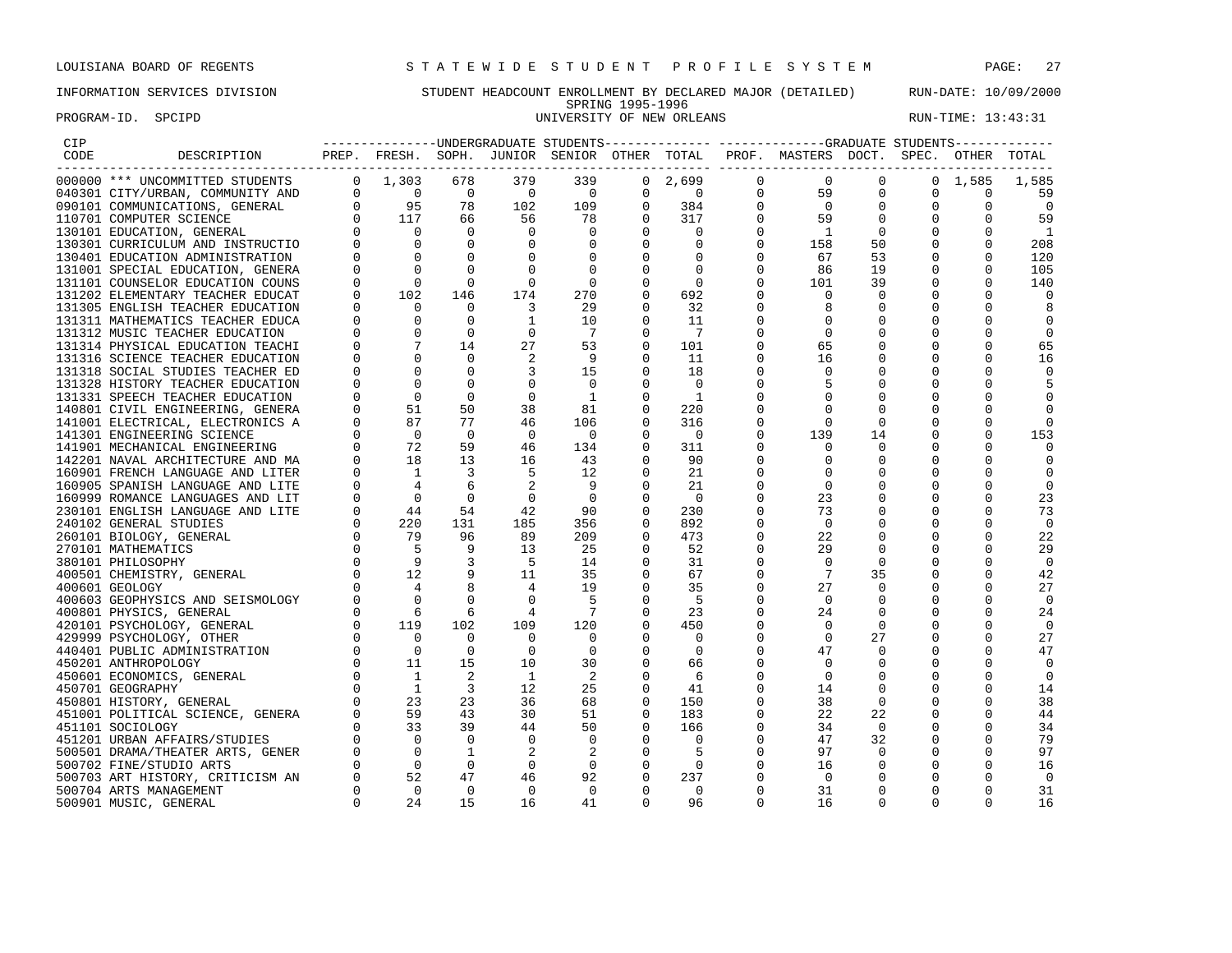# INFORMATION SERVICES DIVISION STUDENT HEADCOUNT ENROLLMENT BY DECLARED MAJOR (DETAILED) RUN-DATE: 10/09/2000 SPRING 1995-1996<br>UNIVERSITY OF NEW ORLEANS PROGRAM-ID. SPCIPD **EXECUTE:** 13:43:31

| CIP  |                                                                                                                                                                                                                                                                                                                                                                                                                                                                                                                                                                                               |             |                                                                               |                              |                                              |                                       |                                         |                                 |               | ----------------UNDERGRADUATE STUDENTS------------- -----------GRADUATE STUDENTS------------                                                                                                                                                                                                                                                                                                                                                                                                                                                                                             |                  |             |                 |                   |
|------|-----------------------------------------------------------------------------------------------------------------------------------------------------------------------------------------------------------------------------------------------------------------------------------------------------------------------------------------------------------------------------------------------------------------------------------------------------------------------------------------------------------------------------------------------------------------------------------------------|-------------|-------------------------------------------------------------------------------|------------------------------|----------------------------------------------|---------------------------------------|-----------------------------------------|---------------------------------|---------------|------------------------------------------------------------------------------------------------------------------------------------------------------------------------------------------------------------------------------------------------------------------------------------------------------------------------------------------------------------------------------------------------------------------------------------------------------------------------------------------------------------------------------------------------------------------------------------------|------------------|-------------|-----------------|-------------------|
| CODE | DESCRIPTION                                                                                                                                                                                                                                                                                                                                                                                                                                                                                                                                                                                   |             |                                                                               |                              |                                              |                                       |                                         |                                 |               | PREP. FRESH. SOPH. JUNIOR SENIOR OTHER TOTAL PROF. MASTERS DOCT. SPEC. OTHER TOTAL<br>$\begin{tabular}{cccc} \multicolumn{4}{c}{\begin{tabular}{cccccccccc} \multicolumn{4}{c}{\multicolumn{4}{c}{\multicolumn{4}{c}{\multicolumn{4}{c}{\multicolumn{4}{c}{\multicolumn{4}{c}{\multicolumn{4}{c}{\multicolumn{4}{c}{\multicolumn{4}{c}{\multicolumn{4}{c}{\multicolumn{4}{c}{\multicolumn{4}{c}{\multicolumn{4}{c}{\multicolumn{4}{c}{\multicolumn{4}{c}{\multicolumn{4}{c}{\multicolumn{4}{c}{\multicolumn{4}{c}{\multicolumn{4}{c}{\multicolumn{4}{c}{\multicolumn{4}{c}{\multicolumn$ |                  |             |                 |                   |
|      | $\begin{tabular}{cccc} 000000 & *{\color{red}*}{\color{red}*}{\color{green}*}{\color{green}*}{\color{green}*}{\color{green}*}{\color{green}*}{\color{green}*}{\color{green}*}{\color{green}*}{\color{green}*}{\color{green}*}{\color{green}*}{\color{green}*}{\color{green}*}{\color{green}*}{\color{green}*}{\color{green}*}{\color{green}*}{\color{green}*}{\color{green}*}{\color{green}*}{\color{green}*}{\color{green}*}{\color{green}*}{\color{green}*}{\color{green}*}{\color{green}*}{\color{green}*}{\color{green}*}{\color{green}*}{\color{green}*}{\color{green}*}{\color{green}*$ |             |                                                                               |                              | 379                                          | 339                                   |                                         |                                 |               |                                                                                                                                                                                                                                                                                                                                                                                                                                                                                                                                                                                          | $\mathbf{0}$     |             | $0 \quad 1,585$ | 1,585             |
|      |                                                                                                                                                                                                                                                                                                                                                                                                                                                                                                                                                                                               |             |                                                                               |                              | $\overline{0}$                               | $\sim$ 0                              |                                         |                                 |               |                                                                                                                                                                                                                                                                                                                                                                                                                                                                                                                                                                                          | $\mathbf{0}$     | 0           | $\mathbf 0$     | 59                |
|      |                                                                                                                                                                                                                                                                                                                                                                                                                                                                                                                                                                                               |             |                                                                               |                              | 102                                          | 109                                   |                                         |                                 |               |                                                                                                                                                                                                                                                                                                                                                                                                                                                                                                                                                                                          | $\mathbf 0$      | $\mathbf 0$ | $\mathbf 0$     | $\overline{0}$    |
|      |                                                                                                                                                                                                                                                                                                                                                                                                                                                                                                                                                                                               |             |                                                                               |                              |                                              | 78                                    |                                         |                                 |               |                                                                                                                                                                                                                                                                                                                                                                                                                                                                                                                                                                                          | $\overline{0}$   | $\mathbf 0$ | $\mathbf 0$     | 59                |
|      |                                                                                                                                                                                                                                                                                                                                                                                                                                                                                                                                                                                               |             |                                                                               |                              |                                              | $\overline{\phantom{0}}$              |                                         |                                 |               |                                                                                                                                                                                                                                                                                                                                                                                                                                                                                                                                                                                          | $\overline{0}$   | $\mathbf 0$ | 0               | $\overline{1}$    |
|      |                                                                                                                                                                                                                                                                                                                                                                                                                                                                                                                                                                                               |             |                                                                               |                              | $\begin{bmatrix} 56 \\ 0 \\ 0 \end{bmatrix}$ | $\overline{0}$                        |                                         |                                 |               |                                                                                                                                                                                                                                                                                                                                                                                                                                                                                                                                                                                          | 50               | 0           | 0               | 208               |
|      |                                                                                                                                                                                                                                                                                                                                                                                                                                                                                                                                                                                               |             |                                                                               |                              | $\Omega$                                     | $\overline{0}$                        |                                         |                                 |               |                                                                                                                                                                                                                                                                                                                                                                                                                                                                                                                                                                                          | 53               | $\Omega$    | $\Omega$        | 120               |
|      | 131001 SPECIAL EDUCATION, GENERA                                                                                                                                                                                                                                                                                                                                                                                                                                                                                                                                                              | $\mathbf 0$ | $\Omega$                                                                      | $\mathbf 0$                  | 0                                            | $\overline{0}$                        |                                         |                                 |               |                                                                                                                                                                                                                                                                                                                                                                                                                                                                                                                                                                                          | 19               | 0           | $\Omega$        | 105               |
|      | 131101 COUNSELOR EDUCATION COUNS                                                                                                                                                                                                                                                                                                                                                                                                                                                                                                                                                              | $\Omega$    |                                                                               | $\bigcirc$                   | $\Omega$                                     | $\overline{0}$                        |                                         |                                 |               |                                                                                                                                                                                                                                                                                                                                                                                                                                                                                                                                                                                          | 39               | $\mathbf 0$ | $\Omega$        | 140               |
|      | 131202 ELEMENTARY TEACHER EDUCAT                                                                                                                                                                                                                                                                                                                                                                                                                                                                                                                                                              |             | $\begin{array}{c}0\\102\end{array}$                                           | 146                          | 174                                          | 270                                   | $\overline{0}$                          | 692                             | 0             | $\mathbf 0$                                                                                                                                                                                                                                                                                                                                                                                                                                                                                                                                                                              | 0                | $\Omega$    | $\Omega$        | $\Omega$          |
|      | 131305 ENGLISH TEACHER EDUCATION                                                                                                                                                                                                                                                                                                                                                                                                                                                                                                                                                              |             |                                                                               | $\Omega$                     | $\overline{\phantom{a}}$                     | 29                                    | $\Omega$                                | 32                              | 0             | 8                                                                                                                                                                                                                                                                                                                                                                                                                                                                                                                                                                                        | 0                | $\Omega$    | $\Omega$        | 8                 |
|      | 131311 MATHEMATICS TEACHER EDUCA                                                                                                                                                                                                                                                                                                                                                                                                                                                                                                                                                              |             |                                                                               | $\overline{0}$               | $\overline{1}$                               | 10                                    | $\Omega$                                | 11                              | $\Omega$      | $\mathbf 0$                                                                                                                                                                                                                                                                                                                                                                                                                                                                                                                                                                              | 0                | $\Omega$    | $\Omega$        | 0                 |
|      | 131312 MUSIC TEACHER EDUCATION                                                                                                                                                                                                                                                                                                                                                                                                                                                                                                                                                                |             |                                                                               | $\overline{0}$               | $\overline{0}$                               | $\overline{7}$                        | $\mathbf 0$                             | $\overline{7}$                  | 0             | $\mathbf 0$                                                                                                                                                                                                                                                                                                                                                                                                                                                                                                                                                                              | 0                |             | 0               | $\mathbf 0$       |
|      | 131314 PHYSICAL EDUCATION TEACHI                                                                                                                                                                                                                                                                                                                                                                                                                                                                                                                                                              |             |                                                                               | 14                           | 27                                           | 53                                    | $\overline{0}$                          | 101                             | 0             | 65                                                                                                                                                                                                                                                                                                                                                                                                                                                                                                                                                                                       | 0                | $\Omega$    | $\Omega$        | 65                |
|      | 131316 SCIENCE TEACHER EDUCATION                                                                                                                                                                                                                                                                                                                                                                                                                                                                                                                                                              |             | $\begin{bmatrix} 0 & 0 & 0 \ 0 & 0 & 0 \ 0 & 0 & 7 \ 0 & 0 & 7 \end{bmatrix}$ | $\overline{0}$               | 2                                            | - 9                                   | $\mathbf 0$                             | 11                              | $\Omega$      | 16                                                                                                                                                                                                                                                                                                                                                                                                                                                                                                                                                                                       | $\mathbf 0$      | $\Omega$    | $\Omega$        | 16                |
|      | 131318 SOCIAL STUDIES TEACHER ED                                                                                                                                                                                                                                                                                                                                                                                                                                                                                                                                                              | $\Omega$    | $\overline{0}$                                                                | $\overline{0}$               | 3                                            | 15                                    | $\overline{0}$                          | 18                              | 0             | 0                                                                                                                                                                                                                                                                                                                                                                                                                                                                                                                                                                                        | 0                | $\Omega$    | $\Omega$        | 0                 |
|      |                                                                                                                                                                                                                                                                                                                                                                                                                                                                                                                                                                                               |             | $\overline{0}$                                                                | $\Omega$                     | $\Omega$                                     | $\overline{0}$                        | $\Omega$                                | $\Omega$                        | $\Omega$      | 5                                                                                                                                                                                                                                                                                                                                                                                                                                                                                                                                                                                        | 0                |             |                 | 5                 |
|      | 131328 HISTORY TEACHER EDUCATION<br>131331 SPEECH TEACHER EDUCATION                                                                                                                                                                                                                                                                                                                                                                                                                                                                                                                           |             | $\overline{0}$                                                                | $\overline{0}$               | $\mathbf 0$                                  | $\overline{\phantom{0}}$              | 0                                       | $\overline{1}$                  | 0             | $\mathbf 0$                                                                                                                                                                                                                                                                                                                                                                                                                                                                                                                                                                              | 0                | 0           | 0               | 0                 |
|      |                                                                                                                                                                                                                                                                                                                                                                                                                                                                                                                                                                                               |             | 51                                                                            | 50                           | 38                                           | 81                                    | $\mathbf 0$                             | 220                             | 0             | $\mathbf 0$                                                                                                                                                                                                                                                                                                                                                                                                                                                                                                                                                                              | 0                | 0           | <sup>0</sup>    | 0                 |
|      | 140801 CIVIL ENGINEERING, GENERA                                                                                                                                                                                                                                                                                                                                                                                                                                                                                                                                                              |             | 87                                                                            | 77                           | 46                                           | 106                                   | $\Omega$                                | 316                             | 0             | $\mathbf 0$                                                                                                                                                                                                                                                                                                                                                                                                                                                                                                                                                                              | $\mathbf 0$      |             |                 | $\mathbf 0$       |
|      | 141001 ELECTRICAL, ELECTRONICS A                                                                                                                                                                                                                                                                                                                                                                                                                                                                                                                                                              |             | $\overline{0}$                                                                | $\overline{0}$               | $\overline{0}$                               | $\overline{0}$                        | $\Omega$                                |                                 | $\Omega$      | 139                                                                                                                                                                                                                                                                                                                                                                                                                                                                                                                                                                                      | 14               | $\Omega$    | $\Omega$        | 153               |
|      | 141301 ENGINEERING SCIENCE                                                                                                                                                                                                                                                                                                                                                                                                                                                                                                                                                                    |             |                                                                               | 59                           | 46                                           |                                       |                                         | $\overline{\phantom{0}}$<br>311 | $\Omega$      | $\Omega$                                                                                                                                                                                                                                                                                                                                                                                                                                                                                                                                                                                 | $\Omega$         |             |                 | $\Omega$          |
|      |                                                                                                                                                                                                                                                                                                                                                                                                                                                                                                                                                                                               |             |                                                                               | 13                           | 16                                           | 134<br>43                             | $\overline{0}$<br>$\mathbf 0$           | 90                              | $\Omega$      | 0                                                                                                                                                                                                                                                                                                                                                                                                                                                                                                                                                                                        | 0                |             | 0               | $\overline{0}$    |
|      |                                                                                                                                                                                                                                                                                                                                                                                                                                                                                                                                                                                               |             |                                                                               |                              |                                              |                                       |                                         |                                 |               |                                                                                                                                                                                                                                                                                                                                                                                                                                                                                                                                                                                          |                  | $\Omega$    | $\Omega$        |                   |
|      |                                                                                                                                                                                                                                                                                                                                                                                                                                                                                                                                                                                               |             |                                                                               | $\overline{\mathbf{3}}$<br>6 | $\overline{5}$<br>2                          | 12<br>- 9                             | $\overline{0}$<br>$\mathbf 0$           | 21                              | 0<br>$\Omega$ | $\mathbf 0$<br>$\mathbf 0$                                                                                                                                                                                                                                                                                                                                                                                                                                                                                                                                                               | 0<br>$\mathbf 0$ |             | $\Omega$        | 0                 |
|      |                                                                                                                                                                                                                                                                                                                                                                                                                                                                                                                                                                                               |             |                                                                               | $\overline{0}$               | $\overline{0}$                               | $\overline{0}$                        | $\overline{0}$                          | 21                              | O             | 23                                                                                                                                                                                                                                                                                                                                                                                                                                                                                                                                                                                       | 0                | O           | $\Omega$        | $\mathbf 0$       |
|      |                                                                                                                                                                                                                                                                                                                                                                                                                                                                                                                                                                                               |             |                                                                               | 54                           | 42                                           |                                       | $\mathbf 0$                             | $\overline{\phantom{0}}$<br>230 | 0             | 73                                                                                                                                                                                                                                                                                                                                                                                                                                                                                                                                                                                       | 0                | $\Omega$    | $\Omega$        | 23<br>73          |
|      |                                                                                                                                                                                                                                                                                                                                                                                                                                                                                                                                                                                               |             |                                                                               | 131                          | 185                                          | 90<br>356                             | $\Omega$                                | 892                             | 0             | $\overline{0}$                                                                                                                                                                                                                                                                                                                                                                                                                                                                                                                                                                           | 0                | $\Omega$    | $\Omega$        | $\mathbf 0$       |
|      |                                                                                                                                                                                                                                                                                                                                                                                                                                                                                                                                                                                               |             |                                                                               | 96                           | 89                                           | 209                                   | $\overline{0}$                          | 473                             | 0             | 22                                                                                                                                                                                                                                                                                                                                                                                                                                                                                                                                                                                       | $\mathbf 0$      | $\mathbf 0$ | $\Omega$        |                   |
|      |                                                                                                                                                                                                                                                                                                                                                                                                                                                                                                                                                                                               |             |                                                                               | 9                            | 13                                           | 25                                    | $\mathbf 0$                             | 52                              | 0             | 29                                                                                                                                                                                                                                                                                                                                                                                                                                                                                                                                                                                       | 0                |             |                 | 22<br>29          |
|      |                                                                                                                                                                                                                                                                                                                                                                                                                                                                                                                                                                                               |             |                                                                               | $\overline{\mathbf{3}}$      | $5^{\circ}$                                  | 14                                    | $\Omega$                                | 31                              | $\Omega$      | 0                                                                                                                                                                                                                                                                                                                                                                                                                                                                                                                                                                                        | $\Omega$         | $\Omega$    | $\Omega$        | $\mathbf 0$       |
|      |                                                                                                                                                                                                                                                                                                                                                                                                                                                                                                                                                                                               |             |                                                                               | - 9                          | 11                                           | 35                                    | $\Omega$                                | 67                              | O             | 7                                                                                                                                                                                                                                                                                                                                                                                                                                                                                                                                                                                        | 35               | $\Omega$    | $\Omega$        |                   |
|      |                                                                                                                                                                                                                                                                                                                                                                                                                                                                                                                                                                                               |             |                                                                               | 8                            |                                              |                                       |                                         |                                 |               | 27                                                                                                                                                                                                                                                                                                                                                                                                                                                                                                                                                                                       |                  | $\Omega$    | $\Omega$        | 42                |
|      |                                                                                                                                                                                                                                                                                                                                                                                                                                                                                                                                                                                               |             |                                                                               |                              | 4                                            | 19                                    | $\overline{0}$                          | 35                              | 0             |                                                                                                                                                                                                                                                                                                                                                                                                                                                                                                                                                                                          | $\overline{0}$   |             |                 | 27                |
|      |                                                                                                                                                                                                                                                                                                                                                                                                                                                                                                                                                                                               |             |                                                                               | $\overline{0}$<br>6          | $\overline{0}$                               | $-5$<br>$\overline{7}$                | $\overline{\phantom{0}}$<br>$\mathbf 0$ | - 5                             | 0             | $\overline{0}$                                                                                                                                                                                                                                                                                                                                                                                                                                                                                                                                                                           | 0                | 0           | $\Omega$<br>0   | 0                 |
|      |                                                                                                                                                                                                                                                                                                                                                                                                                                                                                                                                                                                               |             |                                                                               | 102                          | 4<br>109                                     |                                       | $\mathbf 0$                             | 23                              | 0<br>0        | 24<br>$\mathbf 0$                                                                                                                                                                                                                                                                                                                                                                                                                                                                                                                                                                        | 0<br>$\Omega$    | 0           | $\Omega$        | 24<br>$\mathbf 0$ |
|      |                                                                                                                                                                                                                                                                                                                                                                                                                                                                                                                                                                                               |             |                                                                               | $\Omega$                     | $\Omega$                                     | 120<br>$\bigcirc$                     | $\Omega$                                | 450<br>$\Omega$                 | $\Omega$      | $\Omega$                                                                                                                                                                                                                                                                                                                                                                                                                                                                                                                                                                                 | 27               |             |                 |                   |
|      |                                                                                                                                                                                                                                                                                                                                                                                                                                                                                                                                                                                               |             |                                                                               | $\overline{0}$               | $\overline{0}$                               | $\overline{0}$                        | $\Omega$                                | $\overline{0}$                  | O             | 47                                                                                                                                                                                                                                                                                                                                                                                                                                                                                                                                                                                       | $\overline{0}$   | $\Omega$    | $\Omega$        | 27<br>47          |
|      |                                                                                                                                                                                                                                                                                                                                                                                                                                                                                                                                                                                               |             |                                                                               | 15                           | 10                                           | 30                                    | $\mathbf 0$                             | 66                              | 0             | $\mathbf 0$                                                                                                                                                                                                                                                                                                                                                                                                                                                                                                                                                                              | 0                |             | $\Omega$        | 0                 |
|      |                                                                                                                                                                                                                                                                                                                                                                                                                                                                                                                                                                                               |             |                                                                               | 2                            | $\overline{1}$                               | $\overline{\phantom{0}}^2$            | $\mathbf 0$                             | -6                              | 0             | $\mathbf 0$                                                                                                                                                                                                                                                                                                                                                                                                                                                                                                                                                                              | 0                | 0           | $\mathbf 0$     | $\overline{0}$    |
|      |                                                                                                                                                                                                                                                                                                                                                                                                                                                                                                                                                                                               |             |                                                                               | $\overline{\phantom{a}}$     | 12                                           | 25                                    | $\mathbf 0$                             | 41                              | 0             | 14                                                                                                                                                                                                                                                                                                                                                                                                                                                                                                                                                                                       | 0                | $\mathbf 0$ | $\Omega$        | 14                |
|      |                                                                                                                                                                                                                                                                                                                                                                                                                                                                                                                                                                                               |             |                                                                               | 23                           | 36                                           | 68                                    | $\Omega$                                | 150                             | 0             | 38                                                                                                                                                                                                                                                                                                                                                                                                                                                                                                                                                                                       | $\overline{0}$   |             | $\Omega$        | 38                |
|      |                                                                                                                                                                                                                                                                                                                                                                                                                                                                                                                                                                                               |             |                                                                               | 43                           | 30                                           | 51                                    | $\Omega$                                | 183                             | $\Omega$      | 22                                                                                                                                                                                                                                                                                                                                                                                                                                                                                                                                                                                       | 22               | $\Omega$    | $\Omega$        | 44                |
|      |                                                                                                                                                                                                                                                                                                                                                                                                                                                                                                                                                                                               |             |                                                                               | 39                           | 44                                           | 50                                    | $\overline{0}$                          | 166                             | 0             | 34                                                                                                                                                                                                                                                                                                                                                                                                                                                                                                                                                                                       | $\mathbf 0$      | 0           | $\mathbf 0$     | 34                |
|      |                                                                                                                                                                                                                                                                                                                                                                                                                                                                                                                                                                                               |             |                                                                               | $\overline{0}$               | $\overline{0}$                               | $\overline{0}$                        | $\overline{0}$                          | $\mathbf 0$                     | 0             | 47                                                                                                                                                                                                                                                                                                                                                                                                                                                                                                                                                                                       | 32               | 0           | $\mathbf 0$     | 79                |
|      |                                                                                                                                                                                                                                                                                                                                                                                                                                                                                                                                                                                               |             |                                                                               | $\overline{1}$               | $\overline{\phantom{0}}^2$                   |                                       | $\overline{0}$                          | $-5$                            | 0             | 97                                                                                                                                                                                                                                                                                                                                                                                                                                                                                                                                                                                       | $\overline{0}$   | $\mathbf 0$ | $\Omega$        | 97                |
|      |                                                                                                                                                                                                                                                                                                                                                                                                                                                                                                                                                                                               |             |                                                                               | $\overline{0}$               | $\overline{0}$                               | $\begin{array}{c} 2 \\ 0 \end{array}$ | $\overline{0}$                          | $\overline{\phantom{0}}$        | 0             | 16                                                                                                                                                                                                                                                                                                                                                                                                                                                                                                                                                                                       | 0                | 0           | $\Omega$        | 16                |
|      |                                                                                                                                                                                                                                                                                                                                                                                                                                                                                                                                                                                               |             |                                                                               | 47                           | 46                                           | 92                                    | $\overline{\phantom{0}}$                | 237                             | $\Omega$      | $\Omega$                                                                                                                                                                                                                                                                                                                                                                                                                                                                                                                                                                                 | 0                | $\Omega$    | $\Omega$        | $\overline{0}$    |
|      | $\begin{tabular}{cccc} 141001 EEC/RLAL, EEC/RLAL, EEC/RLAL, EEC/RLAL, EUC/RLAL, EUC/LRAL141301 INGCHANICAL ENGINBERING & 0 & 72\\ 141301 INICHANICAL RCHINERTCURE AND & 0 & 72\\ 14201 NACIAR LANGUAGE AND LITER & 0 & 1\\ 160991 FFRNCH LANGUAGE AND LITER & 0 & 4\\ 160999 ROMANCE LANGUGE AND LITT & 0 & 4\\ 230101 ENCILISH LANGUAGE AND LITT & 0 & 44\\ 240102 GEBWERAL STUDAGE AND$                                                                                                                                                                                                     |             |                                                                               | $\overline{0}$               | $\Omega$                                     | $\bigcirc$                            | $\Omega$                                | $\Omega$                        | $\Omega$      | 31                                                                                                                                                                                                                                                                                                                                                                                                                                                                                                                                                                                       | $\Omega$         | $\Omega$    | $\Omega$        | 31                |
|      |                                                                                                                                                                                                                                                                                                                                                                                                                                                                                                                                                                                               |             |                                                                               | 15                           | 16                                           | 41                                    | $\Omega$                                | 96                              | $\Omega$      | 16                                                                                                                                                                                                                                                                                                                                                                                                                                                                                                                                                                                       | $\Omega$         | $\Omega$    | $\Omega$        | 16                |
|      |                                                                                                                                                                                                                                                                                                                                                                                                                                                                                                                                                                                               |             |                                                                               |                              |                                              |                                       |                                         |                                 |               |                                                                                                                                                                                                                                                                                                                                                                                                                                                                                                                                                                                          |                  |             |                 |                   |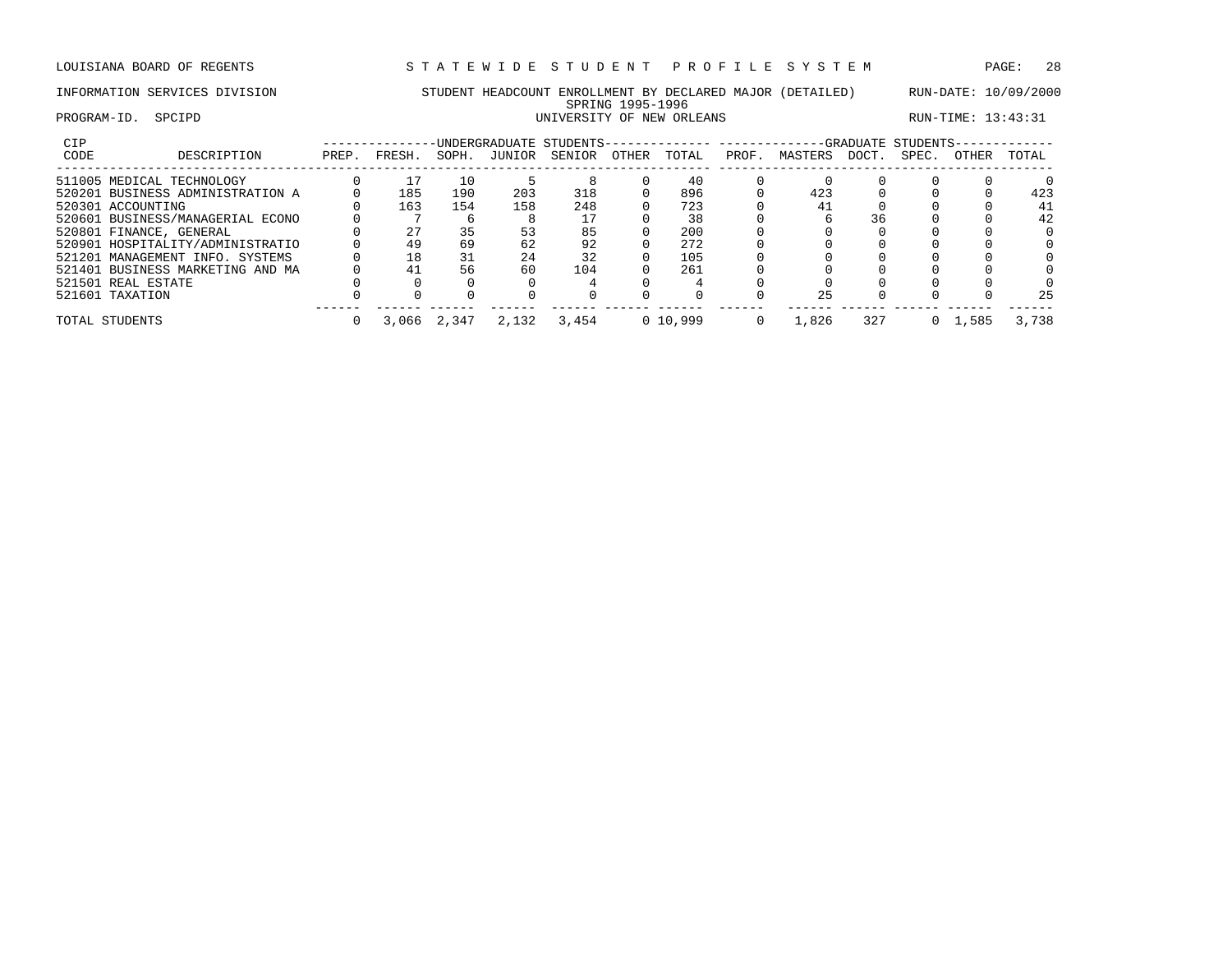# INFORMATION SERVICES DIVISION STUDENT HEADCOUNT ENROLLMENT BY DECLARED MAJOR (DETAILED) RUN-DATE: 10/09/2000 SPRING 1995-1996<br>UNIVERSITY OF NEW ORLEANS PROGRAM-ID. SPCIPD SECTED SECTED SERVICE SUBSEXTION OF NEW ORLEANS RUN-TIME: 13:43:31

| <b>CIP</b> |                                  |       |        |       |        | -UNDERGRADUATE STUDENTS- |       |            |       |         |       | -GRADUATE STUDENTS- |                 |       |
|------------|----------------------------------|-------|--------|-------|--------|--------------------------|-------|------------|-------|---------|-------|---------------------|-----------------|-------|
| CODE       | DESCRIPTION                      | PREP. | FRESH. | SOPH. | JUNIOR | SENIOR                   | OTHER | TOTAL      | PROF. | MASTERS | DOCT. | SPEC.               | <b>OTHER</b>    | TOTAL |
|            | 511005 MEDICAL TECHNOLOGY        |       |        | 10    |        |                          |       | 40         |       |         |       |                     |                 |       |
|            | 520201 BUSINESS ADMINISTRATION A |       | 185    | 190   | 203    | 318                      |       | 896        |       | 423     |       |                     |                 | 423   |
|            | 520301 ACCOUNTING                |       | 163    | 154   | 158    | 248                      |       | 723        |       | 41      |       |                     |                 | 41    |
|            | 520601 BUSINESS/MANAGERIAL ECONO |       |        |       |        |                          |       | 38         |       |         | 36    |                     |                 | 42    |
|            | 520801 FINANCE, GENERAL          |       | 27     | 35    |        | 85                       |       | 200        |       |         |       |                     |                 |       |
|            | 520901 HOSPITALITY/ADMINISTRATIO |       | 49     | 69    | 62     | 92                       |       | 272        |       |         |       |                     |                 |       |
|            | 521201 MANAGEMENT INFO. SYSTEMS  |       | 18     | 31    | 24     | 32                       |       | 105        |       |         |       |                     |                 |       |
|            | 521401 BUSINESS MARKETING AND MA |       | 41     | 56    | 60     | 104                      |       | 261        |       |         |       |                     |                 |       |
|            | 521501 REAL ESTATE               |       |        |       |        |                          |       |            |       |         |       |                     |                 |       |
|            | 521601 TAXATION                  |       |        |       |        |                          |       |            |       | 25      |       |                     |                 | 25    |
|            | TOTAL STUDENTS                   |       | 3,066  | 2,347 | 2,132  | 3,454                    |       | 0, 10, 999 |       | 1,826   | 327   |                     | $0 \quad 1.585$ | 3,738 |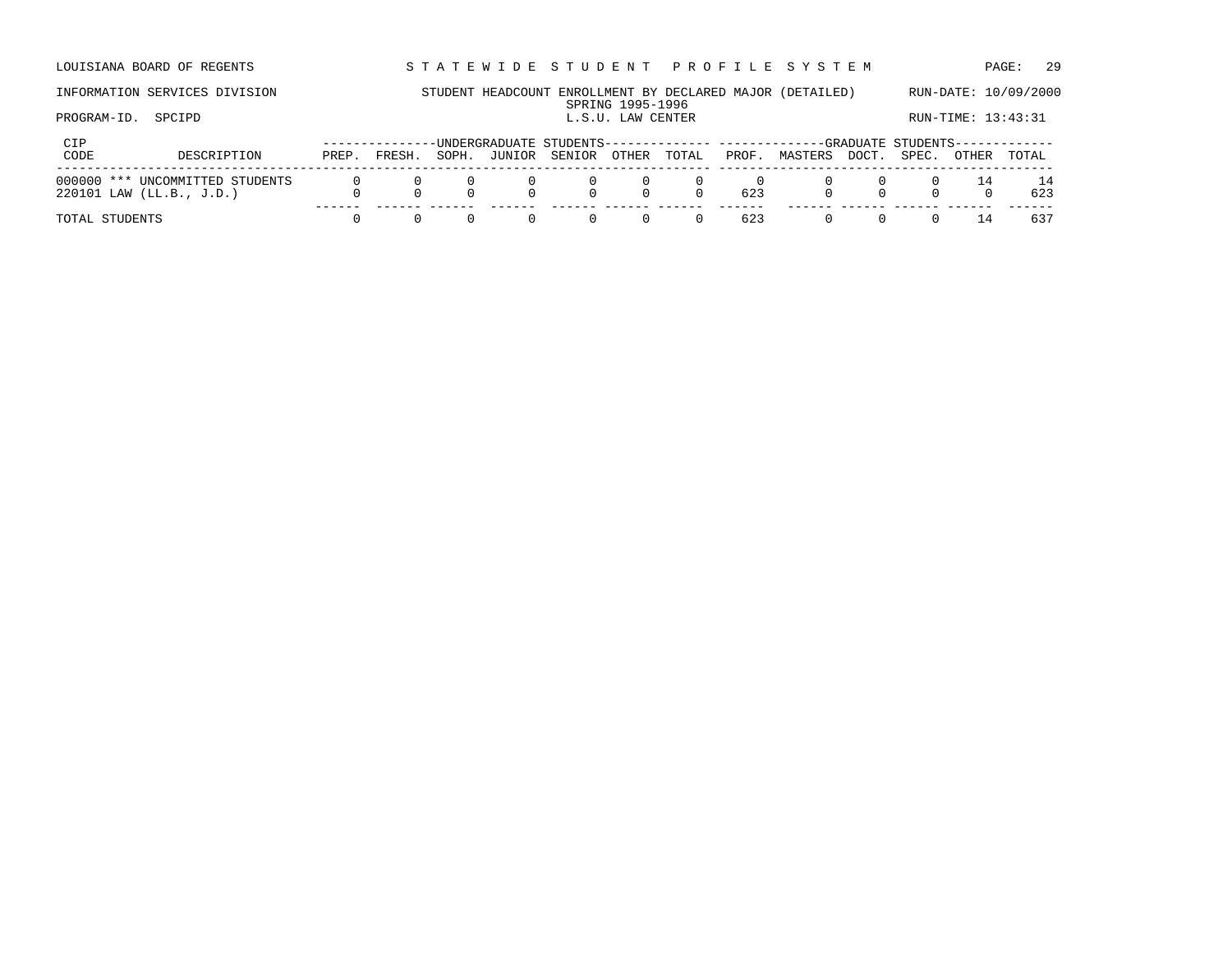LOUISIANA BOARD OF REGENTS STA TEWIDE STUDENT PROFILE SYSTEM PAGE: 29

### INFORMATION SERVICES DIVISION STUDENT HEADCOUNT ENROLLMENT BY DECLARED MAJOR (DETAILED) RUN-DATE: 10/09/2000 SPRING 1995-1996<br>L.S.U. LAW CENTER PROGRAM-ID. SPCIPD SPORT SALL SULLAR CENTER L.S.U. LAW CENTER LOGIC RUN-TIME: 13:43:31

| CIP                                                           |       |        |       |        |        |                              |                 |       | --UNDERGRADUATE STUDENTS-------------- -------------GRADUATE STUDENTS------------ |       |       |       |           |
|---------------------------------------------------------------|-------|--------|-------|--------|--------|------------------------------|-----------------|-------|-----------------------------------------------------------------------------------|-------|-------|-------|-----------|
| CODE<br>DESCRIPTION                                           | PREP. | FRESH. | SOPH. | JUNIOR | SENIOR | OTHER                        | TOTAL           | PROF. | MASTERS                                                                           | DOCT. | SPEC. | OTHER | TOTAL     |
| 000000 *** UNCOMMITTED STUDENTS<br>$220101$ LAW (LL.B., J.D.) |       |        |       |        |        | $\overline{0}$ .<br>$\Omega$ | $\bigcap$       | 623   |                                                                                   |       |       |       | 14<br>623 |
|                                                               |       |        |       |        |        |                              |                 |       |                                                                                   |       |       |       |           |
| TOTAL STUDENTS                                                |       |        |       |        |        |                              | $\Omega$<br>(1) | 623   |                                                                                   |       |       | -14   | 637       |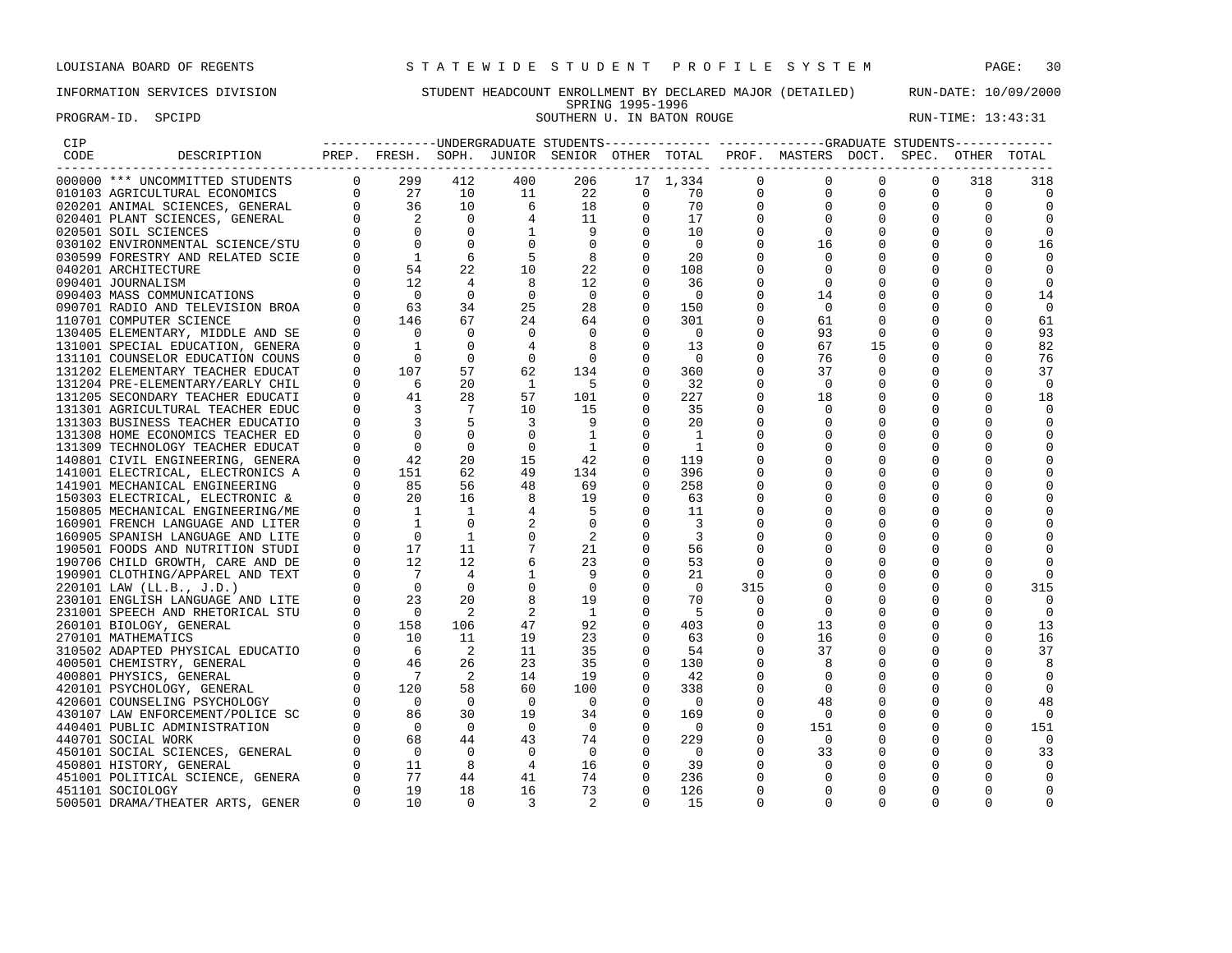PROGRAM-ID. SPCIPD SOUTHERN U. IN BATON ROUGE RUN-TIME: 13:43:31

# INFORMATION SERVICES DIVISION STUDENT HEADCOUNT ENROLLMENT BY DECLARED MAJOR (DETAILED) RUN-DATE: 10/09/2000 SPRING 1995-1996<br>SOUTHERN U. IN BATON ROUGE

| CIP  |                                  |                |                                                                                                                                                                                                                                                                                                                                                                                              |                            |                                       |                            |                |                          |              | ---------------UNDERGRADUATE STUDENTS-------------- ------------GRADUATE STUDENTS------------ |             |             |              |                |
|------|----------------------------------|----------------|----------------------------------------------------------------------------------------------------------------------------------------------------------------------------------------------------------------------------------------------------------------------------------------------------------------------------------------------------------------------------------------------|----------------------------|---------------------------------------|----------------------------|----------------|--------------------------|--------------|-----------------------------------------------------------------------------------------------|-------------|-------------|--------------|----------------|
| CODE | DESCRIPTION                      |                |                                                                                                                                                                                                                                                                                                                                                                                              |                            |                                       |                            |                |                          |              | PREP. FRESH. SOPH. JUNIOR SENIOR OTHER TOTAL PROF. MASTERS DOCT. SPEC. OTHER TOTAL            |             |             |              |                |
|      |                                  |                |                                                                                                                                                                                                                                                                                                                                                                                              | 412                        | 400                                   | 206                        |                | 17 1,334                 | $\mathbf{0}$ | $\mathbf 0$                                                                                   | 0           | $\circ$     | 318          | 318            |
|      |                                  |                |                                                                                                                                                                                                                                                                                                                                                                                              | 10                         | 11                                    | 22                         | $\mathbf 0$    | 70                       | $\mathbf{0}$ | $\mathbf 0$                                                                                   | $\mathbf 0$ | $\Omega$    | $\Omega$     | $\mathbf 0$    |
|      |                                  |                |                                                                                                                                                                                                                                                                                                                                                                                              | 10                         | $\overline{6}$                        |                            | $\mathbf 0$    | 70                       | $\mathbf 0$  | $\mathbf 0$                                                                                   | $\mathbf 0$ | $\mathbf 0$ | $\mathbf 0$  | $\overline{0}$ |
|      |                                  |                |                                                                                                                                                                                                                                                                                                                                                                                              | $\mathbf 0$                |                                       |                            | 0              | 17                       | 0            | $\mathbf 0$                                                                                   | $\mathbf 0$ | $\mathbf 0$ | $\mathbf 0$  | 0              |
|      |                                  |                |                                                                                                                                                                                                                                                                                                                                                                                              | $\mathbf 0$                | $\begin{array}{c} 4 \\ 1 \end{array}$ | $\frac{1}{\rho}$           | $\Omega$       | 10                       | $\mathbf 0$  | $\mathbf 0$                                                                                   | $\Omega$    |             | $\Omega$     | $\mathbf 0$    |
|      |                                  |                |                                                                                                                                                                                                                                                                                                                                                                                              | $\Omega$                   | $\mathbf 0$                           | $\overline{0}$             | $\mathbf 0$    | $\overline{0}$           | 0            | 16                                                                                            | 0           | 0           | $\Omega$     | 16             |
|      |                                  |                |                                                                                                                                                                                                                                                                                                                                                                                              | 6                          | -5                                    | $\overline{\phantom{0}}$ 8 | $\mathbf 0$    | 20                       | $\Omega$     | $\Omega$                                                                                      | $\Omega$    | $\Omega$    | ∩            | $\Omega$       |
|      | 040201 ARCHITECTURE              |                | $\begin{bmatrix} 0 \\ 0 \end{bmatrix}$<br>54                                                                                                                                                                                                                                                                                                                                                 | 22                         | 10                                    | 22                         | $\Omega$       | 108                      | U            | $\Omega$                                                                                      |             | $\Omega$    | <sup>0</sup> | $\Omega$       |
|      | 090401 JOURNALISM                |                | 12                                                                                                                                                                                                                                                                                                                                                                                           | $\overline{4}$             | 8                                     | 12                         | $\mathbf 0$    | 36                       | 0            | 0                                                                                             | 0           | $\mathbf 0$ | $\mathbf 0$  | 0              |
|      | 090403 MASS COMMUNICATIONS       |                |                                                                                                                                                                                                                                                                                                                                                                                              | $\Omega$                   | $\overline{0}$                        | $\overline{0}$             | $\mathbf 0$    | $\overline{\phantom{0}}$ | 0            | 14                                                                                            | 0           | 0           | $\Omega$     | 14             |
|      | 090701 RADIO AND TELEVISION BROA |                |                                                                                                                                                                                                                                                                                                                                                                                              | 34                         | 25                                    | 28                         | $\mathbf 0$    | 150                      | 0            | $\overline{0}$                                                                                | 0           | 0           | $\Omega$     | $\mathbf 0$    |
|      | 110701 COMPUTER SCIENCE          |                | $\begin{bmatrix} 0 & 0 \\ 0 & 63 \\ 0 & 146 \end{bmatrix}$                                                                                                                                                                                                                                                                                                                                   | 67                         | 24                                    | 64                         | $\mathbf 0$    | 301                      | $\Omega$     | 61                                                                                            | 0           | 0           | $\Omega$     | 61             |
|      | 130405 ELEMENTARY, MIDDLE AND SE | $\Omega$       | $\overline{0}$                                                                                                                                                                                                                                                                                                                                                                               | $\Omega$                   | $\mathbf{0}$                          | $\overline{0}$             | $\Omega$       | $\overline{0}$           | 0            | 93                                                                                            | 0           | 0           | $\Omega$     | 93             |
|      | 131001 SPECIAL EDUCATION, GENERA | $\Omega$       | $\sim$ $\sim$ 1                                                                                                                                                                                                                                                                                                                                                                              | $\Omega$                   | $\overline{4}$                        | 8 <sup>8</sup>             | $\Omega$       | 13                       | $\Omega$     | 67                                                                                            | 15          | $\Omega$    | $\Omega$     | 82             |
|      | 131101 COUNSELOR EDUCATION COUNS | $\overline{0}$ | $\overline{0}$                                                                                                                                                                                                                                                                                                                                                                               | $\mathbf 0$                | 0                                     | $\overline{\phantom{0}}$   | $\mathbf 0$    | $\overline{\phantom{0}}$ | 0            | 76                                                                                            | $\mathbf 0$ | 0           | $\Omega$     | 76             |
|      | 131202 ELEMENTARY TEACHER EDUCAT |                | $\overline{0}$<br>107                                                                                                                                                                                                                                                                                                                                                                        | 57                         | 62                                    | 134                        | $\mathbf 0$    | 360                      | $\mathbf 0$  | 37                                                                                            | 0           | 0           | $\Omega$     | 37             |
|      | 131204 PRE-ELEMENTARY/EARLY CHIL |                |                                                                                                                                                                                                                                                                                                                                                                                              | 20                         | $\overline{1}$                        | $-5$                       | $\Omega$       | 32                       | $\Omega$     | $\Omega$                                                                                      | $\Omega$    |             | $\Omega$     | $\mathbf 0$    |
|      | 131205 SECONDARY TEACHER EDUCATI |                | $\begin{matrix} 0 & 6 \\ 0 & 41 \\ 0 & 3 \end{matrix}$                                                                                                                                                                                                                                                                                                                                       | 28                         | 57                                    | 101                        | $\Omega$       | 227                      | 0            | 18                                                                                            | 0           | 0           | $\Omega$     | 18             |
|      | 131301 AGRICULTURAL TEACHER EDUC |                |                                                                                                                                                                                                                                                                                                                                                                                              | $\overline{7}$             | 10                                    | 15                         | $\Omega$       | 35                       | $\Omega$     | $\Omega$                                                                                      |             | O           |              | $\Omega$       |
|      | 131303 BUSINESS TEACHER EDUCATIO | $\overline{0}$ | $\overline{\phantom{a}}$                                                                                                                                                                                                                                                                                                                                                                     | $5^{\circ}$                | $\overline{3}$                        | -9                         | $\mathbf 0$    | 20                       |              | 0                                                                                             | 0           |             |              | 0              |
|      | 131308 HOME ECONOMICS TEACHER ED | $\overline{0}$ | $\overline{0}$                                                                                                                                                                                                                                                                                                                                                                               | $\overline{0}$             | $\mathbf{0}$                          | $\overline{\phantom{a}}$   | $\mathbf 0$    | $\overline{1}$           | 0            | $\mathbf 0$                                                                                   | 0           | $\mathbf 0$ | 0            | 0              |
|      | 131309 TECHNOLOGY TEACHER EDUCAT | $\Omega$       | $\overline{0}$                                                                                                                                                                                                                                                                                                                                                                               | $\Omega$                   | $\overline{0}$                        | $\overline{1}$             | $\mathbf 0$    | $\overline{1}$           |              | $\Omega$                                                                                      | 0           |             |              | $\mathbf 0$    |
|      | 140801 CIVIL ENGINEERING, GENERA | $\overline{0}$ | 42                                                                                                                                                                                                                                                                                                                                                                                           | 20                         | 15                                    | 42                         | $\mathbf 0$    | 119                      | 0            | $\mathbf 0$                                                                                   | 0           |             | 0            | $\Omega$       |
|      | 141001 ELECTRICAL, ELECTRONICS A |                | $\overline{0}$<br>151                                                                                                                                                                                                                                                                                                                                                                        | 62                         | 49                                    | 134                        | $\Omega$       | 396                      | U            | $\mathbf 0$                                                                                   | $\Omega$    | 0           | <sup>0</sup> | $\Omega$       |
|      | 141901 MECHANICAL ENGINEERING    |                | 85                                                                                                                                                                                                                                                                                                                                                                                           | 56                         | 48                                    | 69                         | $\Omega$       | 258                      | U            | $\Omega$                                                                                      | $\Omega$    | O           | ∩            | $\Omega$       |
|      | 150303 ELECTRICAL, ELECTRONIC &  | $\overline{0}$ | 20                                                                                                                                                                                                                                                                                                                                                                                           | 16                         | 8 <sup>8</sup>                        | 19                         | $\mathbf 0$    | 63                       | 0            | $\mathbf 0$                                                                                   | 0           | 0           | 0            | 0              |
|      | 150805 MECHANICAL ENGINEERING/ME | $\overline{0}$ | $\overline{\phantom{a}}$                                                                                                                                                                                                                                                                                                                                                                     | $\overline{1}$             | 4                                     | $-5$                       | $\mathbf 0$    | 11                       | 0            | $\mathbf 0$                                                                                   | 0           | 0           | $\Omega$     | 0              |
|      | 160901 FRENCH LANGUAGE AND LITER |                | $\overline{1}$                                                                                                                                                                                                                                                                                                                                                                               | $\Omega$                   | 2                                     | $\overline{0}$             | $\Omega$       | $\overline{\mathbf{3}}$  | 0            |                                                                                               | 0           | 0           | 0            |                |
|      | 160905 SPANISH LANGUAGE AND LITE | $\Omega$       | $\overline{0}$                                                                                                                                                                                                                                                                                                                                                                               | $\overline{1}$             | $\mathbf 0$                           | $\overline{\phantom{0}}^2$ | $\Omega$       | $\overline{\phantom{a}}$ | U            | $\Omega$                                                                                      | $\Omega$    | 0           | <sup>0</sup> | $\Omega$       |
|      | 190501 FOODS AND NUTRITION STUDI |                | $\begin{bmatrix} 0 \\ 0 \end{bmatrix}$<br>17                                                                                                                                                                                                                                                                                                                                                 | 11                         | 7                                     | 21                         | $\Omega$       | 56                       | $\Omega$     |                                                                                               |             | O           |              | $\Omega$       |
|      | 190706 CHILD GROWTH, CARE AND DE |                | 12                                                                                                                                                                                                                                                                                                                                                                                           | 12                         | 6                                     | 23                         | $\Omega$       | 53                       | $\Omega$     | $\Omega$                                                                                      | $\Omega$    | $\Omega$    | <sup>0</sup> |                |
|      | 190901 CLOTHING/APPAREL AND TEXT |                |                                                                                                                                                                                                                                                                                                                                                                                              | $\overline{4}$             | $\mathbf{1}$                          | - 9                        | $\mathbf 0$    | 21                       | 0            | $\mathbf{0}$                                                                                  | $\mathbf 0$ | 0           | 0            | 0              |
|      | 220101 LAW (LL.B., J.D.)         |                |                                                                                                                                                                                                                                                                                                                                                                                              | $\overline{0}$             | $\mathbf 0$                           | $\overline{\phantom{0}}$   | $\mathbf 0$    | $\overline{0}$           | 315          | 0                                                                                             | 0           | 0           | 0            | 315            |
|      | 230101 ENGLISH LANGUAGE AND LITE |                |                                                                                                                                                                                                                                                                                                                                                                                              | 20                         | 8                                     | 19                         | $\mathbf 0$    | 70                       | 0            | $\mathbf 0$                                                                                   | $\mathbf 0$ | 0           | $\Omega$     | $\mathbf 0$    |
|      | 231001 SPEECH AND RHETORICAL STU |                |                                                                                                                                                                                                                                                                                                                                                                                              | $\overline{2}$             | 2                                     | $\overline{1}$             | 0              | - 5                      | 0            | 0                                                                                             | 0           | 0           | $\Omega$     | $\circ$        |
|      | 260101 BIOLOGY, GENERAL          |                |                                                                                                                                                                                                                                                                                                                                                                                              | 106                        | 47                                    | 92                         | $\Omega$       | 403                      | $\Omega$     | 13                                                                                            | $\Omega$    | $\Omega$    | $\Omega$     | 13             |
|      | 270101 MATHEMATICS               |                |                                                                                                                                                                                                                                                                                                                                                                                              | 11                         | 19                                    | 23                         | $\Omega$       | 63                       | $\Omega$     | 16                                                                                            | $\Omega$    | $\Omega$    | $\Omega$     | 16             |
|      | 310502 ADAPTED PHYSICAL EDUCATIO |                |                                                                                                                                                                                                                                                                                                                                                                                              | $\overline{\phantom{0}}^2$ | 11                                    | 35                         | $\mathbf 0$    | 54                       | 0            | 37                                                                                            | 0           | 0           | 0            | 37             |
|      | 400501 CHEMISTRY, GENERAL        |                |                                                                                                                                                                                                                                                                                                                                                                                              | 26                         | 23                                    | 35                         | $\mathbf 0$    | 130                      | 0            | 8                                                                                             | 0           |             |              | 8              |
|      | 400801 PHYSICS, GENERAL          |                |                                                                                                                                                                                                                                                                                                                                                                                              | $\overline{2}$             | 14                                    | 19                         | $\mathbf 0$    | 42                       | 0            | $\mathbf 0$                                                                                   | 0           | 0           | $\Omega$     | $\overline{0}$ |
|      | 420101 PSYCHOLOGY, GENERAL       |                |                                                                                                                                                                                                                                                                                                                                                                                              | 58                         | 60                                    | 100                        | $\Omega$       | 338                      | 0            | $\mathbf 0$                                                                                   | 0           | 0           | <sup>0</sup> | $\Omega$       |
|      | 420601 COUNSELING PSYCHOLOGY     |                |                                                                                                                                                                                                                                                                                                                                                                                              | $\Omega$                   | $\bigcirc$                            | $\overline{0}$             | $\Omega$       | $\overline{0}$           | $\Omega$     | 48                                                                                            | 0           | $\Omega$    | ∩            | 48             |
|      | 430107 LAW ENFORCEMENT/POLICE SC |                |                                                                                                                                                                                                                                                                                                                                                                                              | 30                         | 19                                    | 34                         | $\mathbf 0$    | 169                      | 0            | - 0                                                                                           | $\Omega$    | $\Omega$    | $\Omega$     | $\bigcirc$     |
|      | 440401 PUBLIC ADMINISTRATION     |                |                                                                                                                                                                                                                                                                                                                                                                                              | $\overline{0}$             | $\overline{0}$                        | $\overline{\phantom{0}}$   | 0              | $\overline{\phantom{0}}$ | 0            | 151                                                                                           | 0           | 0           | $\Omega$     | 151            |
|      | 440701 SOCIAL WORK               |                |                                                                                                                                                                                                                                                                                                                                                                                              | 44                         | 43                                    | 74                         | $\mathbf 0$    | 229                      | 0            | $\overline{0}$                                                                                | 0           | 0           | $\Omega$     | $\overline{0}$ |
|      | 450101 SOCIAL SCIENCES, GENERAL  |                |                                                                                                                                                                                                                                                                                                                                                                                              | $\overline{0}$             | $\overline{0}$                        | $\overline{0}$             | $\overline{0}$ | $\overline{0}$           | $\Omega$     | 33                                                                                            | $\mathbf 0$ | $\mathbf 0$ | $\Omega$     | 33             |
|      | 450801 HISTORY, GENERAL          |                |                                                                                                                                                                                                                                                                                                                                                                                              | $_{\rm 8}$                 | 4                                     | 16                         | $\Omega$       | 39                       | $\Omega$     | 0                                                                                             | 0           | 0           |              | $\Omega$       |
|      | 451001 POLITICAL SCIENCE, GENERA |                |                                                                                                                                                                                                                                                                                                                                                                                              | 44                         | 41                                    | 74                         | $\Omega$       | 236                      | $\Omega$     | $\Omega$                                                                                      | $\Omega$    | $\Omega$    | $\Omega$     |                |
|      | 451101 SOCIOLOGY                 | $\Omega$       | $\begin{array}{ccccc} \texttt{DE} & 0 & 12 \\ \texttt{EXT} & 0 & 7 \\ \texttt{ITE} & 0 & 23 \\ \texttt{STU} & 0 & 0 \\ 0 & 0 & 158 \\ \texttt{ITO} & 0 & 16 \\ 0 & 0 & 6 \\ 0 & 46 \\ 0 & 7 \\ \texttt{SC} & 0 & 86 \\ \texttt{SC} & 0 & 86 \\ 0 & 0 & 0 \\ \texttt{SL} & 0 & 0 \\ 0 & 0 & 0 \\ \texttt{SL} & 0 & 11 \\ \texttt{ERA} & 0 & 77 \\ \texttt{CRA} & 0 & 19 \\ \end{array}$<br>19 | 18                         | 16                                    | 73                         | $\Omega$       | 126                      | 0            | $\Omega$                                                                                      | $\Omega$    | $\Omega$    | $\Omega$     | $\Omega$       |
|      | 500501 DRAMA/THEATER ARTS, GENER | $\Omega$       | 10                                                                                                                                                                                                                                                                                                                                                                                           | $\Omega$                   | 3                                     | 2                          | $\Omega$       | 15                       | $\Omega$     | $\Omega$                                                                                      | $\Omega$    | O           | $\Omega$     |                |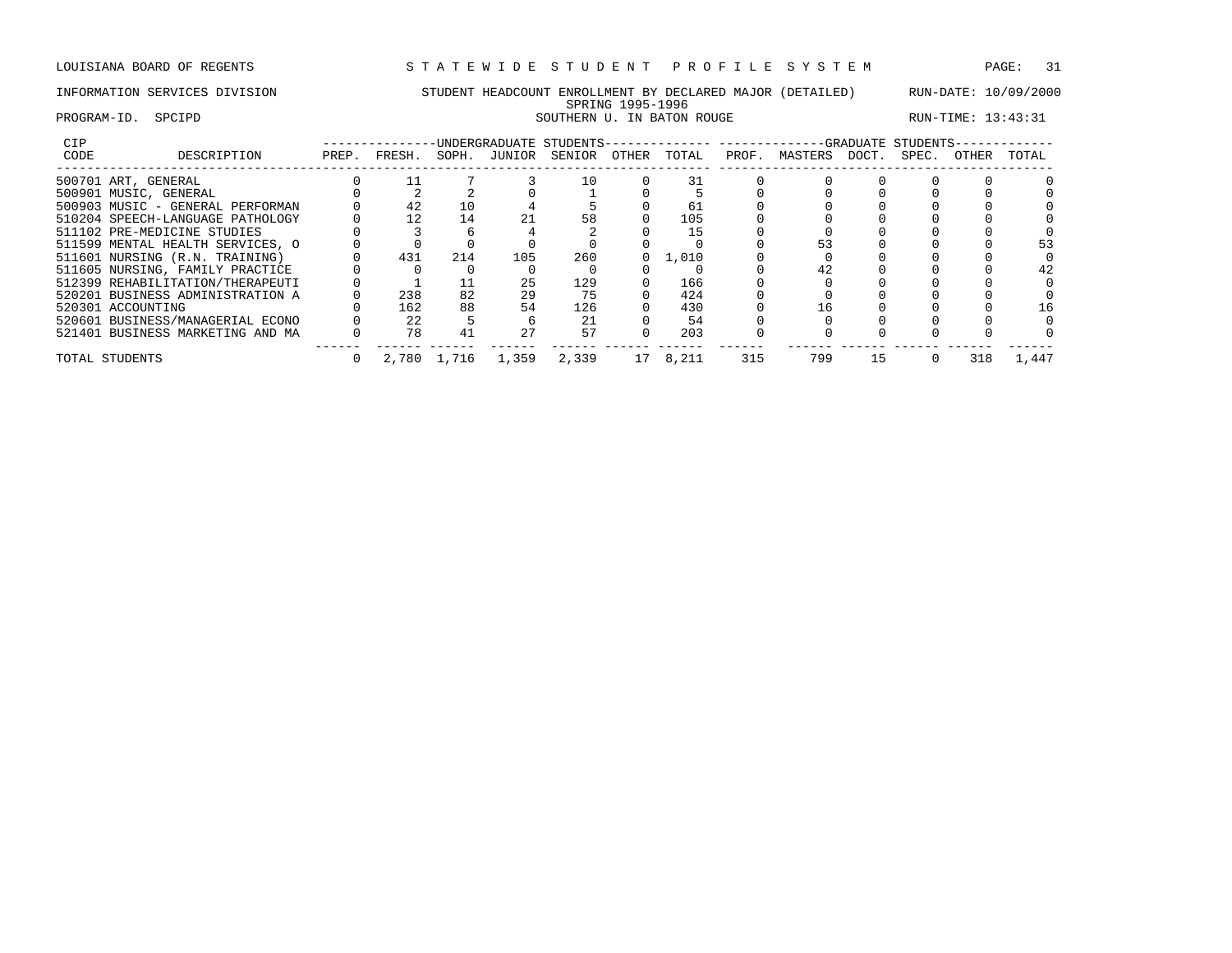# INFORMATION SERVICES DIVISION STUDENT HEADCOUNT ENROLLMENT BY DECLARED MAJOR (DETAILED) RUN-DATE: 10/09/2000 SPRING 1995-1996 PROGRAM-ID. SPCIPD SOUTHERN U. IN BATON ROUGE RUN-TIME: 13:43:31

| CIP  |                                  |       |        |             | UNDERGRADUATE STUDENTS- |               |          |       |       |         |       | -GRADUATE STUDENTS- |       |       |
|------|----------------------------------|-------|--------|-------------|-------------------------|---------------|----------|-------|-------|---------|-------|---------------------|-------|-------|
| CODE | DESCRIPTION                      | PREP. | FRESH. | SOPH.       |                         | JUNIOR SENIOR | OTHER    | TOTAL | PROF. | MASTERS | DOCT. | SPEC.               | OTHER | TOTAL |
|      | 500701 ART, GENERAL              |       |        |             |                         | 10            |          |       |       |         |       |                     |       |       |
|      | 500901 MUSIC, GENERAL            |       |        |             |                         |               |          |       |       |         |       |                     |       |       |
|      | 500903 MUSIC - GENERAL PERFORMAN |       | 42     | 10          |                         |               |          | 61    |       |         |       |                     |       |       |
|      | 510204 SPEECH-LANGUAGE PATHOLOGY |       | 12     | 14          |                         | 58            |          | 105   |       |         |       |                     |       |       |
|      | 511102 PRE-MEDICINE STUDIES      |       |        |             |                         |               |          |       |       |         |       |                     |       |       |
|      | 511599 MENTAL HEALTH SERVICES, O |       |        |             |                         |               |          |       |       |         |       |                     |       |       |
|      | 511601 NURSING (R.N. TRAINING)   |       | 431    | 214         | 105                     | 260           | $\Omega$ | 1,010 |       |         |       |                     |       |       |
|      | 511605 NURSING, FAMILY PRACTICE  |       |        |             |                         |               |          |       |       |         |       |                     |       | 42    |
|      | 512399 REHABILITATION/THERAPEUTI |       |        |             | 25                      | 129           |          | 166   |       |         |       |                     |       |       |
|      | 520201 BUSINESS ADMINISTRATION A |       | 238    | 82          | 29                      | 75            |          | 424   |       |         |       |                     |       |       |
|      | 520301 ACCOUNTING                |       | 162    | 88          | 54                      | 126           |          | 430   |       | 16      |       |                     |       | l 6   |
|      | 520601 BUSINESS/MANAGERIAL ECONO |       | 22     |             |                         | 21            |          | 54    |       |         |       |                     |       |       |
|      | 521401 BUSINESS MARKETING AND MA |       | 78     | 41          | 27                      | 57            |          | 203   |       |         |       |                     |       |       |
|      | TOTAL STUDENTS                   |       |        | 2,780 1,716 | 1,359                   | 2,339         | 17       | 8,211 | 315   | 799     | 15    |                     | 318   | 1,447 |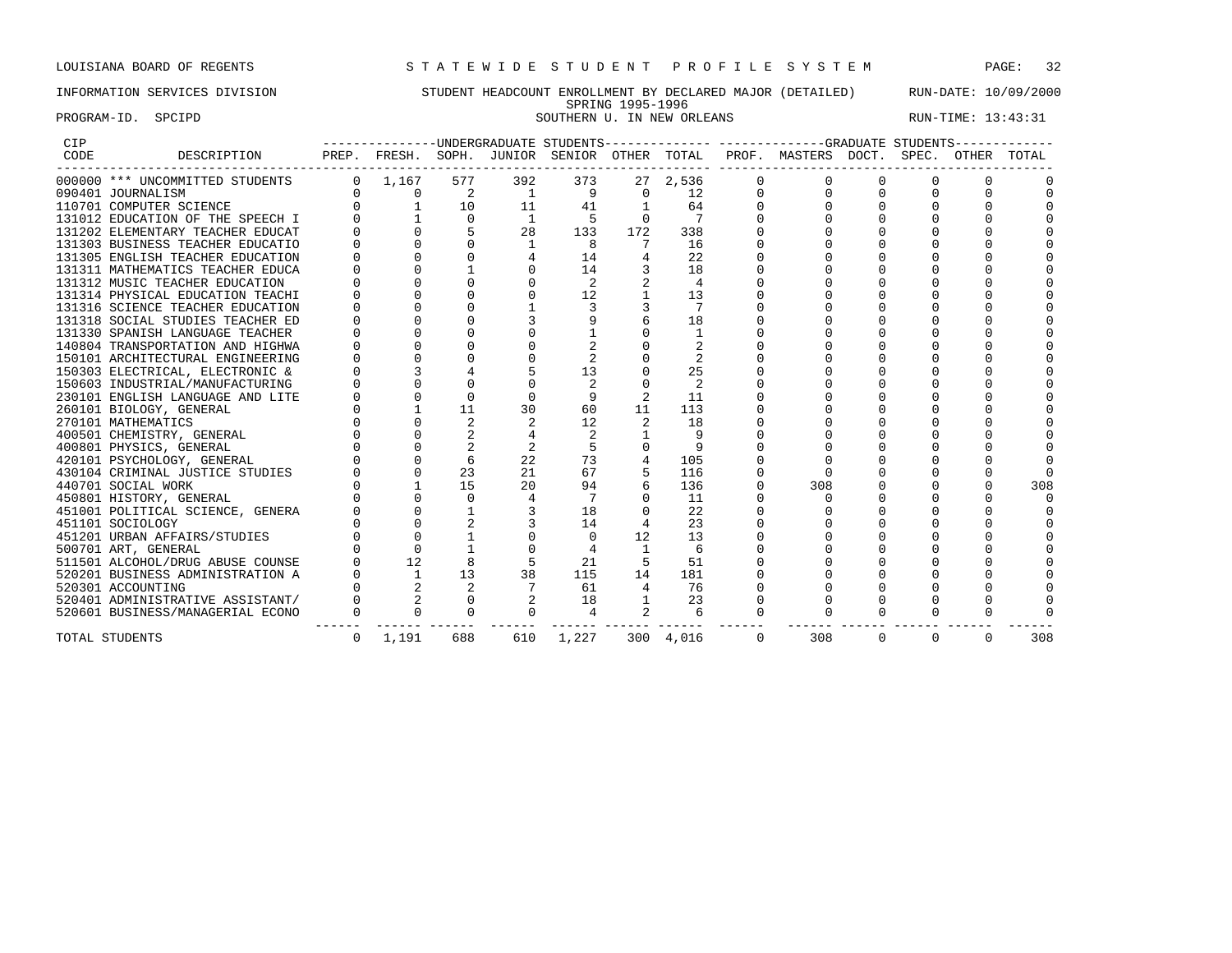PROGRAM-ID. SPCIPD SOUTHERN U. IN NEW ORLEANS RUN-TIME: 13:43:31

### INFORMATION SERVICES DIVISION STUDENT HEADCOUNT ENROLLMENT BY DECLARED MAJOR (DETAILED) RUN-DATE: 10/09/2000 SPRING 1995-1996

| CIP<br>DESCRIPTION<br>CODE       |          |                |                     | --------------UNDERGRADUATE STUDENTS----- |                 |                                                      |                 |          | PREP. FRESH. SOPH. JUNIOR SENIOR OTHER TOTAL PROF. MASTERS DOCT. SPEC. OTHER TOTAL |          |          |          |     |
|----------------------------------|----------|----------------|---------------------|-------------------------------------------|-----------------|------------------------------------------------------|-----------------|----------|------------------------------------------------------------------------------------|----------|----------|----------|-----|
| 000000 *** UNCOMMITTED STUDENTS  |          | $0 \t 1, 167$  | 577                 | 392                                       | 373             |                                                      | 27 2,536        |          |                                                                                    |          |          |          |     |
| 090401 JOURNALISM                |          |                | $0 \qquad \qquad 2$ |                                           | 1 9             |                                                      | $0$ 12          | $\Omega$ |                                                                                    |          |          |          |     |
| 110701 COMPUTER SCIENCE          |          | $\overline{0}$ | 10                  | 11                                        | 41              | $\mathbf{1}$                                         | 64              | $\Omega$ |                                                                                    |          |          |          |     |
| 131012 EDUCATION OF THE SPEECH I |          |                | $\Omega$            | $\overline{1}$                            | $5^{\circ}$     | $\Omega$                                             | 7               | $\Omega$ |                                                                                    |          |          |          |     |
| 131202 ELEMENTARY TEACHER EDUCAT |          |                |                     | 28                                        | 133             | 172                                                  | 338             |          |                                                                                    |          |          |          |     |
| 131303 BUSINESS TEACHER EDUCATIO |          |                |                     | <sup>1</sup>                              | 8               | $\overline{7}$                                       | 16              |          |                                                                                    |          | $\Omega$ |          |     |
| 131305 ENGLISH TEACHER EDUCATION |          |                |                     |                                           | 14              |                                                      | 22              |          |                                                                                    |          |          |          |     |
| 131311 MATHEMATICS TEACHER EDUCA |          |                |                     |                                           | 14              |                                                      | 18              |          |                                                                                    |          |          |          |     |
| 131312 MUSIC TEACHER EDUCATION   |          |                |                     |                                           | 2               |                                                      | $\overline{4}$  |          |                                                                                    |          |          |          |     |
| 131314 PHYSICAL EDUCATION TEACHI |          |                |                     |                                           | 12              | $\mathbf{1}$                                         | 13              |          |                                                                                    | $\Omega$ |          |          |     |
| 131316 SCIENCE TEACHER EDUCATION |          |                |                     |                                           |                 |                                                      | $7\phantom{.0}$ |          |                                                                                    |          |          |          |     |
| 131318 SOCIAL STUDIES TEACHER ED |          |                |                     |                                           |                 |                                                      | 18              |          |                                                                                    |          |          |          |     |
| 131330 SPANISH LANGUAGE TEACHER  |          |                |                     |                                           |                 |                                                      | $\overline{1}$  |          |                                                                                    |          |          |          |     |
| 140804 TRANSPORTATION AND HIGHWA |          |                |                     |                                           |                 |                                                      |                 |          |                                                                                    |          |          |          |     |
| 150101 ARCHITECTURAL ENGINEERING |          |                |                     |                                           |                 |                                                      |                 |          |                                                                                    |          |          |          |     |
| 150303 ELECTRICAL, ELECTRONIC &  |          |                |                     |                                           | 13              | $\Omega$                                             | 25              |          |                                                                                    |          |          |          |     |
| 150603 INDUSTRIAL/MANUFACTURING  |          |                | $\Omega$            |                                           | 2               | $\Omega$                                             | 2               |          |                                                                                    |          |          |          |     |
| 230101 ENGLISH LANGUAGE AND LITE |          |                | $\Omega$            |                                           |                 |                                                      | 11              |          |                                                                                    |          |          |          |     |
| 260101 BIOLOGY, GENERAL          |          |                | 11                  | 30                                        | 60              | 11                                                   | 113             |          |                                                                                    |          | $\Omega$ |          |     |
| 270101 MATHEMATICS               |          |                |                     |                                           | 12              | 2                                                    | 18              |          |                                                                                    |          |          |          |     |
| 400501 CHEMISTRY, GENERAL        |          |                |                     |                                           | 2               |                                                      | 9               |          |                                                                                    |          |          |          |     |
| 400801 PHYSICS, GENERAL          |          |                | 2                   |                                           | 5               | $\Omega$                                             |                 |          |                                                                                    |          |          |          |     |
| 420101 PSYCHOLOGY, GENERAL       |          | $\Omega$       | 6                   | 22                                        | 73              |                                                      | 105             |          |                                                                                    |          |          |          |     |
| 430104 CRIMINAL JUSTICE STUDIES  |          |                | 23                  | 21                                        | 67              |                                                      | 116             |          |                                                                                    |          |          |          |     |
| 440701 SOCIAL WORK               |          |                | 15                  | 20                                        | 94              |                                                      | 136             |          | 308                                                                                |          |          |          | 308 |
| 450801 HISTORY, GENERAL          |          |                | $\Omega$            | 4                                         | $7\phantom{.0}$ | $\cap$                                               | 11              | $\Omega$ |                                                                                    |          |          |          |     |
| 451001 POLITICAL SCIENCE, GENERA |          |                |                     |                                           | 18              |                                                      | 22              |          |                                                                                    |          |          |          |     |
| 451101 SOCIOLOGY                 |          |                |                     |                                           | 14              |                                                      | 23              |          |                                                                                    |          |          |          |     |
| 451201 URBAN AFFAIRS/STUDIES     |          |                |                     |                                           | $\Omega$        | 12                                                   | 13              |          |                                                                                    |          |          |          |     |
| 500701 ART, GENERAL              |          | $\Omega$       |                     |                                           |                 | $\overline{1}$                                       | 6               |          |                                                                                    |          |          |          |     |
| 511501 ALCOHOL/DRUG ABUSE COUNSE |          | 12             |                     |                                           | 21              |                                                      | 51              |          |                                                                                    |          |          |          |     |
| 520201 BUSINESS ADMINISTRATION A |          | $\overline{1}$ | 13                  | 38                                        | 115             | 14                                                   | 181             |          |                                                                                    |          | $\Omega$ |          |     |
| 520301 ACCOUNTING                |          |                | 2                   | 7                                         | 61              | $\overline{4}$                                       | 76              |          |                                                                                    | $\Omega$ | $\Omega$ |          |     |
| 520401 ADMINISTRATIVE ASSISTANT/ |          |                |                     |                                           | 18              |                                                      |                 | $\Omega$ |                                                                                    |          |          |          |     |
| 520601 BUSINESS/MANAGERIAL ECONO | $\Omega$ | $\cap$         | $\Omega$            | $\Omega$                                  | $\overline{4}$  | $\begin{array}{ccc} 1 & & 23 \\ 2 & & 6 \end{array}$ |                 | $\Omega$ |                                                                                    |          | $\Omega$ |          |     |
| TOTAL STUDENTS                   | $\Omega$ | 1,191          | 688                 | 610                                       | 1,227           |                                                      | 300 4,016       | $\Omega$ | 308                                                                                | $\Omega$ | $\Omega$ | $\Omega$ | 308 |